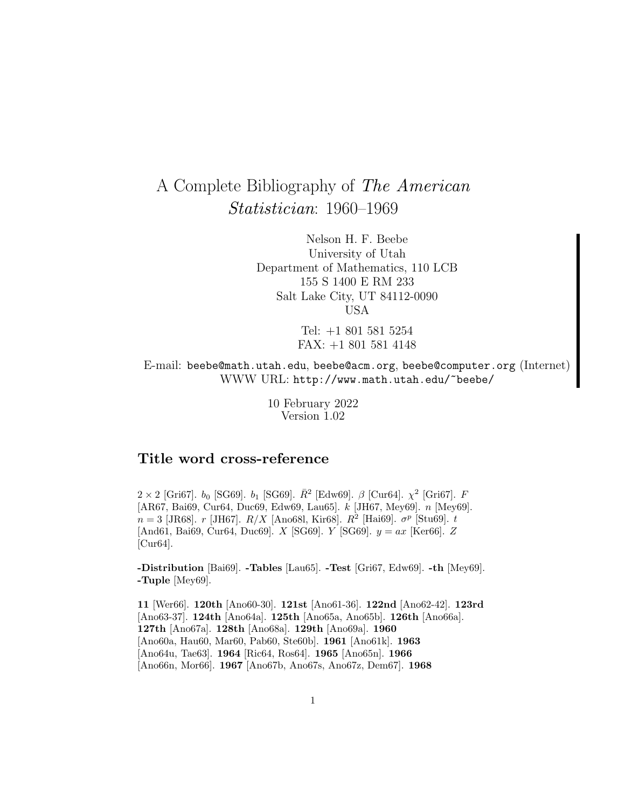# A Complete Bibliography of The American Statistician: 1960–1969

Nelson H. F. Beebe University of Utah Department of Mathematics, 110 LCB 155 S 1400 E RM 233 Salt Lake City, UT 84112-0090 USA

> Tel: +1 801 581 5254 FAX: +1 801 581 4148

E-mail: beebe@math.utah.edu, beebe@acm.org, beebe@computer.org (Internet) WWW URL: http://www.math.utah.edu/~beebe/

> 10 February 2022 Version 1.02

# **Title word cross-reference**

 $2 \times 2$  [Gri67].  $b_0$  [SG69].  $b_1$  [SG69].  $\bar{R}^2$  [Edw69].  $\beta$  [Cur64].  $\chi^2$  [Gri67]. F [AR67, Bai69, Cur64, Duc69, Edw69, Lau65]. k [JH67, Mey69]. n [Mey69].  $n = 3$  [JR68].  $r$  [JH67].  $R/X$  [Ano68l, Kir68].  $R^2$  [Hai69].  $\sigma^p$  [Stu69].  $t$ [And61, Bai69, Cur64, Duc69]. X [SG69]. Y [SG69].  $y = ax$  [Ker66]. Z [Cur64].

**-Distribution** [Bai69]. **-Tables** [Lau65]. **-Test** [Gri67, Edw69]. **-th** [Mey69]. **-Tuple** [Mey69].

**11** [Wer66]. **120th** [Ano60-30]. **121st** [Ano61-36]. **122nd** [Ano62-42]. **123rd** [Ano63-37]. **124th** [Ano64a]. **125th** [Ano65a, Ano65b]. **126th** [Ano66a]. **127th** [Ano67a]. **128th** [Ano68a]. **129th** [Ano69a]. **1960** [Ano60a, Hau60, Mar60, Pab60, Ste60b]. **1961** [Ano61k]. **1963** [Ano64u, Tae63]. **1964** [Ric64, Ros64]. **1965** [Ano65n]. **1966** [Ano66n, Mor66]. **1967** [Ano67b, Ano67s, Ano67z, Dem67]. **1968**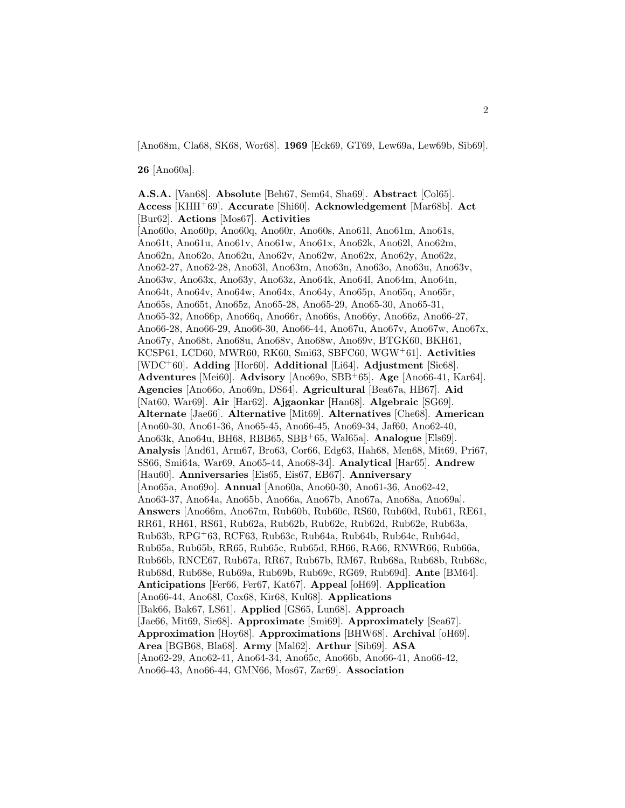[Ano68m, Cla68, SK68, Wor68]. **1969** [Eck69, GT69, Lew69a, Lew69b, Sib69].

**26** [Ano60a].

**A.S.A.** [Van68]. **Absolute** [Beh67, Sem64, Sha69]. **Abstract** [Col65]. **Access** [KHH<sup>+</sup>69]. **Accurate** [Shi60]. **Acknowledgement** [Mar68b]. **Act** [Bur62]. **Actions** [Mos67]. **Activities** [Ano60o, Ano60p, Ano60q, Ano60r, Ano60s, Ano61l, Ano61m, Ano61s, Ano61t, Ano61u, Ano61v, Ano61w, Ano61x, Ano62k, Ano62l, Ano62m, Ano62n, Ano62o, Ano62u, Ano62v, Ano62w, Ano62x, Ano62y, Ano62z, Ano62-27, Ano62-28, Ano63l, Ano63m, Ano63n, Ano63o, Ano63u, Ano63v, Ano63w, Ano63x, Ano63y, Ano63z, Ano64k, Ano64l, Ano64m, Ano64n, Ano64t, Ano64v, Ano64w, Ano64x, Ano64y, Ano65p, Ano65q, Ano65r, Ano65s, Ano65t, Ano65z, Ano65-28, Ano65-29, Ano65-30, Ano65-31, Ano65-32, Ano66p, Ano66q, Ano66r, Ano66s, Ano66y, Ano66z, Ano66-27, Ano66-28, Ano66-29, Ano66-30, Ano66-44, Ano67u, Ano67v, Ano67w, Ano67x, Ano67y, Ano68t, Ano68u, Ano68v, Ano68w, Ano69v, BTGK60, BKH61, KCSP61, LCD60, MWR60, RK60, Smi63, SBFC60, WGW<sup>+</sup>61]. **Activities** [WDC<sup>+</sup>60]. **Adding** [Hor60]. **Additional** [Li64]. **Adjustment** [Sie68]. **Adventures** [Mei60]. **Advisory** [Ano69o, SBB<sup>+</sup>65]. **Age** [Ano66-41, Kar64]. **Agencies** [Ano66o, Ano69n, DS64]. **Agricultural** [Bea67a, HB67]. **Aid** [Nat60, War69]. **Air** [Har62]. **Ajgaonkar** [Han68]. **Algebraic** [SG69]. **Alternate** [Jae66]. **Alternative** [Mit69]. **Alternatives** [Che68]. **American** [Ano60-30, Ano61-36, Ano65-45, Ano66-45, Ano69-34, Jaf60, Ano62-40, Ano63k, Ano64u, BH68, RBB65, SBB<sup>+</sup>65, Wal65a]. **Analogue** [Els69]. **Analysis** [And61, Arm67, Bro63, Cor66, Edg63, Hah68, Men68, Mit69, Pri67, SS66, Smi64a, War69, Ano65-44, Ano68-34]. **Analytical** [Har65]. **Andrew** [Hau60]. **Anniversaries** [Eis65, Eis67, EB67]. **Anniversary** [Ano65a, Ano69o]. **Annual** [Ano60a, Ano60-30, Ano61-36, Ano62-42, Ano63-37, Ano64a, Ano65b, Ano66a, Ano67b, Ano67a, Ano68a, Ano69a]. **Answers** [Ano66m, Ano67m, Rub60b, Rub60c, RS60, Rub60d, Rub61, RE61, RR61, RH61, RS61, Rub62a, Rub62b, Rub62c, Rub62d, Rub62e, Rub63a, Rub63b, RPG<sup>+</sup>63, RCF63, Rub63c, Rub64a, Rub64b, Rub64c, Rub64d, Rub65a, Rub65b, RR65, Rub65c, Rub65d, RH66, RA66, RNWR66, Rub66a, Rub66b, RNCE67, Rub67a, RR67, Rub67b, RM67, Rub68a, Rub68b, Rub68c, Rub68d, Rub68e, Rub69a, Rub69b, Rub69c, RG69, Rub69d]. **Ante** [BM64]. **Anticipations** [Fer66, Fer67, Kat67]. **Appeal** [oH69]. **Application** [Ano66-44, Ano68l, Cox68, Kir68, Kul68]. **Applications** [Bak66, Bak67, LS61]. **Applied** [GS65, Lun68]. **Approach** [Jae66, Mit69, Sie68]. **Approximate** [Smi69]. **Approximately** [Sea67]. **Approximation** [Hoy68]. **Approximations** [BHW68]. **Archival** [oH69]. **Area** [BGB68, Bla68]. **Army** [Mal62]. **Arthur** [Sib69]. **ASA** [Ano62-29, Ano62-41, Ano64-34, Ano65c, Ano66b, Ano66-41, Ano66-42, Ano66-43, Ano66-44, GMN66, Mos67, Zar69]. **Association**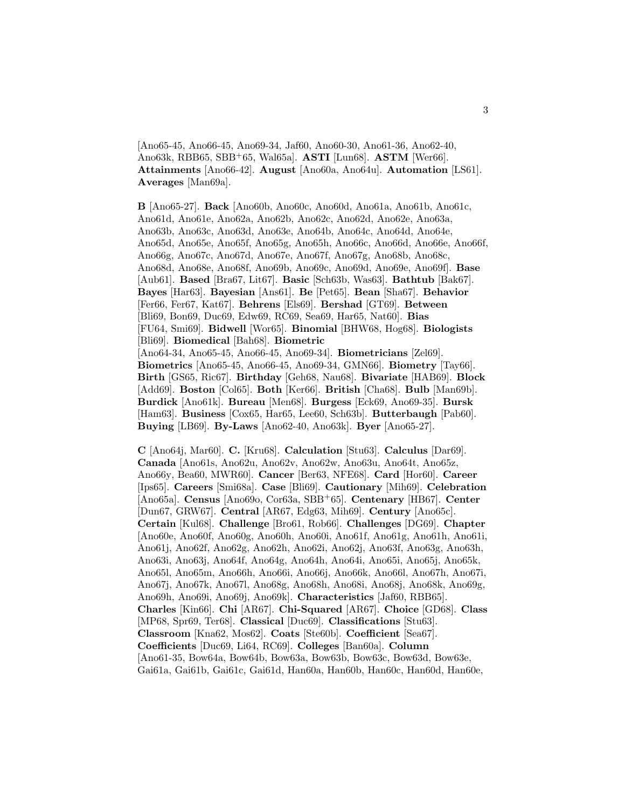[Ano65-45, Ano66-45, Ano69-34, Jaf60, Ano60-30, Ano61-36, Ano62-40, Ano63k, RBB65, SBB<sup>+</sup>65, Wal65a]. **ASTI** [Lun68]. **ASTM** [Wer66]. **Attainments** [Ano66-42]. **August** [Ano60a, Ano64u]. **Automation** [LS61]. **Averages** [Man69a].

**B** [Ano65-27]. **Back** [Ano60b, Ano60c, Ano60d, Ano61a, Ano61b, Ano61c, Ano61d, Ano61e, Ano62a, Ano62b, Ano62c, Ano62d, Ano62e, Ano63a, Ano63b, Ano63c, Ano63d, Ano63e, Ano64b, Ano64c, Ano64d, Ano64e, Ano65d, Ano65e, Ano65f, Ano65g, Ano65h, Ano66c, Ano66d, Ano66e, Ano66f, Ano66g, Ano67c, Ano67d, Ano67e, Ano67f, Ano67g, Ano68b, Ano68c, Ano68d, Ano68e, Ano68f, Ano69b, Ano69c, Ano69d, Ano69e, Ano69f]. **Base** [Aub61]. **Based** [Bra67, Lit67]. **Basic** [Sch63b, Was63]. **Bathtub** [Bak67]. **Bayes** [Har63]. **Bayesian** [Ans61]. **Be** [Pet65]. **Bean** [Sha67]. **Behavior** [Fer66, Fer67, Kat67]. **Behrens** [Els69]. **Bershad** [GT69]. **Between** [Bli69, Bon69, Duc69, Edw69, RC69, Sea69, Har65, Nat60]. **Bias** [FU64, Smi69]. **Bidwell** [Wor65]. **Binomial** [BHW68, Hog68]. **Biologists** [Bli69]. **Biomedical** [Bah68]. **Biometric** [Ano64-34, Ano65-45, Ano66-45, Ano69-34]. **Biometricians** [Zel69]. **Biometrics** [Ano65-45, Ano66-45, Ano69-34, GMN66]. **Biometry** [Tay66]. **Birth** [GS65, Ric67]. **Birthday** [Geh68, Nau68]. **Bivariate** [HAB69]. **Block** [Add69]. **Boston** [Col65]. **Both** [Ker66]. **British** [Cha68]. **Bulb** [Man69b]. **Burdick** [Ano61k]. **Bureau** [Men68]. **Burgess** [Eck69, Ano69-35]. **Bursk** [Ham63]. **Business** [Cox65, Har65, Lee60, Sch63b]. **Butterbaugh** [Pab60]. **Buying** [LB69]. **By-Laws** [Ano62-40, Ano63k]. **Byer** [Ano65-27].

**C** [Ano64j, Mar60]. **C.** [Kru68]. **Calculation** [Stu63]. **Calculus** [Dar69]. **Canada** [Ano61s, Ano62u, Ano62v, Ano62w, Ano63u, Ano64t, Ano65z, Ano66y, Bea60, MWR60]. **Cancer** [Ber63, NFE68]. **Card** [Hor60]. **Career** [Ips65]. **Careers** [Smi68a]. **Case** [Bli69]. **Cautionary** [Mih69]. **Celebration** [Ano65a]. **Census** [Ano69o, Cor63a, SBB<sup>+</sup>65]. **Centenary** [HB67]. **Center** [Dun67, GRW67]. **Central** [AR67, Edg63, Mih69]. **Century** [Ano65c]. **Certain** [Kul68]. **Challenge** [Bro61, Rob66]. **Challenges** [DG69]. **Chapter** [Ano60e, Ano60f, Ano60g, Ano60h, Ano60i, Ano61f, Ano61g, Ano61h, Ano61i, Ano61j, Ano62f, Ano62g, Ano62h, Ano62i, Ano62j, Ano63f, Ano63g, Ano63h, Ano63i, Ano63j, Ano64f, Ano64g, Ano64h, Ano64i, Ano65i, Ano65j, Ano65k, Ano65l, Ano65m, Ano66h, Ano66i, Ano66j, Ano66k, Ano66l, Ano67h, Ano67i, Ano67j, Ano67k, Ano67l, Ano68g, Ano68h, Ano68i, Ano68j, Ano68k, Ano69g, Ano69h, Ano69i, Ano69j, Ano69k]. **Characteristics** [Jaf60, RBB65]. **Charles** [Kin66]. **Chi** [AR67]. **Chi-Squared** [AR67]. **Choice** [GD68]. **Class** [MP68, Spr69, Ter68]. **Classical** [Duc69]. **Classifications** [Stu63]. **Classroom** [Kna62, Mos62]. **Coats** [Ste60b]. **Coefficient** [Sea67]. **Coefficients** [Duc69, Li64, RC69]. **Colleges** [Ban60a]. **Column** [Ano61-35, Bow64a, Bow64b, Bow63a, Bow63b, Bow63c, Bow63d, Bow63e, Gai61a, Gai61b, Gai61c, Gai61d, Han60a, Han60b, Han60c, Han60d, Han60e,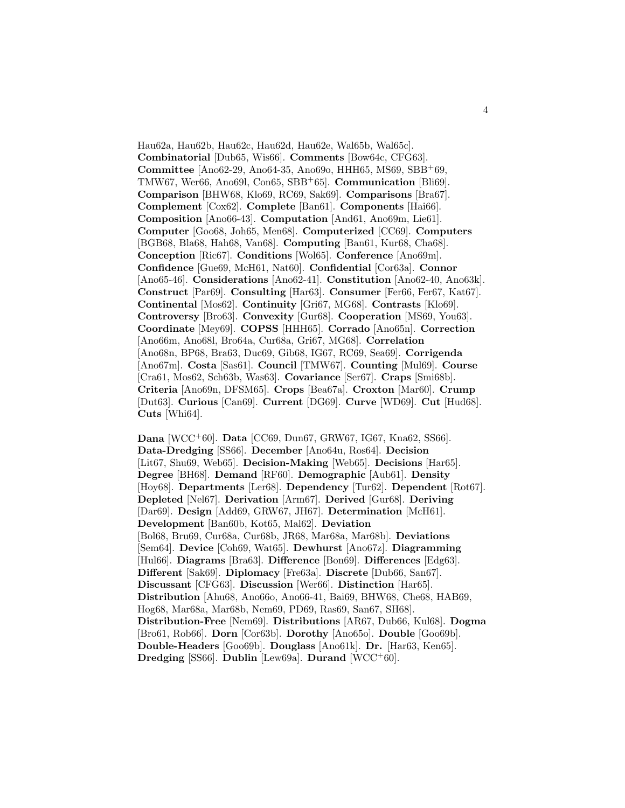Hau62a, Hau62b, Hau62c, Hau62d, Hau62e, Wal65b, Wal65c]. **Combinatorial** [Dub65, Wis66]. **Comments** [Bow64c, CFG63]. **Committee** [Ano62-29, Ano64-35, Ano69o, HHH65, MS69, SBB+69, TMW67, Wer66, Ano69l, Con65, SBB<sup>+</sup>65]. **Communication** [Bli69]. **Comparison** [BHW68, Klo69, RC69, Sak69]. **Comparisons** [Bra67]. **Complement** [Cox62]. **Complete** [Ban61]. **Components** [Hai66]. **Composition** [Ano66-43]. **Computation** [And61, Ano69m, Lie61]. **Computer** [Goo68, Joh65, Men68]. **Computerized** [CC69]. **Computers** [BGB68, Bla68, Hah68, Van68]. **Computing** [Ban61, Kur68, Cha68]. **Conception** [Ric67]. **Conditions** [Wol65]. **Conference** [Ano69m]. **Confidence** [Gue69, McH61, Nat60]. **Confidential** [Cor63a]. **Connor** [Ano65-46]. **Considerations** [Ano62-41]. **Constitution** [Ano62-40, Ano63k]. **Construct** [Par69]. **Consulting** [Har63]. **Consumer** [Fer66, Fer67, Kat67]. **Continental** [Mos62]. **Continuity** [Gri67, MG68]. **Contrasts** [Klo69]. **Controversy** [Bro63]. **Convexity** [Gur68]. **Cooperation** [MS69, You63]. **Coordinate** [Mey69]. **COPSS** [HHH65]. **Corrado** [Ano65n]. **Correction** [Ano66m, Ano68l, Bro64a, Cur68a, Gri67, MG68]. **Correlation** [Ano68n, BP68, Bra63, Duc69, Gib68, IG67, RC69, Sea69]. **Corrigenda** [Ano67m]. **Costa** [Sas61]. **Council** [TMW67]. **Counting** [Mul69]. **Course** [Cra61, Mos62, Sch63b, Was63]. **Covariance** [Ser67]. **Craps** [Smi68b]. **Criteria** [Ano69n, DFSM65]. **Crops** [Bea67a]. **Croxton** [Mar60]. **Crump** [Dut63]. **Curious** [Can69]. **Current** [DG69]. **Curve** [WD69]. **Cut** [Hud68]. **Cuts** [Whi64].

**Dana** [WCC<sup>+</sup>60]. **Data** [CC69, Dun67, GRW67, IG67, Kna62, SS66]. **Data-Dredging** [SS66]. **December** [Ano64u, Ros64]. **Decision** [Lit67, Shu69, Web65]. **Decision-Making** [Web65]. **Decisions** [Har65]. **Degree** [BH68]. **Demand** [RF60]. **Demographic** [Aub61]. **Density** [Hoy68]. **Departments** [Ler68]. **Dependency** [Tur62]. **Dependent** [Rot67]. **Depleted** [Nel67]. **Derivation** [Arm67]. **Derived** [Gur68]. **Deriving** [Dar69]. **Design** [Add69, GRW67, JH67]. **Determination** [McH61]. **Development** [Ban60b, Kot65, Mal62]. **Deviation** [Bol68, Bru69, Cur68a, Cur68b, JR68, Mar68a, Mar68b]. **Deviations** [Sem64]. **Device** [Coh69, Wat65]. **Dewhurst** [Ano67z]. **Diagramming** [Hul66]. **Diagrams** [Bra63]. **Difference** [Bon69]. **Differences** [Edg63]. **Different** [Sak69]. **Diplomacy** [Fre63a]. **Discrete** [Dub66, San67]. **Discussant** [CFG63]. **Discussion** [Wer66]. **Distinction** [Har65]. **Distribution** [Ahu68, Ano66o, Ano66-41, Bai69, BHW68, Che68, HAB69, Hog68, Mar68a, Mar68b, Nem69, PD69, Ras69, San67, SH68]. **Distribution-Free** [Nem69]. **Distributions** [AR67, Dub66, Kul68]. **Dogma** [Bro61, Rob66]. **Dorn** [Cor63b]. **Dorothy** [Ano65o]. **Double** [Goo69b]. **Double-Headers** [Goo69b]. **Douglass** [Ano61k]. **Dr.** [Har63, Ken65]. **Dredging** [SS66]. **Dublin** [Lew69a]. **Durand** [WCC<sup>+</sup>60].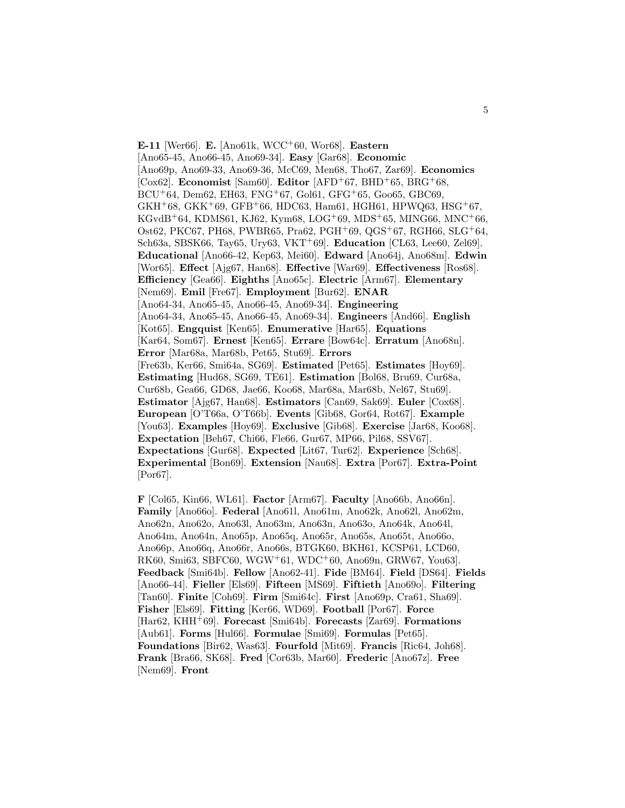**E-11** [Wer66]. **E.** [Ano61k, WCC<sup>+</sup>60, Wor68]. **Eastern** [Ano65-45, Ano66-45, Ano69-34]. **Easy** [Gar68]. **Economic** [Ano69p, Ano69-33, Ano69-36, McC69, Men68, Tho67, Zar69]. **Economics** [Cox62]. **Economist** [Sam60]. **Editor** [AFD<sup>+</sup>67, BHD<sup>+</sup>65, BRG<sup>+</sup>68,  $BCU^{+}64$ , Dem62, EH63, FNG<sup>+</sup>67, Gol61, GFG<sup>+</sup>65, Goo65, GBC69,  $GKH+68$ ,  $GKK+69$ ,  $GFB+66$ , HDC63, Ham61, HGH61, HPWQ63, HSG+67,  $KGvdB+64, KDMS61, KJ62, Kym68, LOG+69, MDS+65, MING66, MNC+66,$ Ost62, PKC67, PH68, PWBR65, Pra62, PGH<sup>+</sup>69, QGS<sup>+</sup>67, RGH66, SLG<sup>+</sup>64, Sch63a, SBSK66, Tay65, Ury63, VKT<sup>+</sup>69]. **Education** [CL63, Lee60, Zel69]. **Educational** [Ano66-42, Kep63, Mei60]. **Edward** [Ano64j, Ano68m]. **Edwin** [Wor65]. **Effect** [Ajg67, Han68]. **Effective** [War69]. **Effectiveness** [Ros68]. **Efficiency** [Gea66]. **Eighths** [Ano65c]. **Electric** [Arm67]. **Elementary** [Nem69]. **Emil** [Fre67]. **Employment** [Bur62]. **ENAR** [Ano64-34, Ano65-45, Ano66-45, Ano69-34]. **Engineering** [Ano64-34, Ano65-45, Ano66-45, Ano69-34]. **Engineers** [And66]. **English** [Kot65]. **Engquist** [Ken65]. **Enumerative** [Har65]. **Equations** [Kar64, Som67]. **Ernest** [Ken65]. **Errare** [Bow64c]. **Erratum** [Ano68n]. **Error** [Mar68a, Mar68b, Pet65, Stu69]. **Errors** [Fre63b, Ker66, Smi64a, SG69]. **Estimated** [Pet65]. **Estimates** [Hoy69]. **Estimating** [Hud68, SG69, TE61]. **Estimation** [Bol68, Bru69, Cur68a, Cur68b, Gea66, GD68, Jae66, Koo68, Mar68a, Mar68b, Nel67, Stu69]. **Estimator** [Ajg67, Han68]. **Estimators** [Can69, Sak69]. **Euler** [Cox68]. **European** [O'T66a, O'T66b]. **Events** [Gib68, Gor64, Rot67]. **Example** [You63]. **Examples** [Hoy69]. **Exclusive** [Gib68]. **Exercise** [Jar68, Koo68]. **Expectation** [Beh67, Chi66, Fle66, Gur67, MP66, Pil68, SSV67]. **Expectations** [Gur68]. **Expected** [Lit67, Tur62]. **Experience** [Sch68]. **Experimental** [Bon69]. **Extension** [Nau68]. **Extra** [Por67]. **Extra-Point** [Por67].

**F** [Col65, Kin66, WL61]. **Factor** [Arm67]. **Faculty** [Ano66b, Ano66n]. **Family** [Ano66o]. **Federal** [Ano61l, Ano61m, Ano62k, Ano62l, Ano62m, Ano62n, Ano62o, Ano63l, Ano63m, Ano63n, Ano63o, Ano64k, Ano64l, Ano64m, Ano64n, Ano65p, Ano65q, Ano65r, Ano65s, Ano65t, Ano66o, Ano66p, Ano66q, Ano66r, Ano66s, BTGK60, BKH61, KCSP61, LCD60, RK60, Smi63, SBFC60, WGW<sup>+</sup>61, WDC<sup>+</sup>60, Ano69n, GRW67, You63]. **Feedback** [Smi64b]. **Fellow** [Ano62-41]. **Fide** [BM64]. **Field** [DS64]. **Fields** [Ano66-44]. **Fieller** [Els69]. **Fifteen** [MS69]. **Fiftieth** [Ano69o]. **Filtering** [Tan60]. **Finite** [Coh69]. **Firm** [Smi64c]. **First** [Ano69p, Cra61, Sha69]. **Fisher** [Els69]. **Fitting** [Ker66, WD69]. **Football** [Por67]. **Force** [Har62, KHH<sup>+</sup>69]. **Forecast** [Smi64b]. **Forecasts** [Zar69]. **Formations** [Aub61]. **Forms** [Hul66]. **Formulae** [Smi69]. **Formulas** [Pet65]. **Foundations** [Bir62, Was63]. **Fourfold** [Mit69]. **Francis** [Ric64, Joh68]. **Frank** [Bra66, SK68]. **Fred** [Cor63b, Mar60]. **Frederic** [Ano67z]. **Free** [Nem69]. **Front**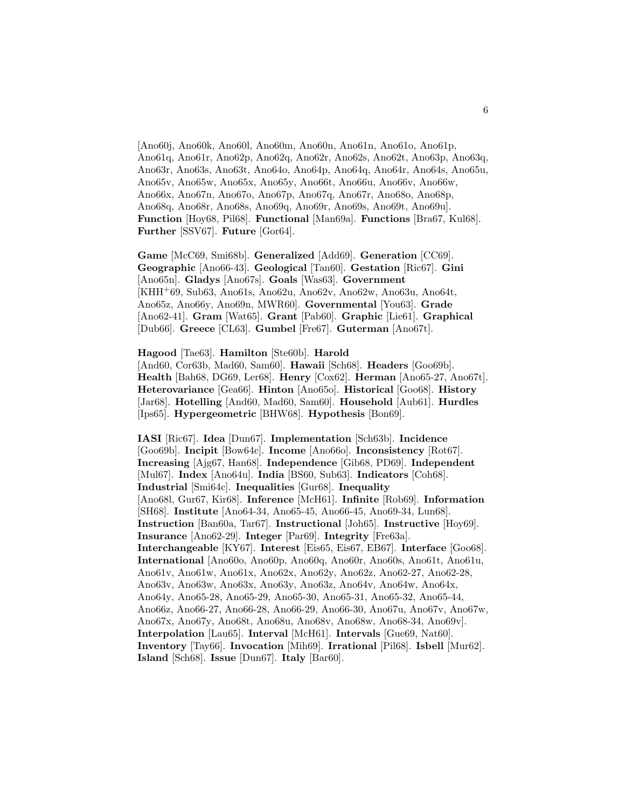[Ano60j, Ano60k, Ano60l, Ano60m, Ano60n, Ano61n, Ano61o, Ano61p, Ano61q, Ano61r, Ano62p, Ano62q, Ano62r, Ano62s, Ano62t, Ano63p, Ano63q, Ano63r, Ano63s, Ano63t, Ano64o, Ano64p, Ano64q, Ano64r, Ano64s, Ano65u, Ano65v, Ano65w, Ano65x, Ano65y, Ano66t, Ano66u, Ano66v, Ano66w, Ano66x, Ano67n, Ano67o, Ano67p, Ano67q, Ano67r, Ano68o, Ano68p, Ano68q, Ano68r, Ano68s, Ano69q, Ano69r, Ano69s, Ano69t, Ano69u]. **Function** [Hoy68, Pil68]. **Functional** [Man69a]. **Functions** [Bra67, Kul68]. **Further** [SSV67]. **Future** [Gor64].

**Game** [McC69, Smi68b]. **Generalized** [Add69]. **Generation** [CC69]. **Geographic** [Ano66-43]. **Geological** [Tan60]. **Gestation** [Ric67]. **Gini** [Ano65n]. **Gladys** [Ano67s]. **Goals** [Was63]. **Government** [KHH<sup>+</sup>69, Sub63, Ano61s, Ano62u, Ano62v, Ano62w, Ano63u, Ano64t, Ano65z, Ano66y, Ano69n, MWR60]. **Governmental** [You63]. **Grade** [Ano62-41]. **Gram** [Wat65]. **Grant** [Pab60]. **Graphic** [Lie61]. **Graphical** [Dub66]. **Greece** [CL63]. **Gumbel** [Fre67]. **Guterman** [Ano67t].

**Hagood** [Tae63]. **Hamilton** [Ste60b]. **Harold** [And60, Cor63b, Mad60, Sam60]. **Hawaii** [Sch68]. **Headers** [Goo69b]. **Health** [Bah68, DG69, Ler68]. **Henry** [Cox62]. **Herman** [Ano65-27, Ano67t]. **Heterovariance** [Gea66]. **Hinton** [Ano65o]. **Historical** [Goo68]. **History** [Jar68]. **Hotelling** [And60, Mad60, Sam60]. **Household** [Aub61]. **Hurdles**

[Ips65]. **Hypergeometric** [BHW68]. **Hypothesis** [Bon69].

**IASI** [Ric67]. **Idea** [Dun67]. **Implementation** [Sch63b]. **Incidence** [Goo69b]. **Incipit** [Bow64c]. **Income** [Ano66o]. **Inconsistency** [Rot67]. **Increasing** [Ajg67, Han68]. **Independence** [Gib68, PD69]. **Independent** [Mul67]. **Index** [Ano64u]. **India** [BS60, Sub63]. **Indicators** [Coh68]. **Industrial** [Smi64c]. **Inequalities** [Gur68]. **Inequality** [Ano68l, Gur67, Kir68]. **Inference** [McH61]. **Infinite** [Rob69]. **Information** [SH68]. **Institute** [Ano64-34, Ano65-45, Ano66-45, Ano69-34, Lun68]. **Instruction** [Ban60a, Tar67]. **Instructional** [Joh65]. **Instructive** [Hoy69]. **Insurance** [Ano62-29]. **Integer** [Par69]. **Integrity** [Fre63a]. **Interchangeable** [KY67]. **Interest** [Eis65, Eis67, EB67]. **Interface** [Goo68]. **International** [Ano60o, Ano60p, Ano60q, Ano60r, Ano60s, Ano61t, Ano61u, Ano61v, Ano61w, Ano61x, Ano62x, Ano62y, Ano62z, Ano62-27, Ano62-28, Ano63v, Ano63w, Ano63x, Ano63y, Ano63z, Ano64v, Ano64w, Ano64x, Ano64y, Ano65-28, Ano65-29, Ano65-30, Ano65-31, Ano65-32, Ano65-44, Ano66z, Ano66-27, Ano66-28, Ano66-29, Ano66-30, Ano67u, Ano67v, Ano67w, Ano67x, Ano67y, Ano68t, Ano68u, Ano68v, Ano68w, Ano68-34, Ano69v]. **Interpolation** [Lau65]. **Interval** [McH61]. **Intervals** [Gue69, Nat60]. **Inventory** [Tay66]. **Invocation** [Mih69]. **Irrational** [Pil68]. **Isbell** [Mur62]. **Island** [Sch68]. **Issue** [Dun67]. **Italy** [Bar60].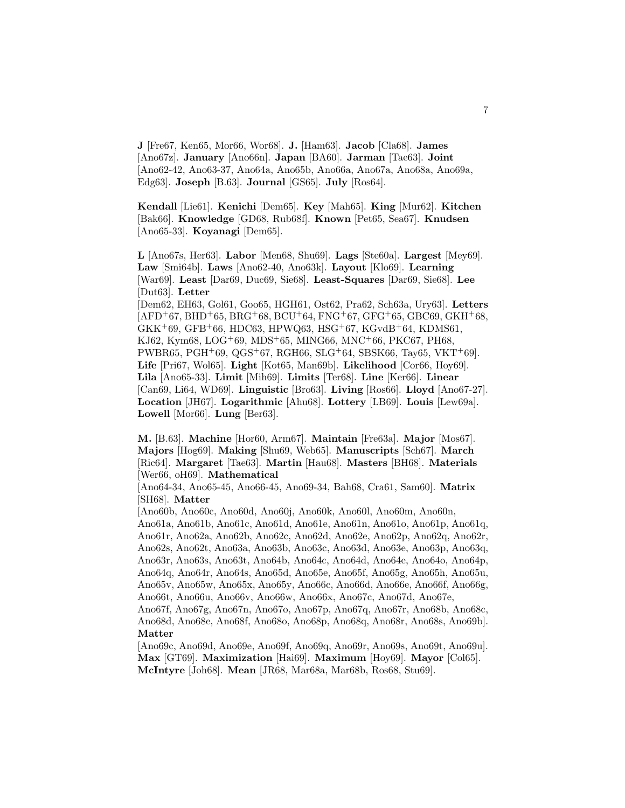**J** [Fre67, Ken65, Mor66, Wor68]. **J.** [Ham63]. **Jacob** [Cla68]. **James** [Ano67z]. **January** [Ano66n]. **Japan** [BA60]. **Jarman** [Tae63]. **Joint** [Ano62-42, Ano63-37, Ano64a, Ano65b, Ano66a, Ano67a, Ano68a, Ano69a, Edg63]. **Joseph** [B.63]. **Journal** [GS65]. **July** [Ros64].

**Kendall** [Lie61]. **Kenichi** [Dem65]. **Key** [Mah65]. **King** [Mur62]. **Kitchen** [Bak66]. **Knowledge** [GD68, Rub68f]. **Known** [Pet65, Sea67]. **Knudsen** [Ano65-33]. **Koyanagi** [Dem65].

**L** [Ano67s, Her63]. **Labor** [Men68, Shu69]. **Lags** [Ste60a]. **Largest** [Mey69]. **Law** [Smi64b]. **Laws** [Ano62-40, Ano63k]. **Layout** [Klo69]. **Learning** [War69]. **Least** [Dar69, Duc69, Sie68]. **Least-Squares** [Dar69, Sie68]. **Lee** [Dut63]. **Letter** [Dem62, EH63, Gol61, Goo65, HGH61, Ost62, Pra62, Sch63a, Ury63]. **Letters**  $[AFD+67, BHD+65, BRG+68, BCU+64, FNG+67, GFG+65, GBC69, GKH+68,$  $GKK^+69, GFB^+66, HDC63, HPWQ63, HSG^+67, KGvdB^+64, KDMS61,$ KJ62, Kym68, LOG<sup>+</sup>69, MDS<sup>+</sup>65, MING66, MNC<sup>+</sup>66, PKC67, PH68, PWBR65, PGH+69, QGS+67, RGH66, SLG+64, SBSK66, Tay65, VKT+69]. **Life** [Pri67, Wol65]. **Light** [Kot65, Man69b]. **Likelihood** [Cor66, Hoy69]. **Lila** [Ano65-33]. **Limit** [Mih69]. **Limits** [Ter68]. **Line** [Ker66]. **Linear** [Can69, Li64, WD69]. **Linguistic** [Bro63]. **Living** [Ros66]. **Lloyd** [Ano67-27]. **Location** [JH67]. **Logarithmic** [Ahu68]. **Lottery** [LB69]. **Louis** [Lew69a]. **Lowell** [Mor66]. **Lung** [Ber63].

**M.** [B.63]. **Machine** [Hor60, Arm67]. **Maintain** [Fre63a]. **Major** [Mos67]. **Majors** [Hog69]. **Making** [Shu69, Web65]. **Manuscripts** [Sch67]. **March** [Ric64]. **Margaret** [Tae63]. **Martin** [Hau68]. **Masters** [BH68]. **Materials** [Wer66, oH69]. **Mathematical**

[Ano64-34, Ano65-45, Ano66-45, Ano69-34, Bah68, Cra61, Sam60]. **Matrix** [SH68]. **Matter**

[Ano60b, Ano60c, Ano60d, Ano60j, Ano60k, Ano60l, Ano60m, Ano60n, Ano61a, Ano61b, Ano61c, Ano61d, Ano61e, Ano61n, Ano61o, Ano61p, Ano61q, Ano61r, Ano62a, Ano62b, Ano62c, Ano62d, Ano62e, Ano62p, Ano62q, Ano62r, Ano62s, Ano62t, Ano63a, Ano63b, Ano63c, Ano63d, Ano63e, Ano63p, Ano63q, Ano63r, Ano63s, Ano63t, Ano64b, Ano64c, Ano64d, Ano64e, Ano64o, Ano64p, Ano64q, Ano64r, Ano64s, Ano65d, Ano65e, Ano65f, Ano65g, Ano65h, Ano65u, Ano65v, Ano65w, Ano65x, Ano65y, Ano66c, Ano66d, Ano66e, Ano66f, Ano66g, Ano66t, Ano66u, Ano66v, Ano66w, Ano66x, Ano67c, Ano67d, Ano67e,

Ano67f, Ano67g, Ano67n, Ano67o, Ano67p, Ano67q, Ano67r, Ano68b, Ano68c, Ano68d, Ano68e, Ano68f, Ano68o, Ano68p, Ano68q, Ano68r, Ano68s, Ano69b]. **Matter**

[Ano69c, Ano69d, Ano69e, Ano69f, Ano69q, Ano69r, Ano69s, Ano69t, Ano69u]. **Max** [GT69]. **Maximization** [Hai69]. **Maximum** [Hoy69]. **Mayor** [Col65]. **McIntyre** [Joh68]. **Mean** [JR68, Mar68a, Mar68b, Ros68, Stu69].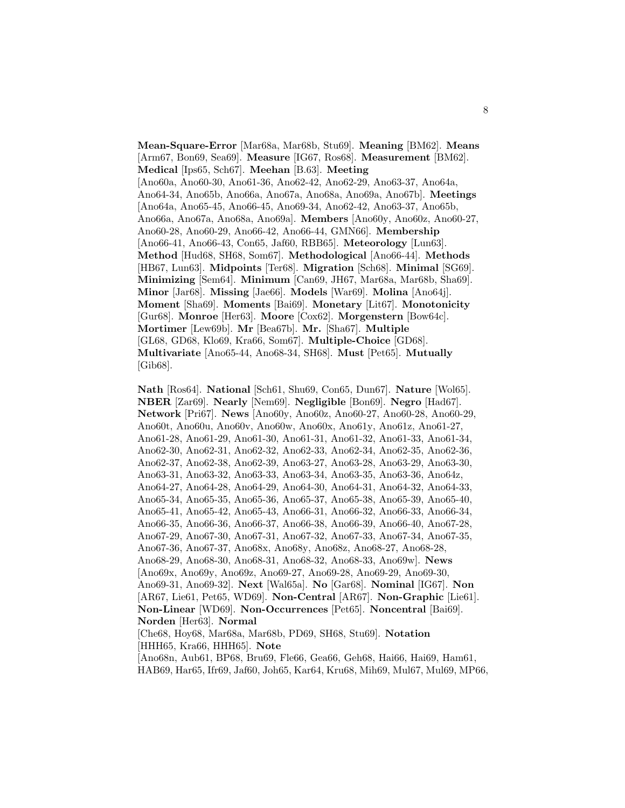**Mean-Square-Error** [Mar68a, Mar68b, Stu69]. **Meaning** [BM62]. **Means** [Arm67, Bon69, Sea69]. **Measure** [IG67, Ros68]. **Measurement** [BM62]. **Medical** [Ips65, Sch67]. **Meehan** [B.63]. **Meeting** [Ano60a, Ano60-30, Ano61-36, Ano62-42, Ano62-29, Ano63-37, Ano64a, Ano64-34, Ano65b, Ano66a, Ano67a, Ano68a, Ano69a, Ano67b]. **Meetings** [Ano64a, Ano65-45, Ano66-45, Ano69-34, Ano62-42, Ano63-37, Ano65b, Ano66a, Ano67a, Ano68a, Ano69a]. **Members** [Ano60y, Ano60z, Ano60-27, Ano60-28, Ano60-29, Ano66-42, Ano66-44, GMN66]. **Membership** [Ano66-41, Ano66-43, Con65, Jaf60, RBB65]. **Meteorology** [Lun63]. **Method** [Hud68, SH68, Som67]. **Methodological** [Ano66-44]. **Methods** [HB67, Lun63]. **Midpoints** [Ter68]. **Migration** [Sch68]. **Minimal** [SG69]. **Minimizing** [Sem64]. **Minimum** [Can69, JH67, Mar68a, Mar68b, Sha69]. **Minor** [Jar68]. **Missing** [Jae66]. **Models** [War69]. **Molina** [Ano64j]. **Moment** [Sha69]. **Moments** [Bai69]. **Monetary** [Lit67]. **Monotonicity** [Gur68]. **Monroe** [Her63]. **Moore** [Cox62]. **Morgenstern** [Bow64c]. **Mortimer** [Lew69b]. **Mr** [Bea67b]. **Mr.** [Sha67]. **Multiple** [GL68, GD68, Klo69, Kra66, Som67]. **Multiple-Choice** [GD68]. **Multivariate** [Ano65-44, Ano68-34, SH68]. **Must** [Pet65]. **Mutually** [Gib68].

**Nath** [Ros64]. **National** [Sch61, Shu69, Con65, Dun67]. **Nature** [Wol65]. **NBER** [Zar69]. **Nearly** [Nem69]. **Negligible** [Bon69]. **Negro** [Had67]. **Network** [Pri67]. **News** [Ano60y, Ano60z, Ano60-27, Ano60-28, Ano60-29, Ano60t, Ano60u, Ano60v, Ano60w, Ano60x, Ano61y, Ano61z, Ano61-27, Ano61-28, Ano61-29, Ano61-30, Ano61-31, Ano61-32, Ano61-33, Ano61-34, Ano62-30, Ano62-31, Ano62-32, Ano62-33, Ano62-34, Ano62-35, Ano62-36, Ano62-37, Ano62-38, Ano62-39, Ano63-27, Ano63-28, Ano63-29, Ano63-30, Ano63-31, Ano63-32, Ano63-33, Ano63-34, Ano63-35, Ano63-36, Ano64z, Ano64-27, Ano64-28, Ano64-29, Ano64-30, Ano64-31, Ano64-32, Ano64-33, Ano65-34, Ano65-35, Ano65-36, Ano65-37, Ano65-38, Ano65-39, Ano65-40, Ano65-41, Ano65-42, Ano65-43, Ano66-31, Ano66-32, Ano66-33, Ano66-34, Ano66-35, Ano66-36, Ano66-37, Ano66-38, Ano66-39, Ano66-40, Ano67-28, Ano67-29, Ano67-30, Ano67-31, Ano67-32, Ano67-33, Ano67-34, Ano67-35, Ano67-36, Ano67-37, Ano68x, Ano68y, Ano68z, Ano68-27, Ano68-28, Ano68-29, Ano68-30, Ano68-31, Ano68-32, Ano68-33, Ano69w]. **News** [Ano69x, Ano69y, Ano69z, Ano69-27, Ano69-28, Ano69-29, Ano69-30, Ano69-31, Ano69-32]. **Next** [Wal65a]. **No** [Gar68]. **Nominal** [IG67]. **Non** [AR67, Lie61, Pet65, WD69]. **Non-Central** [AR67]. **Non-Graphic** [Lie61]. **Non-Linear** [WD69]. **Non-Occurrences** [Pet65]. **Noncentral** [Bai69]. **Norden** [Her63]. **Normal** [Che68, Hoy68, Mar68a, Mar68b, PD69, SH68, Stu69]. **Notation** [HHH65, Kra66, HHH65]. **Note**

[Ano68n, Aub61, BP68, Bru69, Fle66, Gea66, Geh68, Hai66, Hai69, Ham61, HAB69, Har65, Ifr69, Jaf60, Joh65, Kar64, Kru68, Mih69, Mul67, Mul69, MP66,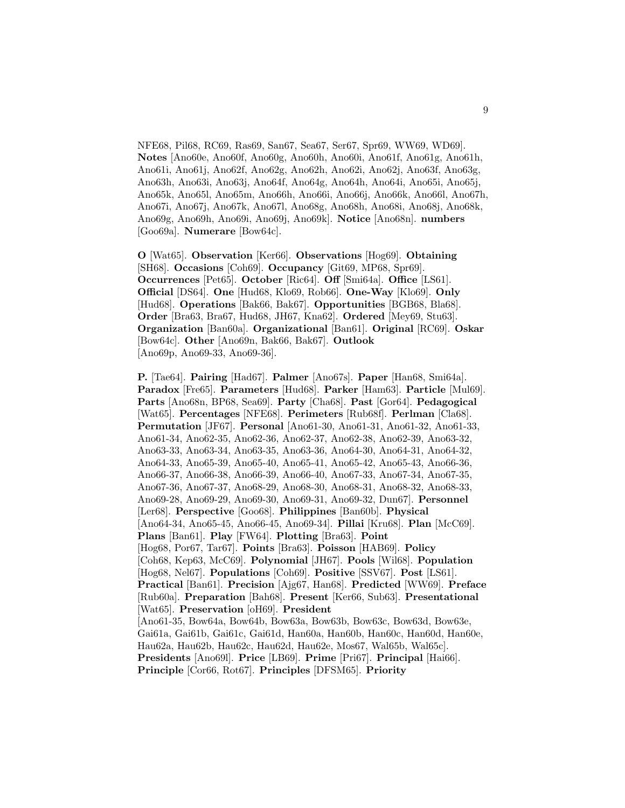NFE68, Pil68, RC69, Ras69, San67, Sea67, Ser67, Spr69, WW69, WD69]. **Notes** [Ano60e, Ano60f, Ano60g, Ano60h, Ano60i, Ano61f, Ano61g, Ano61h, Ano61i, Ano61j, Ano62f, Ano62g, Ano62h, Ano62i, Ano62j, Ano63f, Ano63g, Ano63h, Ano63i, Ano63j, Ano64f, Ano64g, Ano64h, Ano64i, Ano65i, Ano65j, Ano65k, Ano65l, Ano65m, Ano66h, Ano66i, Ano66j, Ano66k, Ano66l, Ano67h, Ano67i, Ano67j, Ano67k, Ano67l, Ano68g, Ano68h, Ano68i, Ano68j, Ano68k, Ano69g, Ano69h, Ano69i, Ano69j, Ano69k]. **Notice** [Ano68n]. **numbers** [Goo69a]. **Numerare** [Bow64c].

**O** [Wat65]. **Observation** [Ker66]. **Observations** [Hog69]. **Obtaining** [SH68]. **Occasions** [Coh69]. **Occupancy** [Git69, MP68, Spr69]. **Occurrences** [Pet65]. **October** [Ric64]. **Off** [Smi64a]. **Office** [LS61]. **Official** [DS64]. **One** [Hud68, Klo69, Rob66]. **One-Way** [Klo69]. **Only** [Hud68]. **Operations** [Bak66, Bak67]. **Opportunities** [BGB68, Bla68]. **Order** [Bra63, Bra67, Hud68, JH67, Kna62]. **Ordered** [Mey69, Stu63]. **Organization** [Ban60a]. **Organizational** [Ban61]. **Original** [RC69]. **Oskar** [Bow64c]. **Other** [Ano69n, Bak66, Bak67]. **Outlook** [Ano69p, Ano69-33, Ano69-36].

**P.** [Tae64]. **Pairing** [Had67]. **Palmer** [Ano67s]. **Paper** [Han68, Smi64a]. **Paradox** [Fre65]. **Parameters** [Hud68]. **Parker** [Ham63]. **Particle** [Mul69]. **Parts** [Ano68n, BP68, Sea69]. **Party** [Cha68]. **Past** [Gor64]. **Pedagogical** [Wat65]. **Percentages** [NFE68]. **Perimeters** [Rub68f]. **Perlman** [Cla68]. **Permutation** [JF67]. **Personal** [Ano61-30, Ano61-31, Ano61-32, Ano61-33, Ano61-34, Ano62-35, Ano62-36, Ano62-37, Ano62-38, Ano62-39, Ano63-32, Ano63-33, Ano63-34, Ano63-35, Ano63-36, Ano64-30, Ano64-31, Ano64-32, Ano64-33, Ano65-39, Ano65-40, Ano65-41, Ano65-42, Ano65-43, Ano66-36, Ano66-37, Ano66-38, Ano66-39, Ano66-40, Ano67-33, Ano67-34, Ano67-35, Ano67-36, Ano67-37, Ano68-29, Ano68-30, Ano68-31, Ano68-32, Ano68-33, Ano69-28, Ano69-29, Ano69-30, Ano69-31, Ano69-32, Dun67]. **Personnel** [Ler68]. **Perspective** [Goo68]. **Philippines** [Ban60b]. **Physical** [Ano64-34, Ano65-45, Ano66-45, Ano69-34]. **Pillai** [Kru68]. **Plan** [McC69]. **Plans** [Ban61]. **Play** [FW64]. **Plotting** [Bra63]. **Point** [Hog68, Por67, Tar67]. **Points** [Bra63]. **Poisson** [HAB69]. **Policy** [Coh68, Kep63, McC69]. **Polynomial** [JH67]. **Pools** [Wil68]. **Population** [Hog68, Nel67]. **Populations** [Coh69]. **Positive** [SSV67]. **Post** [LS61]. **Practical** [Ban61]. **Precision** [Ajg67, Han68]. **Predicted** [WW69]. **Preface** [Rub60a]. **Preparation** [Bah68]. **Present** [Ker66, Sub63]. **Presentational** [Wat65]. **Preservation** [oH69]. **President** [Ano61-35, Bow64a, Bow64b, Bow63a, Bow63b, Bow63c, Bow63d, Bow63e, Gai61a, Gai61b, Gai61c, Gai61d, Han60a, Han60b, Han60c, Han60d, Han60e, Hau62a, Hau62b, Hau62c, Hau62d, Hau62e, Mos67, Wal65b, Wal65c]. **Presidents** [Ano69l]. **Price** [LB69]. **Prime** [Pri67]. **Principal** [Hai66]. **Principle** [Cor66, Rot67]. **Principles** [DFSM65]. **Priority**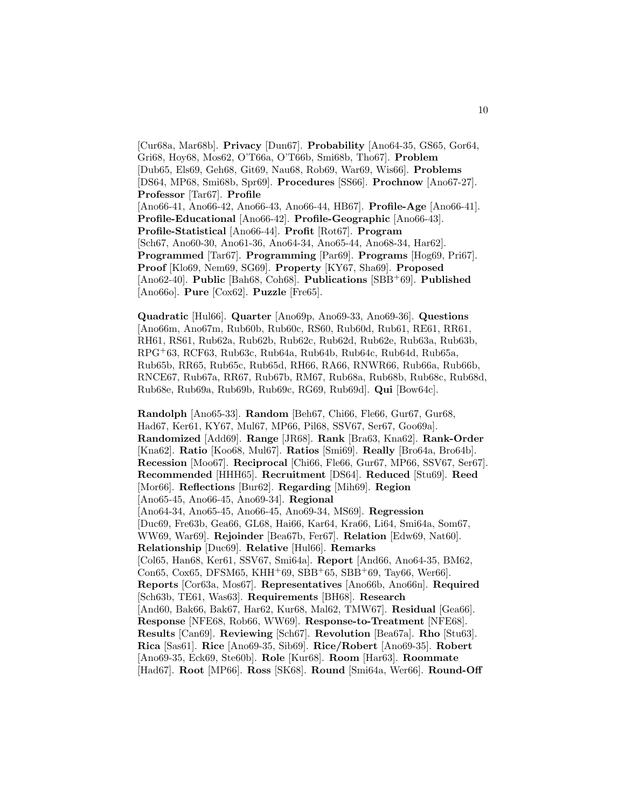[Cur68a, Mar68b]. **Privacy** [Dun67]. **Probability** [Ano64-35, GS65, Gor64, Gri68, Hoy68, Mos62, O'T66a, O'T66b, Smi68b, Tho67]. **Problem** [Dub65, Els69, Geh68, Git69, Nau68, Rob69, War69, Wis66]. **Problems** [DS64, MP68, Smi68b, Spr69]. **Procedures** [SS66]. **Prochnow** [Ano67-27]. **Professor** [Tar67]. **Profile** [Ano66-41, Ano66-42, Ano66-43, Ano66-44, HB67]. **Profile-Age** [Ano66-41]. **Profile-Educational** [Ano66-42]. **Profile-Geographic** [Ano66-43]. **Profile-Statistical** [Ano66-44]. **Profit** [Rot67]. **Program** [Sch67, Ano60-30, Ano61-36, Ano64-34, Ano65-44, Ano68-34, Har62]. **Programmed** [Tar67]. **Programming** [Par69]. **Programs** [Hog69, Pri67]. **Proof** [Klo69, Nem69, SG69]. **Property** [KY67, Sha69]. **Proposed** [Ano62-40]. **Public** [Bah68, Coh68]. **Publications** [SBB<sup>+</sup>69]. **Published** [Ano66o]. **Pure** [Cox62]. **Puzzle** [Fre65].

**Quadratic** [Hul66]. **Quarter** [Ano69p, Ano69-33, Ano69-36]. **Questions** [Ano66m, Ano67m, Rub60b, Rub60c, RS60, Rub60d, Rub61, RE61, RR61, RH61, RS61, Rub62a, Rub62b, Rub62c, Rub62d, Rub62e, Rub63a, Rub63b, RPG<sup>+</sup>63, RCF63, Rub63c, Rub64a, Rub64b, Rub64c, Rub64d, Rub65a, Rub65b, RR65, Rub65c, Rub65d, RH66, RA66, RNWR66, Rub66a, Rub66b, RNCE67, Rub67a, RR67, Rub67b, RM67, Rub68a, Rub68b, Rub68c, Rub68d, Rub68e, Rub69a, Rub69b, Rub69c, RG69, Rub69d]. **Qui** [Bow64c].

**Randolph** [Ano65-33]. **Random** [Beh67, Chi66, Fle66, Gur67, Gur68, Had67, Ker61, KY67, Mul67, MP66, Pil68, SSV67, Ser67, Goo69a]. **Randomized** [Add69]. **Range** [JR68]. **Rank** [Bra63, Kna62]. **Rank-Order** [Kna62]. **Ratio** [Koo68, Mul67]. **Ratios** [Smi69]. **Really** [Bro64a, Bro64b]. **Recession** [Moo67]. **Reciprocal** [Chi66, Fle66, Gur67, MP66, SSV67, Ser67]. **Recommended** [HHH65]. **Recruitment** [DS64]. **Reduced** [Stu69]. **Reed** [Mor66]. **Reflections** [Bur62]. **Regarding** [Mih69]. **Region** [Ano65-45, Ano66-45, Ano69-34]. **Regional** [Ano64-34, Ano65-45, Ano66-45, Ano69-34, MS69]. **Regression** [Duc69, Fre63b, Gea66, GL68, Hai66, Kar64, Kra66, Li64, Smi64a, Som67, WW69, War69]. **Rejoinder** [Bea67b, Fer67]. **Relation** [Edw69, Nat60]. **Relationship** [Duc69]. **Relative** [Hul66]. **Remarks** [Col65, Han68, Ker61, SSV67, Smi64a]. **Report** [And66, Ano64-35, BM62, Con65, Cox65, DFSM65, KHH+69, SBB+65, SBB+69, Tay66, Wer66. **Reports** [Cor63a, Mos67]. **Representatives** [Ano66b, Ano66n]. **Required** [Sch63b, TE61, Was63]. **Requirements** [BH68]. **Research** [And60, Bak66, Bak67, Har62, Kur68, Mal62, TMW67]. **Residual** [Gea66]. **Response** [NFE68, Rob66, WW69]. **Response-to-Treatment** [NFE68]. **Results** [Can69]. **Reviewing** [Sch67]. **Revolution** [Bea67a]. **Rho** [Stu63]. **Rica** [Sas61]. **Rice** [Ano69-35, Sib69]. **Rice/Robert** [Ano69-35]. **Robert** [Ano69-35, Eck69, Ste60b]. **Role** [Kur68]. **Room** [Har63]. **Roommate** [Had67]. **Root** [MP66]. **Ross** [SK68]. **Round** [Smi64a, Wer66]. **Round-Off**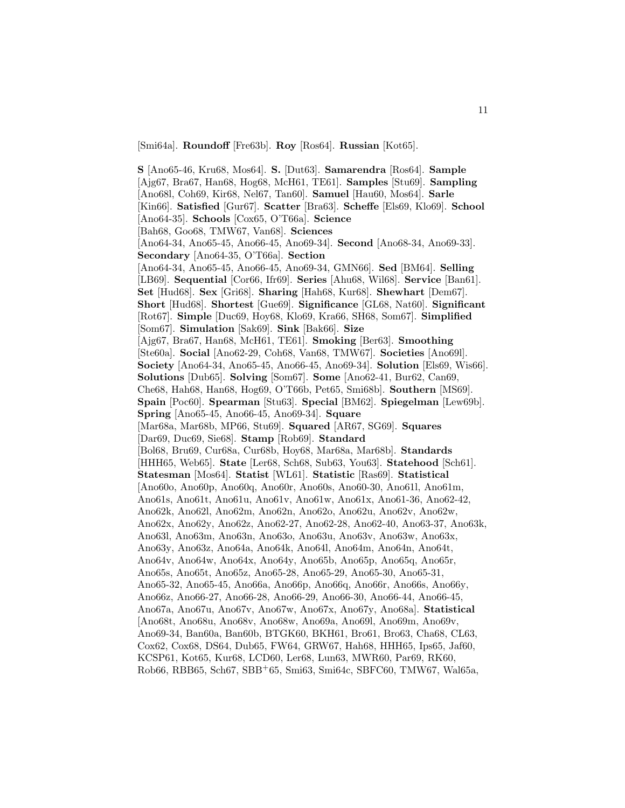[Smi64a]. **Roundoff** [Fre63b]. **Roy** [Ros64]. **Russian** [Kot65].

**S** [Ano65-46, Kru68, Mos64]. **S.** [Dut63]. **Samarendra** [Ros64]. **Sample** [Ajg67, Bra67, Han68, Hog68, McH61, TE61]. **Samples** [Stu69]. **Sampling** [Ano68l, Coh69, Kir68, Nel67, Tan60]. **Samuel** [Hau60, Mos64]. **Sarle** [Kin66]. **Satisfied** [Gur67]. **Scatter** [Bra63]. **Scheffe** [Els69, Klo69]. **School** [Ano64-35]. **Schools** [Cox65, O'T66a]. **Science** [Bah68, Goo68, TMW67, Van68]. **Sciences** [Ano64-34, Ano65-45, Ano66-45, Ano69-34]. **Second** [Ano68-34, Ano69-33]. **Secondary** [Ano64-35, O'T66a]. **Section** [Ano64-34, Ano65-45, Ano66-45, Ano69-34, GMN66]. **Sed** [BM64]. **Selling** [LB69]. **Sequential** [Cor66, Ifr69]. **Series** [Ahu68, Wil68]. **Service** [Ban61]. **Set** [Hud68]. **Sex** [Gri68]. **Sharing** [Hah68, Kur68]. **Shewhart** [Dem67]. **Short** [Hud68]. **Shortest** [Gue69]. **Significance** [GL68, Nat60]. **Significant** [Rot67]. **Simple** [Duc69, Hoy68, Klo69, Kra66, SH68, Som67]. **Simplified** [Som67]. **Simulation** [Sak69]. **Sink** [Bak66]. **Size** [Ajg67, Bra67, Han68, McH61, TE61]. **Smoking** [Ber63]. **Smoothing** [Ste60a]. **Social** [Ano62-29, Coh68, Van68, TMW67]. **Societies** [Ano69l]. **Society** [Ano64-34, Ano65-45, Ano66-45, Ano69-34]. **Solution** [Els69, Wis66]. **Solutions** [Dub65]. **Solving** [Som67]. **Some** [Ano62-41, Bur62, Can69, Che68, Hah68, Han68, Hog69, O'T66b, Pet65, Smi68b]. **Southern** [MS69]. **Spain** [Poc60]. **Spearman** [Stu63]. **Special** [BM62]. **Spiegelman** [Lew69b]. **Spring** [Ano65-45, Ano66-45, Ano69-34]. **Square** [Mar68a, Mar68b, MP66, Stu69]. **Squared** [AR67, SG69]. **Squares** [Dar69, Duc69, Sie68]. **Stamp** [Rob69]. **Standard** [Bol68, Bru69, Cur68a, Cur68b, Hoy68, Mar68a, Mar68b]. **Standards** [HHH65, Web65]. **State** [Ler68, Sch68, Sub63, You63]. **Statehood** [Sch61]. **Statesman** [Mos64]. **Statist** [WL61]. **Statistic** [Ras69]. **Statistical** [Ano60o, Ano60p, Ano60q, Ano60r, Ano60s, Ano60-30, Ano61l, Ano61m, Ano61s, Ano61t, Ano61u, Ano61v, Ano61w, Ano61x, Ano61-36, Ano62-42, Ano62k, Ano62l, Ano62m, Ano62n, Ano62o, Ano62u, Ano62v, Ano62w, Ano62x, Ano62y, Ano62z, Ano62-27, Ano62-28, Ano62-40, Ano63-37, Ano63k, Ano63l, Ano63m, Ano63n, Ano63o, Ano63u, Ano63v, Ano63w, Ano63x, Ano63y, Ano63z, Ano64a, Ano64k, Ano64l, Ano64m, Ano64n, Ano64t, Ano64v, Ano64w, Ano64x, Ano64y, Ano65b, Ano65p, Ano65q, Ano65r, Ano65s, Ano65t, Ano65z, Ano65-28, Ano65-29, Ano65-30, Ano65-31, Ano65-32, Ano65-45, Ano66a, Ano66p, Ano66q, Ano66r, Ano66s, Ano66y, Ano66z, Ano66-27, Ano66-28, Ano66-29, Ano66-30, Ano66-44, Ano66-45, Ano67a, Ano67u, Ano67v, Ano67w, Ano67x, Ano67y, Ano68a]. **Statistical** [Ano68t, Ano68u, Ano68v, Ano68w, Ano69a, Ano69l, Ano69m, Ano69v, Ano69-34, Ban60a, Ban60b, BTGK60, BKH61, Bro61, Bro63, Cha68, CL63, Cox62, Cox68, DS64, Dub65, FW64, GRW67, Hah68, HHH65, Ips65, Jaf60, KCSP61, Kot65, Kur68, LCD60, Ler68, Lun63, MWR60, Par69, RK60, Rob66, RBB65, Sch67, SBB<sup>+</sup>65, Smi63, Smi64c, SBFC60, TMW67, Wal65a,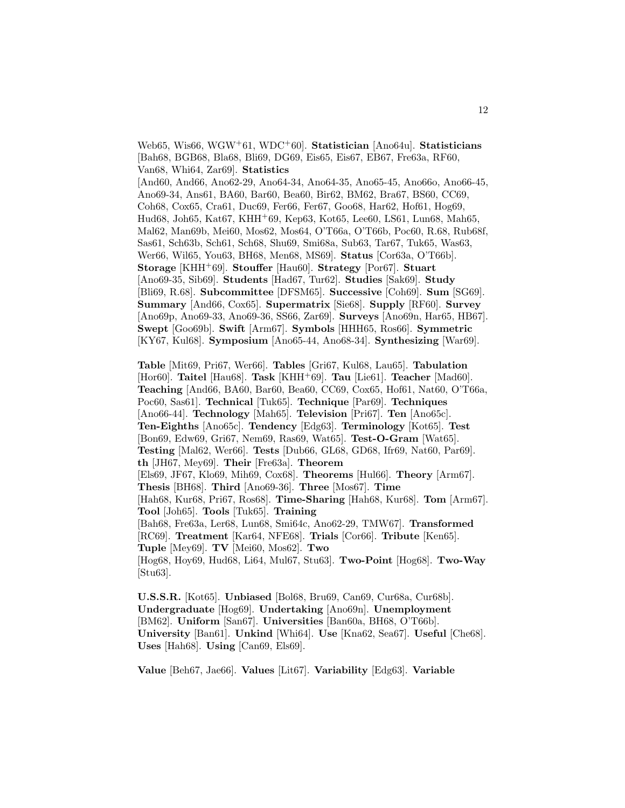Web65, Wis66, WGW<sup>+</sup>61, WDC<sup>+</sup>60]. **Statistician** [Ano64u]. **Statisticians** [Bah68, BGB68, Bla68, Bli69, DG69, Eis65, Eis67, EB67, Fre63a, RF60, Van68, Whi64, Zar69]. **Statistics** [And60, And66, Ano62-29, Ano64-34, Ano64-35, Ano65-45, Ano66o, Ano66-45, Ano69-34, Ans61, BA60, Bar60, Bea60, Bir62, BM62, Bra67, BS60, CC69, Coh68, Cox65, Cra61, Duc69, Fer66, Fer67, Goo68, Har62, Hof61, Hog69, Hud68, Joh65, Kat67, KHH<sup>+</sup>69, Kep63, Kot65, Lee60, LS61, Lun68, Mah65, Mal62, Man69b, Mei60, Mos62, Mos64, O'T66a, O'T66b, Poc60, R.68, Rub68f, Sas61, Sch63b, Sch61, Sch68, Shu69, Smi68a, Sub63, Tar67, Tuk65, Was63, Wer66, Wil65, You63, BH68, Men68, MS69]. **Status** [Cor63a, O'T66b]. **Storage** [KHH<sup>+</sup>69]. **Stouffer** [Hau60]. **Strategy** [Por67]. **Stuart** [Ano69-35, Sib69]. **Students** [Had67, Tur62]. **Studies** [Sak69]. **Study** [Bli69, R.68]. **Subcommittee** [DFSM65]. **Successive** [Coh69]. **Sum** [SG69]. **Summary** [And66, Cox65]. **Supermatrix** [Sie68]. **Supply** [RF60]. **Survey** [Ano69p, Ano69-33, Ano69-36, SS66, Zar69]. **Surveys** [Ano69n, Har65, HB67]. **Swept** [Goo69b]. **Swift** [Arm67]. **Symbols** [HHH65, Ros66]. **Symmetric** [KY67, Kul68]. **Symposium** [Ano65-44, Ano68-34]. **Synthesizing** [War69].

**Table** [Mit69, Pri67, Wer66]. **Tables** [Gri67, Kul68, Lau65]. **Tabulation** [Hor60]. **Taitel** [Hau68]. **Task** [KHH<sup>+</sup>69]. **Tau** [Lie61]. **Teacher** [Mad60]. **Teaching** [And66, BA60, Bar60, Bea60, CC69, Cox65, Hof61, Nat60, O'T66a, Poc60, Sas61]. **Technical** [Tuk65]. **Technique** [Par69]. **Techniques** [Ano66-44]. **Technology** [Mah65]. **Television** [Pri67]. **Ten** [Ano65c]. **Ten-Eighths** [Ano65c]. **Tendency** [Edg63]. **Terminology** [Kot65]. **Test** [Bon69, Edw69, Gri67, Nem69, Ras69, Wat65]. **Test-O-Gram** [Wat65]. **Testing** [Mal62, Wer66]. **Tests** [Dub66, GL68, GD68, Ifr69, Nat60, Par69]. **th** [JH67, Mey69]. **Their** [Fre63a]. **Theorem** [Els69, JF67, Klo69, Mih69, Cox68]. **Theorems** [Hul66]. **Theory** [Arm67]. **Thesis** [BH68]. **Third** [Ano69-36]. **Three** [Mos67]. **Time** [Hah68, Kur68, Pri67, Ros68]. **Time-Sharing** [Hah68, Kur68]. **Tom** [Arm67]. **Tool** [Joh65]. **Tools** [Tuk65]. **Training** [Bah68, Fre63a, Ler68, Lun68, Smi64c, Ano62-29, TMW67]. **Transformed** [RC69]. **Treatment** [Kar64, NFE68]. **Trials** [Cor66]. **Tribute** [Ken65]. **Tuple** [Mey69]. **TV** [Mei60, Mos62]. **Two** [Hog68, Hoy69, Hud68, Li64, Mul67, Stu63]. **Two-Point** [Hog68]. **Two-Way** [Stu63].

**U.S.S.R.** [Kot65]. **Unbiased** [Bol68, Bru69, Can69, Cur68a, Cur68b]. **Undergraduate** [Hog69]. **Undertaking** [Ano69n]. **Unemployment** [BM62]. **Uniform** [San67]. **Universities** [Ban60a, BH68, O'T66b]. **University** [Ban61]. **Unkind** [Whi64]. **Use** [Kna62, Sea67]. **Useful** [Che68]. **Uses** [Hah68]. **Using** [Can69, Els69].

**Value** [Beh67, Jae66]. **Values** [Lit67]. **Variability** [Edg63]. **Variable**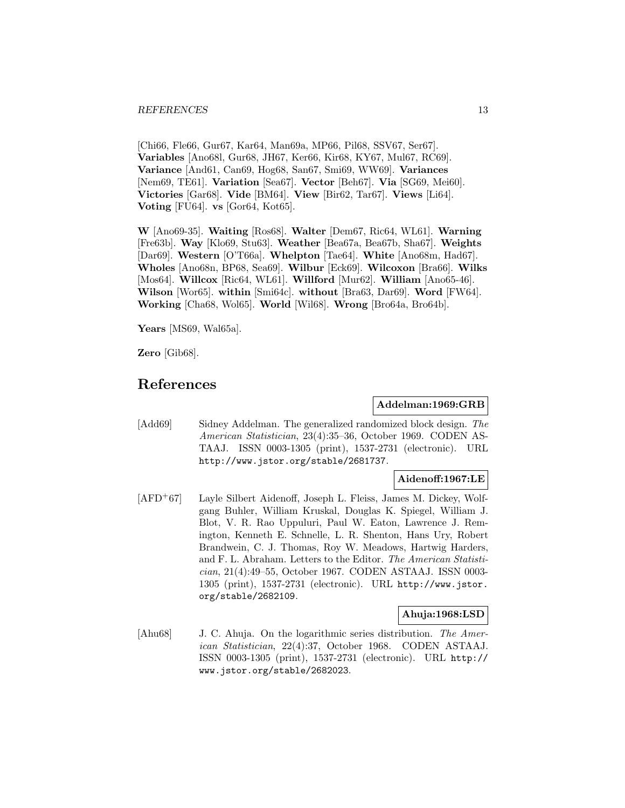[Chi66, Fle66, Gur67, Kar64, Man69a, MP66, Pil68, SSV67, Ser67]. **Variables** [Ano68l, Gur68, JH67, Ker66, Kir68, KY67, Mul67, RC69]. **Variance** [And61, Can69, Hog68, San67, Smi69, WW69]. **Variances** [Nem69, TE61]. **Variation** [Sea67]. **Vector** [Beh67]. **Via** [SG69, Mei60]. **Victories** [Gar68]. **Vide** [BM64]. **View** [Bir62, Tar67]. **Views** [Li64]. **Voting** [FU64]. **vs** [Gor64, Kot65].

**W** [Ano69-35]. **Waiting** [Ros68]. **Walter** [Dem67, Ric64, WL61]. **Warning** [Fre63b]. **Way** [Klo69, Stu63]. **Weather** [Bea67a, Bea67b, Sha67]. **Weights** [Dar69]. **Western** [O'T66a]. **Whelpton** [Tae64]. **White** [Ano68m, Had67]. **Wholes** [Ano68n, BP68, Sea69]. **Wilbur** [Eck69]. **Wilcoxon** [Bra66]. **Wilks** [Mos64]. **Willcox** [Ric64, WL61]. **Willford** [Mur62]. **William** [Ano65-46]. **Wilson** [Wor65]. **within** [Smi64c]. **without** [Bra63, Dar69]. **Word** [FW64]. **Working** [Cha68, Wol65]. **World** [Wil68]. **Wrong** [Bro64a, Bro64b].

**Years** [MS69, Wal65a].

**Zero** [Gib68].

# **References**

# **Addelman:1969:GRB**

[Add69] Sidney Addelman. The generalized randomized block design. The American Statistician, 23(4):35–36, October 1969. CODEN AS-TAAJ. ISSN 0003-1305 (print), 1537-2731 (electronic). URL http://www.jstor.org/stable/2681737.

# **Aidenoff:1967:LE**

[AFD<sup>+</sup>67] Layle Silbert Aidenoff, Joseph L. Fleiss, James M. Dickey, Wolfgang Buhler, William Kruskal, Douglas K. Spiegel, William J. Blot, V. R. Rao Uppuluri, Paul W. Eaton, Lawrence J. Remington, Kenneth E. Schnelle, L. R. Shenton, Hans Ury, Robert Brandwein, C. J. Thomas, Roy W. Meadows, Hartwig Harders, and F. L. Abraham. Letters to the Editor. The American Statistician, 21(4):49–55, October 1967. CODEN ASTAAJ. ISSN 0003- 1305 (print), 1537-2731 (electronic). URL http://www.jstor. org/stable/2682109.

# **Ahuja:1968:LSD**

[Ahu68] J. C. Ahuja. On the logarithmic series distribution. The American Statistician, 22(4):37, October 1968. CODEN ASTAAJ. ISSN 0003-1305 (print), 1537-2731 (electronic). URL http:// www.jstor.org/stable/2682023.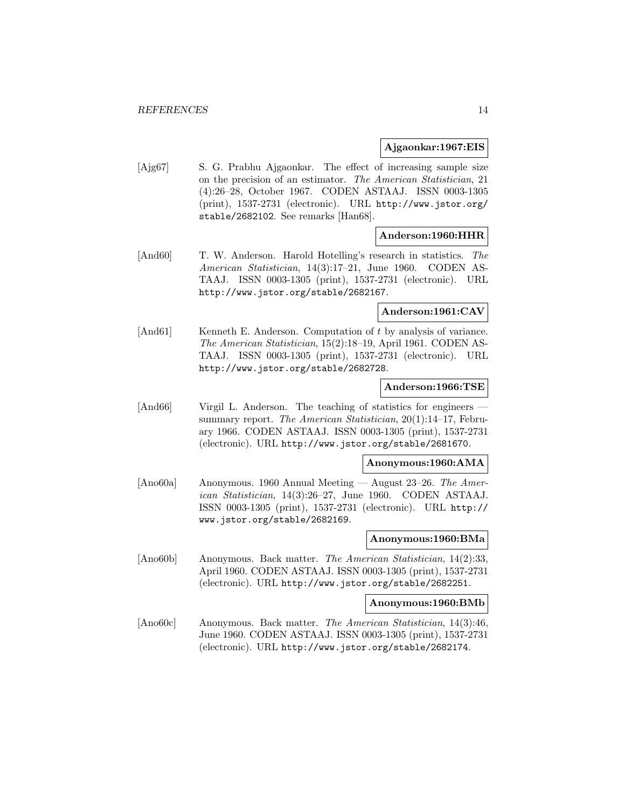# **Ajgaonkar:1967:EIS**

[Ajg67] S. G. Prabhu Ajgaonkar. The effect of increasing sample size on the precision of an estimator. The American Statistician, 21 (4):26–28, October 1967. CODEN ASTAAJ. ISSN 0003-1305 (print), 1537-2731 (electronic). URL http://www.jstor.org/ stable/2682102. See remarks [Han68].

# **Anderson:1960:HHR**

[And60] T. W. Anderson. Harold Hotelling's research in statistics. The American Statistician, 14(3):17–21, June 1960. CODEN AS-TAAJ. ISSN 0003-1305 (print), 1537-2731 (electronic). URL http://www.jstor.org/stable/2682167.

# **Anderson:1961:CAV**

[And61] Kenneth E. Anderson. Computation of t by analysis of variance. The American Statistician, 15(2):18–19, April 1961. CODEN AS-TAAJ. ISSN 0003-1305 (print), 1537-2731 (electronic). URL http://www.jstor.org/stable/2682728.

#### **Anderson:1966:TSE**

[And66] Virgil L. Anderson. The teaching of statistics for engineers – summary report. The American Statistician, 20(1):14–17, February 1966. CODEN ASTAAJ. ISSN 0003-1305 (print), 1537-2731 (electronic). URL http://www.jstor.org/stable/2681670.

# **Anonymous:1960:AMA**

[Ano60a] Anonymous. 1960 Annual Meeting — August 23–26. The American Statistician, 14(3):26–27, June 1960. CODEN ASTAAJ. ISSN 0003-1305 (print), 1537-2731 (electronic). URL http:// www.jstor.org/stable/2682169.

# **Anonymous:1960:BMa**

[Ano60b] Anonymous. Back matter. The American Statistician, 14(2):33, April 1960. CODEN ASTAAJ. ISSN 0003-1305 (print), 1537-2731 (electronic). URL http://www.jstor.org/stable/2682251.

#### **Anonymous:1960:BMb**

[Ano60c] Anonymous. Back matter. The American Statistician, 14(3):46, June 1960. CODEN ASTAAJ. ISSN 0003-1305 (print), 1537-2731 (electronic). URL http://www.jstor.org/stable/2682174.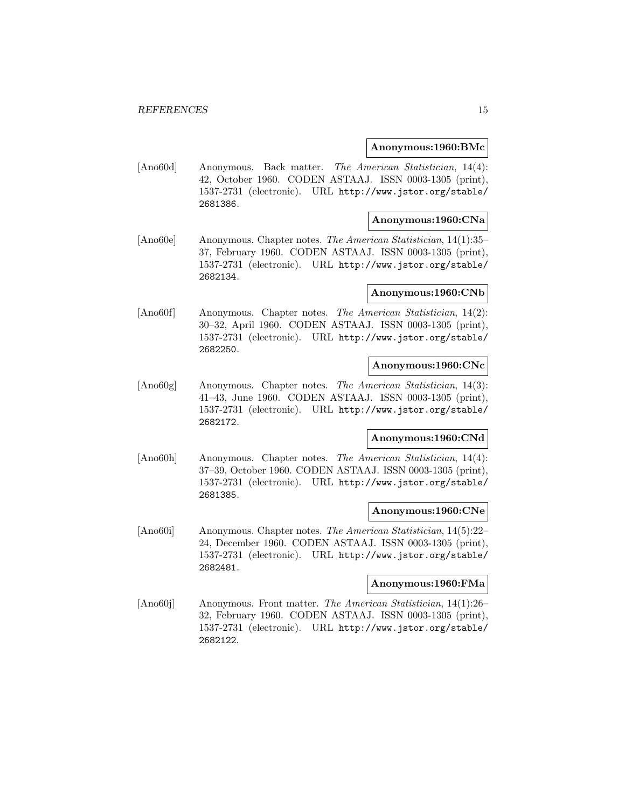#### **Anonymous:1960:BMc**

[Ano60d] Anonymous. Back matter. The American Statistician, 14(4): 42, October 1960. CODEN ASTAAJ. ISSN 0003-1305 (print), 1537-2731 (electronic). URL http://www.jstor.org/stable/ 2681386.

# **Anonymous:1960:CNa**

[Ano60e] Anonymous. Chapter notes. The American Statistician, 14(1):35– 37, February 1960. CODEN ASTAAJ. ISSN 0003-1305 (print), 1537-2731 (electronic). URL http://www.jstor.org/stable/ 2682134.

# **Anonymous:1960:CNb**

[Ano60f] Anonymous. Chapter notes. The American Statistician, 14(2): 30–32, April 1960. CODEN ASTAAJ. ISSN 0003-1305 (print), 1537-2731 (electronic). URL http://www.jstor.org/stable/ 2682250.

#### **Anonymous:1960:CNc**

[Ano60g] Anonymous. Chapter notes. The American Statistician, 14(3): 41–43, June 1960. CODEN ASTAAJ. ISSN 0003-1305 (print), 1537-2731 (electronic). URL http://www.jstor.org/stable/ 2682172.

# **Anonymous:1960:CNd**

[Ano60h] Anonymous. Chapter notes. The American Statistician, 14(4): 37–39, October 1960. CODEN ASTAAJ. ISSN 0003-1305 (print), 1537-2731 (electronic). URL http://www.jstor.org/stable/ 2681385.

#### **Anonymous:1960:CNe**

[Ano60i] Anonymous. Chapter notes. The American Statistician, 14(5):22– 24, December 1960. CODEN ASTAAJ. ISSN 0003-1305 (print), 1537-2731 (electronic). URL http://www.jstor.org/stable/ 2682481.

### **Anonymous:1960:FMa**

[Ano60j] Anonymous. Front matter. The American Statistician, 14(1):26– 32, February 1960. CODEN ASTAAJ. ISSN 0003-1305 (print), 1537-2731 (electronic). URL http://www.jstor.org/stable/ 2682122.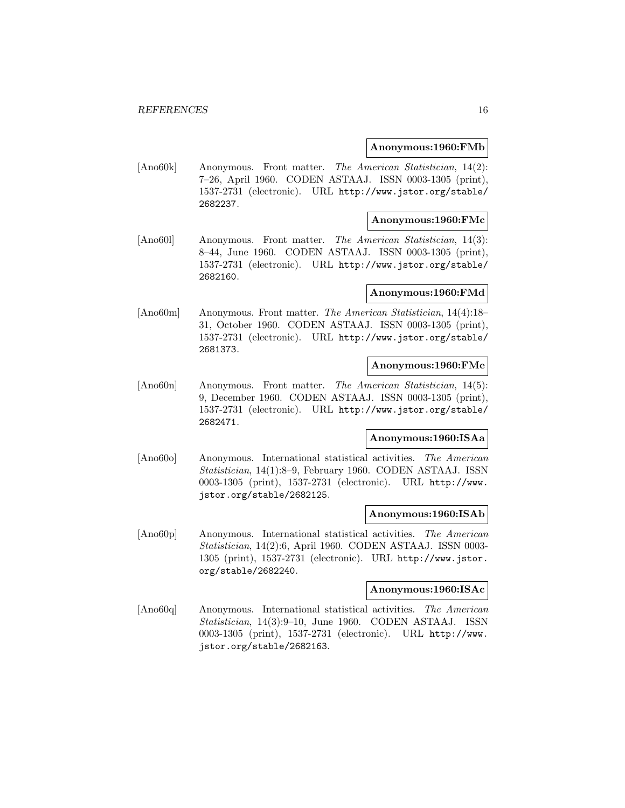# **Anonymous:1960:FMb**

[Ano60k] Anonymous. Front matter. The American Statistician, 14(2): 7–26, April 1960. CODEN ASTAAJ. ISSN 0003-1305 (print), 1537-2731 (electronic). URL http://www.jstor.org/stable/ 2682237.

# **Anonymous:1960:FMc**

[Ano60l] Anonymous. Front matter. The American Statistician, 14(3): 8–44, June 1960. CODEN ASTAAJ. ISSN 0003-1305 (print), 1537-2731 (electronic). URL http://www.jstor.org/stable/ 2682160.

# **Anonymous:1960:FMd**

[Ano60m] Anonymous. Front matter. The American Statistician, 14(4):18– 31, October 1960. CODEN ASTAAJ. ISSN 0003-1305 (print), 1537-2731 (electronic). URL http://www.jstor.org/stable/ 2681373.

#### **Anonymous:1960:FMe**

[Ano60n] Anonymous. Front matter. The American Statistician, 14(5): 9, December 1960. CODEN ASTAAJ. ISSN 0003-1305 (print), 1537-2731 (electronic). URL http://www.jstor.org/stable/ 2682471.

# **Anonymous:1960:ISAa**

[Ano60o] Anonymous. International statistical activities. The American Statistician, 14(1):8–9, February 1960. CODEN ASTAAJ. ISSN 0003-1305 (print), 1537-2731 (electronic). URL http://www. jstor.org/stable/2682125.

#### **Anonymous:1960:ISAb**

[Ano60p] Anonymous. International statistical activities. The American Statistician, 14(2):6, April 1960. CODEN ASTAAJ. ISSN 0003- 1305 (print), 1537-2731 (electronic). URL http://www.jstor. org/stable/2682240.

# **Anonymous:1960:ISAc**

[Ano60q] Anonymous. International statistical activities. The American Statistician, 14(3):9–10, June 1960. CODEN ASTAAJ. ISSN 0003-1305 (print), 1537-2731 (electronic). URL http://www. jstor.org/stable/2682163.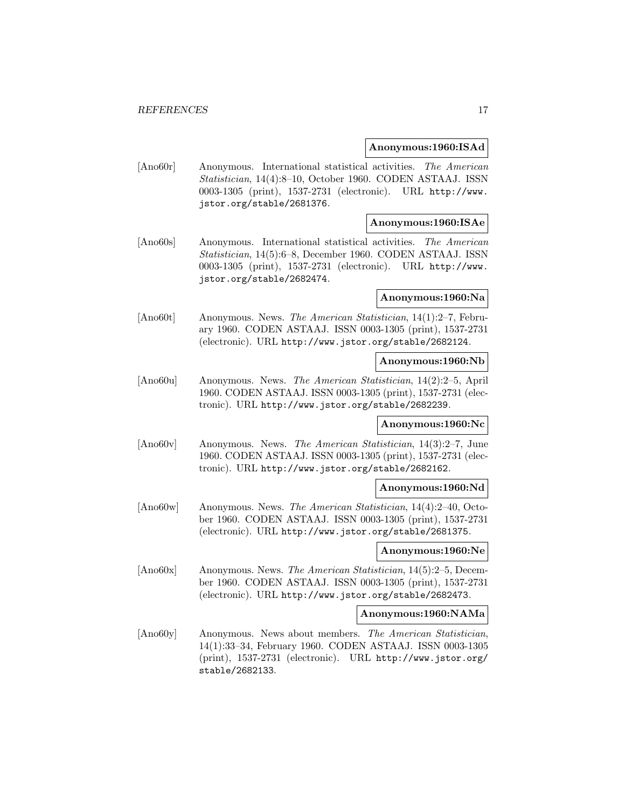# **Anonymous:1960:ISAd**

[Ano60r] Anonymous. International statistical activities. The American Statistician, 14(4):8–10, October 1960. CODEN ASTAAJ. ISSN 0003-1305 (print), 1537-2731 (electronic). URL http://www. jstor.org/stable/2681376.

# **Anonymous:1960:ISAe**

[Ano60s] Anonymous. International statistical activities. The American Statistician, 14(5):6–8, December 1960. CODEN ASTAAJ. ISSN 0003-1305 (print), 1537-2731 (electronic). URL http://www. jstor.org/stable/2682474.

# **Anonymous:1960:Na**

[Ano60t] Anonymous. News. The American Statistician, 14(1):2–7, February 1960. CODEN ASTAAJ. ISSN 0003-1305 (print), 1537-2731 (electronic). URL http://www.jstor.org/stable/2682124.

#### **Anonymous:1960:Nb**

[Ano60u] Anonymous. News. The American Statistician, 14(2):2–5, April 1960. CODEN ASTAAJ. ISSN 0003-1305 (print), 1537-2731 (electronic). URL http://www.jstor.org/stable/2682239.

# **Anonymous:1960:Nc**

[Ano60v] Anonymous. News. The American Statistician, 14(3):2–7, June 1960. CODEN ASTAAJ. ISSN 0003-1305 (print), 1537-2731 (electronic). URL http://www.jstor.org/stable/2682162.

# **Anonymous:1960:Nd**

[Ano60w] Anonymous. News. The American Statistician, 14(4):2–40, October 1960. CODEN ASTAAJ. ISSN 0003-1305 (print), 1537-2731 (electronic). URL http://www.jstor.org/stable/2681375.

#### **Anonymous:1960:Ne**

[Ano60x] Anonymous. News. The American Statistician, 14(5):2–5, December 1960. CODEN ASTAAJ. ISSN 0003-1305 (print), 1537-2731 (electronic). URL http://www.jstor.org/stable/2682473.

#### **Anonymous:1960:NAMa**

[Ano60y] Anonymous. News about members. The American Statistician, 14(1):33–34, February 1960. CODEN ASTAAJ. ISSN 0003-1305 (print), 1537-2731 (electronic). URL http://www.jstor.org/ stable/2682133.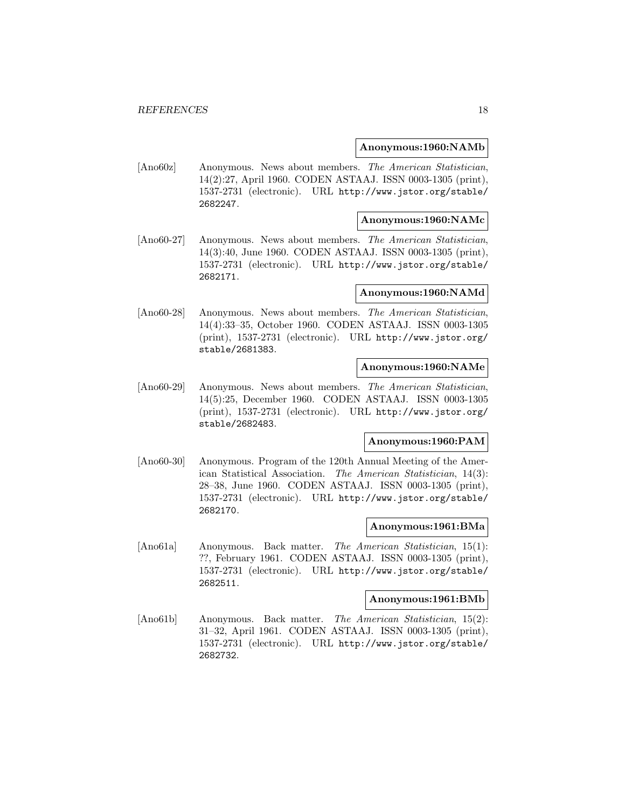#### **Anonymous:1960:NAMb**

[Ano60z] Anonymous. News about members. The American Statistician, 14(2):27, April 1960. CODEN ASTAAJ. ISSN 0003-1305 (print), 1537-2731 (electronic). URL http://www.jstor.org/stable/ 2682247.

# **Anonymous:1960:NAMc**

[Ano60-27] Anonymous. News about members. The American Statistician, 14(3):40, June 1960. CODEN ASTAAJ. ISSN 0003-1305 (print), 1537-2731 (electronic). URL http://www.jstor.org/stable/ 2682171.

# **Anonymous:1960:NAMd**

[Ano60-28] Anonymous. News about members. The American Statistician, 14(4):33–35, October 1960. CODEN ASTAAJ. ISSN 0003-1305 (print), 1537-2731 (electronic). URL http://www.jstor.org/ stable/2681383.

#### **Anonymous:1960:NAMe**

[Ano60-29] Anonymous. News about members. The American Statistician, 14(5):25, December 1960. CODEN ASTAAJ. ISSN 0003-1305 (print), 1537-2731 (electronic). URL http://www.jstor.org/ stable/2682483.

# **Anonymous:1960:PAM**

[Ano60-30] Anonymous. Program of the 120th Annual Meeting of the American Statistical Association. The American Statistician, 14(3): 28–38, June 1960. CODEN ASTAAJ. ISSN 0003-1305 (print), 1537-2731 (electronic). URL http://www.jstor.org/stable/ 2682170.

# **Anonymous:1961:BMa**

[Ano61a] Anonymous. Back matter. The American Statistician, 15(1): ??, February 1961. CODEN ASTAAJ. ISSN 0003-1305 (print), 1537-2731 (electronic). URL http://www.jstor.org/stable/ 2682511.

# **Anonymous:1961:BMb**

[Ano61b] Anonymous. Back matter. The American Statistician, 15(2): 31–32, April 1961. CODEN ASTAAJ. ISSN 0003-1305 (print), 1537-2731 (electronic). URL http://www.jstor.org/stable/ 2682732.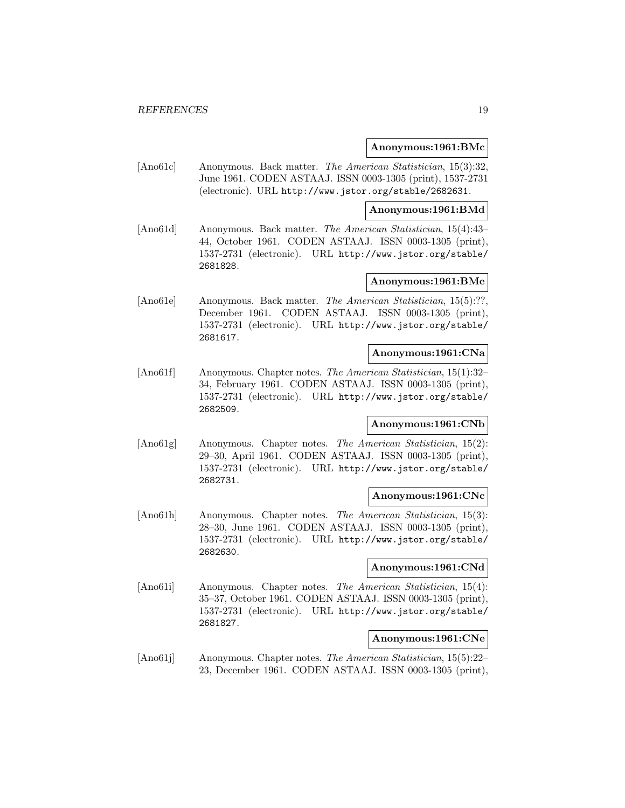# **Anonymous:1961:BMc**

[Ano61c] Anonymous. Back matter. The American Statistician, 15(3):32, June 1961. CODEN ASTAAJ. ISSN 0003-1305 (print), 1537-2731 (electronic). URL http://www.jstor.org/stable/2682631.

# **Anonymous:1961:BMd**

[Ano61d] Anonymous. Back matter. The American Statistician, 15(4):43– 44, October 1961. CODEN ASTAAJ. ISSN 0003-1305 (print), 1537-2731 (electronic). URL http://www.jstor.org/stable/ 2681828.

# **Anonymous:1961:BMe**

[Ano61e] Anonymous. Back matter. The American Statistician, 15(5):??, December 1961. CODEN ASTAAJ. ISSN 0003-1305 (print), 1537-2731 (electronic). URL http://www.jstor.org/stable/ 2681617.

# **Anonymous:1961:CNa**

[Ano61f] Anonymous. Chapter notes. The American Statistician, 15(1):32– 34, February 1961. CODEN ASTAAJ. ISSN 0003-1305 (print), 1537-2731 (electronic). URL http://www.jstor.org/stable/ 2682509.

# **Anonymous:1961:CNb**

[Ano61g] Anonymous. Chapter notes. The American Statistician, 15(2): 29–30, April 1961. CODEN ASTAAJ. ISSN 0003-1305 (print), 1537-2731 (electronic). URL http://www.jstor.org/stable/ 2682731.

### **Anonymous:1961:CNc**

[Ano61h] Anonymous. Chapter notes. The American Statistician, 15(3): 28–30, June 1961. CODEN ASTAAJ. ISSN 0003-1305 (print), 1537-2731 (electronic). URL http://www.jstor.org/stable/ 2682630.

#### **Anonymous:1961:CNd**

[Ano61i] Anonymous. Chapter notes. The American Statistician, 15(4): 35–37, October 1961. CODEN ASTAAJ. ISSN 0003-1305 (print), 1537-2731 (electronic). URL http://www.jstor.org/stable/ 2681827.

# **Anonymous:1961:CNe**

[Ano61j] Anonymous. Chapter notes. The American Statistician, 15(5):22– 23, December 1961. CODEN ASTAAJ. ISSN 0003-1305 (print),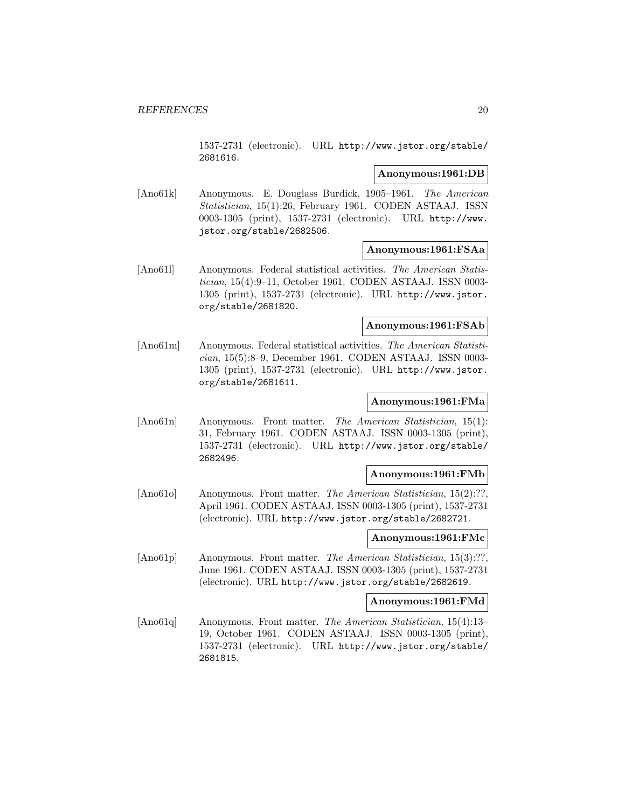1537-2731 (electronic). URL http://www.jstor.org/stable/ 2681616.

#### **Anonymous:1961:DB**

[Ano61k] Anonymous. E. Douglass Burdick, 1905–1961. The American Statistician, 15(1):26, February 1961. CODEN ASTAAJ. ISSN 0003-1305 (print), 1537-2731 (electronic). URL http://www. jstor.org/stable/2682506.

# **Anonymous:1961:FSAa**

[Ano61l] Anonymous. Federal statistical activities. The American Statistician, 15(4):9–11, October 1961. CODEN ASTAAJ. ISSN 0003- 1305 (print), 1537-2731 (electronic). URL http://www.jstor. org/stable/2681820.

# **Anonymous:1961:FSAb**

[Ano61m] Anonymous. Federal statistical activities. The American Statistician, 15(5):8–9, December 1961. CODEN ASTAAJ. ISSN 0003- 1305 (print), 1537-2731 (electronic). URL http://www.jstor. org/stable/2681611.

# **Anonymous:1961:FMa**

[Ano61n] Anonymous. Front matter. The American Statistician, 15(1): 31, February 1961. CODEN ASTAAJ. ISSN 0003-1305 (print), 1537-2731 (electronic). URL http://www.jstor.org/stable/ 2682496.

# **Anonymous:1961:FMb**

[Ano61o] Anonymous. Front matter. The American Statistician, 15(2):??, April 1961. CODEN ASTAAJ. ISSN 0003-1305 (print), 1537-2731 (electronic). URL http://www.jstor.org/stable/2682721.

# **Anonymous:1961:FMc**

[Ano61p] Anonymous. Front matter. The American Statistician, 15(3):??, June 1961. CODEN ASTAAJ. ISSN 0003-1305 (print), 1537-2731 (electronic). URL http://www.jstor.org/stable/2682619.

# **Anonymous:1961:FMd**

[Ano61q] Anonymous. Front matter. The American Statistician, 15(4):13– 19, October 1961. CODEN ASTAAJ. ISSN 0003-1305 (print), 1537-2731 (electronic). URL http://www.jstor.org/stable/ 2681815.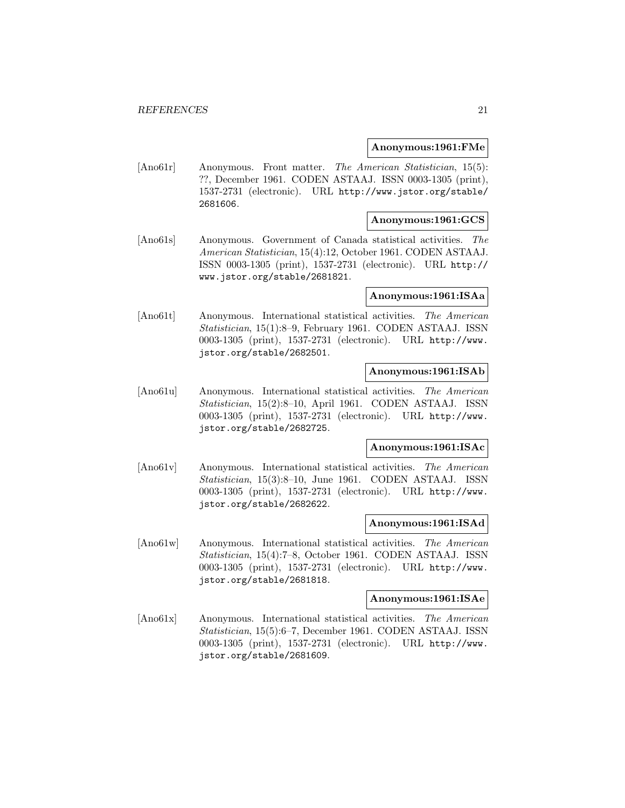# **Anonymous:1961:FMe**

[Ano61r] Anonymous. Front matter. The American Statistician, 15(5): ??, December 1961. CODEN ASTAAJ. ISSN 0003-1305 (print), 1537-2731 (electronic). URL http://www.jstor.org/stable/ 2681606.

# **Anonymous:1961:GCS**

[Ano61s] Anonymous. Government of Canada statistical activities. The American Statistician, 15(4):12, October 1961. CODEN ASTAAJ. ISSN 0003-1305 (print), 1537-2731 (electronic). URL http:// www.jstor.org/stable/2681821.

# **Anonymous:1961:ISAa**

[Ano61t] Anonymous. International statistical activities. The American Statistician, 15(1):8–9, February 1961. CODEN ASTAAJ. ISSN 0003-1305 (print), 1537-2731 (electronic). URL http://www. jstor.org/stable/2682501.

# **Anonymous:1961:ISAb**

[Ano61u] Anonymous. International statistical activities. The American Statistician, 15(2):8–10, April 1961. CODEN ASTAAJ. ISSN 0003-1305 (print), 1537-2731 (electronic). URL http://www. jstor.org/stable/2682725.

# **Anonymous:1961:ISAc**

[Ano61v] Anonymous. International statistical activities. The American Statistician, 15(3):8–10, June 1961. CODEN ASTAAJ. ISSN 0003-1305 (print), 1537-2731 (electronic). URL http://www. jstor.org/stable/2682622.

#### **Anonymous:1961:ISAd**

[Ano61w] Anonymous. International statistical activities. The American Statistician, 15(4):7–8, October 1961. CODEN ASTAAJ. ISSN 0003-1305 (print), 1537-2731 (electronic). URL http://www. jstor.org/stable/2681818.

# **Anonymous:1961:ISAe**

[Ano61x] Anonymous. International statistical activities. The American Statistician, 15(5):6–7, December 1961. CODEN ASTAAJ. ISSN 0003-1305 (print), 1537-2731 (electronic). URL http://www. jstor.org/stable/2681609.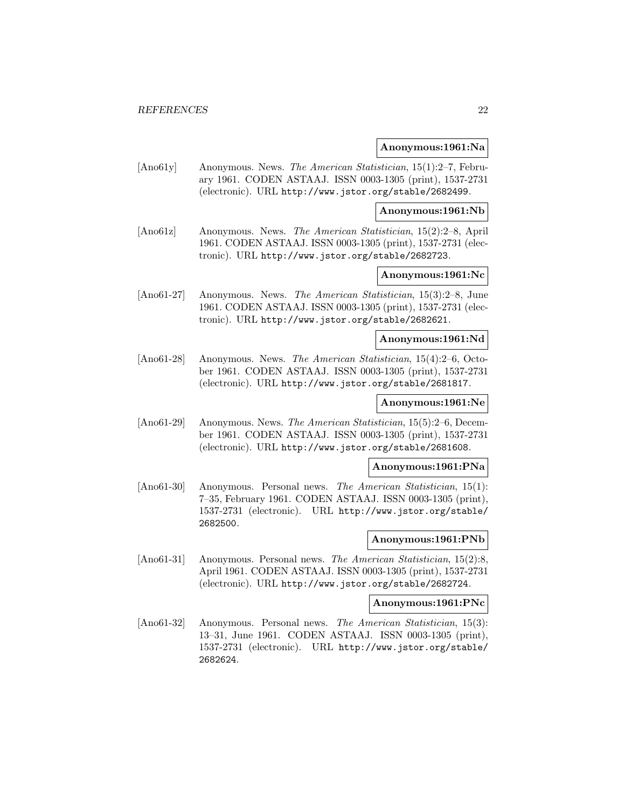#### **Anonymous:1961:Na**

[Ano61y] Anonymous. News. The American Statistician, 15(1):2–7, February 1961. CODEN ASTAAJ. ISSN 0003-1305 (print), 1537-2731 (electronic). URL http://www.jstor.org/stable/2682499.

**Anonymous:1961:Nb**

[Ano61z] Anonymous. News. The American Statistician, 15(2):2–8, April 1961. CODEN ASTAAJ. ISSN 0003-1305 (print), 1537-2731 (electronic). URL http://www.jstor.org/stable/2682723.

# **Anonymous:1961:Nc**

[Ano61-27] Anonymous. News. The American Statistician, 15(3):2–8, June 1961. CODEN ASTAAJ. ISSN 0003-1305 (print), 1537-2731 (electronic). URL http://www.jstor.org/stable/2682621.

#### **Anonymous:1961:Nd**

[Ano61-28] Anonymous. News. The American Statistician, 15(4):2–6, October 1961. CODEN ASTAAJ. ISSN 0003-1305 (print), 1537-2731 (electronic). URL http://www.jstor.org/stable/2681817.

# **Anonymous:1961:Ne**

[Ano61-29] Anonymous. News. The American Statistician, 15(5):2–6, December 1961. CODEN ASTAAJ. ISSN 0003-1305 (print), 1537-2731 (electronic). URL http://www.jstor.org/stable/2681608.

# **Anonymous:1961:PNa**

[Ano61-30] Anonymous. Personal news. The American Statistician, 15(1): 7–35, February 1961. CODEN ASTAAJ. ISSN 0003-1305 (print), 1537-2731 (electronic). URL http://www.jstor.org/stable/ 2682500.

# **Anonymous:1961:PNb**

[Ano61-31] Anonymous. Personal news. The American Statistician, 15(2):8, April 1961. CODEN ASTAAJ. ISSN 0003-1305 (print), 1537-2731 (electronic). URL http://www.jstor.org/stable/2682724.

#### **Anonymous:1961:PNc**

[Ano61-32] Anonymous. Personal news. The American Statistician, 15(3): 13–31, June 1961. CODEN ASTAAJ. ISSN 0003-1305 (print), 1537-2731 (electronic). URL http://www.jstor.org/stable/ 2682624.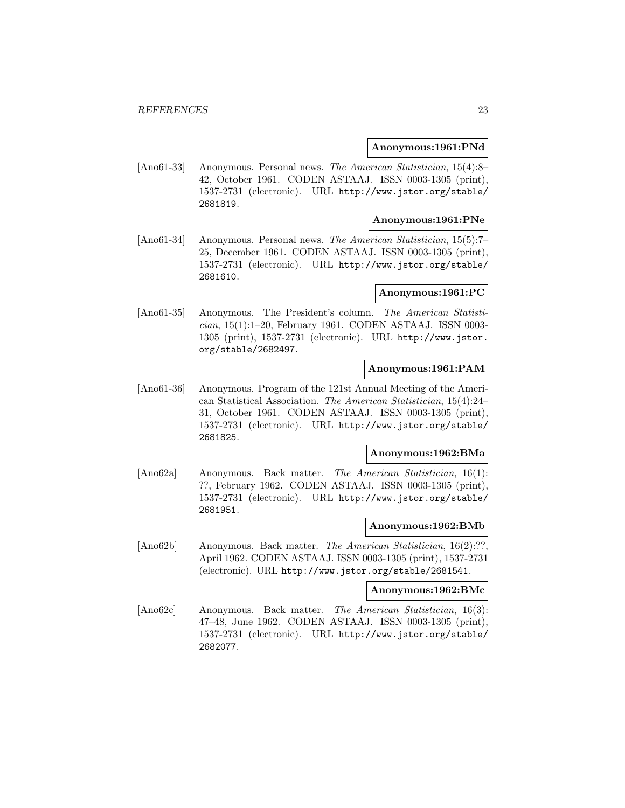# **Anonymous:1961:PNd**

[Ano61-33] Anonymous. Personal news. The American Statistician, 15(4):8– 42, October 1961. CODEN ASTAAJ. ISSN 0003-1305 (print), 1537-2731 (electronic). URL http://www.jstor.org/stable/ 2681819.

# **Anonymous:1961:PNe**

[Ano61-34] Anonymous. Personal news. The American Statistician, 15(5):7– 25, December 1961. CODEN ASTAAJ. ISSN 0003-1305 (print), 1537-2731 (electronic). URL http://www.jstor.org/stable/ 2681610.

# **Anonymous:1961:PC**

[Ano61-35] Anonymous. The President's column. The American Statistician, 15(1):1–20, February 1961. CODEN ASTAAJ. ISSN 0003- 1305 (print), 1537-2731 (electronic). URL http://www.jstor. org/stable/2682497.

# **Anonymous:1961:PAM**

[Ano61-36] Anonymous. Program of the 121st Annual Meeting of the American Statistical Association. The American Statistician, 15(4):24– 31, October 1961. CODEN ASTAAJ. ISSN 0003-1305 (print), 1537-2731 (electronic). URL http://www.jstor.org/stable/ 2681825.

# **Anonymous:1962:BMa**

[Ano62a] Anonymous. Back matter. The American Statistician, 16(1): ??, February 1962. CODEN ASTAAJ. ISSN 0003-1305 (print), 1537-2731 (electronic). URL http://www.jstor.org/stable/ 2681951.

# **Anonymous:1962:BMb**

[Ano62b] Anonymous. Back matter. The American Statistician, 16(2):??, April 1962. CODEN ASTAAJ. ISSN 0003-1305 (print), 1537-2731 (electronic). URL http://www.jstor.org/stable/2681541.

# **Anonymous:1962:BMc**

[Ano62c] Anonymous. Back matter. The American Statistician, 16(3): 47–48, June 1962. CODEN ASTAAJ. ISSN 0003-1305 (print), 1537-2731 (electronic). URL http://www.jstor.org/stable/ 2682077.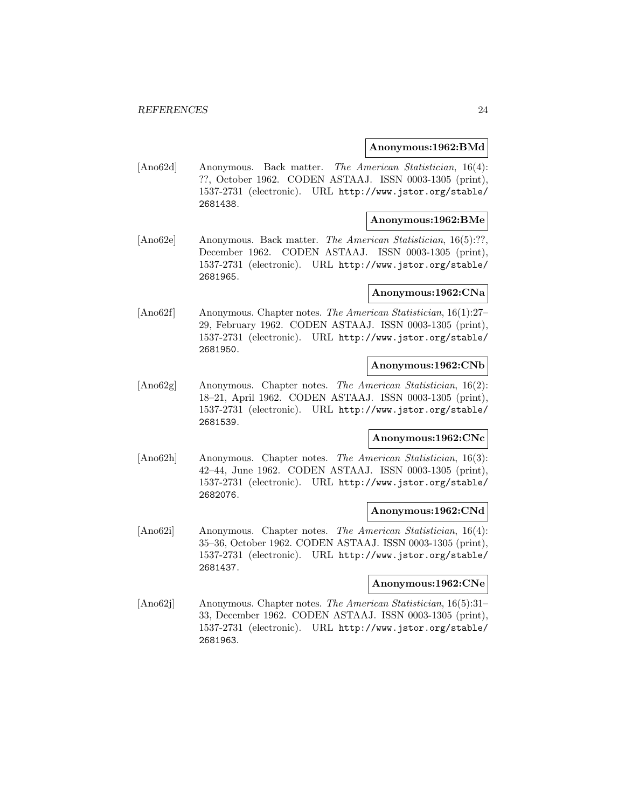# **Anonymous:1962:BMd**

[Ano62d] Anonymous. Back matter. The American Statistician, 16(4): ??, October 1962. CODEN ASTAAJ. ISSN 0003-1305 (print), 1537-2731 (electronic). URL http://www.jstor.org/stable/ 2681438.

# **Anonymous:1962:BMe**

[Ano62e] Anonymous. Back matter. The American Statistician, 16(5):??, December 1962. CODEN ASTAAJ. ISSN 0003-1305 (print), 1537-2731 (electronic). URL http://www.jstor.org/stable/ 2681965.

# **Anonymous:1962:CNa**

[Ano62f] Anonymous. Chapter notes. The American Statistician, 16(1):27– 29, February 1962. CODEN ASTAAJ. ISSN 0003-1305 (print), 1537-2731 (electronic). URL http://www.jstor.org/stable/ 2681950.

#### **Anonymous:1962:CNb**

[Ano62g] Anonymous. Chapter notes. The American Statistician, 16(2): 18–21, April 1962. CODEN ASTAAJ. ISSN 0003-1305 (print), 1537-2731 (electronic). URL http://www.jstor.org/stable/ 2681539.

# **Anonymous:1962:CNc**

[Ano62h] Anonymous. Chapter notes. The American Statistician, 16(3): 42–44, June 1962. CODEN ASTAAJ. ISSN 0003-1305 (print), 1537-2731 (electronic). URL http://www.jstor.org/stable/ 2682076.

#### **Anonymous:1962:CNd**

[Ano62i] Anonymous. Chapter notes. The American Statistician, 16(4): 35–36, October 1962. CODEN ASTAAJ. ISSN 0003-1305 (print), 1537-2731 (electronic). URL http://www.jstor.org/stable/ 2681437.

# **Anonymous:1962:CNe**

[Ano62j] Anonymous. Chapter notes. The American Statistician, 16(5):31– 33, December 1962. CODEN ASTAAJ. ISSN 0003-1305 (print), 1537-2731 (electronic). URL http://www.jstor.org/stable/ 2681963.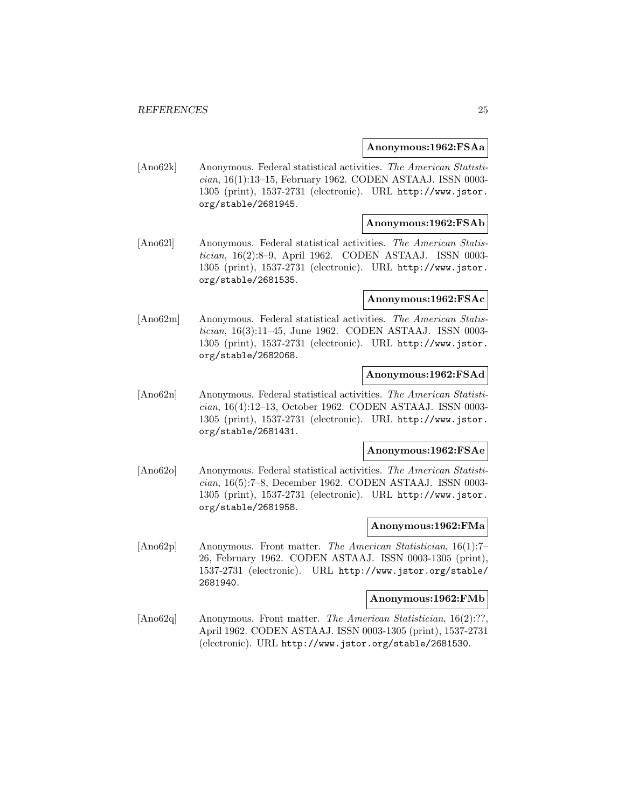#### **Anonymous:1962:FSAa**

[Ano62k] Anonymous. Federal statistical activities. The American Statistician, 16(1):13–15, February 1962. CODEN ASTAAJ. ISSN 0003- 1305 (print), 1537-2731 (electronic). URL http://www.jstor. org/stable/2681945.

# **Anonymous:1962:FSAb**

[Ano62l] Anonymous. Federal statistical activities. The American Statistician, 16(2):8–9, April 1962. CODEN ASTAAJ. ISSN 0003- 1305 (print), 1537-2731 (electronic). URL http://www.jstor. org/stable/2681535.

#### **Anonymous:1962:FSAc**

[Ano62m] Anonymous. Federal statistical activities. The American Statistician, 16(3):11–45, June 1962. CODEN ASTAAJ. ISSN 0003- 1305 (print), 1537-2731 (electronic). URL http://www.jstor. org/stable/2682068.

# **Anonymous:1962:FSAd**

[Ano62n] Anonymous. Federal statistical activities. The American Statistician, 16(4):12–13, October 1962. CODEN ASTAAJ. ISSN 0003- 1305 (print), 1537-2731 (electronic). URL http://www.jstor. org/stable/2681431.

#### **Anonymous:1962:FSAe**

[Ano62o] Anonymous. Federal statistical activities. The American Statistician, 16(5):7–8, December 1962. CODEN ASTAAJ. ISSN 0003- 1305 (print), 1537-2731 (electronic). URL http://www.jstor. org/stable/2681958.

# **Anonymous:1962:FMa**

[Ano62p] Anonymous. Front matter. The American Statistician, 16(1):7– 26, February 1962. CODEN ASTAAJ. ISSN 0003-1305 (print), 1537-2731 (electronic). URL http://www.jstor.org/stable/ 2681940.

# **Anonymous:1962:FMb**

[Ano62q] Anonymous. Front matter. The American Statistician, 16(2):??, April 1962. CODEN ASTAAJ. ISSN 0003-1305 (print), 1537-2731 (electronic). URL http://www.jstor.org/stable/2681530.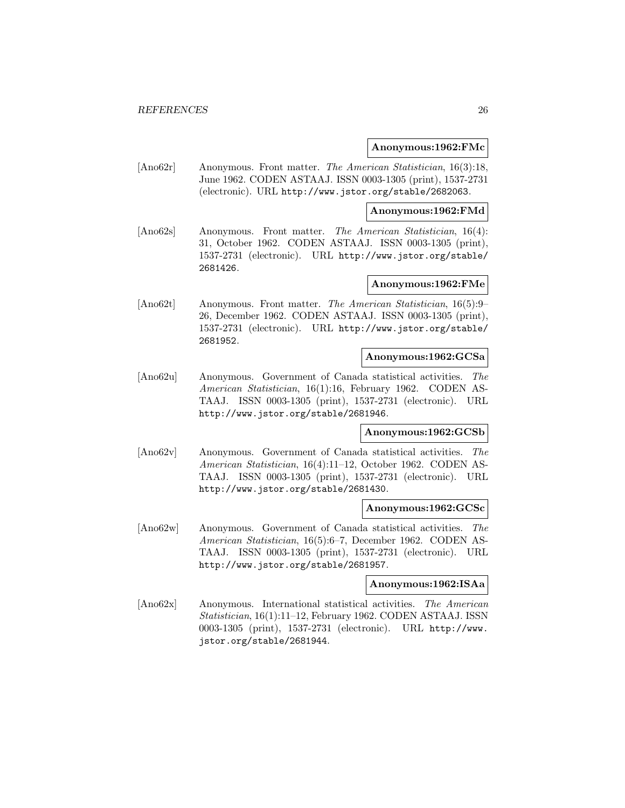# **Anonymous:1962:FMc**

[Ano62r] Anonymous. Front matter. The American Statistician, 16(3):18, June 1962. CODEN ASTAAJ. ISSN 0003-1305 (print), 1537-2731 (electronic). URL http://www.jstor.org/stable/2682063.

#### **Anonymous:1962:FMd**

[Ano62s] Anonymous. Front matter. The American Statistician, 16(4): 31, October 1962. CODEN ASTAAJ. ISSN 0003-1305 (print), 1537-2731 (electronic). URL http://www.jstor.org/stable/ 2681426.

# **Anonymous:1962:FMe**

[Ano62t] Anonymous. Front matter. The American Statistician, 16(5):9– 26, December 1962. CODEN ASTAAJ. ISSN 0003-1305 (print), 1537-2731 (electronic). URL http://www.jstor.org/stable/ 2681952.

# **Anonymous:1962:GCSa**

[Ano62u] Anonymous. Government of Canada statistical activities. The American Statistician, 16(1):16, February 1962. CODEN AS-TAAJ. ISSN 0003-1305 (print), 1537-2731 (electronic). URL http://www.jstor.org/stable/2681946.

#### **Anonymous:1962:GCSb**

[Ano62v] Anonymous. Government of Canada statistical activities. The American Statistician, 16(4):11–12, October 1962. CODEN AS-TAAJ. ISSN 0003-1305 (print), 1537-2731 (electronic). URL http://www.jstor.org/stable/2681430.

# **Anonymous:1962:GCSc**

[Ano62w] Anonymous. Government of Canada statistical activities. The American Statistician, 16(5):6–7, December 1962. CODEN AS-TAAJ. ISSN 0003-1305 (print), 1537-2731 (electronic). URL http://www.jstor.org/stable/2681957.

### **Anonymous:1962:ISAa**

[Ano62x] Anonymous. International statistical activities. The American Statistician, 16(1):11–12, February 1962. CODEN ASTAAJ. ISSN 0003-1305 (print), 1537-2731 (electronic). URL http://www. jstor.org/stable/2681944.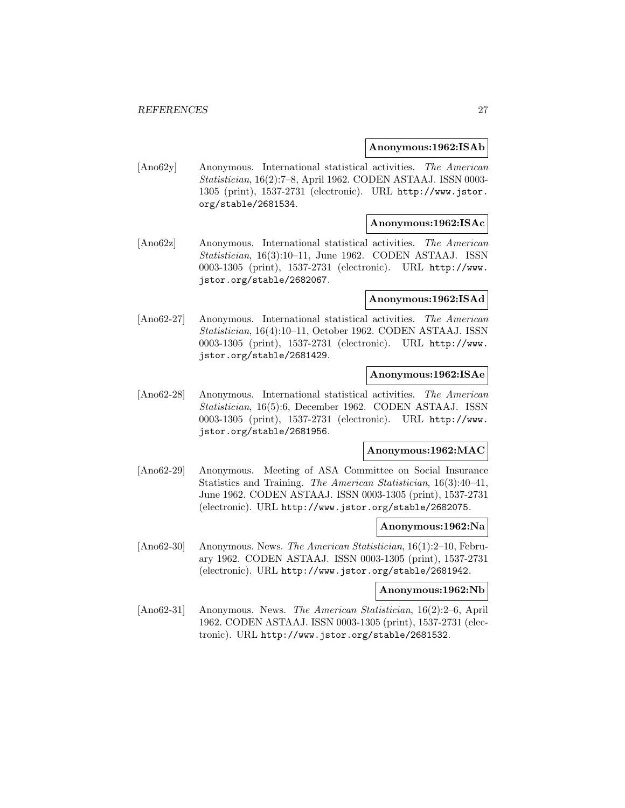# **Anonymous:1962:ISAb**

[Ano62y] Anonymous. International statistical activities. The American Statistician, 16(2):7–8, April 1962. CODEN ASTAAJ. ISSN 0003- 1305 (print), 1537-2731 (electronic). URL http://www.jstor. org/stable/2681534.

# **Anonymous:1962:ISAc**

[Ano62z] Anonymous. International statistical activities. The American Statistician, 16(3):10–11, June 1962. CODEN ASTAAJ. ISSN 0003-1305 (print), 1537-2731 (electronic). URL http://www. jstor.org/stable/2682067.

#### **Anonymous:1962:ISAd**

[Ano62-27] Anonymous. International statistical activities. The American Statistician, 16(4):10–11, October 1962. CODEN ASTAAJ. ISSN 0003-1305 (print), 1537-2731 (electronic). URL http://www. jstor.org/stable/2681429.

# **Anonymous:1962:ISAe**

[Ano62-28] Anonymous. International statistical activities. The American Statistician, 16(5):6, December 1962. CODEN ASTAAJ. ISSN 0003-1305 (print), 1537-2731 (electronic). URL http://www. jstor.org/stable/2681956.

#### **Anonymous:1962:MAC**

[Ano62-29] Anonymous. Meeting of ASA Committee on Social Insurance Statistics and Training. The American Statistician, 16(3):40–41, June 1962. CODEN ASTAAJ. ISSN 0003-1305 (print), 1537-2731 (electronic). URL http://www.jstor.org/stable/2682075.

# **Anonymous:1962:Na**

[Ano62-30] Anonymous. News. The American Statistician, 16(1):2–10, February 1962. CODEN ASTAAJ. ISSN 0003-1305 (print), 1537-2731 (electronic). URL http://www.jstor.org/stable/2681942.

# **Anonymous:1962:Nb**

[Ano62-31] Anonymous. News. The American Statistician, 16(2):2–6, April 1962. CODEN ASTAAJ. ISSN 0003-1305 (print), 1537-2731 (electronic). URL http://www.jstor.org/stable/2681532.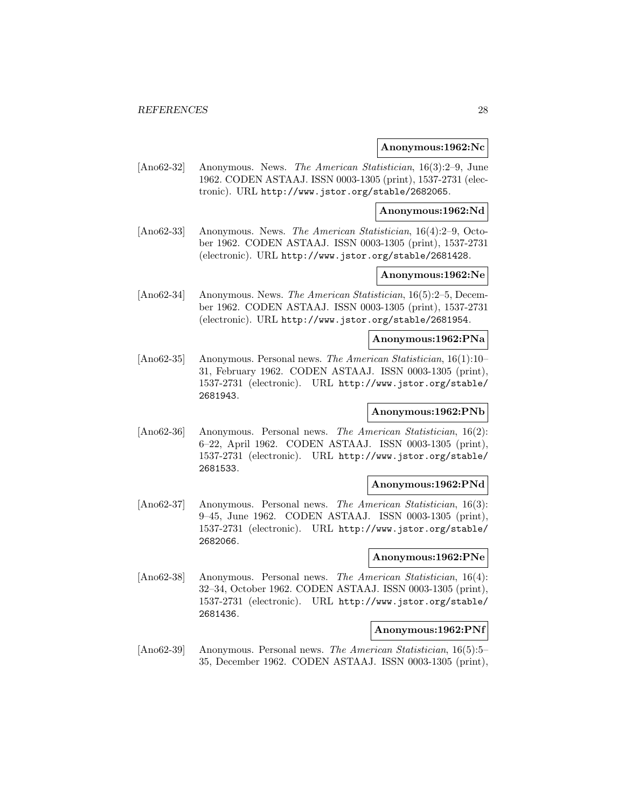#### **Anonymous:1962:Nc**

[Ano62-32] Anonymous. News. The American Statistician, 16(3):2–9, June 1962. CODEN ASTAAJ. ISSN 0003-1305 (print), 1537-2731 (electronic). URL http://www.jstor.org/stable/2682065.

**Anonymous:1962:Nd**

[Ano62-33] Anonymous. News. The American Statistician, 16(4):2–9, October 1962. CODEN ASTAAJ. ISSN 0003-1305 (print), 1537-2731 (electronic). URL http://www.jstor.org/stable/2681428.

# **Anonymous:1962:Ne**

[Ano62-34] Anonymous. News. The American Statistician, 16(5):2–5, December 1962. CODEN ASTAAJ. ISSN 0003-1305 (print), 1537-2731 (electronic). URL http://www.jstor.org/stable/2681954.

#### **Anonymous:1962:PNa**

[Ano62-35] Anonymous. Personal news. The American Statistician, 16(1):10– 31, February 1962. CODEN ASTAAJ. ISSN 0003-1305 (print), 1537-2731 (electronic). URL http://www.jstor.org/stable/ 2681943.

# **Anonymous:1962:PNb**

[Ano62-36] Anonymous. Personal news. The American Statistician, 16(2): 6–22, April 1962. CODEN ASTAAJ. ISSN 0003-1305 (print), 1537-2731 (electronic). URL http://www.jstor.org/stable/ 2681533.

#### **Anonymous:1962:PNd**

[Ano62-37] Anonymous. Personal news. The American Statistician, 16(3): 9–45, June 1962. CODEN ASTAAJ. ISSN 0003-1305 (print), 1537-2731 (electronic). URL http://www.jstor.org/stable/ 2682066.

# **Anonymous:1962:PNe**

[Ano62-38] Anonymous. Personal news. The American Statistician, 16(4): 32–34, October 1962. CODEN ASTAAJ. ISSN 0003-1305 (print), 1537-2731 (electronic). URL http://www.jstor.org/stable/ 2681436.

# **Anonymous:1962:PNf**

[Ano62-39] Anonymous. Personal news. The American Statistician, 16(5):5– 35, December 1962. CODEN ASTAAJ. ISSN 0003-1305 (print),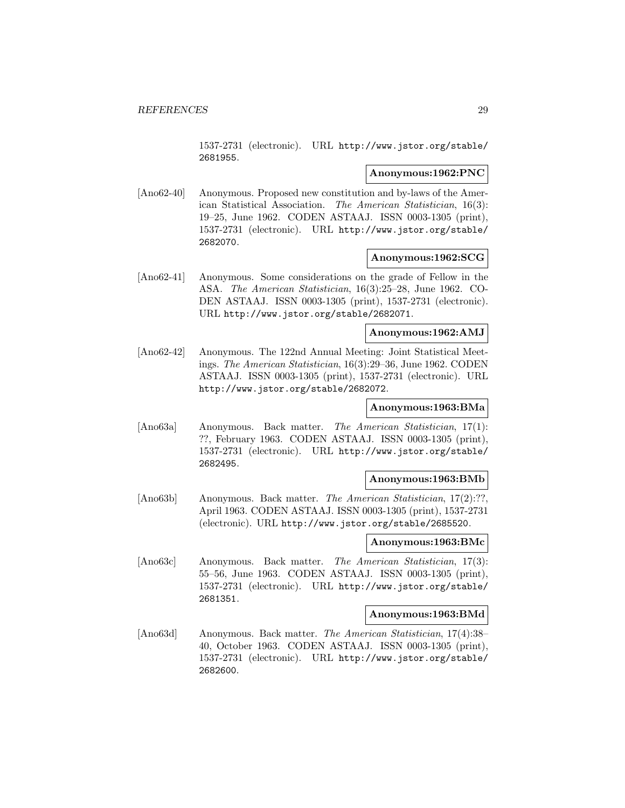1537-2731 (electronic). URL http://www.jstor.org/stable/ 2681955.

# **Anonymous:1962:PNC**

[Ano62-40] Anonymous. Proposed new constitution and by-laws of the American Statistical Association. The American Statistician, 16(3): 19–25, June 1962. CODEN ASTAAJ. ISSN 0003-1305 (print), 1537-2731 (electronic). URL http://www.jstor.org/stable/ 2682070.

# **Anonymous:1962:SCG**

[Ano62-41] Anonymous. Some considerations on the grade of Fellow in the ASA. The American Statistician, 16(3):25–28, June 1962. CO-DEN ASTAAJ. ISSN 0003-1305 (print), 1537-2731 (electronic). URL http://www.jstor.org/stable/2682071.

# **Anonymous:1962:AMJ**

[Ano62-42] Anonymous. The 122nd Annual Meeting: Joint Statistical Meetings. The American Statistician, 16(3):29–36, June 1962. CODEN ASTAAJ. ISSN 0003-1305 (print), 1537-2731 (electronic). URL http://www.jstor.org/stable/2682072.

# **Anonymous:1963:BMa**

[Ano63a] Anonymous. Back matter. The American Statistician, 17(1): ??, February 1963. CODEN ASTAAJ. ISSN 0003-1305 (print), 1537-2731 (electronic). URL http://www.jstor.org/stable/ 2682495.

#### **Anonymous:1963:BMb**

[Ano63b] Anonymous. Back matter. The American Statistician, 17(2):??, April 1963. CODEN ASTAAJ. ISSN 0003-1305 (print), 1537-2731 (electronic). URL http://www.jstor.org/stable/2685520.

# **Anonymous:1963:BMc**

[Ano63c] Anonymous. Back matter. The American Statistician, 17(3): 55–56, June 1963. CODEN ASTAAJ. ISSN 0003-1305 (print), 1537-2731 (electronic). URL http://www.jstor.org/stable/ 2681351.

#### **Anonymous:1963:BMd**

[Ano63d] Anonymous. Back matter. The American Statistician, 17(4):38– 40, October 1963. CODEN ASTAAJ. ISSN 0003-1305 (print), 1537-2731 (electronic). URL http://www.jstor.org/stable/ 2682600.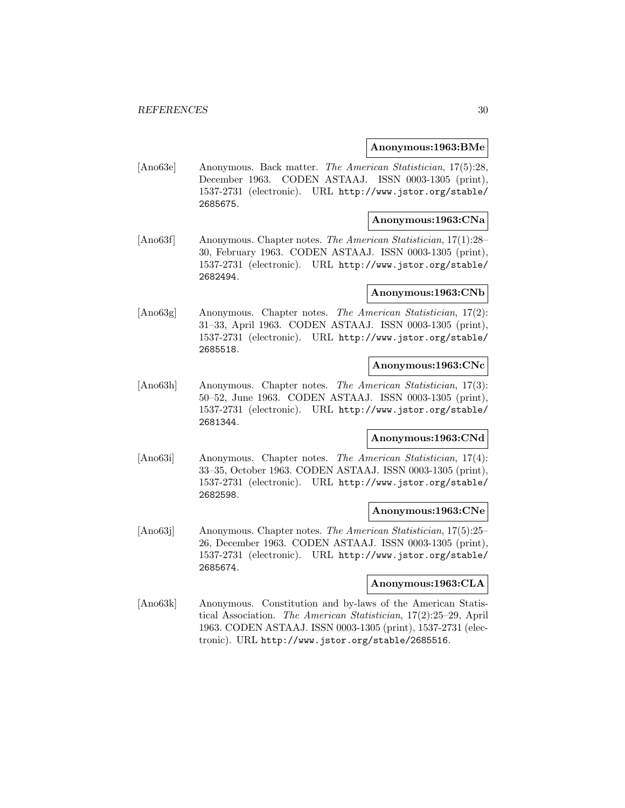# **Anonymous:1963:BMe**

[Ano63e] Anonymous. Back matter. The American Statistician, 17(5):28, December 1963. CODEN ASTAAJ. ISSN 0003-1305 (print), 1537-2731 (electronic). URL http://www.jstor.org/stable/ 2685675.

# **Anonymous:1963:CNa**

[Ano63f] Anonymous. Chapter notes. The American Statistician, 17(1):28– 30, February 1963. CODEN ASTAAJ. ISSN 0003-1305 (print), 1537-2731 (electronic). URL http://www.jstor.org/stable/ 2682494.

# **Anonymous:1963:CNb**

[Ano63g] Anonymous. Chapter notes. The American Statistician, 17(2): 31–33, April 1963. CODEN ASTAAJ. ISSN 0003-1305 (print), 1537-2731 (electronic). URL http://www.jstor.org/stable/ 2685518.

#### **Anonymous:1963:CNc**

[Ano63h] Anonymous. Chapter notes. The American Statistician, 17(3): 50–52, June 1963. CODEN ASTAAJ. ISSN 0003-1305 (print), 1537-2731 (electronic). URL http://www.jstor.org/stable/ 2681344.

# **Anonymous:1963:CNd**

[Ano63i] Anonymous. Chapter notes. The American Statistician, 17(4): 33–35, October 1963. CODEN ASTAAJ. ISSN 0003-1305 (print), 1537-2731 (electronic). URL http://www.jstor.org/stable/ 2682598.

#### **Anonymous:1963:CNe**

[Ano63j] Anonymous. Chapter notes. The American Statistician, 17(5):25– 26, December 1963. CODEN ASTAAJ. ISSN 0003-1305 (print), 1537-2731 (electronic). URL http://www.jstor.org/stable/ 2685674.

# **Anonymous:1963:CLA**

[Ano63k] Anonymous. Constitution and by-laws of the American Statistical Association. The American Statistician, 17(2):25–29, April 1963. CODEN ASTAAJ. ISSN 0003-1305 (print), 1537-2731 (electronic). URL http://www.jstor.org/stable/2685516.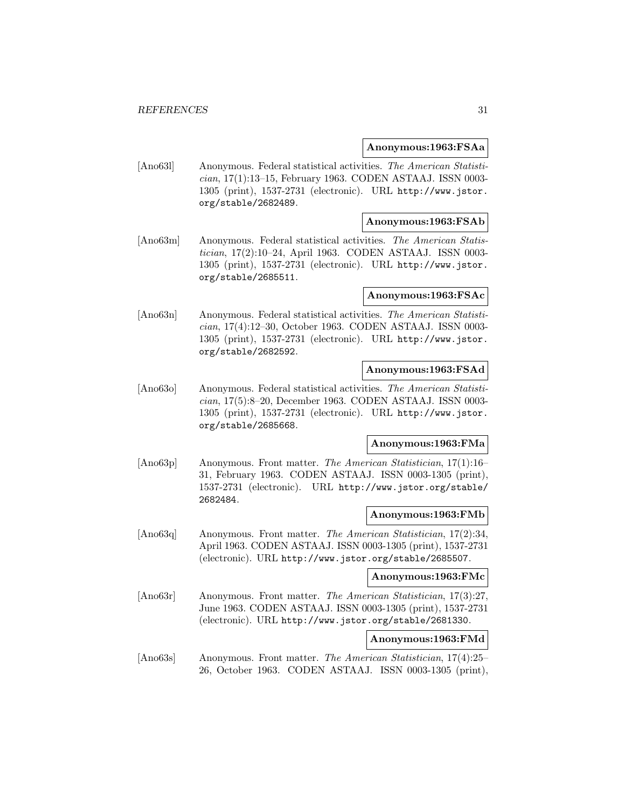#### **Anonymous:1963:FSAa**

[Ano63l] Anonymous. Federal statistical activities. The American Statistician, 17(1):13–15, February 1963. CODEN ASTAAJ. ISSN 0003- 1305 (print), 1537-2731 (electronic). URL http://www.jstor. org/stable/2682489.

# **Anonymous:1963:FSAb**

[Ano63m] Anonymous. Federal statistical activities. The American Statistician, 17(2):10–24, April 1963. CODEN ASTAAJ. ISSN 0003- 1305 (print), 1537-2731 (electronic). URL http://www.jstor. org/stable/2685511.

# **Anonymous:1963:FSAc**

[Ano63n] Anonymous. Federal statistical activities. The American Statistician, 17(4):12–30, October 1963. CODEN ASTAAJ. ISSN 0003- 1305 (print), 1537-2731 (electronic). URL http://www.jstor. org/stable/2682592.

# **Anonymous:1963:FSAd**

[Ano63o] Anonymous. Federal statistical activities. The American Statistician, 17(5):8–20, December 1963. CODEN ASTAAJ. ISSN 0003- 1305 (print), 1537-2731 (electronic). URL http://www.jstor. org/stable/2685668.

# **Anonymous:1963:FMa**

[Ano63p] Anonymous. Front matter. The American Statistician, 17(1):16– 31, February 1963. CODEN ASTAAJ. ISSN 0003-1305 (print), 1537-2731 (electronic). URL http://www.jstor.org/stable/ 2682484.

#### **Anonymous:1963:FMb**

[Ano63q] Anonymous. Front matter. The American Statistician, 17(2):34, April 1963. CODEN ASTAAJ. ISSN 0003-1305 (print), 1537-2731 (electronic). URL http://www.jstor.org/stable/2685507.

# **Anonymous:1963:FMc**

[Ano63r] Anonymous. Front matter. The American Statistician, 17(3):27, June 1963. CODEN ASTAAJ. ISSN 0003-1305 (print), 1537-2731 (electronic). URL http://www.jstor.org/stable/2681330.

# **Anonymous:1963:FMd**

[Ano63s] Anonymous. Front matter. The American Statistician, 17(4):25– 26, October 1963. CODEN ASTAAJ. ISSN 0003-1305 (print),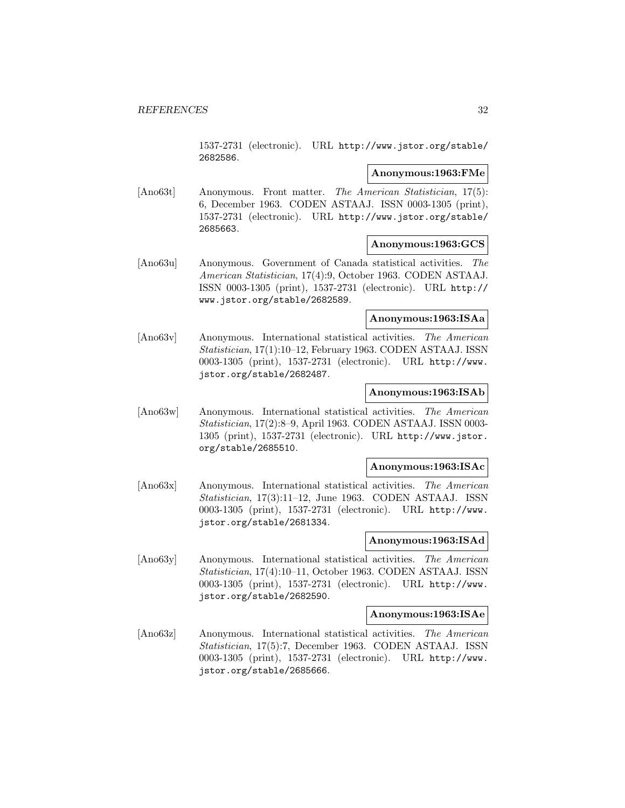1537-2731 (electronic). URL http://www.jstor.org/stable/ 2682586.

# **Anonymous:1963:FMe**

[Ano63t] Anonymous. Front matter. The American Statistician, 17(5): 6, December 1963. CODEN ASTAAJ. ISSN 0003-1305 (print), 1537-2731 (electronic). URL http://www.jstor.org/stable/ 2685663.

# **Anonymous:1963:GCS**

[Ano63u] Anonymous. Government of Canada statistical activities. The American Statistician, 17(4):9, October 1963. CODEN ASTAAJ. ISSN 0003-1305 (print), 1537-2731 (electronic). URL http:// www.jstor.org/stable/2682589.

# **Anonymous:1963:ISAa**

[Ano63v] Anonymous. International statistical activities. The American Statistician, 17(1):10–12, February 1963. CODEN ASTAAJ. ISSN 0003-1305 (print), 1537-2731 (electronic). URL http://www. jstor.org/stable/2682487.

# **Anonymous:1963:ISAb**

[Ano63w] Anonymous. International statistical activities. The American Statistician, 17(2):8–9, April 1963. CODEN ASTAAJ. ISSN 0003- 1305 (print), 1537-2731 (electronic). URL http://www.jstor. org/stable/2685510.

# **Anonymous:1963:ISAc**

[Ano63x] Anonymous. International statistical activities. The American Statistician, 17(3):11–12, June 1963. CODEN ASTAAJ. ISSN 0003-1305 (print), 1537-2731 (electronic). URL http://www. jstor.org/stable/2681334.

#### **Anonymous:1963:ISAd**

[Ano63y] Anonymous. International statistical activities. The American Statistician, 17(4):10–11, October 1963. CODEN ASTAAJ. ISSN 0003-1305 (print), 1537-2731 (electronic). URL http://www. jstor.org/stable/2682590.

# **Anonymous:1963:ISAe**

[Ano63z] Anonymous. International statistical activities. The American Statistician, 17(5):7, December 1963. CODEN ASTAAJ. ISSN 0003-1305 (print), 1537-2731 (electronic). URL http://www. jstor.org/stable/2685666.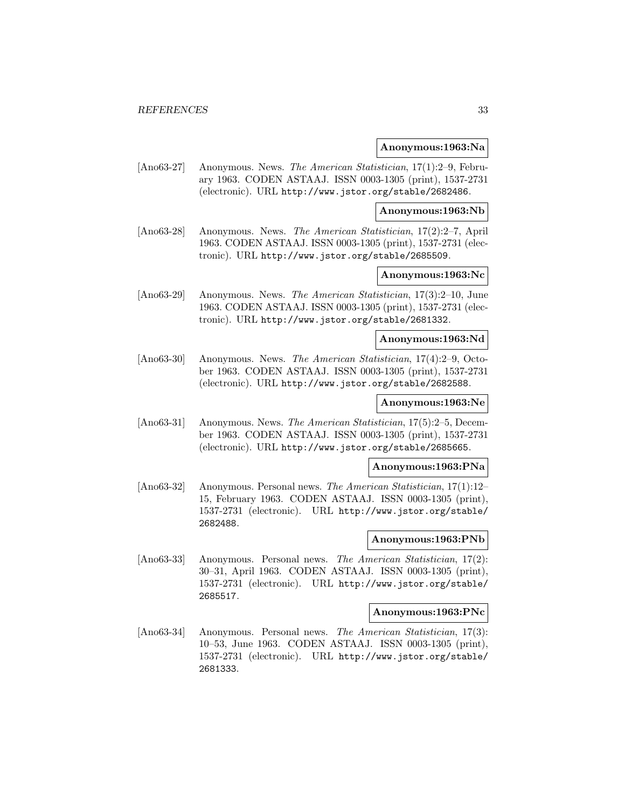#### **Anonymous:1963:Na**

[Ano63-27] Anonymous. News. The American Statistician, 17(1):2–9, February 1963. CODEN ASTAAJ. ISSN 0003-1305 (print), 1537-2731 (electronic). URL http://www.jstor.org/stable/2682486.

**Anonymous:1963:Nb**

[Ano63-28] Anonymous. News. The American Statistician, 17(2):2–7, April 1963. CODEN ASTAAJ. ISSN 0003-1305 (print), 1537-2731 (electronic). URL http://www.jstor.org/stable/2685509.

# **Anonymous:1963:Nc**

[Ano63-29] Anonymous. News. The American Statistician, 17(3):2–10, June 1963. CODEN ASTAAJ. ISSN 0003-1305 (print), 1537-2731 (electronic). URL http://www.jstor.org/stable/2681332.

# **Anonymous:1963:Nd**

[Ano63-30] Anonymous. News. The American Statistician, 17(4):2–9, October 1963. CODEN ASTAAJ. ISSN 0003-1305 (print), 1537-2731 (electronic). URL http://www.jstor.org/stable/2682588.

# **Anonymous:1963:Ne**

[Ano63-31] Anonymous. News. The American Statistician, 17(5):2–5, December 1963. CODEN ASTAAJ. ISSN 0003-1305 (print), 1537-2731 (electronic). URL http://www.jstor.org/stable/2685665.

# **Anonymous:1963:PNa**

[Ano63-32] Anonymous. Personal news. The American Statistician, 17(1):12– 15, February 1963. CODEN ASTAAJ. ISSN 0003-1305 (print), 1537-2731 (electronic). URL http://www.jstor.org/stable/ 2682488.

# **Anonymous:1963:PNb**

[Ano63-33] Anonymous. Personal news. The American Statistician, 17(2): 30–31, April 1963. CODEN ASTAAJ. ISSN 0003-1305 (print), 1537-2731 (electronic). URL http://www.jstor.org/stable/ 2685517.

# **Anonymous:1963:PNc**

[Ano63-34] Anonymous. Personal news. The American Statistician, 17(3): 10–53, June 1963. CODEN ASTAAJ. ISSN 0003-1305 (print), 1537-2731 (electronic). URL http://www.jstor.org/stable/ 2681333.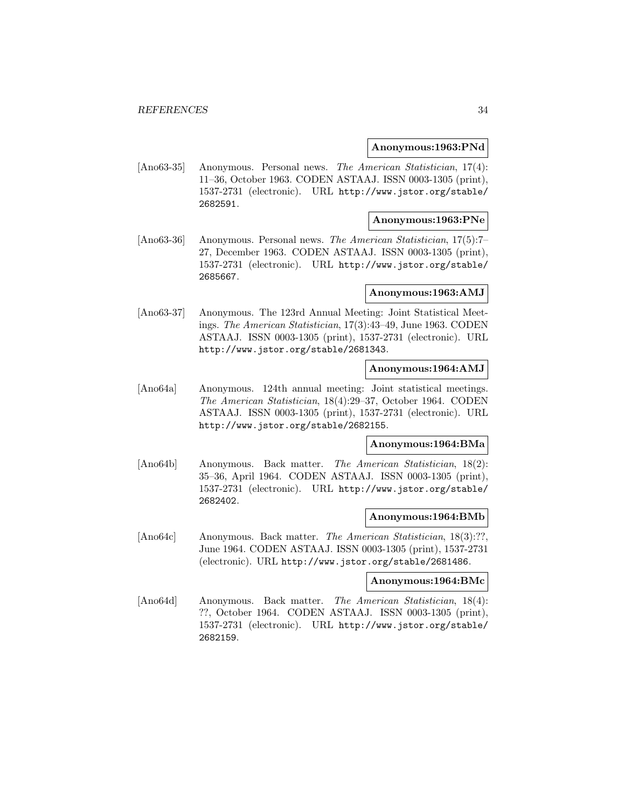#### **Anonymous:1963:PNd**

[Ano63-35] Anonymous. Personal news. The American Statistician, 17(4): 11–36, October 1963. CODEN ASTAAJ. ISSN 0003-1305 (print), 1537-2731 (electronic). URL http://www.jstor.org/stable/ 2682591.

# **Anonymous:1963:PNe**

[Ano63-36] Anonymous. Personal news. The American Statistician, 17(5):7– 27, December 1963. CODEN ASTAAJ. ISSN 0003-1305 (print), 1537-2731 (electronic). URL http://www.jstor.org/stable/ 2685667.

# **Anonymous:1963:AMJ**

[Ano63-37] Anonymous. The 123rd Annual Meeting: Joint Statistical Meetings. The American Statistician, 17(3):43–49, June 1963. CODEN ASTAAJ. ISSN 0003-1305 (print), 1537-2731 (electronic). URL http://www.jstor.org/stable/2681343.

# **Anonymous:1964:AMJ**

[Ano64a] Anonymous. 124th annual meeting: Joint statistical meetings. The American Statistician, 18(4):29–37, October 1964. CODEN ASTAAJ. ISSN 0003-1305 (print), 1537-2731 (electronic). URL http://www.jstor.org/stable/2682155.

# **Anonymous:1964:BMa**

[Ano64b] Anonymous. Back matter. The American Statistician, 18(2): 35–36, April 1964. CODEN ASTAAJ. ISSN 0003-1305 (print), 1537-2731 (electronic). URL http://www.jstor.org/stable/ 2682402.

#### **Anonymous:1964:BMb**

[Ano64c] Anonymous. Back matter. The American Statistician, 18(3):??, June 1964. CODEN ASTAAJ. ISSN 0003-1305 (print), 1537-2731 (electronic). URL http://www.jstor.org/stable/2681486.

#### **Anonymous:1964:BMc**

[Ano64d] Anonymous. Back matter. The American Statistician, 18(4): ??, October 1964. CODEN ASTAAJ. ISSN 0003-1305 (print), 1537-2731 (electronic). URL http://www.jstor.org/stable/ 2682159.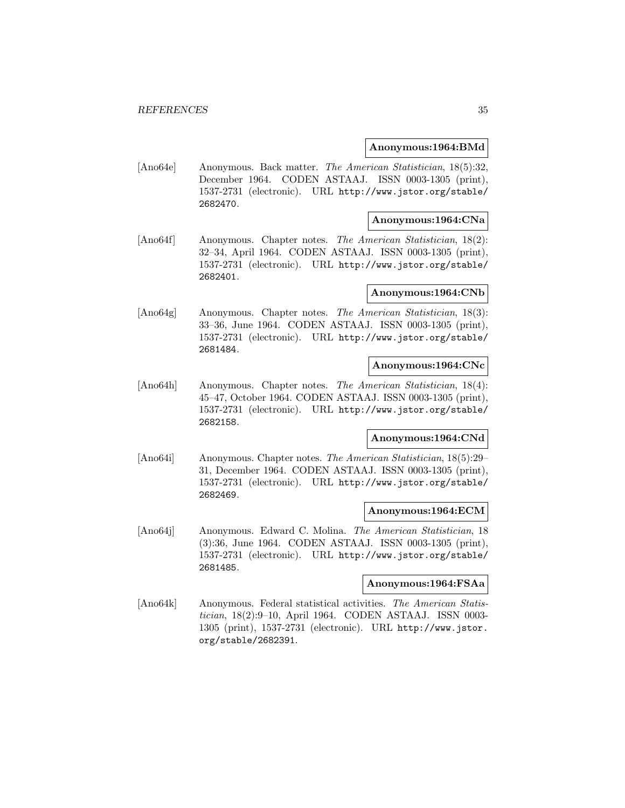# **Anonymous:1964:BMd**

[Ano64e] Anonymous. Back matter. The American Statistician, 18(5):32, December 1964. CODEN ASTAAJ. ISSN 0003-1305 (print), 1537-2731 (electronic). URL http://www.jstor.org/stable/ 2682470.

# **Anonymous:1964:CNa**

[Ano64f] Anonymous. Chapter notes. The American Statistician, 18(2): 32–34, April 1964. CODEN ASTAAJ. ISSN 0003-1305 (print), 1537-2731 (electronic). URL http://www.jstor.org/stable/ 2682401.

# **Anonymous:1964:CNb**

[Ano64g] Anonymous. Chapter notes. The American Statistician, 18(3): 33–36, June 1964. CODEN ASTAAJ. ISSN 0003-1305 (print), 1537-2731 (electronic). URL http://www.jstor.org/stable/ 2681484.

#### **Anonymous:1964:CNc**

[Ano64h] Anonymous. Chapter notes. The American Statistician, 18(4): 45–47, October 1964. CODEN ASTAAJ. ISSN 0003-1305 (print), 1537-2731 (electronic). URL http://www.jstor.org/stable/ 2682158.

# **Anonymous:1964:CNd**

[Ano64i] Anonymous. Chapter notes. The American Statistician, 18(5):29– 31, December 1964. CODEN ASTAAJ. ISSN 0003-1305 (print), 1537-2731 (electronic). URL http://www.jstor.org/stable/ 2682469.

#### **Anonymous:1964:ECM**

[Ano64j] Anonymous. Edward C. Molina. The American Statistician, 18 (3):36, June 1964. CODEN ASTAAJ. ISSN 0003-1305 (print), 1537-2731 (electronic). URL http://www.jstor.org/stable/ 2681485.

### **Anonymous:1964:FSAa**

[Ano64k] Anonymous. Federal statistical activities. The American Statistician, 18(2):9–10, April 1964. CODEN ASTAAJ. ISSN 0003- 1305 (print), 1537-2731 (electronic). URL http://www.jstor. org/stable/2682391.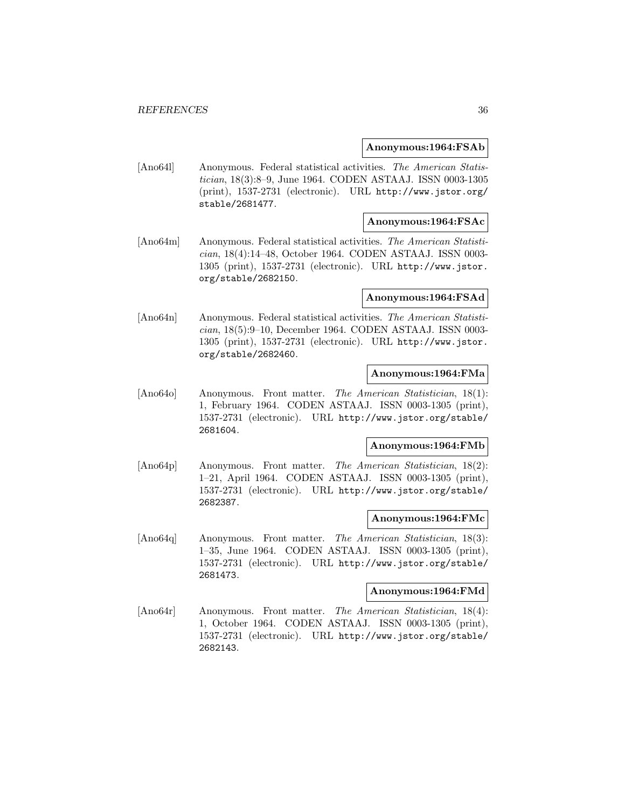#### **Anonymous:1964:FSAb**

[Ano64l] Anonymous. Federal statistical activities. The American Statistician, 18(3):8–9, June 1964. CODEN ASTAAJ. ISSN 0003-1305 (print), 1537-2731 (electronic). URL http://www.jstor.org/ stable/2681477.

# **Anonymous:1964:FSAc**

[Ano64m] Anonymous. Federal statistical activities. The American Statistician, 18(4):14–48, October 1964. CODEN ASTAAJ. ISSN 0003- 1305 (print), 1537-2731 (electronic). URL http://www.jstor. org/stable/2682150.

#### **Anonymous:1964:FSAd**

[Ano64n] Anonymous. Federal statistical activities. The American Statistician, 18(5):9–10, December 1964. CODEN ASTAAJ. ISSN 0003- 1305 (print), 1537-2731 (electronic). URL http://www.jstor. org/stable/2682460.

# **Anonymous:1964:FMa**

[Ano64o] Anonymous. Front matter. The American Statistician, 18(1): 1, February 1964. CODEN ASTAAJ. ISSN 0003-1305 (print), 1537-2731 (electronic). URL http://www.jstor.org/stable/ 2681604.

#### **Anonymous:1964:FMb**

[Ano64p] Anonymous. Front matter. The American Statistician, 18(2): 1–21, April 1964. CODEN ASTAAJ. ISSN 0003-1305 (print), 1537-2731 (electronic). URL http://www.jstor.org/stable/ 2682387.

#### **Anonymous:1964:FMc**

[Ano64q] Anonymous. Front matter. The American Statistician, 18(3): 1–35, June 1964. CODEN ASTAAJ. ISSN 0003-1305 (print), 1537-2731 (electronic). URL http://www.jstor.org/stable/ 2681473.

# **Anonymous:1964:FMd**

[Ano64r] Anonymous. Front matter. The American Statistician, 18(4): 1, October 1964. CODEN ASTAAJ. ISSN 0003-1305 (print), 1537-2731 (electronic). URL http://www.jstor.org/stable/ 2682143.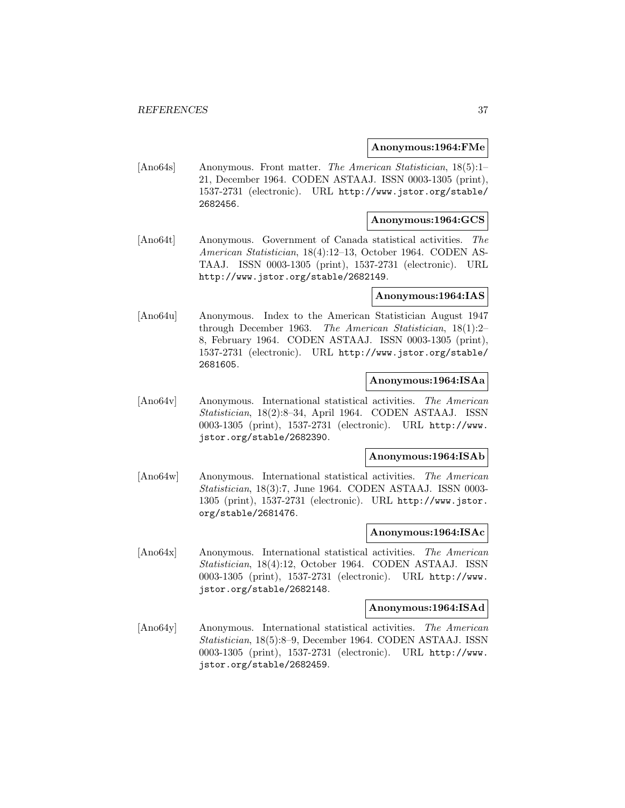### **Anonymous:1964:FMe**

[Ano64s] Anonymous. Front matter. The American Statistician, 18(5):1– 21, December 1964. CODEN ASTAAJ. ISSN 0003-1305 (print), 1537-2731 (electronic). URL http://www.jstor.org/stable/ 2682456.

# **Anonymous:1964:GCS**

[Ano64t] Anonymous. Government of Canada statistical activities. The American Statistician, 18(4):12–13, October 1964. CODEN AS-TAAJ. ISSN 0003-1305 (print), 1537-2731 (electronic). URL http://www.jstor.org/stable/2682149.

### **Anonymous:1964:IAS**

[Ano64u] Anonymous. Index to the American Statistician August 1947 through December 1963. The American Statistician, 18(1):2– 8, February 1964. CODEN ASTAAJ. ISSN 0003-1305 (print), 1537-2731 (electronic). URL http://www.jstor.org/stable/ 2681605.

### **Anonymous:1964:ISAa**

[Ano64v] Anonymous. International statistical activities. The American Statistician, 18(2):8–34, April 1964. CODEN ASTAAJ. ISSN 0003-1305 (print), 1537-2731 (electronic). URL http://www. jstor.org/stable/2682390.

### **Anonymous:1964:ISAb**

[Ano64w] Anonymous. International statistical activities. The American Statistician, 18(3):7, June 1964. CODEN ASTAAJ. ISSN 0003- 1305 (print), 1537-2731 (electronic). URL http://www.jstor. org/stable/2681476.

#### **Anonymous:1964:ISAc**

[Ano64x] Anonymous. International statistical activities. The American Statistician, 18(4):12, October 1964. CODEN ASTAAJ. ISSN 0003-1305 (print), 1537-2731 (electronic). URL http://www. jstor.org/stable/2682148.

#### **Anonymous:1964:ISAd**

[Ano64y] Anonymous. International statistical activities. The American Statistician, 18(5):8–9, December 1964. CODEN ASTAAJ. ISSN 0003-1305 (print), 1537-2731 (electronic). URL http://www. jstor.org/stable/2682459.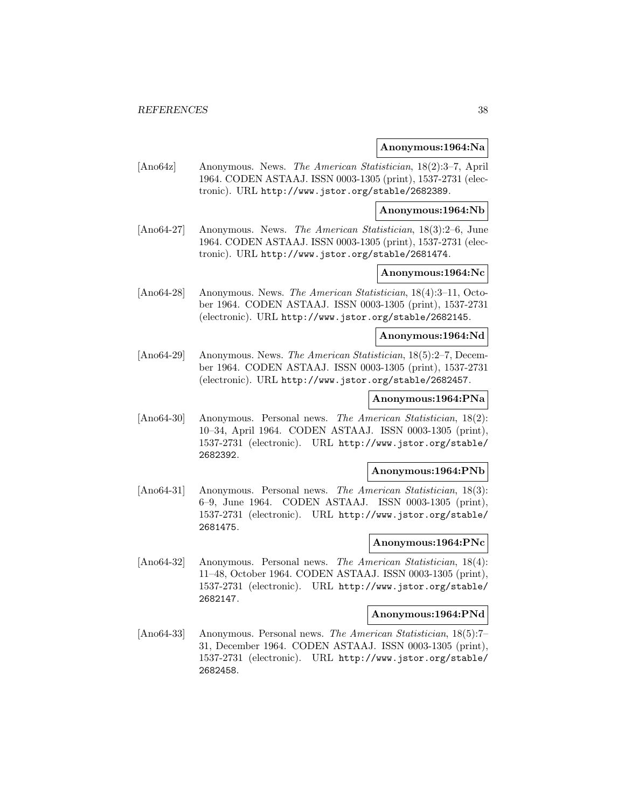#### **Anonymous:1964:Na**

[Ano64z] Anonymous. News. The American Statistician, 18(2):3–7, April 1964. CODEN ASTAAJ. ISSN 0003-1305 (print), 1537-2731 (electronic). URL http://www.jstor.org/stable/2682389.

**Anonymous:1964:Nb**

[Ano64-27] Anonymous. News. The American Statistician, 18(3):2–6, June 1964. CODEN ASTAAJ. ISSN 0003-1305 (print), 1537-2731 (electronic). URL http://www.jstor.org/stable/2681474.

# **Anonymous:1964:Nc**

[Ano64-28] Anonymous. News. The American Statistician, 18(4):3–11, October 1964. CODEN ASTAAJ. ISSN 0003-1305 (print), 1537-2731 (electronic). URL http://www.jstor.org/stable/2682145.

# **Anonymous:1964:Nd**

[Ano64-29] Anonymous. News. The American Statistician, 18(5):2–7, December 1964. CODEN ASTAAJ. ISSN 0003-1305 (print), 1537-2731 (electronic). URL http://www.jstor.org/stable/2682457.

### **Anonymous:1964:PNa**

[Ano64-30] Anonymous. Personal news. The American Statistician, 18(2): 10–34, April 1964. CODEN ASTAAJ. ISSN 0003-1305 (print), 1537-2731 (electronic). URL http://www.jstor.org/stable/ 2682392.

# **Anonymous:1964:PNb**

[Ano64-31] Anonymous. Personal news. The American Statistician, 18(3): 6–9, June 1964. CODEN ASTAAJ. ISSN 0003-1305 (print), 1537-2731 (electronic). URL http://www.jstor.org/stable/ 2681475.

# **Anonymous:1964:PNc**

[Ano64-32] Anonymous. Personal news. The American Statistician, 18(4): 11–48, October 1964. CODEN ASTAAJ. ISSN 0003-1305 (print), 1537-2731 (electronic). URL http://www.jstor.org/stable/ 2682147.

# **Anonymous:1964:PNd**

[Ano64-33] Anonymous. Personal news. The American Statistician, 18(5):7– 31, December 1964. CODEN ASTAAJ. ISSN 0003-1305 (print), 1537-2731 (electronic). URL http://www.jstor.org/stable/ 2682458.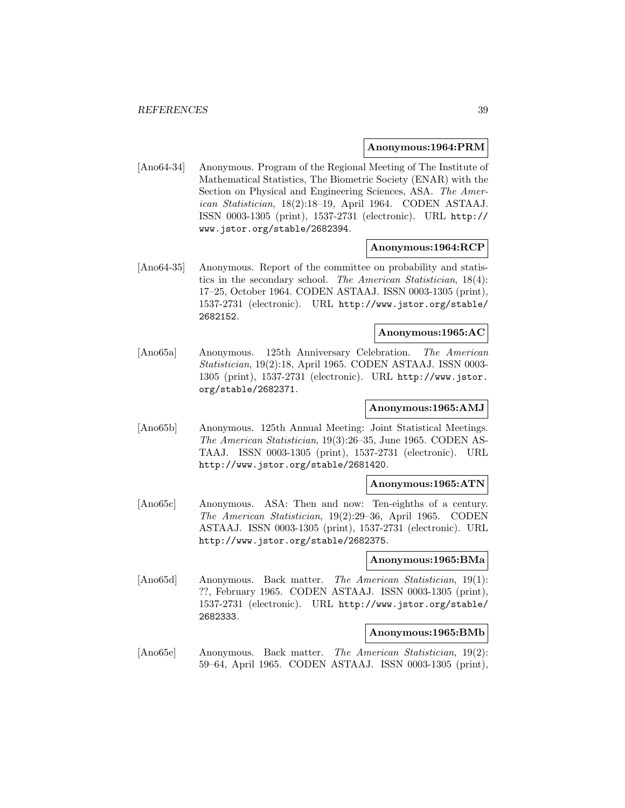#### **Anonymous:1964:PRM**

[Ano64-34] Anonymous. Program of the Regional Meeting of The Institute of Mathematical Statistics, The Biometric Society (ENAR) with the Section on Physical and Engineering Sciences, ASA. The American Statistician, 18(2):18–19, April 1964. CODEN ASTAAJ. ISSN 0003-1305 (print), 1537-2731 (electronic). URL http:// www.jstor.org/stable/2682394.

## **Anonymous:1964:RCP**

[Ano64-35] Anonymous. Report of the committee on probability and statistics in the secondary school. The American Statistician, 18(4): 17–25, October 1964. CODEN ASTAAJ. ISSN 0003-1305 (print), 1537-2731 (electronic). URL http://www.jstor.org/stable/ 2682152.

#### **Anonymous:1965:AC**

[Ano65a] Anonymous. 125th Anniversary Celebration. The American Statistician, 19(2):18, April 1965. CODEN ASTAAJ. ISSN 0003- 1305 (print), 1537-2731 (electronic). URL http://www.jstor. org/stable/2682371.

## **Anonymous:1965:AMJ**

[Ano65b] Anonymous. 125th Annual Meeting: Joint Statistical Meetings. The American Statistician, 19(3):26–35, June 1965. CODEN AS-TAAJ. ISSN 0003-1305 (print), 1537-2731 (electronic). URL http://www.jstor.org/stable/2681420.

#### **Anonymous:1965:ATN**

[Ano65c] Anonymous. ASA: Then and now: Ten-eighths of a century. The American Statistician, 19(2):29–36, April 1965. CODEN ASTAAJ. ISSN 0003-1305 (print), 1537-2731 (electronic). URL http://www.jstor.org/stable/2682375.

### **Anonymous:1965:BMa**

[Ano65d] Anonymous. Back matter. The American Statistician, 19(1): ??, February 1965. CODEN ASTAAJ. ISSN 0003-1305 (print), 1537-2731 (electronic). URL http://www.jstor.org/stable/ 2682333.

#### **Anonymous:1965:BMb**

[Ano65e] Anonymous. Back matter. The American Statistician, 19(2): 59–64, April 1965. CODEN ASTAAJ. ISSN 0003-1305 (print),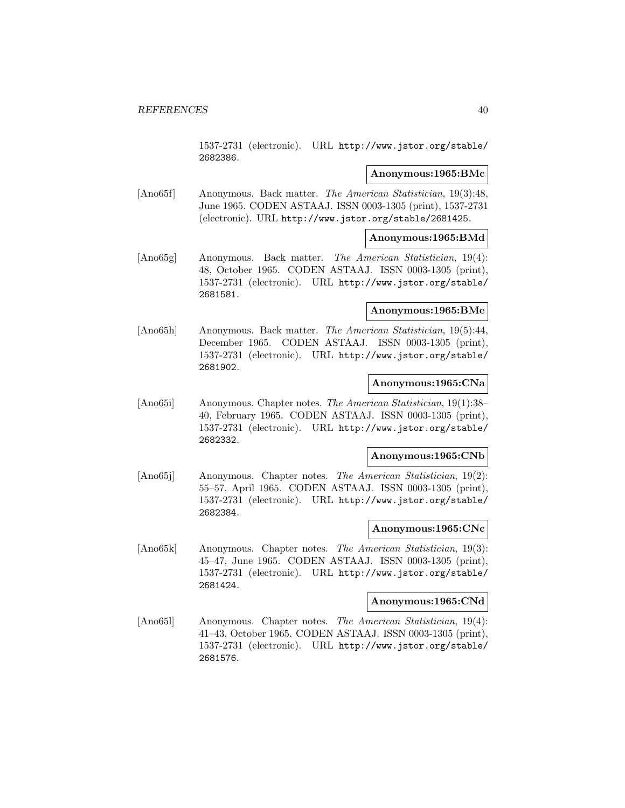1537-2731 (electronic). URL http://www.jstor.org/stable/ 2682386.

# **Anonymous:1965:BMc**

[Ano65f] Anonymous. Back matter. The American Statistician, 19(3):48, June 1965. CODEN ASTAAJ. ISSN 0003-1305 (print), 1537-2731 (electronic). URL http://www.jstor.org/stable/2681425.

## **Anonymous:1965:BMd**

[Ano65g] Anonymous. Back matter. The American Statistician, 19(4): 48, October 1965. CODEN ASTAAJ. ISSN 0003-1305 (print), 1537-2731 (electronic). URL http://www.jstor.org/stable/ 2681581.

# **Anonymous:1965:BMe**

[Ano65h] Anonymous. Back matter. The American Statistician, 19(5):44, December 1965. CODEN ASTAAJ. ISSN 0003-1305 (print), 1537-2731 (electronic). URL http://www.jstor.org/stable/ 2681902.

### **Anonymous:1965:CNa**

[Ano65i] Anonymous. Chapter notes. The American Statistician, 19(1):38– 40, February 1965. CODEN ASTAAJ. ISSN 0003-1305 (print), 1537-2731 (electronic). URL http://www.jstor.org/stable/ 2682332.

# **Anonymous:1965:CNb**

[Ano65j] Anonymous. Chapter notes. The American Statistician, 19(2): 55–57, April 1965. CODEN ASTAAJ. ISSN 0003-1305 (print), 1537-2731 (electronic). URL http://www.jstor.org/stable/ 2682384.

### **Anonymous:1965:CNc**

[Ano65k] Anonymous. Chapter notes. The American Statistician, 19(3): 45–47, June 1965. CODEN ASTAAJ. ISSN 0003-1305 (print), 1537-2731 (electronic). URL http://www.jstor.org/stable/ 2681424.

### **Anonymous:1965:CNd**

[Ano65l] Anonymous. Chapter notes. The American Statistician, 19(4): 41–43, October 1965. CODEN ASTAAJ. ISSN 0003-1305 (print), 1537-2731 (electronic). URL http://www.jstor.org/stable/ 2681576.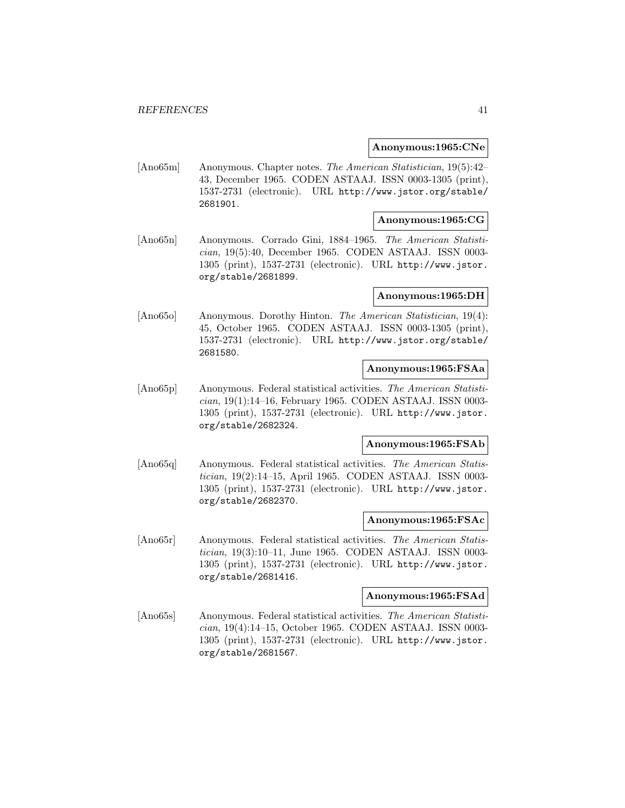#### **Anonymous:1965:CNe**

[Ano65m] Anonymous. Chapter notes. The American Statistician, 19(5):42– 43, December 1965. CODEN ASTAAJ. ISSN 0003-1305 (print), 1537-2731 (electronic). URL http://www.jstor.org/stable/ 2681901.

## **Anonymous:1965:CG**

[Ano65n] Anonymous. Corrado Gini, 1884–1965. The American Statistician, 19(5):40, December 1965. CODEN ASTAAJ. ISSN 0003- 1305 (print), 1537-2731 (electronic). URL http://www.jstor. org/stable/2681899.

# **Anonymous:1965:DH**

[Ano65o] Anonymous. Dorothy Hinton. The American Statistician, 19(4): 45, October 1965. CODEN ASTAAJ. ISSN 0003-1305 (print), 1537-2731 (electronic). URL http://www.jstor.org/stable/ 2681580.

# **Anonymous:1965:FSAa**

[Ano65p] Anonymous. Federal statistical activities. The American Statistician, 19(1):14–16, February 1965. CODEN ASTAAJ. ISSN 0003- 1305 (print), 1537-2731 (electronic). URL http://www.jstor. org/stable/2682324.

### **Anonymous:1965:FSAb**

[Ano65q] Anonymous. Federal statistical activities. The American Statistician, 19(2):14–15, April 1965. CODEN ASTAAJ. ISSN 0003- 1305 (print), 1537-2731 (electronic). URL http://www.jstor. org/stable/2682370.

### **Anonymous:1965:FSAc**

[Ano65r] Anonymous. Federal statistical activities. The American Statistician, 19(3):10–11, June 1965. CODEN ASTAAJ. ISSN 0003- 1305 (print), 1537-2731 (electronic). URL http://www.jstor. org/stable/2681416.

## **Anonymous:1965:FSAd**

[Ano65s] Anonymous. Federal statistical activities. The American Statistician, 19(4):14–15, October 1965. CODEN ASTAAJ. ISSN 0003- 1305 (print), 1537-2731 (electronic). URL http://www.jstor. org/stable/2681567.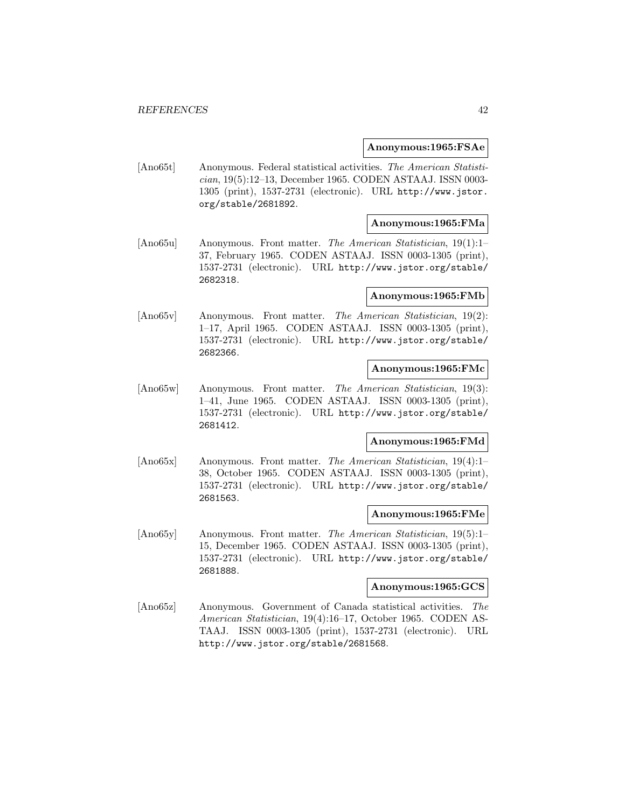#### **Anonymous:1965:FSAe**

[Ano65t] Anonymous. Federal statistical activities. The American Statistician, 19(5):12–13, December 1965. CODEN ASTAAJ. ISSN 0003- 1305 (print), 1537-2731 (electronic). URL http://www.jstor. org/stable/2681892.

# **Anonymous:1965:FMa**

[Ano65u] Anonymous. Front matter. The American Statistician, 19(1):1– 37, February 1965. CODEN ASTAAJ. ISSN 0003-1305 (print), 1537-2731 (electronic). URL http://www.jstor.org/stable/ 2682318.

### **Anonymous:1965:FMb**

[Ano65v] Anonymous. Front matter. The American Statistician, 19(2): 1–17, April 1965. CODEN ASTAAJ. ISSN 0003-1305 (print), 1537-2731 (electronic). URL http://www.jstor.org/stable/ 2682366.

# **Anonymous:1965:FMc**

[Ano65w] Anonymous. Front matter. The American Statistician, 19(3): 1–41, June 1965. CODEN ASTAAJ. ISSN 0003-1305 (print), 1537-2731 (electronic). URL http://www.jstor.org/stable/ 2681412.

# **Anonymous:1965:FMd**

[Ano65x] Anonymous. Front matter. The American Statistician, 19(4):1– 38, October 1965. CODEN ASTAAJ. ISSN 0003-1305 (print), 1537-2731 (electronic). URL http://www.jstor.org/stable/ 2681563.

#### **Anonymous:1965:FMe**

[Ano65y] Anonymous. Front matter. The American Statistician, 19(5):1– 15, December 1965. CODEN ASTAAJ. ISSN 0003-1305 (print), 1537-2731 (electronic). URL http://www.jstor.org/stable/ 2681888.

#### **Anonymous:1965:GCS**

[Ano65z] Anonymous. Government of Canada statistical activities. The American Statistician, 19(4):16–17, October 1965. CODEN AS-TAAJ. ISSN 0003-1305 (print), 1537-2731 (electronic). URL http://www.jstor.org/stable/2681568.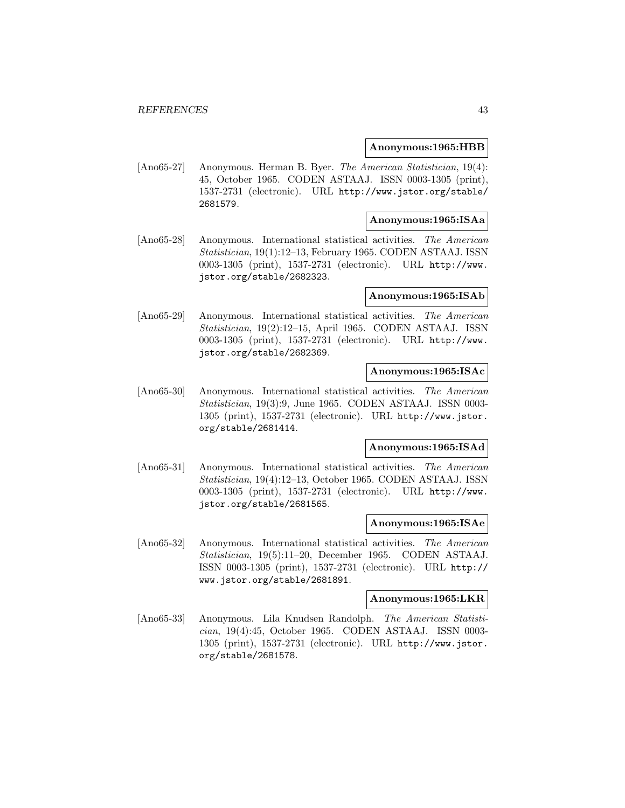### **Anonymous:1965:HBB**

[Ano65-27] Anonymous. Herman B. Byer. The American Statistician, 19(4): 45, October 1965. CODEN ASTAAJ. ISSN 0003-1305 (print), 1537-2731 (electronic). URL http://www.jstor.org/stable/ 2681579.

### **Anonymous:1965:ISAa**

[Ano65-28] Anonymous. International statistical activities. The American Statistician, 19(1):12–13, February 1965. CODEN ASTAAJ. ISSN 0003-1305 (print), 1537-2731 (electronic). URL http://www. jstor.org/stable/2682323.

# **Anonymous:1965:ISAb**

[Ano65-29] Anonymous. International statistical activities. The American Statistician, 19(2):12–15, April 1965. CODEN ASTAAJ. ISSN 0003-1305 (print), 1537-2731 (electronic). URL http://www. jstor.org/stable/2682369.

# **Anonymous:1965:ISAc**

[Ano65-30] Anonymous. International statistical activities. The American Statistician, 19(3):9, June 1965. CODEN ASTAAJ. ISSN 0003- 1305 (print), 1537-2731 (electronic). URL http://www.jstor. org/stable/2681414.

# **Anonymous:1965:ISAd**

[Ano65-31] Anonymous. International statistical activities. The American Statistician, 19(4):12–13, October 1965. CODEN ASTAAJ. ISSN 0003-1305 (print), 1537-2731 (electronic). URL http://www. jstor.org/stable/2681565.

### **Anonymous:1965:ISAe**

[Ano65-32] Anonymous. International statistical activities. The American Statistician, 19(5):11–20, December 1965. CODEN ASTAAJ. ISSN 0003-1305 (print), 1537-2731 (electronic). URL http:// www.jstor.org/stable/2681891.

### **Anonymous:1965:LKR**

[Ano65-33] Anonymous. Lila Knudsen Randolph. The American Statistician, 19(4):45, October 1965. CODEN ASTAAJ. ISSN 0003- 1305 (print), 1537-2731 (electronic). URL http://www.jstor. org/stable/2681578.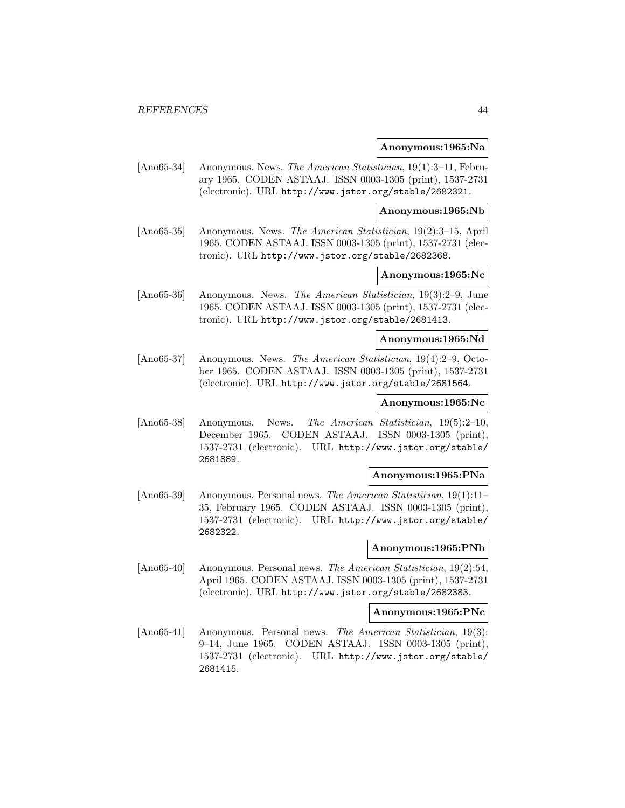#### **Anonymous:1965:Na**

[Ano65-34] Anonymous. News. The American Statistician, 19(1):3–11, February 1965. CODEN ASTAAJ. ISSN 0003-1305 (print), 1537-2731 (electronic). URL http://www.jstor.org/stable/2682321.

#### **Anonymous:1965:Nb**

[Ano65-35] Anonymous. News. The American Statistician, 19(2):3–15, April 1965. CODEN ASTAAJ. ISSN 0003-1305 (print), 1537-2731 (electronic). URL http://www.jstor.org/stable/2682368.

# **Anonymous:1965:Nc**

[Ano65-36] Anonymous. News. The American Statistician, 19(3):2–9, June 1965. CODEN ASTAAJ. ISSN 0003-1305 (print), 1537-2731 (electronic). URL http://www.jstor.org/stable/2681413.

#### **Anonymous:1965:Nd**

[Ano65-37] Anonymous. News. The American Statistician, 19(4):2–9, October 1965. CODEN ASTAAJ. ISSN 0003-1305 (print), 1537-2731 (electronic). URL http://www.jstor.org/stable/2681564.

## **Anonymous:1965:Ne**

[Ano65-38] Anonymous. News. The American Statistician, 19(5):2–10, December 1965. CODEN ASTAAJ. ISSN 0003-1305 (print), 1537-2731 (electronic). URL http://www.jstor.org/stable/ 2681889.

### **Anonymous:1965:PNa**

[Ano65-39] Anonymous. Personal news. The American Statistician, 19(1):11– 35, February 1965. CODEN ASTAAJ. ISSN 0003-1305 (print), 1537-2731 (electronic). URL http://www.jstor.org/stable/ 2682322.

### **Anonymous:1965:PNb**

[Ano65-40] Anonymous. Personal news. The American Statistician, 19(2):54, April 1965. CODEN ASTAAJ. ISSN 0003-1305 (print), 1537-2731 (electronic). URL http://www.jstor.org/stable/2682383.

### **Anonymous:1965:PNc**

[Ano65-41] Anonymous. Personal news. The American Statistician, 19(3): 9–14, June 1965. CODEN ASTAAJ. ISSN 0003-1305 (print), 1537-2731 (electronic). URL http://www.jstor.org/stable/ 2681415.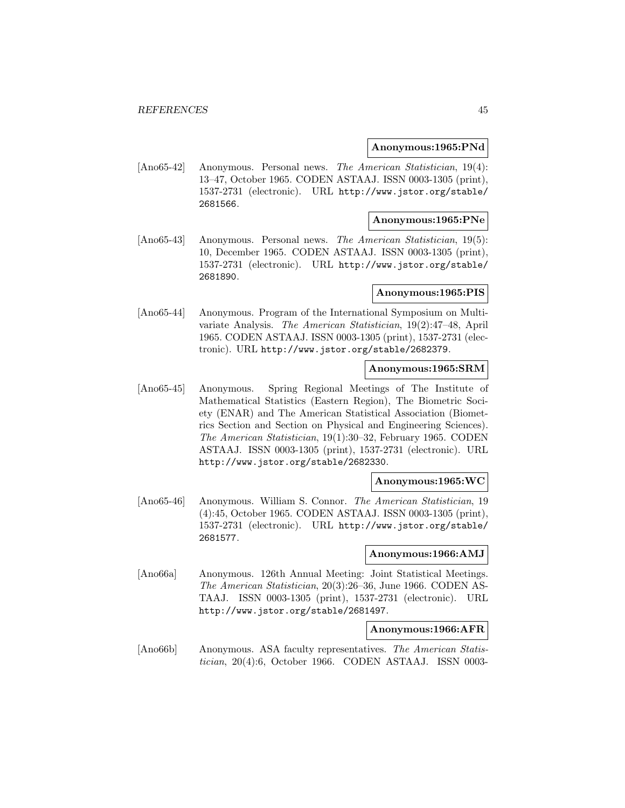#### **Anonymous:1965:PNd**

[Ano65-42] Anonymous. Personal news. The American Statistician, 19(4): 13–47, October 1965. CODEN ASTAAJ. ISSN 0003-1305 (print), 1537-2731 (electronic). URL http://www.jstor.org/stable/ 2681566.

# **Anonymous:1965:PNe**

[Ano65-43] Anonymous. Personal news. The American Statistician, 19(5): 10, December 1965. CODEN ASTAAJ. ISSN 0003-1305 (print), 1537-2731 (electronic). URL http://www.jstor.org/stable/ 2681890.

### **Anonymous:1965:PIS**

[Ano65-44] Anonymous. Program of the International Symposium on Multivariate Analysis. The American Statistician, 19(2):47–48, April 1965. CODEN ASTAAJ. ISSN 0003-1305 (print), 1537-2731 (electronic). URL http://www.jstor.org/stable/2682379.

## **Anonymous:1965:SRM**

[Ano65-45] Anonymous. Spring Regional Meetings of The Institute of Mathematical Statistics (Eastern Region), The Biometric Society (ENAR) and The American Statistical Association (Biometrics Section and Section on Physical and Engineering Sciences). The American Statistician, 19(1):30–32, February 1965. CODEN ASTAAJ. ISSN 0003-1305 (print), 1537-2731 (electronic). URL http://www.jstor.org/stable/2682330.

#### **Anonymous:1965:WC**

[Ano65-46] Anonymous. William S. Connor. The American Statistician, 19 (4):45, October 1965. CODEN ASTAAJ. ISSN 0003-1305 (print), 1537-2731 (electronic). URL http://www.jstor.org/stable/ 2681577.

# **Anonymous:1966:AMJ**

[Ano66a] Anonymous. 126th Annual Meeting: Joint Statistical Meetings. The American Statistician, 20(3):26–36, June 1966. CODEN AS-TAAJ. ISSN 0003-1305 (print), 1537-2731 (electronic). URL http://www.jstor.org/stable/2681497.

#### **Anonymous:1966:AFR**

[Ano66b] Anonymous. ASA faculty representatives. The American Statistician, 20(4):6, October 1966. CODEN ASTAAJ. ISSN 0003-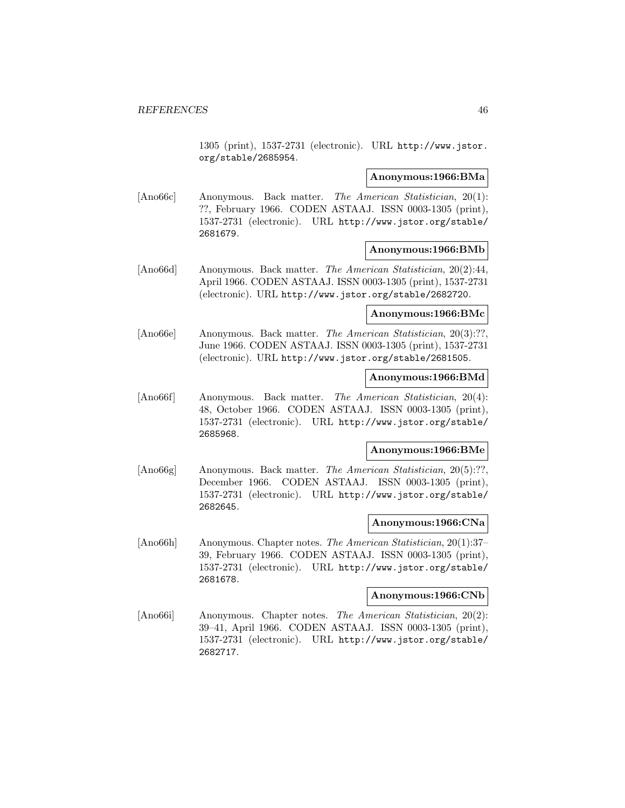1305 (print), 1537-2731 (electronic). URL http://www.jstor. org/stable/2685954.

#### **Anonymous:1966:BMa**

[Ano66c] Anonymous. Back matter. The American Statistician, 20(1): ??, February 1966. CODEN ASTAAJ. ISSN 0003-1305 (print), 1537-2731 (electronic). URL http://www.jstor.org/stable/ 2681679.

#### **Anonymous:1966:BMb**

[Ano66d] Anonymous. Back matter. The American Statistician, 20(2):44, April 1966. CODEN ASTAAJ. ISSN 0003-1305 (print), 1537-2731 (electronic). URL http://www.jstor.org/stable/2682720.

### **Anonymous:1966:BMc**

[Ano66e] Anonymous. Back matter. The American Statistician, 20(3):??, June 1966. CODEN ASTAAJ. ISSN 0003-1305 (print), 1537-2731 (electronic). URL http://www.jstor.org/stable/2681505.

### **Anonymous:1966:BMd**

[Ano66f] Anonymous. Back matter. The American Statistician, 20(4): 48, October 1966. CODEN ASTAAJ. ISSN 0003-1305 (print), 1537-2731 (electronic). URL http://www.jstor.org/stable/ 2685968.

### **Anonymous:1966:BMe**

[Ano66g] Anonymous. Back matter. The American Statistician, 20(5):??, December 1966. CODEN ASTAAJ. ISSN 0003-1305 (print), 1537-2731 (electronic). URL http://www.jstor.org/stable/ 2682645.

### **Anonymous:1966:CNa**

[Ano66h] Anonymous. Chapter notes. The American Statistician, 20(1):37– 39, February 1966. CODEN ASTAAJ. ISSN 0003-1305 (print), 1537-2731 (electronic). URL http://www.jstor.org/stable/ 2681678.

## **Anonymous:1966:CNb**

[Ano66i] Anonymous. Chapter notes. The American Statistician, 20(2): 39–41, April 1966. CODEN ASTAAJ. ISSN 0003-1305 (print), 1537-2731 (electronic). URL http://www.jstor.org/stable/ 2682717.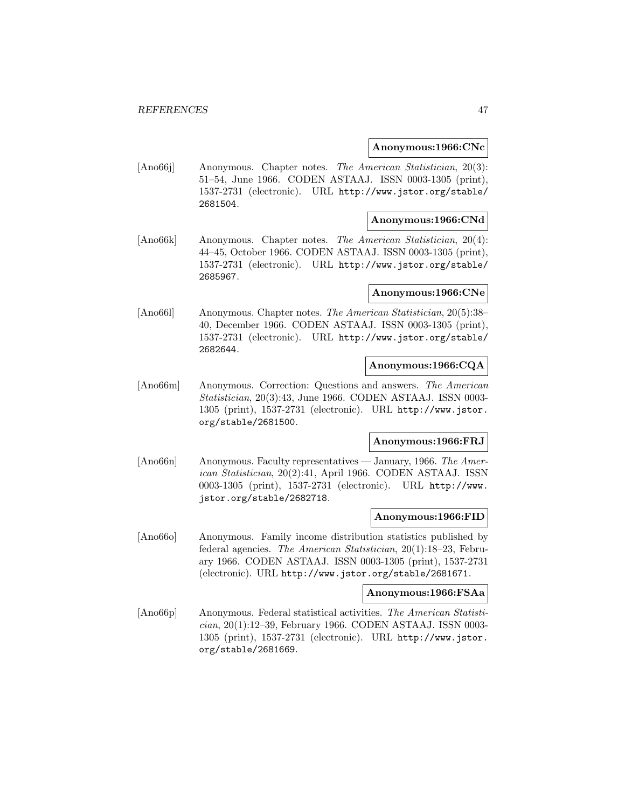#### **Anonymous:1966:CNc**

[Ano66j] Anonymous. Chapter notes. The American Statistician, 20(3): 51–54, June 1966. CODEN ASTAAJ. ISSN 0003-1305 (print), 1537-2731 (electronic). URL http://www.jstor.org/stable/ 2681504.

### **Anonymous:1966:CNd**

[Ano66k] Anonymous. Chapter notes. The American Statistician, 20(4): 44–45, October 1966. CODEN ASTAAJ. ISSN 0003-1305 (print), 1537-2731 (electronic). URL http://www.jstor.org/stable/ 2685967.

### **Anonymous:1966:CNe**

[Ano66l] Anonymous. Chapter notes. The American Statistician, 20(5):38– 40, December 1966. CODEN ASTAAJ. ISSN 0003-1305 (print), 1537-2731 (electronic). URL http://www.jstor.org/stable/ 2682644.

#### **Anonymous:1966:CQA**

[Ano66m] Anonymous. Correction: Questions and answers. The American Statistician, 20(3):43, June 1966. CODEN ASTAAJ. ISSN 0003- 1305 (print), 1537-2731 (electronic). URL http://www.jstor. org/stable/2681500.

# **Anonymous:1966:FRJ**

[Ano66n] Anonymous. Faculty representatives — January, 1966. The American Statistician, 20(2):41, April 1966. CODEN ASTAAJ. ISSN 0003-1305 (print), 1537-2731 (electronic). URL http://www. jstor.org/stable/2682718.

#### **Anonymous:1966:FID**

[Ano66o] Anonymous. Family income distribution statistics published by federal agencies. The American Statistician, 20(1):18–23, February 1966. CODEN ASTAAJ. ISSN 0003-1305 (print), 1537-2731 (electronic). URL http://www.jstor.org/stable/2681671.

### **Anonymous:1966:FSAa**

[Ano66p] Anonymous. Federal statistical activities. The American Statistician, 20(1):12–39, February 1966. CODEN ASTAAJ. ISSN 0003- 1305 (print), 1537-2731 (electronic). URL http://www.jstor. org/stable/2681669.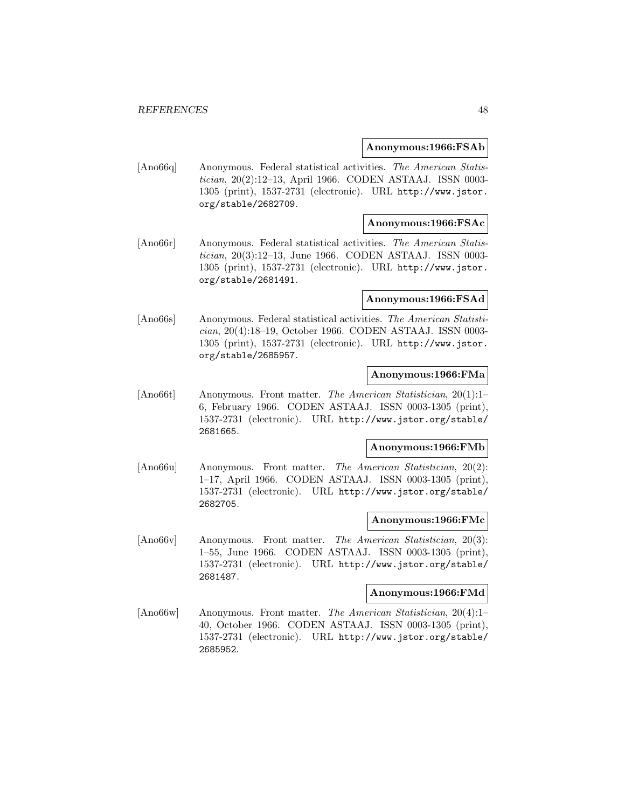#### **Anonymous:1966:FSAb**

[Ano66q] Anonymous. Federal statistical activities. The American Statistician, 20(2):12–13, April 1966. CODEN ASTAAJ. ISSN 0003- 1305 (print), 1537-2731 (electronic). URL http://www.jstor. org/stable/2682709.

# **Anonymous:1966:FSAc**

[Ano66r] Anonymous. Federal statistical activities. The American Statistician, 20(3):12–13, June 1966. CODEN ASTAAJ. ISSN 0003- 1305 (print), 1537-2731 (electronic). URL http://www.jstor. org/stable/2681491.

#### **Anonymous:1966:FSAd**

[Ano66s] Anonymous. Federal statistical activities. The American Statistician, 20(4):18–19, October 1966. CODEN ASTAAJ. ISSN 0003- 1305 (print), 1537-2731 (electronic). URL http://www.jstor. org/stable/2685957.

# **Anonymous:1966:FMa**

[Ano66t] Anonymous. Front matter. The American Statistician, 20(1):1– 6, February 1966. CODEN ASTAAJ. ISSN 0003-1305 (print), 1537-2731 (electronic). URL http://www.jstor.org/stable/ 2681665.

# **Anonymous:1966:FMb**

[Ano66u] Anonymous. Front matter. The American Statistician, 20(2): 1–17, April 1966. CODEN ASTAAJ. ISSN 0003-1305 (print), 1537-2731 (electronic). URL http://www.jstor.org/stable/ 2682705.

## **Anonymous:1966:FMc**

[Ano66v] Anonymous. Front matter. The American Statistician, 20(3): 1–55, June 1966. CODEN ASTAAJ. ISSN 0003-1305 (print), 1537-2731 (electronic). URL http://www.jstor.org/stable/ 2681487.

### **Anonymous:1966:FMd**

[Ano66w] Anonymous. Front matter. The American Statistician, 20(4):1– 40, October 1966. CODEN ASTAAJ. ISSN 0003-1305 (print), 1537-2731 (electronic). URL http://www.jstor.org/stable/ 2685952.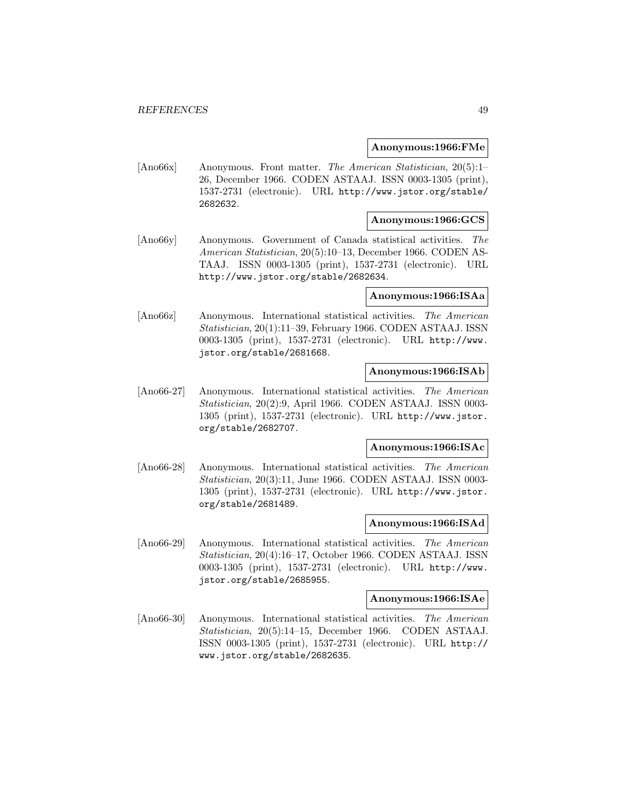### **Anonymous:1966:FMe**

[Ano66x] Anonymous. Front matter. The American Statistician, 20(5):1– 26, December 1966. CODEN ASTAAJ. ISSN 0003-1305 (print), 1537-2731 (electronic). URL http://www.jstor.org/stable/ 2682632.

# **Anonymous:1966:GCS**

[Ano66y] Anonymous. Government of Canada statistical activities. The American Statistician, 20(5):10–13, December 1966. CODEN AS-TAAJ. ISSN 0003-1305 (print), 1537-2731 (electronic). URL http://www.jstor.org/stable/2682634.

# **Anonymous:1966:ISAa**

[Ano66z] Anonymous. International statistical activities. The American Statistician, 20(1):11–39, February 1966. CODEN ASTAAJ. ISSN 0003-1305 (print), 1537-2731 (electronic). URL http://www. jstor.org/stable/2681668.

# **Anonymous:1966:ISAb**

[Ano66-27] Anonymous. International statistical activities. The American Statistician, 20(2):9, April 1966. CODEN ASTAAJ. ISSN 0003- 1305 (print), 1537-2731 (electronic). URL http://www.jstor. org/stable/2682707.

# **Anonymous:1966:ISAc**

[Ano66-28] Anonymous. International statistical activities. The American Statistician, 20(3):11, June 1966. CODEN ASTAAJ. ISSN 0003- 1305 (print), 1537-2731 (electronic). URL http://www.jstor. org/stable/2681489.

## **Anonymous:1966:ISAd**

[Ano66-29] Anonymous. International statistical activities. The American Statistician, 20(4):16–17, October 1966. CODEN ASTAAJ. ISSN 0003-1305 (print), 1537-2731 (electronic). URL http://www. jstor.org/stable/2685955.

# **Anonymous:1966:ISAe**

[Ano66-30] Anonymous. International statistical activities. The American Statistician, 20(5):14–15, December 1966. CODEN ASTAAJ. ISSN 0003-1305 (print), 1537-2731 (electronic). URL http:// www.jstor.org/stable/2682635.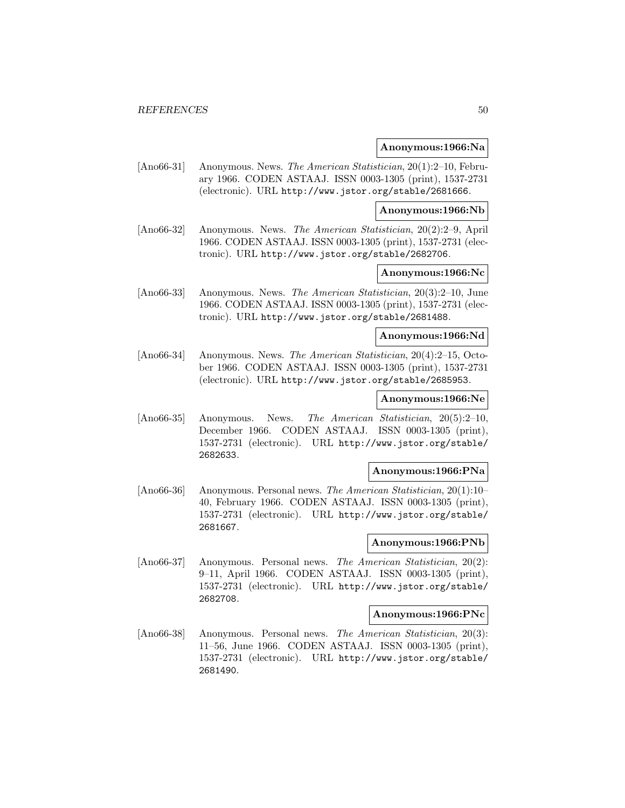#### **Anonymous:1966:Na**

[Ano66-31] Anonymous. News. The American Statistician, 20(1):2–10, February 1966. CODEN ASTAAJ. ISSN 0003-1305 (print), 1537-2731 (electronic). URL http://www.jstor.org/stable/2681666.

### **Anonymous:1966:Nb**

[Ano66-32] Anonymous. News. The American Statistician, 20(2):2–9, April 1966. CODEN ASTAAJ. ISSN 0003-1305 (print), 1537-2731 (electronic). URL http://www.jstor.org/stable/2682706.

## **Anonymous:1966:Nc**

[Ano66-33] Anonymous. News. The American Statistician, 20(3):2–10, June 1966. CODEN ASTAAJ. ISSN 0003-1305 (print), 1537-2731 (electronic). URL http://www.jstor.org/stable/2681488.

# **Anonymous:1966:Nd**

[Ano66-34] Anonymous. News. The American Statistician, 20(4):2–15, October 1966. CODEN ASTAAJ. ISSN 0003-1305 (print), 1537-2731 (electronic). URL http://www.jstor.org/stable/2685953.

### **Anonymous:1966:Ne**

[Ano66-35] Anonymous. News. The American Statistician, 20(5):2–10, December 1966. CODEN ASTAAJ. ISSN 0003-1305 (print), 1537-2731 (electronic). URL http://www.jstor.org/stable/ 2682633.

# **Anonymous:1966:PNa**

[Ano66-36] Anonymous. Personal news. The American Statistician, 20(1):10– 40, February 1966. CODEN ASTAAJ. ISSN 0003-1305 (print), 1537-2731 (electronic). URL http://www.jstor.org/stable/ 2681667.

# **Anonymous:1966:PNb**

[Ano66-37] Anonymous. Personal news. The American Statistician, 20(2): 9–11, April 1966. CODEN ASTAAJ. ISSN 0003-1305 (print), 1537-2731 (electronic). URL http://www.jstor.org/stable/ 2682708.

# **Anonymous:1966:PNc**

[Ano66-38] Anonymous. Personal news. The American Statistician, 20(3): 11–56, June 1966. CODEN ASTAAJ. ISSN 0003-1305 (print), 1537-2731 (electronic). URL http://www.jstor.org/stable/ 2681490.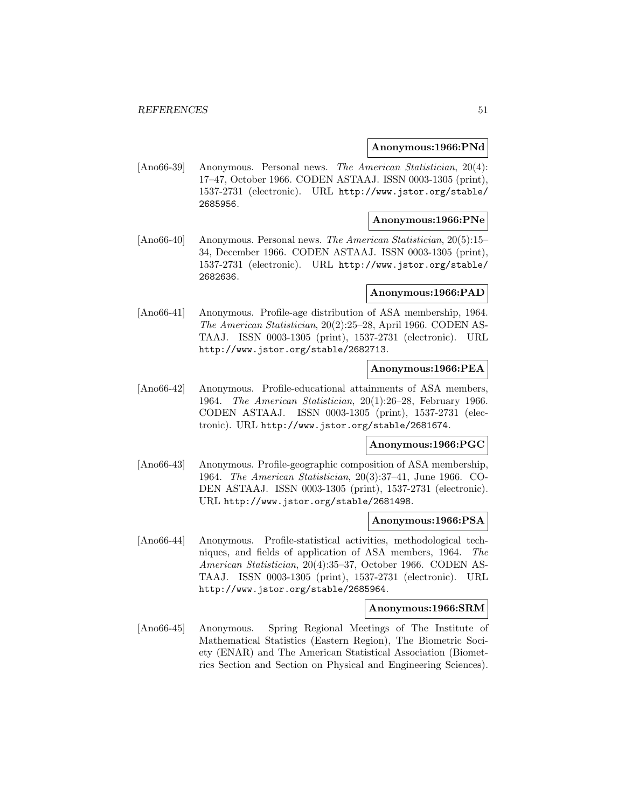#### **Anonymous:1966:PNd**

[Ano66-39] Anonymous. Personal news. The American Statistician, 20(4): 17–47, October 1966. CODEN ASTAAJ. ISSN 0003-1305 (print), 1537-2731 (electronic). URL http://www.jstor.org/stable/ 2685956.

### **Anonymous:1966:PNe**

[Ano66-40] Anonymous. Personal news. The American Statistician, 20(5):15– 34, December 1966. CODEN ASTAAJ. ISSN 0003-1305 (print), 1537-2731 (electronic). URL http://www.jstor.org/stable/ 2682636.

## **Anonymous:1966:PAD**

[Ano66-41] Anonymous. Profile-age distribution of ASA membership, 1964. The American Statistician, 20(2):25–28, April 1966. CODEN AS-TAAJ. ISSN 0003-1305 (print), 1537-2731 (electronic). URL http://www.jstor.org/stable/2682713.

# **Anonymous:1966:PEA**

[Ano66-42] Anonymous. Profile-educational attainments of ASA members, 1964. The American Statistician, 20(1):26–28, February 1966. CODEN ASTAAJ. ISSN 0003-1305 (print), 1537-2731 (electronic). URL http://www.jstor.org/stable/2681674.

## **Anonymous:1966:PGC**

[Ano66-43] Anonymous. Profile-geographic composition of ASA membership, 1964. The American Statistician, 20(3):37–41, June 1966. CO-DEN ASTAAJ. ISSN 0003-1305 (print), 1537-2731 (electronic). URL http://www.jstor.org/stable/2681498.

# **Anonymous:1966:PSA**

[Ano66-44] Anonymous. Profile-statistical activities, methodological techniques, and fields of application of ASA members, 1964. The American Statistician, 20(4):35–37, October 1966. CODEN AS-TAAJ. ISSN 0003-1305 (print), 1537-2731 (electronic). URL http://www.jstor.org/stable/2685964.

## **Anonymous:1966:SRM**

[Ano66-45] Anonymous. Spring Regional Meetings of The Institute of Mathematical Statistics (Eastern Region), The Biometric Society (ENAR) and The American Statistical Association (Biometrics Section and Section on Physical and Engineering Sciences).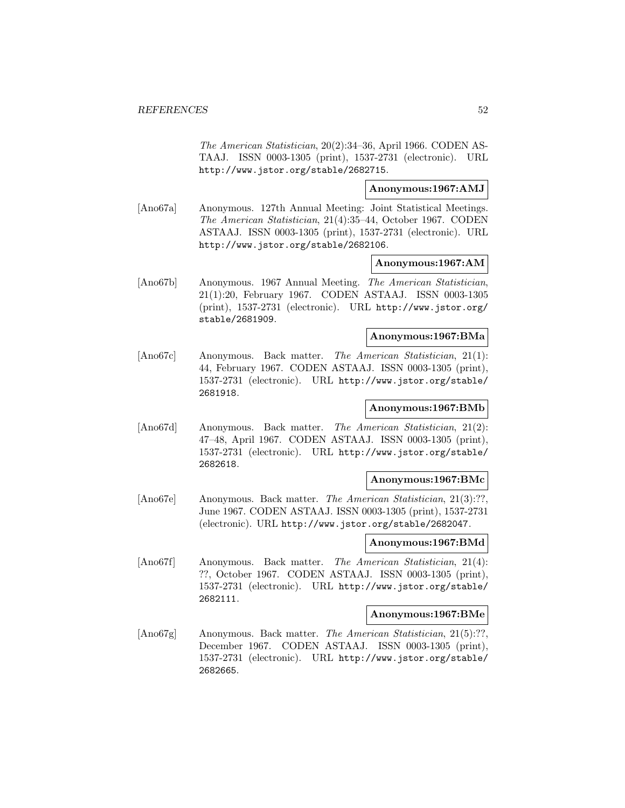The American Statistician, 20(2):34–36, April 1966. CODEN AS-TAAJ. ISSN 0003-1305 (print), 1537-2731 (electronic). URL http://www.jstor.org/stable/2682715.

### **Anonymous:1967:AMJ**

[Ano67a] Anonymous. 127th Annual Meeting: Joint Statistical Meetings. The American Statistician, 21(4):35–44, October 1967. CODEN ASTAAJ. ISSN 0003-1305 (print), 1537-2731 (electronic). URL http://www.jstor.org/stable/2682106.

#### **Anonymous:1967:AM**

[Ano67b] Anonymous. 1967 Annual Meeting. The American Statistician, 21(1):20, February 1967. CODEN ASTAAJ. ISSN 0003-1305 (print), 1537-2731 (electronic). URL http://www.jstor.org/ stable/2681909.

# **Anonymous:1967:BMa**

[Ano67c] Anonymous. Back matter. The American Statistician, 21(1): 44, February 1967. CODEN ASTAAJ. ISSN 0003-1305 (print), 1537-2731 (electronic). URL http://www.jstor.org/stable/ 2681918.

## **Anonymous:1967:BMb**

[Ano67d] Anonymous. Back matter. The American Statistician, 21(2): 47–48, April 1967. CODEN ASTAAJ. ISSN 0003-1305 (print), 1537-2731 (electronic). URL http://www.jstor.org/stable/ 2682618.

#### **Anonymous:1967:BMc**

[Ano67e] Anonymous. Back matter. The American Statistician, 21(3):??, June 1967. CODEN ASTAAJ. ISSN 0003-1305 (print), 1537-2731 (electronic). URL http://www.jstor.org/stable/2682047.

# **Anonymous:1967:BMd**

[Ano67f] Anonymous. Back matter. The American Statistician, 21(4): ??, October 1967. CODEN ASTAAJ. ISSN 0003-1305 (print), 1537-2731 (electronic). URL http://www.jstor.org/stable/ 2682111.

# **Anonymous:1967:BMe**

[Ano67g] Anonymous. Back matter. The American Statistician, 21(5):??, December 1967. CODEN ASTAAJ. ISSN 0003-1305 (print), 1537-2731 (electronic). URL http://www.jstor.org/stable/ 2682665.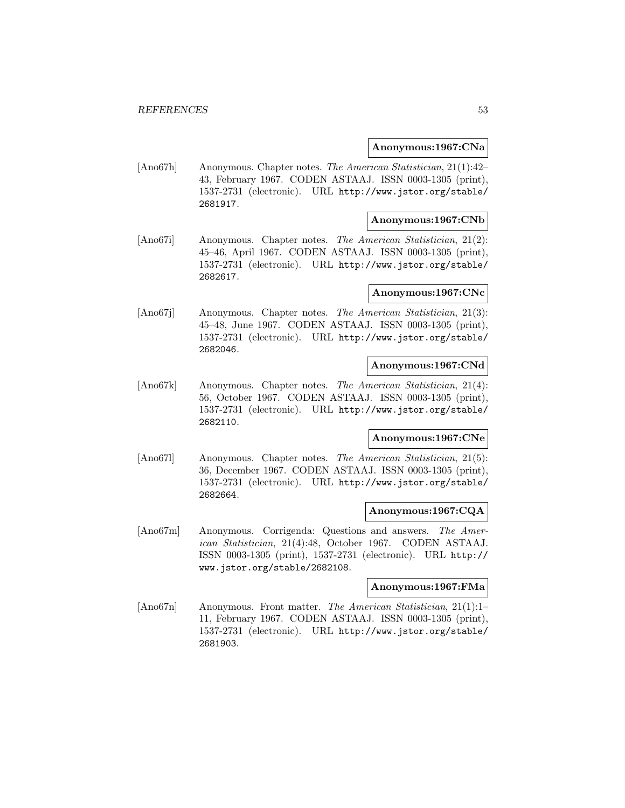### **Anonymous:1967:CNa**

[Ano67h] Anonymous. Chapter notes. The American Statistician, 21(1):42– 43, February 1967. CODEN ASTAAJ. ISSN 0003-1305 (print), 1537-2731 (electronic). URL http://www.jstor.org/stable/ 2681917.

### **Anonymous:1967:CNb**

[Ano67i] Anonymous. Chapter notes. The American Statistician, 21(2): 45–46, April 1967. CODEN ASTAAJ. ISSN 0003-1305 (print), 1537-2731 (electronic). URL http://www.jstor.org/stable/ 2682617.

### **Anonymous:1967:CNc**

[Ano67j] Anonymous. Chapter notes. The American Statistician, 21(3): 45–48, June 1967. CODEN ASTAAJ. ISSN 0003-1305 (print), 1537-2731 (electronic). URL http://www.jstor.org/stable/ 2682046.

#### **Anonymous:1967:CNd**

[Ano67k] Anonymous. Chapter notes. The American Statistician, 21(4): 56, October 1967. CODEN ASTAAJ. ISSN 0003-1305 (print), 1537-2731 (electronic). URL http://www.jstor.org/stable/ 2682110.

# **Anonymous:1967:CNe**

[Ano67l] Anonymous. Chapter notes. The American Statistician, 21(5): 36, December 1967. CODEN ASTAAJ. ISSN 0003-1305 (print), 1537-2731 (electronic). URL http://www.jstor.org/stable/ 2682664.

## **Anonymous:1967:CQA**

[Ano67m] Anonymous. Corrigenda: Questions and answers. The American Statistician, 21(4):48, October 1967. CODEN ASTAAJ. ISSN 0003-1305 (print), 1537-2731 (electronic). URL http:// www.jstor.org/stable/2682108.

### **Anonymous:1967:FMa**

[Ano67n] Anonymous. Front matter. The American Statistician, 21(1):1– 11, February 1967. CODEN ASTAAJ. ISSN 0003-1305 (print), 1537-2731 (electronic). URL http://www.jstor.org/stable/ 2681903.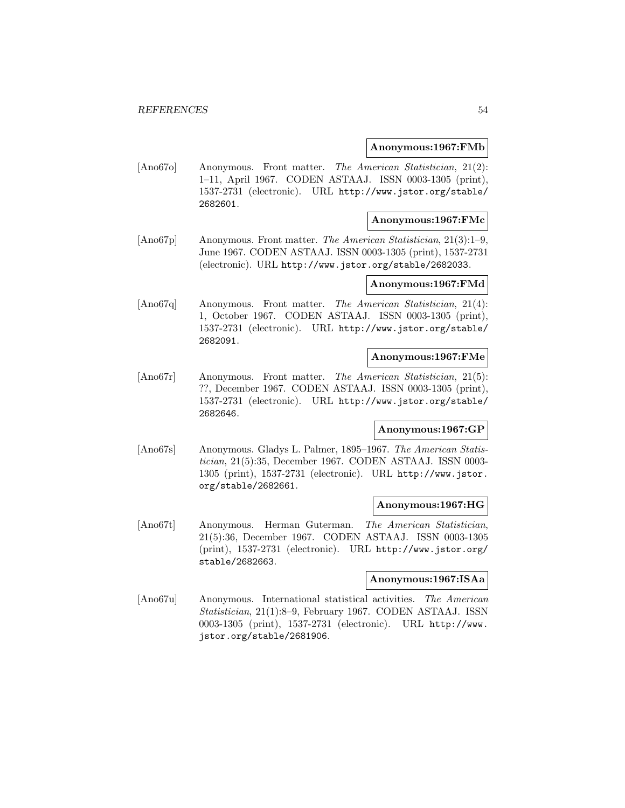### **Anonymous:1967:FMb**

[Ano67o] Anonymous. Front matter. The American Statistician, 21(2): 1–11, April 1967. CODEN ASTAAJ. ISSN 0003-1305 (print), 1537-2731 (electronic). URL http://www.jstor.org/stable/ 2682601.

# **Anonymous:1967:FMc**

[Ano67p] Anonymous. Front matter. The American Statistician, 21(3):1–9, June 1967. CODEN ASTAAJ. ISSN 0003-1305 (print), 1537-2731 (electronic). URL http://www.jstor.org/stable/2682033.

# **Anonymous:1967:FMd**

[Ano67q] Anonymous. Front matter. The American Statistician, 21(4): 1, October 1967. CODEN ASTAAJ. ISSN 0003-1305 (print), 1537-2731 (electronic). URL http://www.jstor.org/stable/ 2682091.

# **Anonymous:1967:FMe**

[Ano67r] Anonymous. Front matter. The American Statistician, 21(5): ??, December 1967. CODEN ASTAAJ. ISSN 0003-1305 (print), 1537-2731 (electronic). URL http://www.jstor.org/stable/ 2682646.

#### **Anonymous:1967:GP**

[Ano67s] Anonymous. Gladys L. Palmer, 1895–1967. The American Statistician, 21(5):35, December 1967. CODEN ASTAAJ. ISSN 0003- 1305 (print), 1537-2731 (electronic). URL http://www.jstor. org/stable/2682661.

### **Anonymous:1967:HG**

[Ano67t] Anonymous. Herman Guterman. The American Statistician, 21(5):36, December 1967. CODEN ASTAAJ. ISSN 0003-1305 (print), 1537-2731 (electronic). URL http://www.jstor.org/ stable/2682663.

#### **Anonymous:1967:ISAa**

[Ano67u] Anonymous. International statistical activities. The American Statistician, 21(1):8–9, February 1967. CODEN ASTAAJ. ISSN 0003-1305 (print), 1537-2731 (electronic). URL http://www. jstor.org/stable/2681906.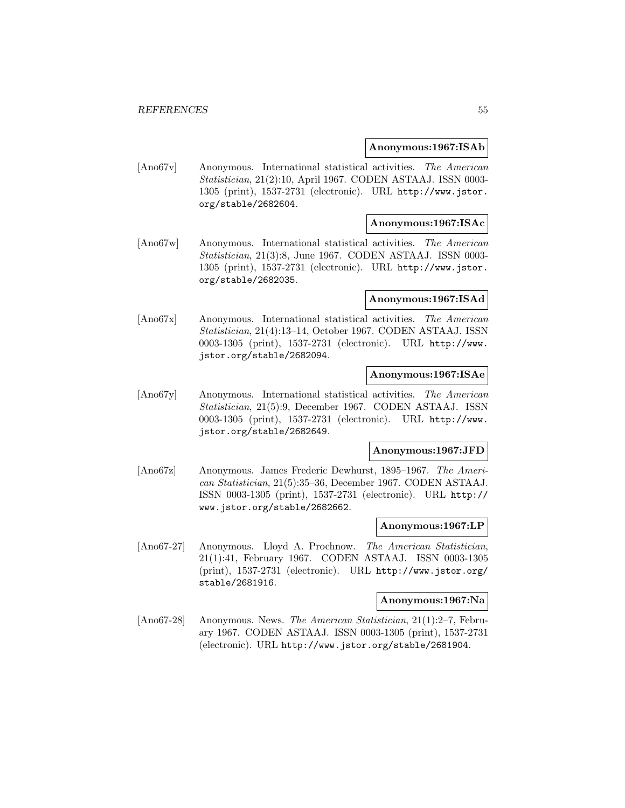### **Anonymous:1967:ISAb**

[Ano67v] Anonymous. International statistical activities. The American Statistician, 21(2):10, April 1967. CODEN ASTAAJ. ISSN 0003- 1305 (print), 1537-2731 (electronic). URL http://www.jstor. org/stable/2682604.

# **Anonymous:1967:ISAc**

[Ano67w] Anonymous. International statistical activities. The American Statistician, 21(3):8, June 1967. CODEN ASTAAJ. ISSN 0003- 1305 (print), 1537-2731 (electronic). URL http://www.jstor. org/stable/2682035.

#### **Anonymous:1967:ISAd**

[Ano67x] Anonymous. International statistical activities. The American Statistician, 21(4):13–14, October 1967. CODEN ASTAAJ. ISSN 0003-1305 (print), 1537-2731 (electronic). URL http://www. jstor.org/stable/2682094.

## **Anonymous:1967:ISAe**

[Ano67y] Anonymous. International statistical activities. The American Statistician, 21(5):9, December 1967. CODEN ASTAAJ. ISSN 0003-1305 (print), 1537-2731 (electronic). URL http://www. jstor.org/stable/2682649.

#### **Anonymous:1967:JFD**

[Ano67z] Anonymous. James Frederic Dewhurst, 1895–1967. The American Statistician, 21(5):35–36, December 1967. CODEN ASTAAJ. ISSN 0003-1305 (print), 1537-2731 (electronic). URL http:// www.jstor.org/stable/2682662.

### **Anonymous:1967:LP**

[Ano67-27] Anonymous. Lloyd A. Prochnow. The American Statistician, 21(1):41, February 1967. CODEN ASTAAJ. ISSN 0003-1305 (print), 1537-2731 (electronic). URL http://www.jstor.org/ stable/2681916.

#### **Anonymous:1967:Na**

[Ano67-28] Anonymous. News. The American Statistician, 21(1):2–7, February 1967. CODEN ASTAAJ. ISSN 0003-1305 (print), 1537-2731 (electronic). URL http://www.jstor.org/stable/2681904.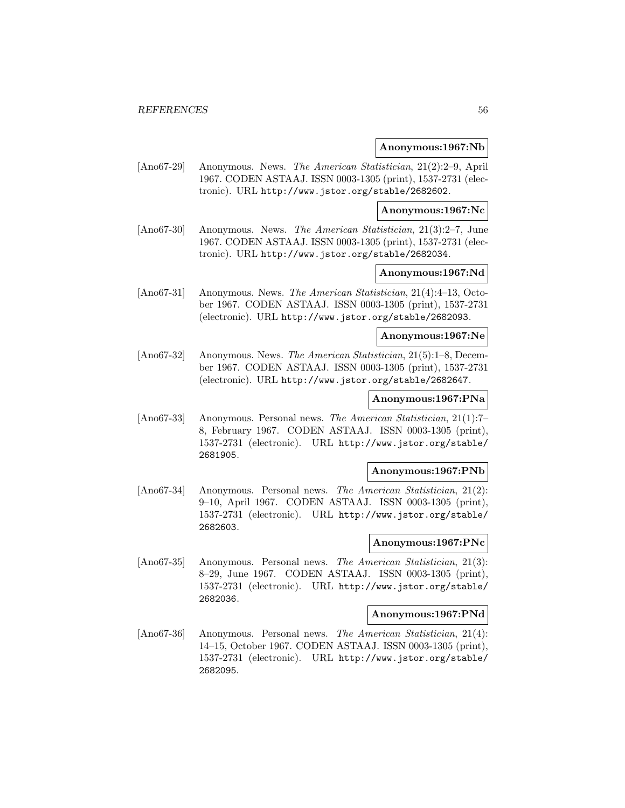#### **Anonymous:1967:Nb**

[Ano67-29] Anonymous. News. The American Statistician, 21(2):2–9, April 1967. CODEN ASTAAJ. ISSN 0003-1305 (print), 1537-2731 (electronic). URL http://www.jstor.org/stable/2682602.

### **Anonymous:1967:Nc**

[Ano67-30] Anonymous. News. The American Statistician, 21(3):2–7, June 1967. CODEN ASTAAJ. ISSN 0003-1305 (print), 1537-2731 (electronic). URL http://www.jstor.org/stable/2682034.

# **Anonymous:1967:Nd**

[Ano67-31] Anonymous. News. The American Statistician, 21(4):4–13, October 1967. CODEN ASTAAJ. ISSN 0003-1305 (print), 1537-2731 (electronic). URL http://www.jstor.org/stable/2682093.

# **Anonymous:1967:Ne**

[Ano67-32] Anonymous. News. The American Statistician, 21(5):1–8, December 1967. CODEN ASTAAJ. ISSN 0003-1305 (print), 1537-2731 (electronic). URL http://www.jstor.org/stable/2682647.

# **Anonymous:1967:PNa**

[Ano67-33] Anonymous. Personal news. The American Statistician, 21(1):7– 8, February 1967. CODEN ASTAAJ. ISSN 0003-1305 (print), 1537-2731 (electronic). URL http://www.jstor.org/stable/ 2681905.

# **Anonymous:1967:PNb**

[Ano67-34] Anonymous. Personal news. The American Statistician, 21(2): 9–10, April 1967. CODEN ASTAAJ. ISSN 0003-1305 (print), 1537-2731 (electronic). URL http://www.jstor.org/stable/ 2682603.

# **Anonymous:1967:PNc**

[Ano67-35] Anonymous. Personal news. The American Statistician, 21(3): 8–29, June 1967. CODEN ASTAAJ. ISSN 0003-1305 (print), 1537-2731 (electronic). URL http://www.jstor.org/stable/ 2682036.

# **Anonymous:1967:PNd**

[Ano67-36] Anonymous. Personal news. The American Statistician, 21(4): 14–15, October 1967. CODEN ASTAAJ. ISSN 0003-1305 (print), 1537-2731 (electronic). URL http://www.jstor.org/stable/ 2682095.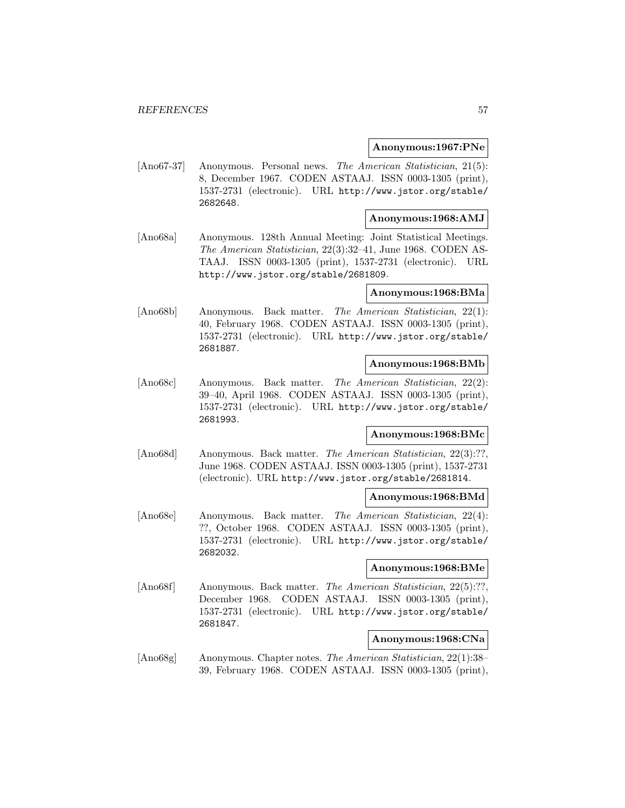#### **Anonymous:1967:PNe**

[Ano67-37] Anonymous. Personal news. The American Statistician, 21(5): 8, December 1967. CODEN ASTAAJ. ISSN 0003-1305 (print), 1537-2731 (electronic). URL http://www.jstor.org/stable/ 2682648.

# **Anonymous:1968:AMJ**

[Ano68a] Anonymous. 128th Annual Meeting: Joint Statistical Meetings. The American Statistician, 22(3):32–41, June 1968. CODEN AS-TAAJ. ISSN 0003-1305 (print), 1537-2731 (electronic). URL http://www.jstor.org/stable/2681809.

#### **Anonymous:1968:BMa**

[Ano68b] Anonymous. Back matter. The American Statistician, 22(1): 40, February 1968. CODEN ASTAAJ. ISSN 0003-1305 (print), 1537-2731 (electronic). URL http://www.jstor.org/stable/ 2681887.

#### **Anonymous:1968:BMb**

[Ano68c] Anonymous. Back matter. The American Statistician, 22(2): 39–40, April 1968. CODEN ASTAAJ. ISSN 0003-1305 (print), 1537-2731 (electronic). URL http://www.jstor.org/stable/ 2681993.

# **Anonymous:1968:BMc**

[Ano68d] Anonymous. Back matter. The American Statistician, 22(3):??, June 1968. CODEN ASTAAJ. ISSN 0003-1305 (print), 1537-2731 (electronic). URL http://www.jstor.org/stable/2681814.

#### **Anonymous:1968:BMd**

[Ano68e] Anonymous. Back matter. The American Statistician, 22(4): ??, October 1968. CODEN ASTAAJ. ISSN 0003-1305 (print), 1537-2731 (electronic). URL http://www.jstor.org/stable/ 2682032.

#### **Anonymous:1968:BMe**

[Ano68f] Anonymous. Back matter. The American Statistician, 22(5):??, December 1968. CODEN ASTAAJ. ISSN 0003-1305 (print), 1537-2731 (electronic). URL http://www.jstor.org/stable/ 2681847.

# **Anonymous:1968:CNa**

[Ano68g] Anonymous. Chapter notes. The American Statistician, 22(1):38– 39, February 1968. CODEN ASTAAJ. ISSN 0003-1305 (print),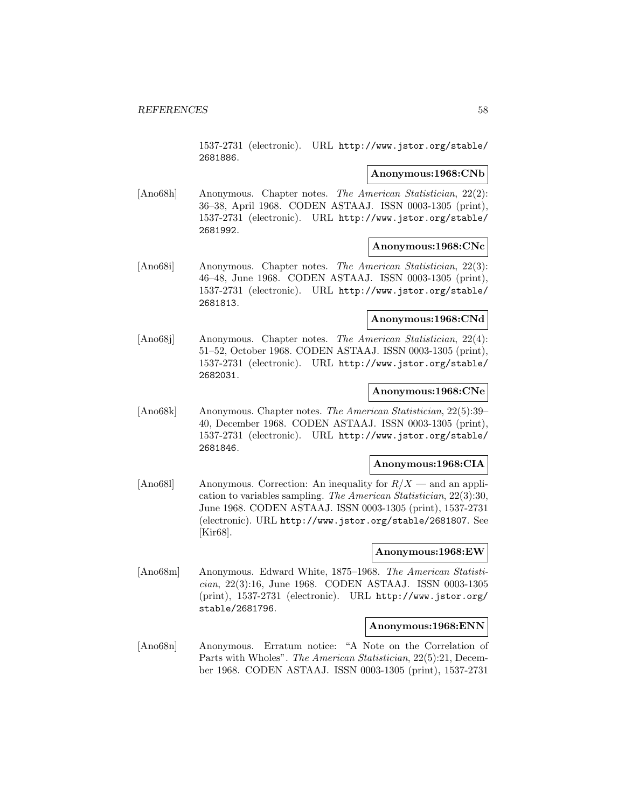1537-2731 (electronic). URL http://www.jstor.org/stable/ 2681886.

# **Anonymous:1968:CNb**

[Ano68h] Anonymous. Chapter notes. The American Statistician, 22(2): 36–38, April 1968. CODEN ASTAAJ. ISSN 0003-1305 (print), 1537-2731 (electronic). URL http://www.jstor.org/stable/ 2681992.

#### **Anonymous:1968:CNc**

[Ano68i] Anonymous. Chapter notes. The American Statistician, 22(3): 46–48, June 1968. CODEN ASTAAJ. ISSN 0003-1305 (print), 1537-2731 (electronic). URL http://www.jstor.org/stable/ 2681813.

# **Anonymous:1968:CNd**

[Ano68j] Anonymous. Chapter notes. The American Statistician, 22(4): 51–52, October 1968. CODEN ASTAAJ. ISSN 0003-1305 (print), 1537-2731 (electronic). URL http://www.jstor.org/stable/ 2682031.

# **Anonymous:1968:CNe**

[Ano68k] Anonymous. Chapter notes. The American Statistician, 22(5):39– 40, December 1968. CODEN ASTAAJ. ISSN 0003-1305 (print), 1537-2731 (electronic). URL http://www.jstor.org/stable/ 2681846.

# **Anonymous:1968:CIA**

[Ano681] Anonymous. Correction: An inequality for  $R/X$  — and an application to variables sampling. The American Statistician, 22(3):30, June 1968. CODEN ASTAAJ. ISSN 0003-1305 (print), 1537-2731 (electronic). URL http://www.jstor.org/stable/2681807. See [Kir68].

#### **Anonymous:1968:EW**

[Ano68m] Anonymous. Edward White, 1875–1968. The American Statistician, 22(3):16, June 1968. CODEN ASTAAJ. ISSN 0003-1305 (print), 1537-2731 (electronic). URL http://www.jstor.org/ stable/2681796.

# **Anonymous:1968:ENN**

[Ano68n] Anonymous. Erratum notice: "A Note on the Correlation of Parts with Wholes". The American Statistician, 22(5):21, December 1968. CODEN ASTAAJ. ISSN 0003-1305 (print), 1537-2731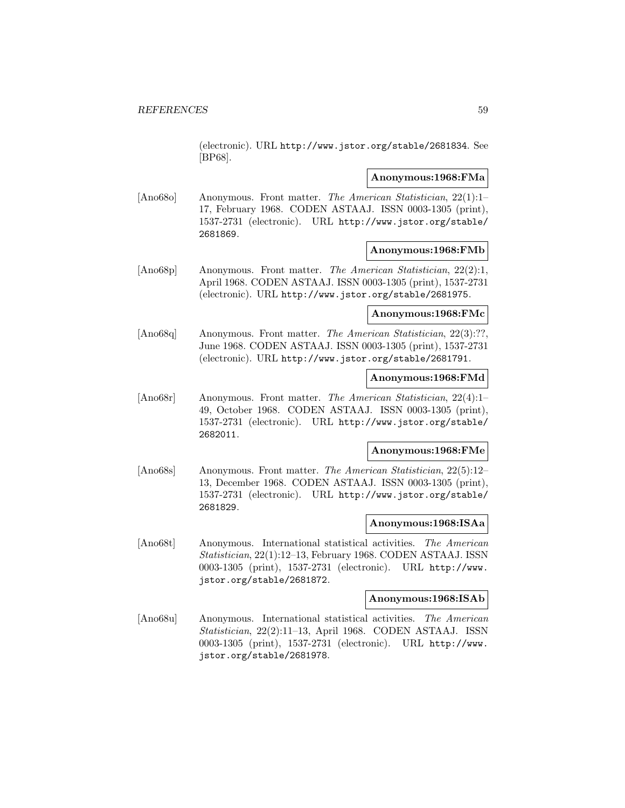(electronic). URL http://www.jstor.org/stable/2681834. See [BP68].

#### **Anonymous:1968:FMa**

[Ano68o] Anonymous. Front matter. The American Statistician, 22(1):1– 17, February 1968. CODEN ASTAAJ. ISSN 0003-1305 (print), 1537-2731 (electronic). URL http://www.jstor.org/stable/ 2681869.

### **Anonymous:1968:FMb**

[Ano68p] Anonymous. Front matter. The American Statistician, 22(2):1, April 1968. CODEN ASTAAJ. ISSN 0003-1305 (print), 1537-2731 (electronic). URL http://www.jstor.org/stable/2681975.

### **Anonymous:1968:FMc**

[Ano68q] Anonymous. Front matter. The American Statistician, 22(3):??, June 1968. CODEN ASTAAJ. ISSN 0003-1305 (print), 1537-2731 (electronic). URL http://www.jstor.org/stable/2681791.

### **Anonymous:1968:FMd**

[Ano68r] Anonymous. Front matter. The American Statistician, 22(4):1– 49, October 1968. CODEN ASTAAJ. ISSN 0003-1305 (print), 1537-2731 (electronic). URL http://www.jstor.org/stable/ 2682011.

### **Anonymous:1968:FMe**

[Ano68s] Anonymous. Front matter. The American Statistician, 22(5):12– 13, December 1968. CODEN ASTAAJ. ISSN 0003-1305 (print), 1537-2731 (electronic). URL http://www.jstor.org/stable/ 2681829.

# **Anonymous:1968:ISAa**

[Ano68t] Anonymous. International statistical activities. The American Statistician, 22(1):12–13, February 1968. CODEN ASTAAJ. ISSN 0003-1305 (print), 1537-2731 (electronic). URL http://www. jstor.org/stable/2681872.

### **Anonymous:1968:ISAb**

[Ano68u] Anonymous. International statistical activities. The American Statistician, 22(2):11–13, April 1968. CODEN ASTAAJ. ISSN 0003-1305 (print), 1537-2731 (electronic). URL http://www. jstor.org/stable/2681978.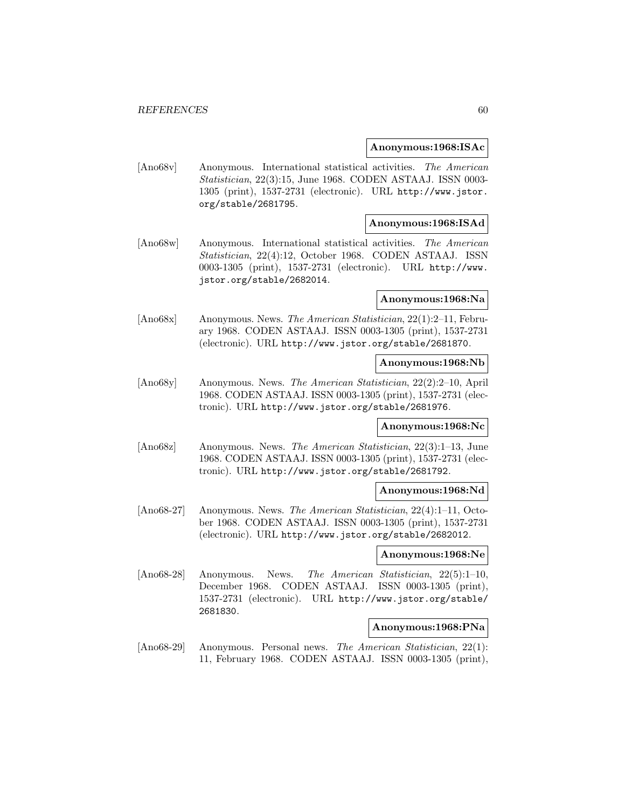#### **Anonymous:1968:ISAc**

[Ano68v] Anonymous. International statistical activities. The American Statistician, 22(3):15, June 1968. CODEN ASTAAJ. ISSN 0003- 1305 (print), 1537-2731 (electronic). URL http://www.jstor. org/stable/2681795.

### **Anonymous:1968:ISAd**

[Ano68w] Anonymous. International statistical activities. The American Statistician, 22(4):12, October 1968. CODEN ASTAAJ. ISSN 0003-1305 (print), 1537-2731 (electronic). URL http://www. jstor.org/stable/2682014.

## **Anonymous:1968:Na**

[Ano68x] Anonymous. News. The American Statistician, 22(1):2–11, February 1968. CODEN ASTAAJ. ISSN 0003-1305 (print), 1537-2731 (electronic). URL http://www.jstor.org/stable/2681870.

#### **Anonymous:1968:Nb**

[Ano68y] Anonymous. News. The American Statistician, 22(2):2–10, April 1968. CODEN ASTAAJ. ISSN 0003-1305 (print), 1537-2731 (electronic). URL http://www.jstor.org/stable/2681976.

#### **Anonymous:1968:Nc**

[Ano68z] Anonymous. News. The American Statistician, 22(3):1–13, June 1968. CODEN ASTAAJ. ISSN 0003-1305 (print), 1537-2731 (electronic). URL http://www.jstor.org/stable/2681792.

### **Anonymous:1968:Nd**

[Ano68-27] Anonymous. News. The American Statistician, 22(4):1–11, October 1968. CODEN ASTAAJ. ISSN 0003-1305 (print), 1537-2731 (electronic). URL http://www.jstor.org/stable/2682012.

### **Anonymous:1968:Ne**

[Ano68-28] Anonymous. News. The American Statistician, 22(5):1–10, December 1968. CODEN ASTAAJ. ISSN 0003-1305 (print), 1537-2731 (electronic). URL http://www.jstor.org/stable/ 2681830.

# **Anonymous:1968:PNa**

[Ano68-29] Anonymous. Personal news. The American Statistician, 22(1): 11, February 1968. CODEN ASTAAJ. ISSN 0003-1305 (print),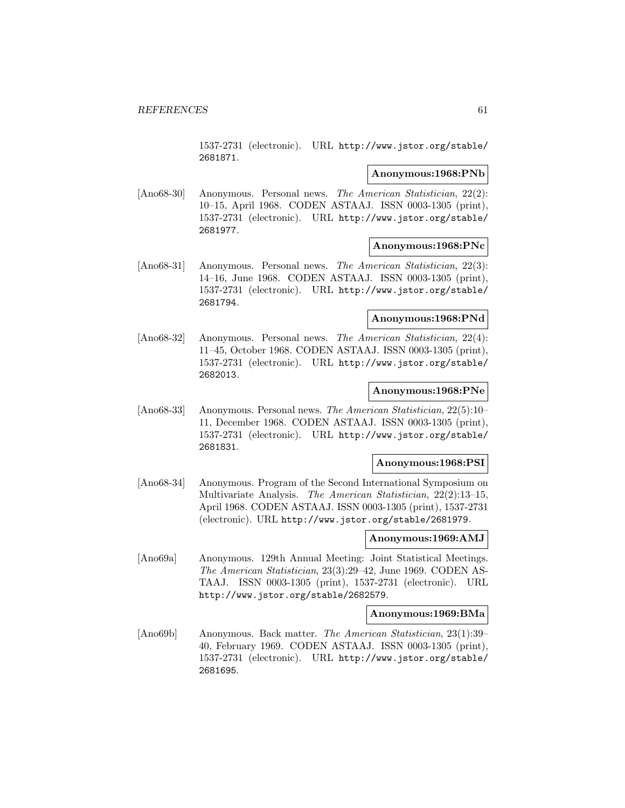1537-2731 (electronic). URL http://www.jstor.org/stable/ 2681871.

# **Anonymous:1968:PNb**

[Ano68-30] Anonymous. Personal news. The American Statistician, 22(2): 10–15, April 1968. CODEN ASTAAJ. ISSN 0003-1305 (print), 1537-2731 (electronic). URL http://www.jstor.org/stable/ 2681977.

#### **Anonymous:1968:PNc**

[Ano68-31] Anonymous. Personal news. The American Statistician, 22(3): 14–16, June 1968. CODEN ASTAAJ. ISSN 0003-1305 (print), 1537-2731 (electronic). URL http://www.jstor.org/stable/ 2681794.

# **Anonymous:1968:PNd**

[Ano68-32] Anonymous. Personal news. The American Statistician, 22(4): 11–45, October 1968. CODEN ASTAAJ. ISSN 0003-1305 (print), 1537-2731 (electronic). URL http://www.jstor.org/stable/ 2682013.

### **Anonymous:1968:PNe**

[Ano68-33] Anonymous. Personal news. The American Statistician, 22(5):10– 11, December 1968. CODEN ASTAAJ. ISSN 0003-1305 (print), 1537-2731 (electronic). URL http://www.jstor.org/stable/ 2681831.

#### **Anonymous:1968:PSI**

[Ano68-34] Anonymous. Program of the Second International Symposium on Multivariate Analysis. The American Statistician, 22(2):13–15, April 1968. CODEN ASTAAJ. ISSN 0003-1305 (print), 1537-2731 (electronic). URL http://www.jstor.org/stable/2681979.

# **Anonymous:1969:AMJ**

[Ano69a] Anonymous. 129th Annual Meeting: Joint Statistical Meetings. The American Statistician, 23(3):29–42, June 1969. CODEN AS-TAAJ. ISSN 0003-1305 (print), 1537-2731 (electronic). URL http://www.jstor.org/stable/2682579.

#### **Anonymous:1969:BMa**

[Ano69b] Anonymous. Back matter. The American Statistician, 23(1):39– 40, February 1969. CODEN ASTAAJ. ISSN 0003-1305 (print), 1537-2731 (electronic). URL http://www.jstor.org/stable/ 2681695.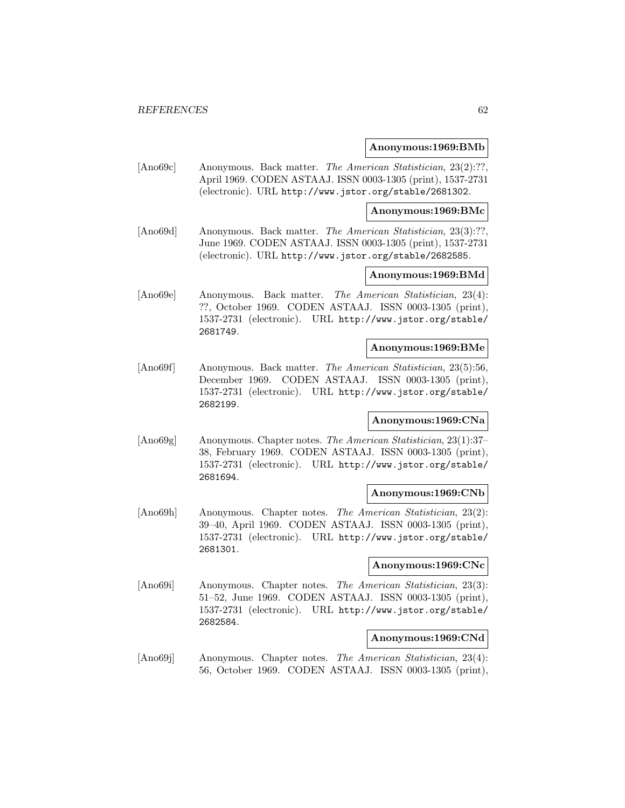#### **Anonymous:1969:BMb**

[Ano69c] Anonymous. Back matter. *The American Statistician*, 23(2):??, April 1969. CODEN ASTAAJ. ISSN 0003-1305 (print), 1537-2731 (electronic). URL http://www.jstor.org/stable/2681302.

#### **Anonymous:1969:BMc**

[Ano69d] Anonymous. Back matter. The American Statistician, 23(3):??, June 1969. CODEN ASTAAJ. ISSN 0003-1305 (print), 1537-2731 (electronic). URL http://www.jstor.org/stable/2682585.

# **Anonymous:1969:BMd**

[Ano69e] Anonymous. Back matter. The American Statistician, 23(4): ??, October 1969. CODEN ASTAAJ. ISSN 0003-1305 (print), 1537-2731 (electronic). URL http://www.jstor.org/stable/ 2681749.

# **Anonymous:1969:BMe**

[Ano69f] Anonymous. Back matter. The American Statistician, 23(5):56, December 1969. CODEN ASTAAJ. ISSN 0003-1305 (print), 1537-2731 (electronic). URL http://www.jstor.org/stable/ 2682199.

# **Anonymous:1969:CNa**

[Ano69g] Anonymous. Chapter notes. The American Statistician, 23(1):37– 38, February 1969. CODEN ASTAAJ. ISSN 0003-1305 (print), 1537-2731 (electronic). URL http://www.jstor.org/stable/ 2681694.

### **Anonymous:1969:CNb**

[Ano69h] Anonymous. Chapter notes. The American Statistician, 23(2): 39–40, April 1969. CODEN ASTAAJ. ISSN 0003-1305 (print), 1537-2731 (electronic). URL http://www.jstor.org/stable/ 2681301.

#### **Anonymous:1969:CNc**

[Ano69i] Anonymous. Chapter notes. The American Statistician, 23(3): 51–52, June 1969. CODEN ASTAAJ. ISSN 0003-1305 (print), 1537-2731 (electronic). URL http://www.jstor.org/stable/ 2682584.

# **Anonymous:1969:CNd**

[Ano69j] Anonymous. Chapter notes. The American Statistician, 23(4): 56, October 1969. CODEN ASTAAJ. ISSN 0003-1305 (print),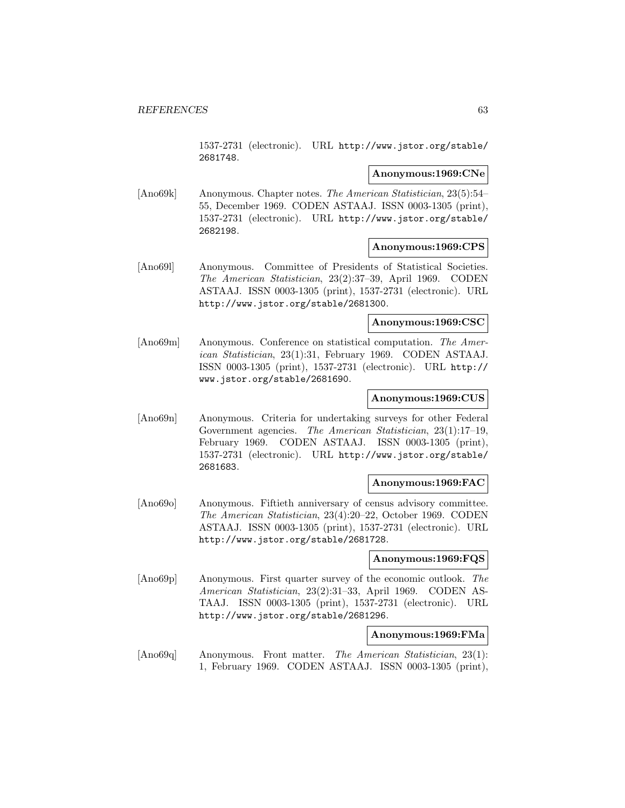1537-2731 (electronic). URL http://www.jstor.org/stable/ 2681748.

### **Anonymous:1969:CNe**

[Ano69k] Anonymous. Chapter notes. The American Statistician, 23(5):54– 55, December 1969. CODEN ASTAAJ. ISSN 0003-1305 (print), 1537-2731 (electronic). URL http://www.jstor.org/stable/ 2682198.

### **Anonymous:1969:CPS**

[Ano69l] Anonymous. Committee of Presidents of Statistical Societies. The American Statistician, 23(2):37–39, April 1969. CODEN ASTAAJ. ISSN 0003-1305 (print), 1537-2731 (electronic). URL http://www.jstor.org/stable/2681300.

### **Anonymous:1969:CSC**

[Ano69m] Anonymous. Conference on statistical computation. The American Statistician, 23(1):31, February 1969. CODEN ASTAAJ. ISSN 0003-1305 (print), 1537-2731 (electronic). URL http:// www.jstor.org/stable/2681690.

### **Anonymous:1969:CUS**

[Ano69n] Anonymous. Criteria for undertaking surveys for other Federal Government agencies. The American Statistician, 23(1):17–19, February 1969. CODEN ASTAAJ. ISSN 0003-1305 (print), 1537-2731 (electronic). URL http://www.jstor.org/stable/ 2681683.

### **Anonymous:1969:FAC**

[Ano69o] Anonymous. Fiftieth anniversary of census advisory committee. The American Statistician, 23(4):20–22, October 1969. CODEN ASTAAJ. ISSN 0003-1305 (print), 1537-2731 (electronic). URL http://www.jstor.org/stable/2681728.

## **Anonymous:1969:FQS**

[Ano69p] Anonymous. First quarter survey of the economic outlook. The American Statistician, 23(2):31–33, April 1969. CODEN AS-TAAJ. ISSN 0003-1305 (print), 1537-2731 (electronic). URL http://www.jstor.org/stable/2681296.

#### **Anonymous:1969:FMa**

[Ano69q] Anonymous. Front matter. The American Statistician, 23(1): 1, February 1969. CODEN ASTAAJ. ISSN 0003-1305 (print),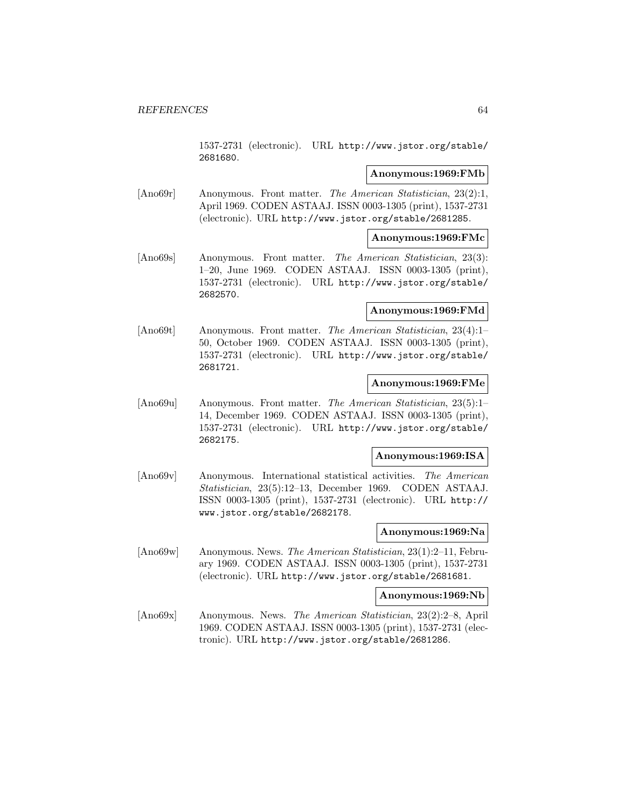1537-2731 (electronic). URL http://www.jstor.org/stable/ 2681680.

## **Anonymous:1969:FMb**

[Ano69r] Anonymous. Front matter. The American Statistician, 23(2):1, April 1969. CODEN ASTAAJ. ISSN 0003-1305 (print), 1537-2731 (electronic). URL http://www.jstor.org/stable/2681285.

## **Anonymous:1969:FMc**

[Ano69s] Anonymous. Front matter. The American Statistician, 23(3): 1–20, June 1969. CODEN ASTAAJ. ISSN 0003-1305 (print), 1537-2731 (electronic). URL http://www.jstor.org/stable/ 2682570.

# **Anonymous:1969:FMd**

[Ano69t] Anonymous. Front matter. The American Statistician, 23(4):1– 50, October 1969. CODEN ASTAAJ. ISSN 0003-1305 (print), 1537-2731 (electronic). URL http://www.jstor.org/stable/ 2681721.

### **Anonymous:1969:FMe**

[Ano69u] Anonymous. Front matter. The American Statistician, 23(5):1– 14, December 1969. CODEN ASTAAJ. ISSN 0003-1305 (print), 1537-2731 (electronic). URL http://www.jstor.org/stable/ 2682175.

# **Anonymous:1969:ISA**

[Ano69v] Anonymous. International statistical activities. The American Statistician, 23(5):12–13, December 1969. CODEN ASTAAJ. ISSN 0003-1305 (print), 1537-2731 (electronic). URL http:// www.jstor.org/stable/2682178.

#### **Anonymous:1969:Na**

[Ano69w] Anonymous. News. The American Statistician, 23(1):2–11, February 1969. CODEN ASTAAJ. ISSN 0003-1305 (print), 1537-2731 (electronic). URL http://www.jstor.org/stable/2681681.

#### **Anonymous:1969:Nb**

[Ano69x] Anonymous. News. The American Statistician, 23(2):2–8, April 1969. CODEN ASTAAJ. ISSN 0003-1305 (print), 1537-2731 (electronic). URL http://www.jstor.org/stable/2681286.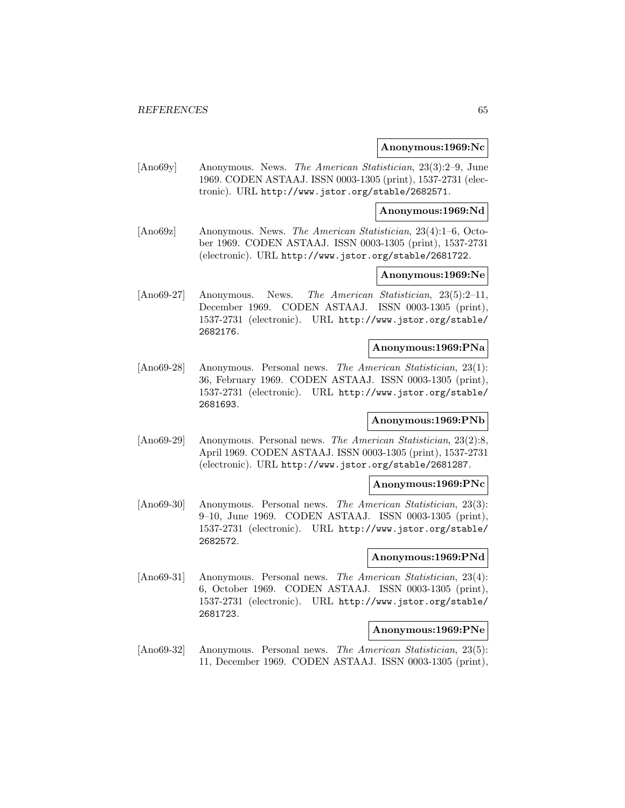#### **Anonymous:1969:Nc**

[Ano69y] Anonymous. News. The American Statistician, 23(3):2–9, June 1969. CODEN ASTAAJ. ISSN 0003-1305 (print), 1537-2731 (electronic). URL http://www.jstor.org/stable/2682571.

**Anonymous:1969:Nd**

[Ano69z] Anonymous. News. The American Statistician, 23(4):1–6, October 1969. CODEN ASTAAJ. ISSN 0003-1305 (print), 1537-2731 (electronic). URL http://www.jstor.org/stable/2681722.

### **Anonymous:1969:Ne**

[Ano69-27] Anonymous. News. The American Statistician, 23(5):2–11, December 1969. CODEN ASTAAJ. ISSN 0003-1305 (print), 1537-2731 (electronic). URL http://www.jstor.org/stable/ 2682176.

### **Anonymous:1969:PNa**

[Ano69-28] Anonymous. Personal news. The American Statistician, 23(1): 36, February 1969. CODEN ASTAAJ. ISSN 0003-1305 (print), 1537-2731 (electronic). URL http://www.jstor.org/stable/ 2681693.

# **Anonymous:1969:PNb**

[Ano69-29] Anonymous. Personal news. The American Statistician, 23(2):8, April 1969. CODEN ASTAAJ. ISSN 0003-1305 (print), 1537-2731 (electronic). URL http://www.jstor.org/stable/2681287.

#### **Anonymous:1969:PNc**

[Ano69-30] Anonymous. Personal news. The American Statistician, 23(3): 9–10, June 1969. CODEN ASTAAJ. ISSN 0003-1305 (print), 1537-2731 (electronic). URL http://www.jstor.org/stable/ 2682572.

## **Anonymous:1969:PNd**

[Ano69-31] Anonymous. Personal news. The American Statistician, 23(4): 6, October 1969. CODEN ASTAAJ. ISSN 0003-1305 (print), 1537-2731 (electronic). URL http://www.jstor.org/stable/ 2681723.

#### **Anonymous:1969:PNe**

[Ano69-32] Anonymous. Personal news. The American Statistician, 23(5): 11, December 1969. CODEN ASTAAJ. ISSN 0003-1305 (print),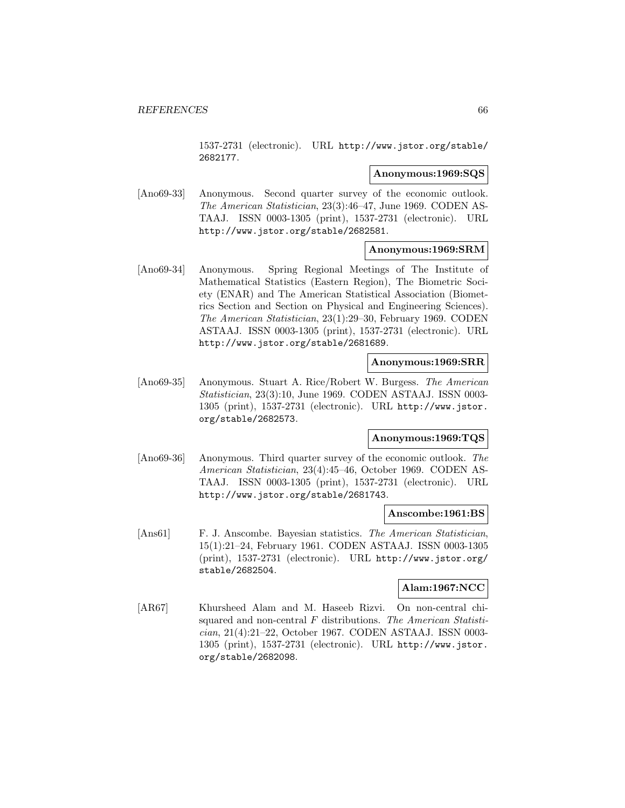1537-2731 (electronic). URL http://www.jstor.org/stable/ 2682177.

## **Anonymous:1969:SQS**

[Ano69-33] Anonymous. Second quarter survey of the economic outlook. The American Statistician, 23(3):46–47, June 1969. CODEN AS-TAAJ. ISSN 0003-1305 (print), 1537-2731 (electronic). URL http://www.jstor.org/stable/2682581.

### **Anonymous:1969:SRM**

[Ano69-34] Anonymous. Spring Regional Meetings of The Institute of Mathematical Statistics (Eastern Region), The Biometric Society (ENAR) and The American Statistical Association (Biometrics Section and Section on Physical and Engineering Sciences). The American Statistician, 23(1):29–30, February 1969. CODEN ASTAAJ. ISSN 0003-1305 (print), 1537-2731 (electronic). URL http://www.jstor.org/stable/2681689.

### **Anonymous:1969:SRR**

[Ano69-35] Anonymous. Stuart A. Rice/Robert W. Burgess. The American Statistician, 23(3):10, June 1969. CODEN ASTAAJ. ISSN 0003- 1305 (print), 1537-2731 (electronic). URL http://www.jstor. org/stable/2682573.

# **Anonymous:1969:TQS**

[Ano69-36] Anonymous. Third quarter survey of the economic outlook. The American Statistician, 23(4):45–46, October 1969. CODEN AS-TAAJ. ISSN 0003-1305 (print), 1537-2731 (electronic). URL http://www.jstor.org/stable/2681743.

#### **Anscombe:1961:BS**

[Ans61] F. J. Anscombe. Bayesian statistics. The American Statistician, 15(1):21–24, February 1961. CODEN ASTAAJ. ISSN 0003-1305 (print), 1537-2731 (electronic). URL http://www.jstor.org/ stable/2682504.

# **Alam:1967:NCC**

[AR67] Khursheed Alam and M. Haseeb Rizvi. On non-central chisquared and non-central  $F$  distributions. The American Statistician, 21(4):21–22, October 1967. CODEN ASTAAJ. ISSN 0003- 1305 (print), 1537-2731 (electronic). URL http://www.jstor. org/stable/2682098.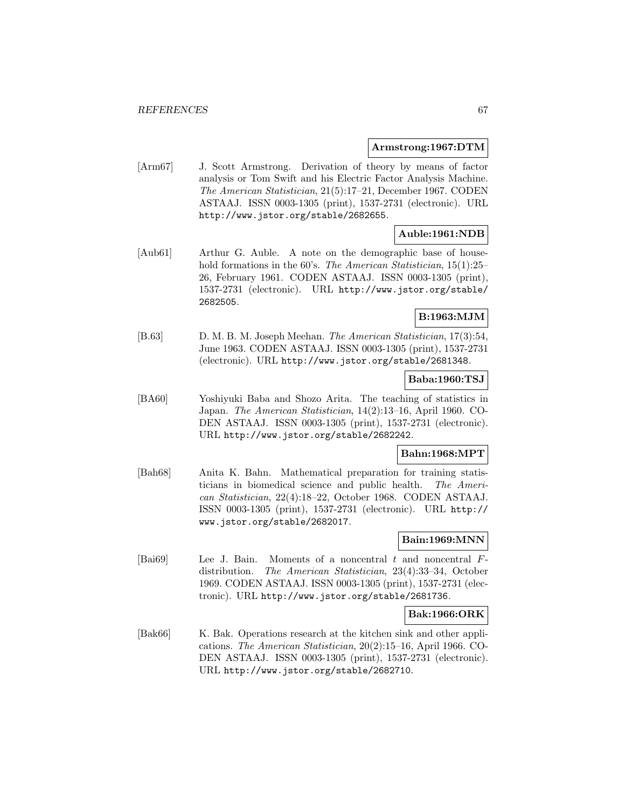### **Armstrong:1967:DTM**

[Arm67] J. Scott Armstrong. Derivation of theory by means of factor analysis or Tom Swift and his Electric Factor Analysis Machine. The American Statistician, 21(5):17–21, December 1967. CODEN ASTAAJ. ISSN 0003-1305 (print), 1537-2731 (electronic). URL http://www.jstor.org/stable/2682655.

# **Auble:1961:NDB**

[Aub61] Arthur G. Auble. A note on the demographic base of household formations in the 60's. The American Statistician, 15(1):25– 26, February 1961. CODEN ASTAAJ. ISSN 0003-1305 (print), 1537-2731 (electronic). URL http://www.jstor.org/stable/ 2682505.

## **B:1963:MJM**

[B.63] D. M. B. M. Joseph Meehan. The American Statistician, 17(3):54, June 1963. CODEN ASTAAJ. ISSN 0003-1305 (print), 1537-2731 (electronic). URL http://www.jstor.org/stable/2681348.

## **Baba:1960:TSJ**

[BA60] Yoshiyuki Baba and Shozo Arita. The teaching of statistics in Japan. The American Statistician, 14(2):13–16, April 1960. CO-DEN ASTAAJ. ISSN 0003-1305 (print), 1537-2731 (electronic). URL http://www.jstor.org/stable/2682242.

# **Bahn:1968:MPT**

[Bah68] Anita K. Bahn. Mathematical preparation for training statisticians in biomedical science and public health. The American Statistician, 22(4):18–22, October 1968. CODEN ASTAAJ. ISSN 0003-1305 (print), 1537-2731 (electronic). URL http:// www.jstor.org/stable/2682017.

# **Bain:1969:MNN**

[Bai69] Lee J. Bain. Moments of a noncentral t and noncentral  $F$ distribution. The American Statistician, 23(4):33–34, October 1969. CODEN ASTAAJ. ISSN 0003-1305 (print), 1537-2731 (electronic). URL http://www.jstor.org/stable/2681736.

## **Bak:1966:ORK**

[Bak66] K. Bak. Operations research at the kitchen sink and other applications. The American Statistician, 20(2):15–16, April 1966. CO-DEN ASTAAJ. ISSN 0003-1305 (print), 1537-2731 (electronic). URL http://www.jstor.org/stable/2682710.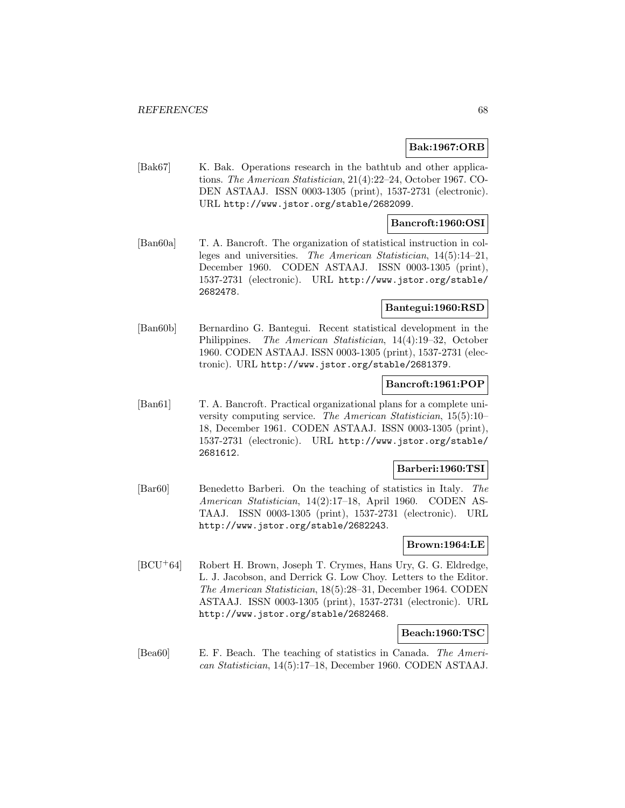# **Bak:1967:ORB**

[Bak67] K. Bak. Operations research in the bathtub and other applications. The American Statistician, 21(4):22–24, October 1967. CO-DEN ASTAAJ. ISSN 0003-1305 (print), 1537-2731 (electronic). URL http://www.jstor.org/stable/2682099.

## **Bancroft:1960:OSI**

[Ban60a] T. A. Bancroft. The organization of statistical instruction in colleges and universities. The American Statistician, 14(5):14–21, December 1960. CODEN ASTAAJ. ISSN 0003-1305 (print), 1537-2731 (electronic). URL http://www.jstor.org/stable/ 2682478.

# **Bantegui:1960:RSD**

[Ban60b] Bernardino G. Bantegui. Recent statistical development in the Philippines. The American Statistician, 14(4):19–32, October 1960. CODEN ASTAAJ. ISSN 0003-1305 (print), 1537-2731 (electronic). URL http://www.jstor.org/stable/2681379.

### **Bancroft:1961:POP**

[Ban61] T. A. Bancroft. Practical organizational plans for a complete university computing service. The American Statistician, 15(5):10– 18, December 1961. CODEN ASTAAJ. ISSN 0003-1305 (print), 1537-2731 (electronic). URL http://www.jstor.org/stable/ 2681612.

# **Barberi:1960:TSI**

[Bar60] Benedetto Barberi. On the teaching of statistics in Italy. The American Statistician, 14(2):17–18, April 1960. CODEN AS-TAAJ. ISSN 0003-1305 (print), 1537-2731 (electronic). URL http://www.jstor.org/stable/2682243.

# **Brown:1964:LE**

[BCU<sup>+</sup>64] Robert H. Brown, Joseph T. Crymes, Hans Ury, G. G. Eldredge, L. J. Jacobson, and Derrick G. Low Choy. Letters to the Editor. The American Statistician, 18(5):28–31, December 1964. CODEN ASTAAJ. ISSN 0003-1305 (print), 1537-2731 (electronic). URL http://www.jstor.org/stable/2682468.

# **Beach:1960:TSC**

[Bea60] E. F. Beach. The teaching of statistics in Canada. The American Statistician, 14(5):17–18, December 1960. CODEN ASTAAJ.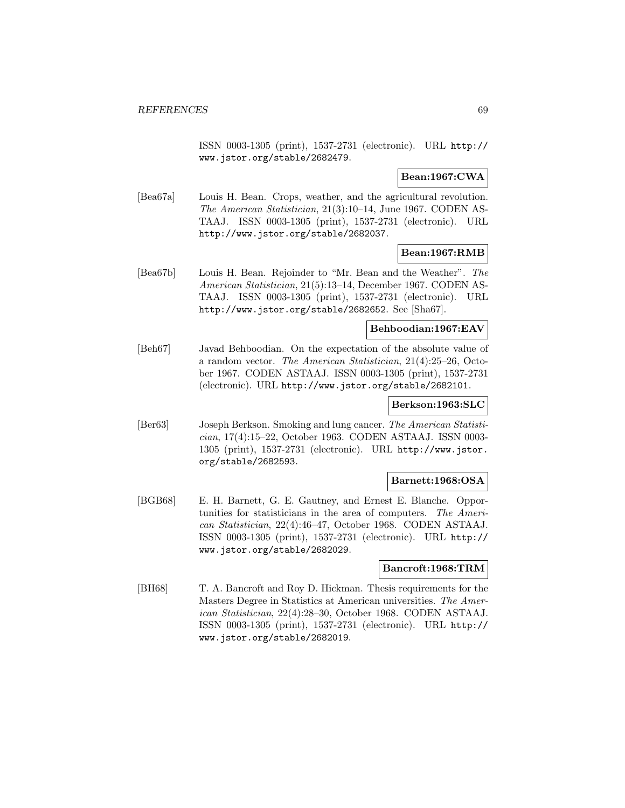ISSN 0003-1305 (print), 1537-2731 (electronic). URL http:// www.jstor.org/stable/2682479.

# **Bean:1967:CWA**

[Bea67a] Louis H. Bean. Crops, weather, and the agricultural revolution. The American Statistician, 21(3):10–14, June 1967. CODEN AS-TAAJ. ISSN 0003-1305 (print), 1537-2731 (electronic). URL http://www.jstor.org/stable/2682037.

# **Bean:1967:RMB**

[Bea67b] Louis H. Bean. Rejoinder to "Mr. Bean and the Weather". The American Statistician, 21(5):13–14, December 1967. CODEN AS-TAAJ. ISSN 0003-1305 (print), 1537-2731 (electronic). URL http://www.jstor.org/stable/2682652. See [Sha67].

# **Behboodian:1967:EAV**

[Beh67] Javad Behboodian. On the expectation of the absolute value of a random vector. The American Statistician, 21(4):25–26, October 1967. CODEN ASTAAJ. ISSN 0003-1305 (print), 1537-2731 (electronic). URL http://www.jstor.org/stable/2682101.

# **Berkson:1963:SLC**

[Ber63] Joseph Berkson. Smoking and lung cancer. The American Statistician, 17(4):15–22, October 1963. CODEN ASTAAJ. ISSN 0003- 1305 (print), 1537-2731 (electronic). URL http://www.jstor. org/stable/2682593.

## **Barnett:1968:OSA**

[BGB68] E. H. Barnett, G. E. Gautney, and Ernest E. Blanche. Opportunities for statisticians in the area of computers. The American Statistician, 22(4):46–47, October 1968. CODEN ASTAAJ. ISSN 0003-1305 (print), 1537-2731 (electronic). URL http:// www.jstor.org/stable/2682029.

# **Bancroft:1968:TRM**

[BH68] T. A. Bancroft and Roy D. Hickman. Thesis requirements for the Masters Degree in Statistics at American universities. The American Statistician, 22(4):28–30, October 1968. CODEN ASTAAJ. ISSN 0003-1305 (print), 1537-2731 (electronic). URL http:// www.jstor.org/stable/2682019.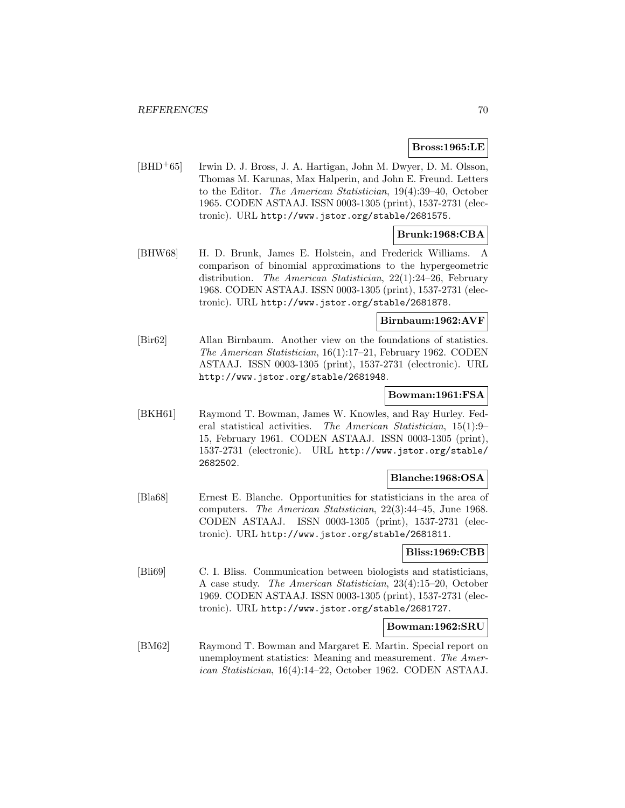# **Bross:1965:LE**

[BHD<sup>+</sup>65] Irwin D. J. Bross, J. A. Hartigan, John M. Dwyer, D. M. Olsson, Thomas M. Karunas, Max Halperin, and John E. Freund. Letters to the Editor. The American Statistician, 19(4):39–40, October 1965. CODEN ASTAAJ. ISSN 0003-1305 (print), 1537-2731 (electronic). URL http://www.jstor.org/stable/2681575.

# **Brunk:1968:CBA**

[BHW68] H. D. Brunk, James E. Holstein, and Frederick Williams. A comparison of binomial approximations to the hypergeometric distribution. The American Statistician, 22(1):24–26, February 1968. CODEN ASTAAJ. ISSN 0003-1305 (print), 1537-2731 (electronic). URL http://www.jstor.org/stable/2681878.

### **Birnbaum:1962:AVF**

[Bir62] Allan Birnbaum. Another view on the foundations of statistics. The American Statistician, 16(1):17–21, February 1962. CODEN ASTAAJ. ISSN 0003-1305 (print), 1537-2731 (electronic). URL http://www.jstor.org/stable/2681948.

#### **Bowman:1961:FSA**

[BKH61] Raymond T. Bowman, James W. Knowles, and Ray Hurley. Federal statistical activities. The American Statistician, 15(1):9– 15, February 1961. CODEN ASTAAJ. ISSN 0003-1305 (print), 1537-2731 (electronic). URL http://www.jstor.org/stable/ 2682502.

#### **Blanche:1968:OSA**

[Bla68] Ernest E. Blanche. Opportunities for statisticians in the area of computers. The American Statistician, 22(3):44–45, June 1968. CODEN ASTAAJ. ISSN 0003-1305 (print), 1537-2731 (electronic). URL http://www.jstor.org/stable/2681811.

### **Bliss:1969:CBB**

[Bli69] C. I. Bliss. Communication between biologists and statisticians, A case study. The American Statistician, 23(4):15–20, October 1969. CODEN ASTAAJ. ISSN 0003-1305 (print), 1537-2731 (electronic). URL http://www.jstor.org/stable/2681727.

#### **Bowman:1962:SRU**

[BM62] Raymond T. Bowman and Margaret E. Martin. Special report on unemployment statistics: Meaning and measurement. The American Statistician, 16(4):14–22, October 1962. CODEN ASTAAJ.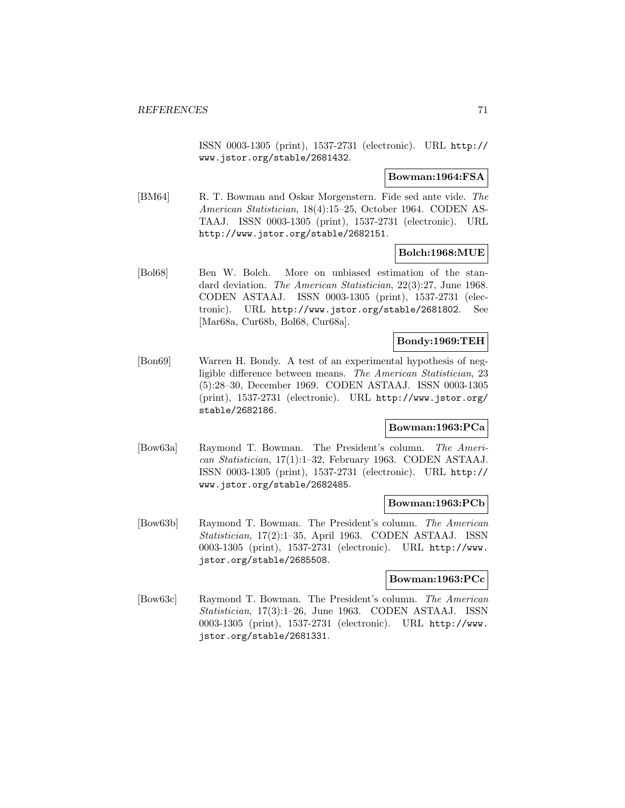ISSN 0003-1305 (print), 1537-2731 (electronic). URL http:// www.jstor.org/stable/2681432.

# **Bowman:1964:FSA**

[BM64] R. T. Bowman and Oskar Morgenstern. Fide sed ante vide. The American Statistician, 18(4):15–25, October 1964. CODEN AS-TAAJ. ISSN 0003-1305 (print), 1537-2731 (electronic). URL http://www.jstor.org/stable/2682151.

# **Bolch:1968:MUE**

[Bol68] Ben W. Bolch. More on unbiased estimation of the standard deviation. The American Statistician, 22(3):27, June 1968. CODEN ASTAAJ. ISSN 0003-1305 (print), 1537-2731 (electronic). URL http://www.jstor.org/stable/2681802. See [Mar68a, Cur68b, Bol68, Cur68a].

# **Bondy:1969:TEH**

[Bon69] Warren H. Bondy. A test of an experimental hypothesis of negligible difference between means. The American Statistician, 23 (5):28–30, December 1969. CODEN ASTAAJ. ISSN 0003-1305 (print), 1537-2731 (electronic). URL http://www.jstor.org/ stable/2682186.

# **Bowman:1963:PCa**

[Bow63a] Raymond T. Bowman. The President's column. The American Statistician, 17(1):1–32, February 1963. CODEN ASTAAJ. ISSN 0003-1305 (print), 1537-2731 (electronic). URL http:// www.jstor.org/stable/2682485.

# **Bowman:1963:PCb**

[Bow63b] Raymond T. Bowman. The President's column. The American Statistician, 17(2):1–35, April 1963. CODEN ASTAAJ. ISSN 0003-1305 (print), 1537-2731 (electronic). URL http://www. jstor.org/stable/2685508.

### **Bowman:1963:PCc**

[Bow63c] Raymond T. Bowman. The President's column. The American Statistician, 17(3):1–26, June 1963. CODEN ASTAAJ. ISSN 0003-1305 (print), 1537-2731 (electronic). URL http://www. jstor.org/stable/2681331.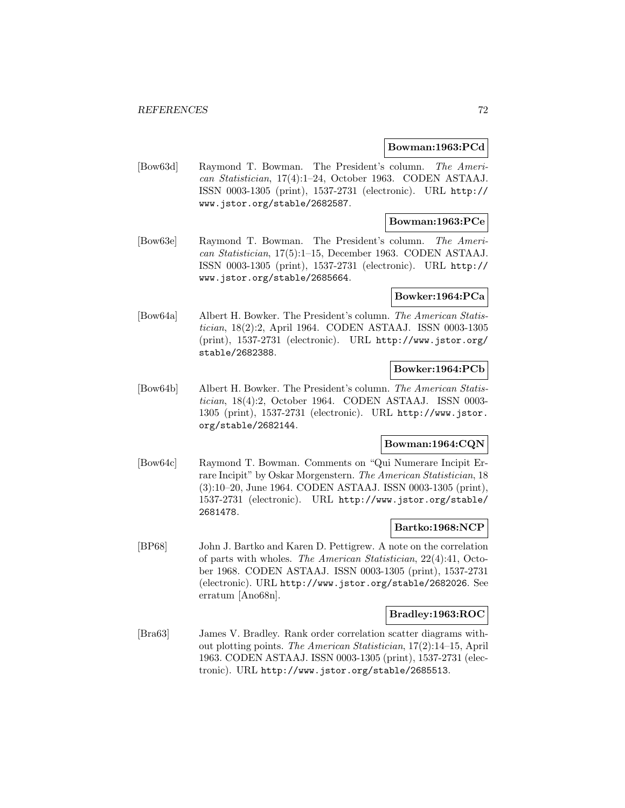### **Bowman:1963:PCd**

[Bow63d] Raymond T. Bowman. The President's column. The American Statistician, 17(4):1–24, October 1963. CODEN ASTAAJ. ISSN 0003-1305 (print), 1537-2731 (electronic). URL http:// www.jstor.org/stable/2682587.

# **Bowman:1963:PCe**

[Bow63e] Raymond T. Bowman. The President's column. The American Statistician, 17(5):1–15, December 1963. CODEN ASTAAJ. ISSN 0003-1305 (print), 1537-2731 (electronic). URL http:// www.jstor.org/stable/2685664.

# **Bowker:1964:PCa**

[Bow64a] Albert H. Bowker. The President's column. The American Statistician, 18(2):2, April 1964. CODEN ASTAAJ. ISSN 0003-1305 (print), 1537-2731 (electronic). URL http://www.jstor.org/ stable/2682388.

# **Bowker:1964:PCb**

[Bow64b] Albert H. Bowker. The President's column. The American Statistician, 18(4):2, October 1964. CODEN ASTAAJ. ISSN 0003- 1305 (print), 1537-2731 (electronic). URL http://www.jstor. org/stable/2682144.

# **Bowman:1964:CQN**

[Bow64c] Raymond T. Bowman. Comments on "Qui Numerare Incipit Errare Incipit" by Oskar Morgenstern. The American Statistician, 18 (3):10–20, June 1964. CODEN ASTAAJ. ISSN 0003-1305 (print), 1537-2731 (electronic). URL http://www.jstor.org/stable/ 2681478.

### **Bartko:1968:NCP**

[BP68] John J. Bartko and Karen D. Pettigrew. A note on the correlation of parts with wholes. The American Statistician, 22(4):41, October 1968. CODEN ASTAAJ. ISSN 0003-1305 (print), 1537-2731 (electronic). URL http://www.jstor.org/stable/2682026. See erratum [Ano68n].

## **Bradley:1963:ROC**

[Bra63] James V. Bradley. Rank order correlation scatter diagrams without plotting points. The American Statistician, 17(2):14–15, April 1963. CODEN ASTAAJ. ISSN 0003-1305 (print), 1537-2731 (electronic). URL http://www.jstor.org/stable/2685513.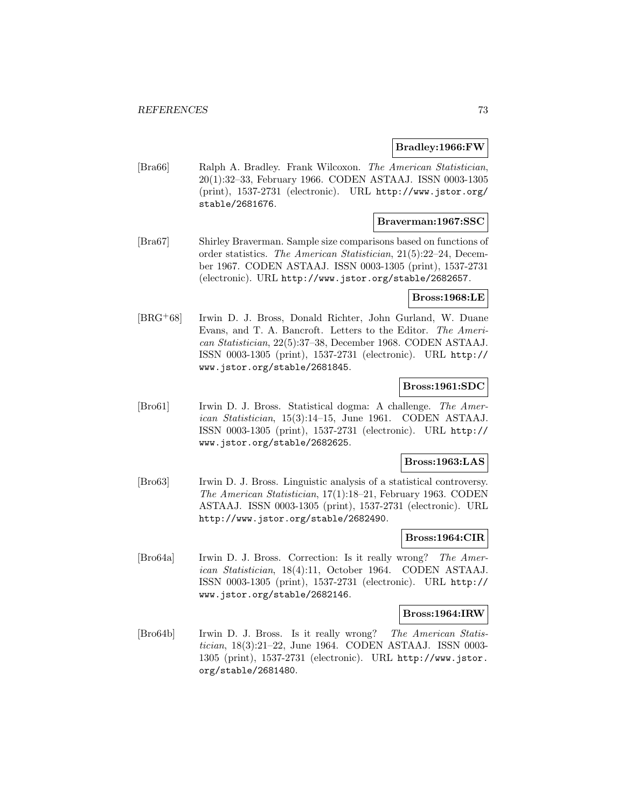#### **Bradley:1966:FW**

[Bra66] Ralph A. Bradley. Frank Wilcoxon. The American Statistician, 20(1):32–33, February 1966. CODEN ASTAAJ. ISSN 0003-1305 (print), 1537-2731 (electronic). URL http://www.jstor.org/ stable/2681676.

## **Braverman:1967:SSC**

[Bra67] Shirley Braverman. Sample size comparisons based on functions of order statistics. The American Statistician, 21(5):22–24, December 1967. CODEN ASTAAJ. ISSN 0003-1305 (print), 1537-2731 (electronic). URL http://www.jstor.org/stable/2682657.

## **Bross:1968:LE**

[BRG<sup>+</sup>68] Irwin D. J. Bross, Donald Richter, John Gurland, W. Duane Evans, and T. A. Bancroft. Letters to the Editor. The American Statistician, 22(5):37–38, December 1968. CODEN ASTAAJ. ISSN 0003-1305 (print), 1537-2731 (electronic). URL http:// www.jstor.org/stable/2681845.

# **Bross:1961:SDC**

[Bro61] Irwin D. J. Bross. Statistical dogma: A challenge. The American Statistician, 15(3):14–15, June 1961. CODEN ASTAAJ. ISSN 0003-1305 (print), 1537-2731 (electronic). URL http:// www.jstor.org/stable/2682625.

#### **Bross:1963:LAS**

[Bro63] Irwin D. J. Bross. Linguistic analysis of a statistical controversy. The American Statistician, 17(1):18–21, February 1963. CODEN ASTAAJ. ISSN 0003-1305 (print), 1537-2731 (electronic). URL http://www.jstor.org/stable/2682490.

## **Bross:1964:CIR**

[Bro64a] Irwin D. J. Bross. Correction: Is it really wrong? The American Statistician, 18(4):11, October 1964. CODEN ASTAAJ. ISSN 0003-1305 (print), 1537-2731 (electronic). URL http:// www.jstor.org/stable/2682146.

#### **Bross:1964:IRW**

[Bro64b] Irwin D. J. Bross. Is it really wrong? The American Statistician, 18(3):21–22, June 1964. CODEN ASTAAJ. ISSN 0003- 1305 (print), 1537-2731 (electronic). URL http://www.jstor. org/stable/2681480.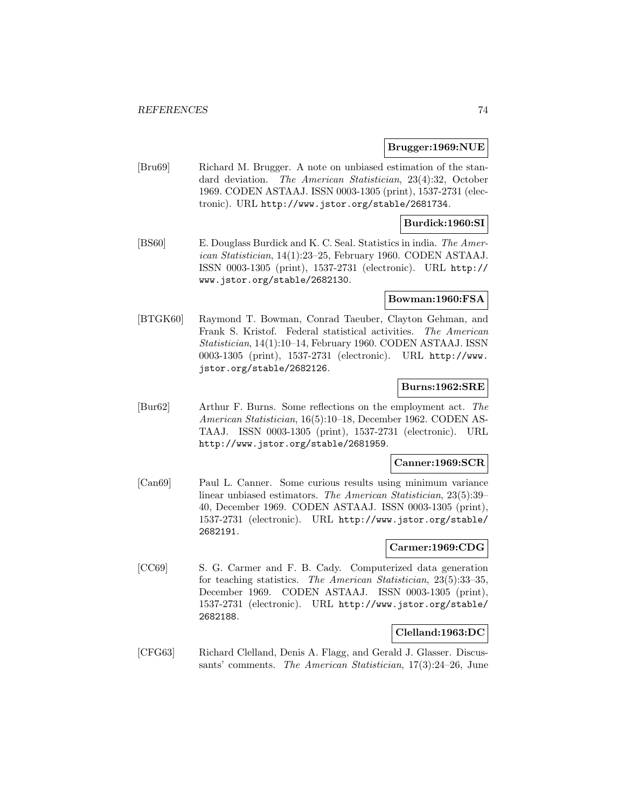### **Brugger:1969:NUE**

[Bru69] Richard M. Brugger. A note on unbiased estimation of the standard deviation. The American Statistician, 23(4):32, October 1969. CODEN ASTAAJ. ISSN 0003-1305 (print), 1537-2731 (electronic). URL http://www.jstor.org/stable/2681734.

## **Burdick:1960:SI**

[BS60] E. Douglass Burdick and K. C. Seal. Statistics in india. The American Statistician, 14(1):23–25, February 1960. CODEN ASTAAJ. ISSN 0003-1305 (print), 1537-2731 (electronic). URL http:// www.jstor.org/stable/2682130.

#### **Bowman:1960:FSA**

[BTGK60] Raymond T. Bowman, Conrad Taeuber, Clayton Gehman, and Frank S. Kristof. Federal statistical activities. The American Statistician, 14(1):10–14, February 1960. CODEN ASTAAJ. ISSN 0003-1305 (print), 1537-2731 (electronic). URL http://www. jstor.org/stable/2682126.

## **Burns:1962:SRE**

[Bur62] Arthur F. Burns. Some reflections on the employment act. The American Statistician, 16(5):10–18, December 1962. CODEN AS-TAAJ. ISSN 0003-1305 (print), 1537-2731 (electronic). URL http://www.jstor.org/stable/2681959.

## **Canner:1969:SCR**

[Can69] Paul L. Canner. Some curious results using minimum variance linear unbiased estimators. The American Statistician, 23(5):39– 40, December 1969. CODEN ASTAAJ. ISSN 0003-1305 (print), 1537-2731 (electronic). URL http://www.jstor.org/stable/ 2682191.

#### **Carmer:1969:CDG**

[CC69] S. G. Carmer and F. B. Cady. Computerized data generation for teaching statistics. The American Statistician, 23(5):33–35, December 1969. CODEN ASTAAJ. ISSN 0003-1305 (print), 1537-2731 (electronic). URL http://www.jstor.org/stable/ 2682188.

# **Clelland:1963:DC**

[CFG63] Richard Clelland, Denis A. Flagg, and Gerald J. Glasser. Discussants' comments. The American Statistician, 17(3):24–26, June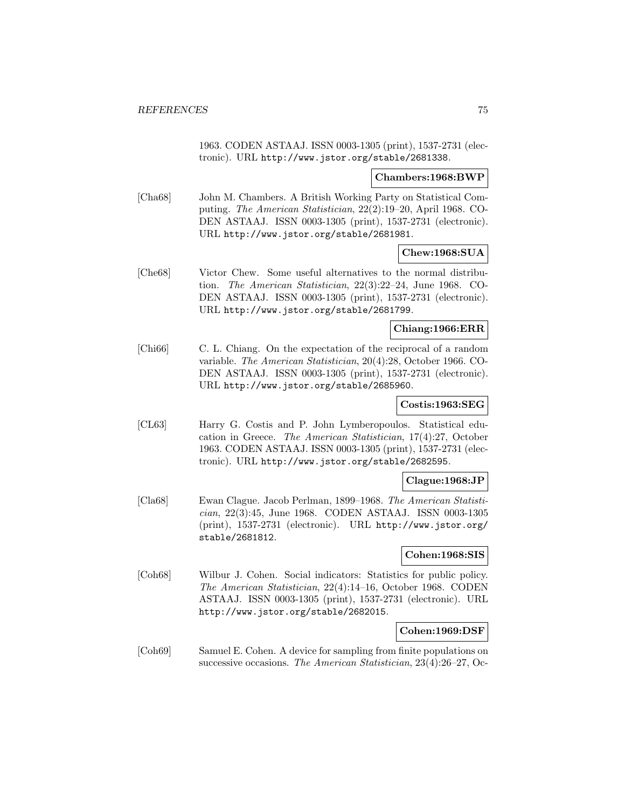1963. CODEN ASTAAJ. ISSN 0003-1305 (print), 1537-2731 (electronic). URL http://www.jstor.org/stable/2681338.

### **Chambers:1968:BWP**

[Cha68] John M. Chambers. A British Working Party on Statistical Computing. The American Statistician, 22(2):19–20, April 1968. CO-DEN ASTAAJ. ISSN 0003-1305 (print), 1537-2731 (electronic). URL http://www.jstor.org/stable/2681981.

# **Chew:1968:SUA**

[Che68] Victor Chew. Some useful alternatives to the normal distribution. The American Statistician, 22(3):22–24, June 1968. CO-DEN ASTAAJ. ISSN 0003-1305 (print), 1537-2731 (electronic). URL http://www.jstor.org/stable/2681799.

# **Chiang:1966:ERR**

[Chi66] C. L. Chiang. On the expectation of the reciprocal of a random variable. The American Statistician, 20(4):28, October 1966. CO-DEN ASTAAJ. ISSN 0003-1305 (print), 1537-2731 (electronic). URL http://www.jstor.org/stable/2685960.

# **Costis:1963:SEG**

[CL63] Harry G. Costis and P. John Lymberopoulos. Statistical education in Greece. The American Statistician, 17(4):27, October 1963. CODEN ASTAAJ. ISSN 0003-1305 (print), 1537-2731 (electronic). URL http://www.jstor.org/stable/2682595.

## **Clague:1968:JP**

[Cla68] Ewan Clague. Jacob Perlman, 1899–1968. The American Statistician, 22(3):45, June 1968. CODEN ASTAAJ. ISSN 0003-1305 (print), 1537-2731 (electronic). URL http://www.jstor.org/ stable/2681812.

# **Cohen:1968:SIS**

[Coh68] Wilbur J. Cohen. Social indicators: Statistics for public policy. The American Statistician, 22(4):14–16, October 1968. CODEN ASTAAJ. ISSN 0003-1305 (print), 1537-2731 (electronic). URL http://www.jstor.org/stable/2682015.

# **Cohen:1969:DSF**

[Coh69] Samuel E. Cohen. A device for sampling from finite populations on successive occasions. The American Statistician, 23(4):26–27, Oc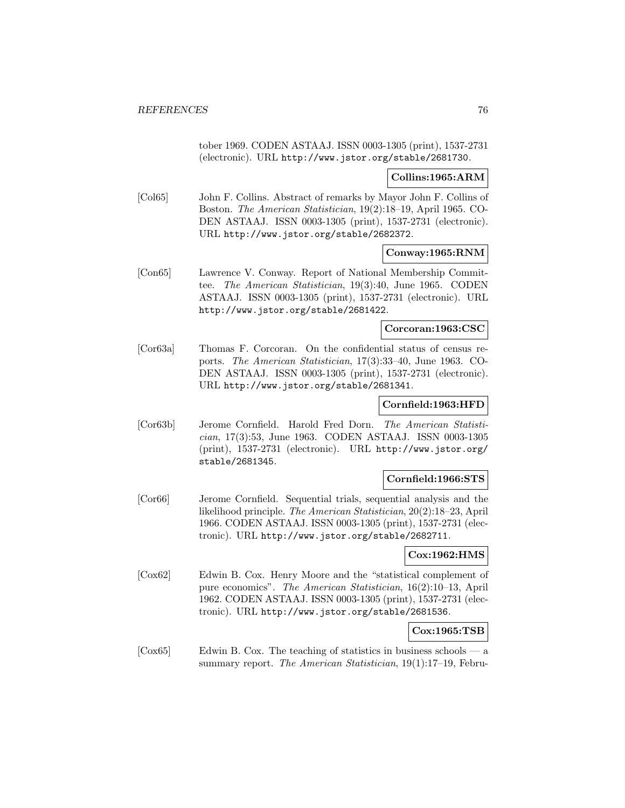tober 1969. CODEN ASTAAJ. ISSN 0003-1305 (print), 1537-2731 (electronic). URL http://www.jstor.org/stable/2681730.

# **Collins:1965:ARM**

[Col65] John F. Collins. Abstract of remarks by Mayor John F. Collins of Boston. The American Statistician, 19(2):18–19, April 1965. CO-DEN ASTAAJ. ISSN 0003-1305 (print), 1537-2731 (electronic). URL http://www.jstor.org/stable/2682372.

# **Conway:1965:RNM**

[Con65] Lawrence V. Conway. Report of National Membership Committee. The American Statistician, 19(3):40, June 1965. CODEN ASTAAJ. ISSN 0003-1305 (print), 1537-2731 (electronic). URL http://www.jstor.org/stable/2681422.

## **Corcoran:1963:CSC**

[Cor63a] Thomas F. Corcoran. On the confidential status of census reports. The American Statistician, 17(3):33–40, June 1963. CO-DEN ASTAAJ. ISSN 0003-1305 (print), 1537-2731 (electronic). URL http://www.jstor.org/stable/2681341.

# **Cornfield:1963:HFD**

[Cor63b] Jerome Cornfield. Harold Fred Dorn. The American Statistician, 17(3):53, June 1963. CODEN ASTAAJ. ISSN 0003-1305 (print), 1537-2731 (electronic). URL http://www.jstor.org/ stable/2681345.

#### **Cornfield:1966:STS**

[Cor66] Jerome Cornfield. Sequential trials, sequential analysis and the likelihood principle. The American Statistician, 20(2):18–23, April 1966. CODEN ASTAAJ. ISSN 0003-1305 (print), 1537-2731 (electronic). URL http://www.jstor.org/stable/2682711.

## **Cox:1962:HMS**

[Cox62] Edwin B. Cox. Henry Moore and the "statistical complement of pure economics". The American Statistician, 16(2):10–13, April 1962. CODEN ASTAAJ. ISSN 0003-1305 (print), 1537-2731 (electronic). URL http://www.jstor.org/stable/2681536.

## **Cox:1965:TSB**

 $[{\rm Cox}65]$  Edwin B. Cox. The teaching of statistics in business schools — a summary report. The American Statistician, 19(1):17-19, Febru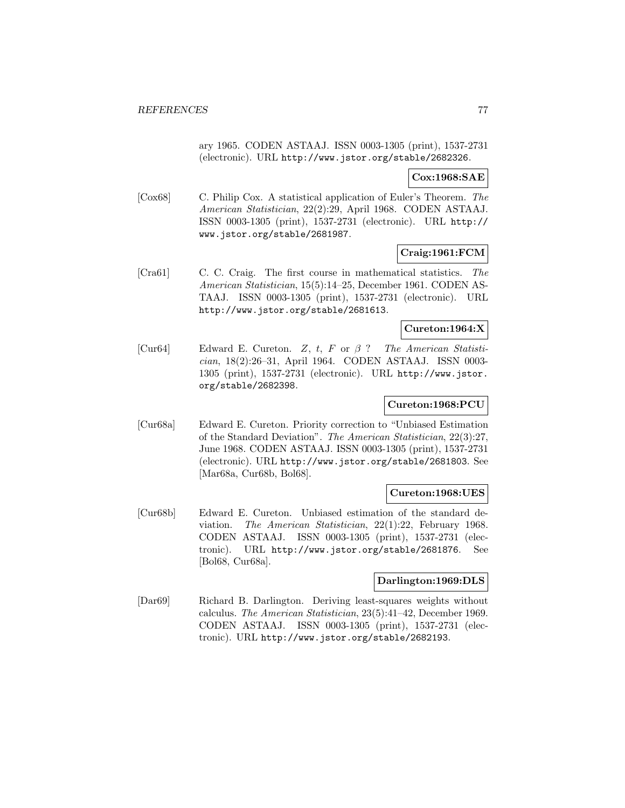ary 1965. CODEN ASTAAJ. ISSN 0003-1305 (print), 1537-2731 (electronic). URL http://www.jstor.org/stable/2682326.

# **Cox:1968:SAE**

[Cox68] C. Philip Cox. A statistical application of Euler's Theorem. The American Statistician, 22(2):29, April 1968. CODEN ASTAAJ. ISSN 0003-1305 (print), 1537-2731 (electronic). URL http:// www.jstor.org/stable/2681987.

# **Craig:1961:FCM**

[Cra61] C. C. Craig. The first course in mathematical statistics. The American Statistician, 15(5):14–25, December 1961. CODEN AS-TAAJ. ISSN 0003-1305 (print), 1537-2731 (electronic). URL http://www.jstor.org/stable/2681613.

# **Cureton:1964:X**

[Cur64] Edward E. Cureton. Z, t, F or  $\beta$  ? The American Statistician, 18(2):26–31, April 1964. CODEN ASTAAJ. ISSN 0003- 1305 (print), 1537-2731 (electronic). URL http://www.jstor. org/stable/2682398.

# **Cureton:1968:PCU**

[Cur68a] Edward E. Cureton. Priority correction to "Unbiased Estimation of the Standard Deviation". The American Statistician, 22(3):27, June 1968. CODEN ASTAAJ. ISSN 0003-1305 (print), 1537-2731 (electronic). URL http://www.jstor.org/stable/2681803. See [Mar68a, Cur68b, Bol68].

## **Cureton:1968:UES**

[Cur68b] Edward E. Cureton. Unbiased estimation of the standard deviation. The American Statistician, 22(1):22, February 1968. CODEN ASTAAJ. ISSN 0003-1305 (print), 1537-2731 (electronic). URL http://www.jstor.org/stable/2681876. See [Bol68, Cur68a].

## **Darlington:1969:DLS**

[Dar69] Richard B. Darlington. Deriving least-squares weights without calculus. The American Statistician, 23(5):41–42, December 1969. CODEN ASTAAJ. ISSN 0003-1305 (print), 1537-2731 (electronic). URL http://www.jstor.org/stable/2682193.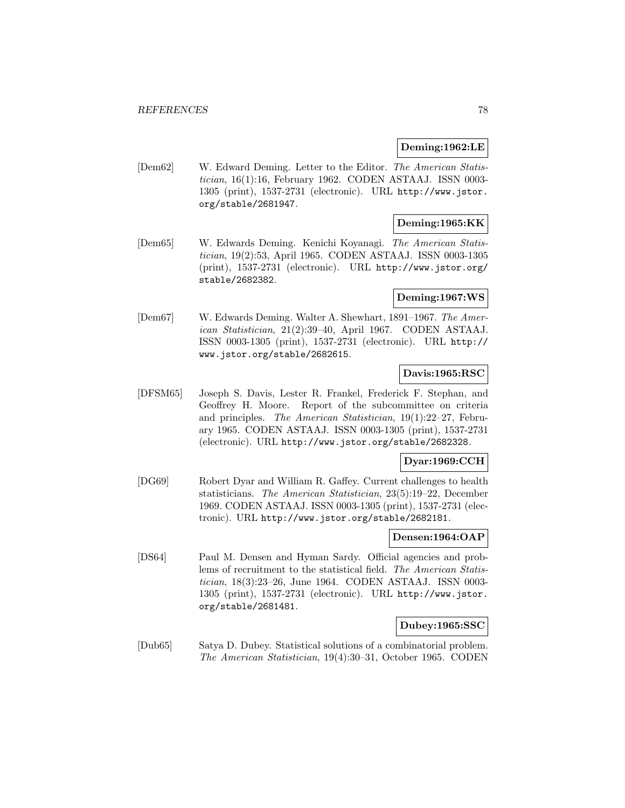## **Deming:1962:LE**

[Dem62] W. Edward Deming. Letter to the Editor. The American Statistician, 16(1):16, February 1962. CODEN ASTAAJ. ISSN 0003- 1305 (print), 1537-2731 (electronic). URL http://www.jstor. org/stable/2681947.

# **Deming:1965:KK**

[Dem65] W. Edwards Deming. Kenichi Koyanagi. The American Statistician, 19(2):53, April 1965. CODEN ASTAAJ. ISSN 0003-1305 (print), 1537-2731 (electronic). URL http://www.jstor.org/ stable/2682382.

# **Deming:1967:WS**

[Dem67] W. Edwards Deming. Walter A. Shewhart, 1891–1967. The American Statistician, 21(2):39–40, April 1967. CODEN ASTAAJ. ISSN 0003-1305 (print), 1537-2731 (electronic). URL http:// www.jstor.org/stable/2682615.

# **Davis:1965:RSC**

[DFSM65] Joseph S. Davis, Lester R. Frankel, Frederick F. Stephan, and Geoffrey H. Moore. Report of the subcommittee on criteria and principles. The American Statistician, 19(1):22–27, February 1965. CODEN ASTAAJ. ISSN 0003-1305 (print), 1537-2731 (electronic). URL http://www.jstor.org/stable/2682328.

# **Dyar:1969:CCH**

[DG69] Robert Dyar and William R. Gaffey. Current challenges to health statisticians. The American Statistician, 23(5):19–22, December 1969. CODEN ASTAAJ. ISSN 0003-1305 (print), 1537-2731 (electronic). URL http://www.jstor.org/stable/2682181.

# **Densen:1964:OAP**

[DS64] Paul M. Densen and Hyman Sardy. Official agencies and problems of recruitment to the statistical field. The American Statistician, 18(3):23–26, June 1964. CODEN ASTAAJ. ISSN 0003- 1305 (print), 1537-2731 (electronic). URL http://www.jstor. org/stable/2681481.

#### **Dubey:1965:SSC**

[Dub65] Satya D. Dubey. Statistical solutions of a combinatorial problem. The American Statistician, 19(4):30–31, October 1965. CODEN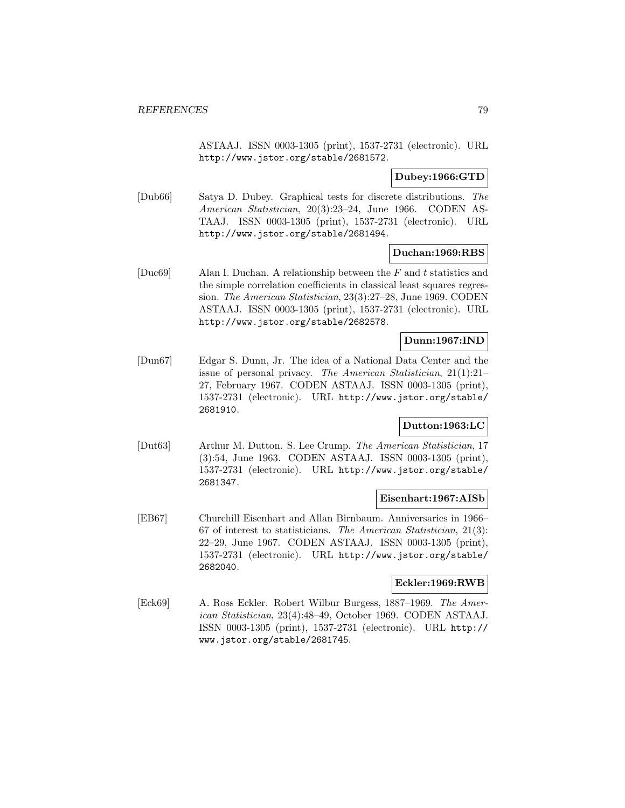ASTAAJ. ISSN 0003-1305 (print), 1537-2731 (electronic). URL http://www.jstor.org/stable/2681572.

## **Dubey:1966:GTD**

[Dub66] Satya D. Dubey. Graphical tests for discrete distributions. The American Statistician, 20(3):23–24, June 1966. CODEN AS-TAAJ. ISSN 0003-1305 (print), 1537-2731 (electronic). URL http://www.jstor.org/stable/2681494.

## **Duchan:1969:RBS**

[Duc69] Alan I. Duchan. A relationship between the  $F$  and  $t$  statistics and the simple correlation coefficients in classical least squares regression. The American Statistician, 23(3):27–28, June 1969. CODEN ASTAAJ. ISSN 0003-1305 (print), 1537-2731 (electronic). URL http://www.jstor.org/stable/2682578.

## **Dunn:1967:IND**

[Dun67] Edgar S. Dunn, Jr. The idea of a National Data Center and the issue of personal privacy. The American Statistician, 21(1):21– 27, February 1967. CODEN ASTAAJ. ISSN 0003-1305 (print), 1537-2731 (electronic). URL http://www.jstor.org/stable/ 2681910.

# **Dutton:1963:LC**

[Dut63] Arthur M. Dutton. S. Lee Crump. The American Statistician, 17 (3):54, June 1963. CODEN ASTAAJ. ISSN 0003-1305 (print), 1537-2731 (electronic). URL http://www.jstor.org/stable/ 2681347.

#### **Eisenhart:1967:AISb**

[EB67] Churchill Eisenhart and Allan Birnbaum. Anniversaries in 1966– 67 of interest to statisticians. The American Statistician, 21(3): 22–29, June 1967. CODEN ASTAAJ. ISSN 0003-1305 (print), 1537-2731 (electronic). URL http://www.jstor.org/stable/ 2682040.

## **Eckler:1969:RWB**

[Eck69] A. Ross Eckler. Robert Wilbur Burgess, 1887–1969. The American Statistician, 23(4):48–49, October 1969. CODEN ASTAAJ. ISSN 0003-1305 (print), 1537-2731 (electronic). URL http:// www.jstor.org/stable/2681745.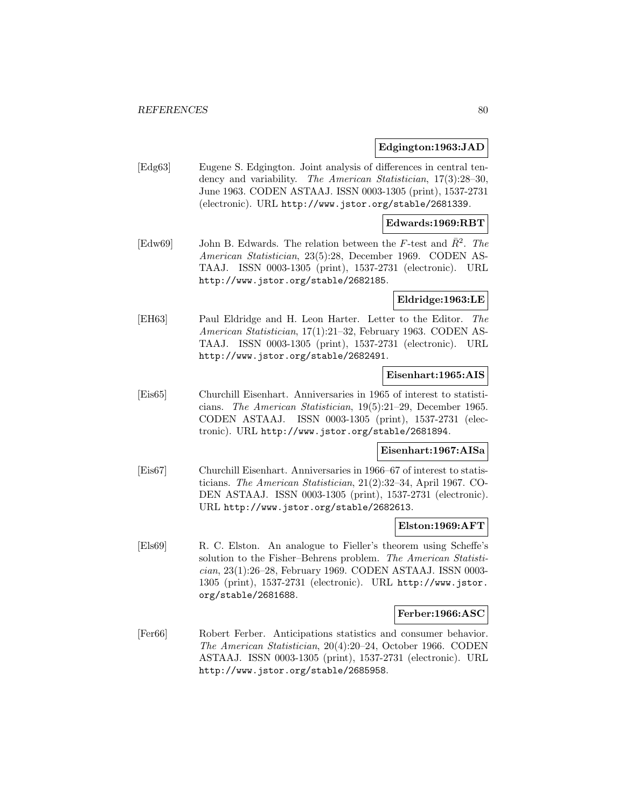#### **Edgington:1963:JAD**

[Edg63] Eugene S. Edgington. Joint analysis of differences in central tendency and variability. The American Statistician, 17(3):28–30, June 1963. CODEN ASTAAJ. ISSN 0003-1305 (print), 1537-2731 (electronic). URL http://www.jstor.org/stable/2681339.

#### **Edwards:1969:RBT**

[Edw69] John B. Edwards. The relation between the F-test and  $R^2$ . The American Statistician, 23(5):28, December 1969. CODEN AS-TAAJ. ISSN 0003-1305 (print), 1537-2731 (electronic). URL http://www.jstor.org/stable/2682185.

# **Eldridge:1963:LE**

[EH63] Paul Eldridge and H. Leon Harter. Letter to the Editor. The American Statistician, 17(1):21–32, February 1963. CODEN AS-TAAJ. ISSN 0003-1305 (print), 1537-2731 (electronic). URL http://www.jstor.org/stable/2682491.

# **Eisenhart:1965:AIS**

[Eis65] Churchill Eisenhart. Anniversaries in 1965 of interest to statisticians. The American Statistician, 19(5):21–29, December 1965. CODEN ASTAAJ. ISSN 0003-1305 (print), 1537-2731 (electronic). URL http://www.jstor.org/stable/2681894.

### **Eisenhart:1967:AISa**

[Eis67] Churchill Eisenhart. Anniversaries in 1966–67 of interest to statisticians. The American Statistician, 21(2):32–34, April 1967. CO-DEN ASTAAJ. ISSN 0003-1305 (print), 1537-2731 (electronic). URL http://www.jstor.org/stable/2682613.

### **Elston:1969:AFT**

[Els69] R. C. Elston. An analogue to Fieller's theorem using Scheffe's solution to the Fisher–Behrens problem. The American Statistician, 23(1):26–28, February 1969. CODEN ASTAAJ. ISSN 0003- 1305 (print), 1537-2731 (electronic). URL http://www.jstor. org/stable/2681688.

#### **Ferber:1966:ASC**

[Fer66] Robert Ferber. Anticipations statistics and consumer behavior. The American Statistician, 20(4):20–24, October 1966. CODEN ASTAAJ. ISSN 0003-1305 (print), 1537-2731 (electronic). URL http://www.jstor.org/stable/2685958.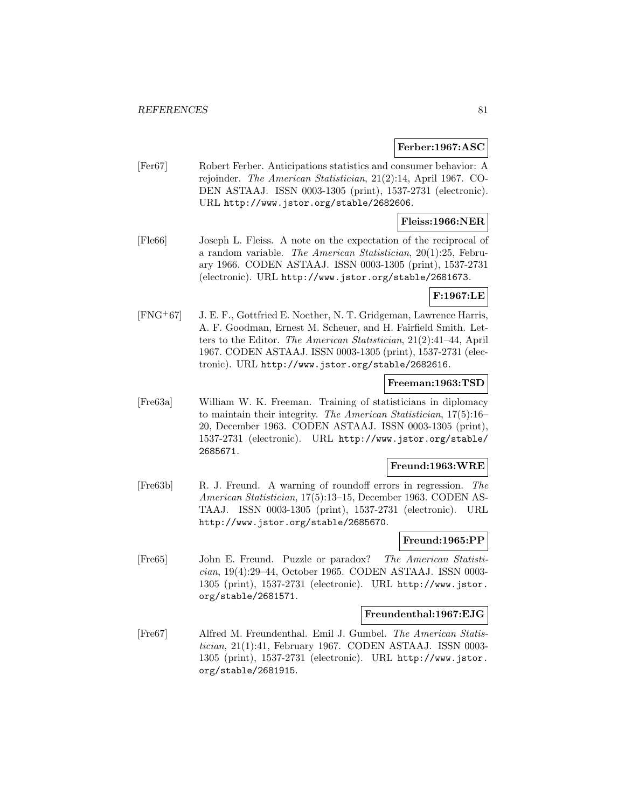### **Ferber:1967:ASC**

[Fer67] Robert Ferber. Anticipations statistics and consumer behavior: A rejoinder. The American Statistician, 21(2):14, April 1967. CO-DEN ASTAAJ. ISSN 0003-1305 (print), 1537-2731 (electronic). URL http://www.jstor.org/stable/2682606.

# **Fleiss:1966:NER**

[Fle66] Joseph L. Fleiss. A note on the expectation of the reciprocal of a random variable. The American Statistician, 20(1):25, February 1966. CODEN ASTAAJ. ISSN 0003-1305 (print), 1537-2731 (electronic). URL http://www.jstor.org/stable/2681673.

# **F:1967:LE**

[FNG<sup>+</sup>67] J. E. F., Gottfried E. Noether, N. T. Gridgeman, Lawrence Harris, A. F. Goodman, Ernest M. Scheuer, and H. Fairfield Smith. Letters to the Editor. The American Statistician, 21(2):41–44, April 1967. CODEN ASTAAJ. ISSN 0003-1305 (print), 1537-2731 (electronic). URL http://www.jstor.org/stable/2682616.

#### **Freeman:1963:TSD**

[Fre63a] William W. K. Freeman. Training of statisticians in diplomacy to maintain their integrity. The American Statistician, 17(5):16– 20, December 1963. CODEN ASTAAJ. ISSN 0003-1305 (print), 1537-2731 (electronic). URL http://www.jstor.org/stable/ 2685671.

### **Freund:1963:WRE**

[Fre63b] R. J. Freund. A warning of roundoff errors in regression. The American Statistician, 17(5):13–15, December 1963. CODEN AS-TAAJ. ISSN 0003-1305 (print), 1537-2731 (electronic). URL http://www.jstor.org/stable/2685670.

#### **Freund:1965:PP**

[Fre65] John E. Freund. Puzzle or paradox? The American Statistician, 19(4):29–44, October 1965. CODEN ASTAAJ. ISSN 0003- 1305 (print), 1537-2731 (electronic). URL http://www.jstor. org/stable/2681571.

#### **Freundenthal:1967:EJG**

[Fre67] Alfred M. Freundenthal. Emil J. Gumbel. The American Statistician, 21(1):41, February 1967. CODEN ASTAAJ. ISSN 0003- 1305 (print), 1537-2731 (electronic). URL http://www.jstor. org/stable/2681915.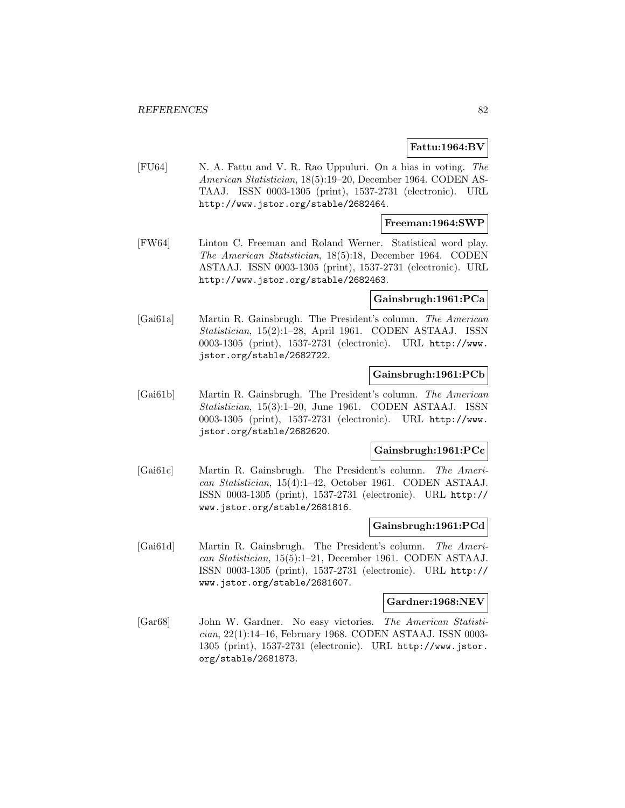## **Fattu:1964:BV**

[FU64] N. A. Fattu and V. R. Rao Uppuluri. On a bias in voting. The American Statistician, 18(5):19–20, December 1964. CODEN AS-TAAJ. ISSN 0003-1305 (print), 1537-2731 (electronic). URL http://www.jstor.org/stable/2682464.

### **Freeman:1964:SWP**

[FW64] Linton C. Freeman and Roland Werner. Statistical word play. The American Statistician, 18(5):18, December 1964. CODEN ASTAAJ. ISSN 0003-1305 (print), 1537-2731 (electronic). URL http://www.jstor.org/stable/2682463.

#### **Gainsbrugh:1961:PCa**

[Gai61a] Martin R. Gainsbrugh. The President's column. The American Statistician, 15(2):1–28, April 1961. CODEN ASTAAJ. ISSN 0003-1305 (print), 1537-2731 (electronic). URL http://www. jstor.org/stable/2682722.

# **Gainsbrugh:1961:PCb**

[Gai61b] Martin R. Gainsbrugh. The President's column. The American Statistician, 15(3):1–20, June 1961. CODEN ASTAAJ. ISSN 0003-1305 (print), 1537-2731 (electronic). URL http://www. jstor.org/stable/2682620.

## **Gainsbrugh:1961:PCc**

[Gai61c] Martin R. Gainsbrugh. The President's column. The American Statistician, 15(4):1–42, October 1961. CODEN ASTAAJ. ISSN 0003-1305 (print), 1537-2731 (electronic). URL http:// www.jstor.org/stable/2681816.

#### **Gainsbrugh:1961:PCd**

[Gai61d] Martin R. Gainsbrugh. The President's column. The American Statistician, 15(5):1–21, December 1961. CODEN ASTAAJ. ISSN 0003-1305 (print), 1537-2731 (electronic). URL http:// www.jstor.org/stable/2681607.

#### **Gardner:1968:NEV**

[Gar68] John W. Gardner. No easy victories. The American Statistician, 22(1):14–16, February 1968. CODEN ASTAAJ. ISSN 0003- 1305 (print), 1537-2731 (electronic). URL http://www.jstor. org/stable/2681873.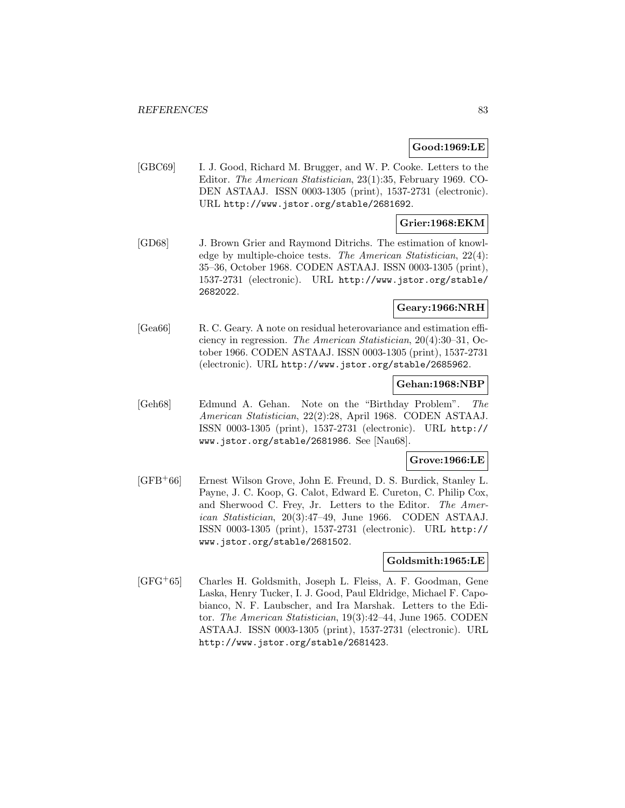## **Good:1969:LE**

[GBC69] I. J. Good, Richard M. Brugger, and W. P. Cooke. Letters to the Editor. The American Statistician, 23(1):35, February 1969. CO-DEN ASTAAJ. ISSN 0003-1305 (print), 1537-2731 (electronic). URL http://www.jstor.org/stable/2681692.

## **Grier:1968:EKM**

[GD68] J. Brown Grier and Raymond Ditrichs. The estimation of knowledge by multiple-choice tests. The American Statistician, 22(4): 35–36, October 1968. CODEN ASTAAJ. ISSN 0003-1305 (print), 1537-2731 (electronic). URL http://www.jstor.org/stable/ 2682022.

# **Geary:1966:NRH**

[Gea66] R. C. Geary. A note on residual heterovariance and estimation efficiency in regression. The American Statistician, 20(4):30–31, October 1966. CODEN ASTAAJ. ISSN 0003-1305 (print), 1537-2731 (electronic). URL http://www.jstor.org/stable/2685962.

#### **Gehan:1968:NBP**

[Geh68] Edmund A. Gehan. Note on the "Birthday Problem". The American Statistician, 22(2):28, April 1968. CODEN ASTAAJ. ISSN 0003-1305 (print), 1537-2731 (electronic). URL http:// www.jstor.org/stable/2681986. See [Nau68].

#### **Grove:1966:LE**

[GFB<sup>+</sup>66] Ernest Wilson Grove, John E. Freund, D. S. Burdick, Stanley L. Payne, J. C. Koop, G. Calot, Edward E. Cureton, C. Philip Cox, and Sherwood C. Frey, Jr. Letters to the Editor. The American Statistician, 20(3):47–49, June 1966. CODEN ASTAAJ. ISSN 0003-1305 (print), 1537-2731 (electronic). URL http:// www.jstor.org/stable/2681502.

# **Goldsmith:1965:LE**

[GFG<sup>+</sup>65] Charles H. Goldsmith, Joseph L. Fleiss, A. F. Goodman, Gene Laska, Henry Tucker, I. J. Good, Paul Eldridge, Michael F. Capobianco, N. F. Laubscher, and Ira Marshak. Letters to the Editor. The American Statistician, 19(3):42–44, June 1965. CODEN ASTAAJ. ISSN 0003-1305 (print), 1537-2731 (electronic). URL http://www.jstor.org/stable/2681423.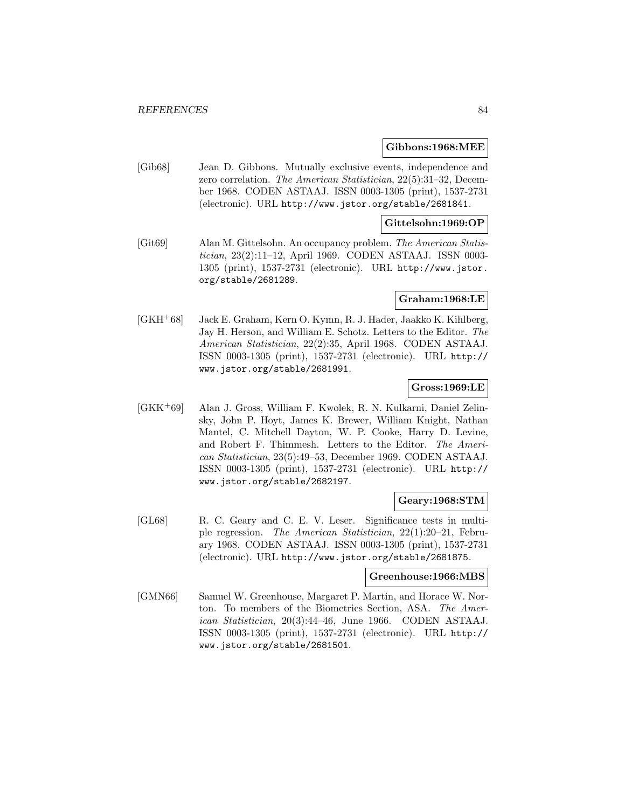#### **Gibbons:1968:MEE**

[Gib68] Jean D. Gibbons. Mutually exclusive events, independence and zero correlation. The American Statistician, 22(5):31–32, December 1968. CODEN ASTAAJ. ISSN 0003-1305 (print), 1537-2731 (electronic). URL http://www.jstor.org/stable/2681841.

### **Gittelsohn:1969:OP**

[Git69] Alan M. Gittelsohn. An occupancy problem. The American Statistician, 23(2):11–12, April 1969. CODEN ASTAAJ. ISSN 0003- 1305 (print), 1537-2731 (electronic). URL http://www.jstor. org/stable/2681289.

## **Graham:1968:LE**

[GKH<sup>+</sup>68] Jack E. Graham, Kern O. Kymn, R. J. Hader, Jaakko K. Kihlberg, Jay H. Herson, and William E. Schotz. Letters to the Editor. The American Statistician, 22(2):35, April 1968. CODEN ASTAAJ. ISSN 0003-1305 (print), 1537-2731 (electronic). URL http:// www.jstor.org/stable/2681991.

# **Gross:1969:LE**

[GKK<sup>+</sup>69] Alan J. Gross, William F. Kwolek, R. N. Kulkarni, Daniel Zelinsky, John P. Hoyt, James K. Brewer, William Knight, Nathan Mantel, C. Mitchell Dayton, W. P. Cooke, Harry D. Levine, and Robert F. Thimmesh. Letters to the Editor. The American Statistician, 23(5):49–53, December 1969. CODEN ASTAAJ. ISSN 0003-1305 (print), 1537-2731 (electronic). URL http:// www.jstor.org/stable/2682197.

#### **Geary:1968:STM**

[GL68] R. C. Geary and C. E. V. Leser. Significance tests in multiple regression. The American Statistician, 22(1):20–21, February 1968. CODEN ASTAAJ. ISSN 0003-1305 (print), 1537-2731 (electronic). URL http://www.jstor.org/stable/2681875.

#### **Greenhouse:1966:MBS**

[GMN66] Samuel W. Greenhouse, Margaret P. Martin, and Horace W. Norton. To members of the Biometrics Section, ASA. The American Statistician, 20(3):44–46, June 1966. CODEN ASTAAJ. ISSN 0003-1305 (print), 1537-2731 (electronic). URL http:// www.jstor.org/stable/2681501.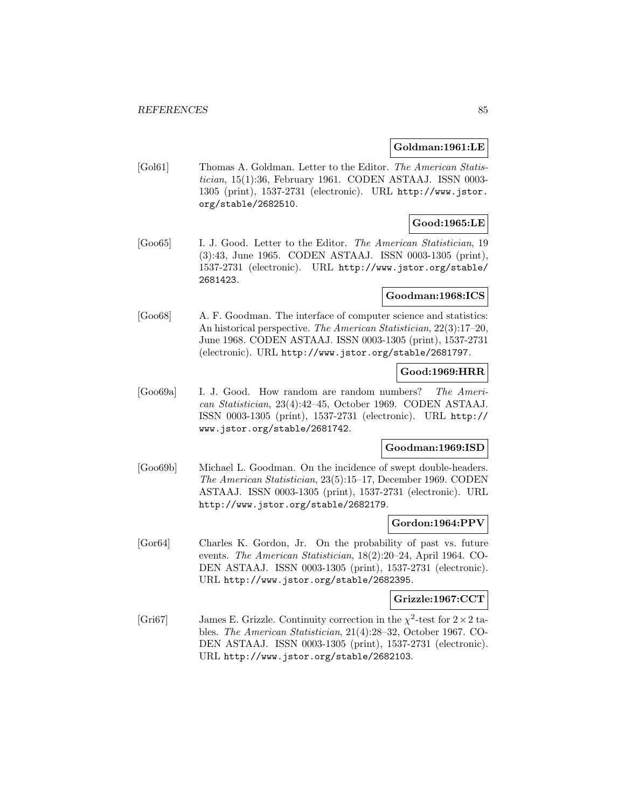#### **Goldman:1961:LE**

[Gol61] Thomas A. Goldman. Letter to the Editor. The American Statistician, 15(1):36, February 1961. CODEN ASTAAJ. ISSN 0003- 1305 (print), 1537-2731 (electronic). URL http://www.jstor. org/stable/2682510.

# **Good:1965:LE**

[Goo65] I. J. Good. Letter to the Editor. The American Statistician, 19 (3):43, June 1965. CODEN ASTAAJ. ISSN 0003-1305 (print), 1537-2731 (electronic). URL http://www.jstor.org/stable/ 2681423.

## **Goodman:1968:ICS**

[Goo68] A. F. Goodman. The interface of computer science and statistics: An historical perspective. The American Statistician, 22(3):17–20, June 1968. CODEN ASTAAJ. ISSN 0003-1305 (print), 1537-2731 (electronic). URL http://www.jstor.org/stable/2681797.

# **Good:1969:HRR**

[Goo69a] I. J. Good. How random are random numbers? The American Statistician, 23(4):42–45, October 1969. CODEN ASTAAJ. ISSN 0003-1305 (print), 1537-2731 (electronic). URL http:// www.jstor.org/stable/2681742.

# **Goodman:1969:ISD**

[Goo69b] Michael L. Goodman. On the incidence of swept double-headers. The American Statistician, 23(5):15–17, December 1969. CODEN ASTAAJ. ISSN 0003-1305 (print), 1537-2731 (electronic). URL http://www.jstor.org/stable/2682179.

## **Gordon:1964:PPV**

[Gor64] Charles K. Gordon, Jr. On the probability of past vs. future events. The American Statistician, 18(2):20–24, April 1964. CO-DEN ASTAAJ. ISSN 0003-1305 (print), 1537-2731 (electronic). URL http://www.jstor.org/stable/2682395.

#### **Grizzle:1967:CCT**

[Gri67] James E. Grizzle. Continuity correction in the  $\chi^2$ -test for  $2 \times 2$  tables. The American Statistician, 21(4):28–32, October 1967. CO-DEN ASTAAJ. ISSN 0003-1305 (print), 1537-2731 (electronic). URL http://www.jstor.org/stable/2682103.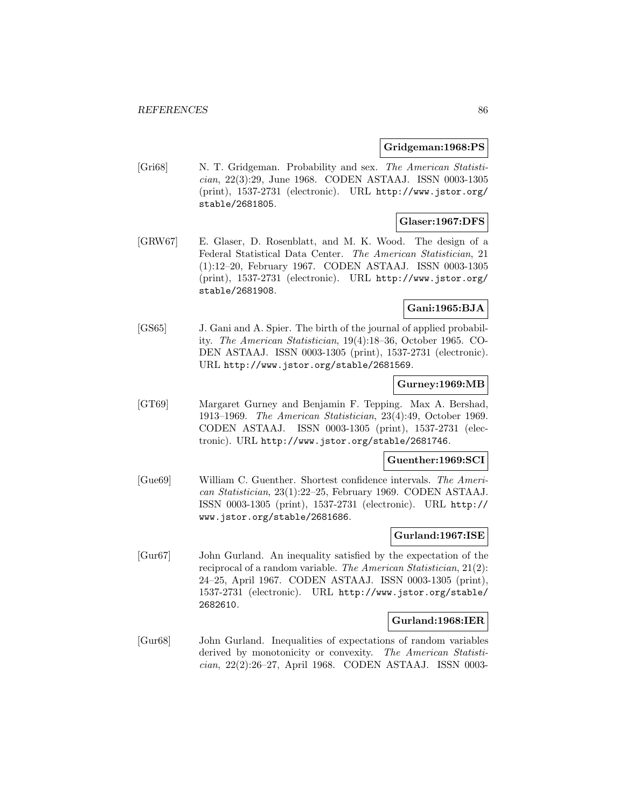#### **Gridgeman:1968:PS**

[Gri68] N. T. Gridgeman. Probability and sex. The American Statistician, 22(3):29, June 1968. CODEN ASTAAJ. ISSN 0003-1305 (print), 1537-2731 (electronic). URL http://www.jstor.org/ stable/2681805.

# **Glaser:1967:DFS**

[GRW67] E. Glaser, D. Rosenblatt, and M. K. Wood. The design of a Federal Statistical Data Center. The American Statistician, 21 (1):12–20, February 1967. CODEN ASTAAJ. ISSN 0003-1305 (print), 1537-2731 (electronic). URL http://www.jstor.org/ stable/2681908.

# **Gani:1965:BJA**

[GS65] J. Gani and A. Spier. The birth of the journal of applied probability. The American Statistician, 19(4):18–36, October 1965. CO-DEN ASTAAJ. ISSN 0003-1305 (print), 1537-2731 (electronic). URL http://www.jstor.org/stable/2681569.

#### **Gurney:1969:MB**

[GT69] Margaret Gurney and Benjamin F. Tepping. Max A. Bershad, 1913–1969. The American Statistician, 23(4):49, October 1969. CODEN ASTAAJ. ISSN 0003-1305 (print), 1537-2731 (electronic). URL http://www.jstor.org/stable/2681746.

#### **Guenther:1969:SCI**

[Gue69] William C. Guenther. Shortest confidence intervals. The American Statistician, 23(1):22–25, February 1969. CODEN ASTAAJ. ISSN 0003-1305 (print), 1537-2731 (electronic). URL http:// www.jstor.org/stable/2681686.

## **Gurland:1967:ISE**

[Gur67] John Gurland. An inequality satisfied by the expectation of the reciprocal of a random variable. The American Statistician, 21(2): 24–25, April 1967. CODEN ASTAAJ. ISSN 0003-1305 (print), 1537-2731 (electronic). URL http://www.jstor.org/stable/ 2682610.

#### **Gurland:1968:IER**

[Gur68] John Gurland. Inequalities of expectations of random variables derived by monotonicity or convexity. The American Statistician, 22(2):26–27, April 1968. CODEN ASTAAJ. ISSN 0003-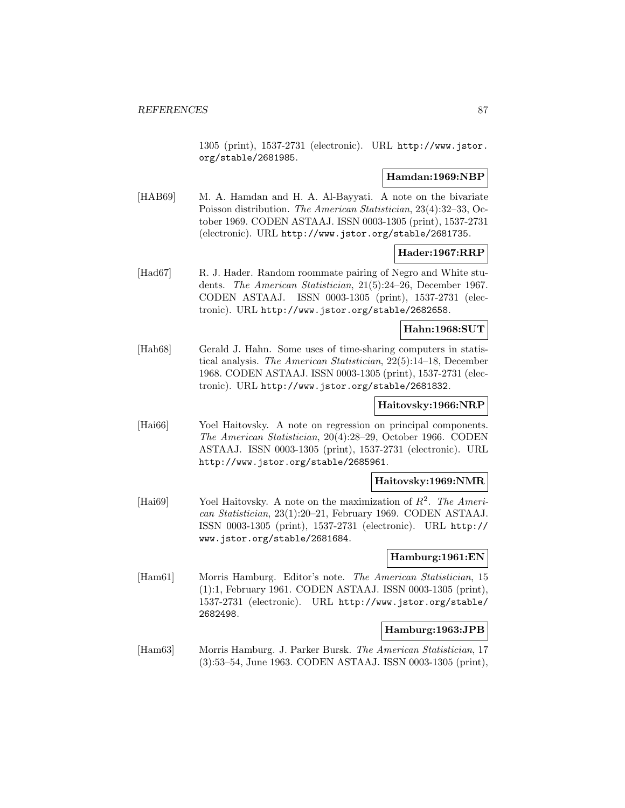1305 (print), 1537-2731 (electronic). URL http://www.jstor. org/stable/2681985.

# **Hamdan:1969:NBP**

[HAB69] M. A. Hamdan and H. A. Al-Bayyati. A note on the bivariate Poisson distribution. The American Statistician, 23(4):32–33, October 1969. CODEN ASTAAJ. ISSN 0003-1305 (print), 1537-2731 (electronic). URL http://www.jstor.org/stable/2681735.

## **Hader:1967:RRP**

[Had67] R. J. Hader. Random roommate pairing of Negro and White students. The American Statistician, 21(5):24–26, December 1967. CODEN ASTAAJ. ISSN 0003-1305 (print), 1537-2731 (electronic). URL http://www.jstor.org/stable/2682658.

## **Hahn:1968:SUT**

[Hah68] Gerald J. Hahn. Some uses of time-sharing computers in statistical analysis. The American Statistician, 22(5):14–18, December 1968. CODEN ASTAAJ. ISSN 0003-1305 (print), 1537-2731 (electronic). URL http://www.jstor.org/stable/2681832.

# **Haitovsky:1966:NRP**

[Hai66] Yoel Haitovsky. A note on regression on principal components. The American Statistician, 20(4):28–29, October 1966. CODEN ASTAAJ. ISSN 0003-1305 (print), 1537-2731 (electronic). URL http://www.jstor.org/stable/2685961.

## **Haitovsky:1969:NMR**

[Hai69] Yoel Haitovsky. A note on the maximization of  $R^2$ . The American Statistician, 23(1):20–21, February 1969. CODEN ASTAAJ. ISSN 0003-1305 (print), 1537-2731 (electronic). URL http:// www.jstor.org/stable/2681684.

# **Hamburg:1961:EN**

[Ham61] Morris Hamburg. Editor's note. The American Statistician, 15 (1):1, February 1961. CODEN ASTAAJ. ISSN 0003-1305 (print), 1537-2731 (electronic). URL http://www.jstor.org/stable/ 2682498.

# **Hamburg:1963:JPB**

[Ham63] Morris Hamburg. J. Parker Bursk. The American Statistician, 17 (3):53–54, June 1963. CODEN ASTAAJ. ISSN 0003-1305 (print),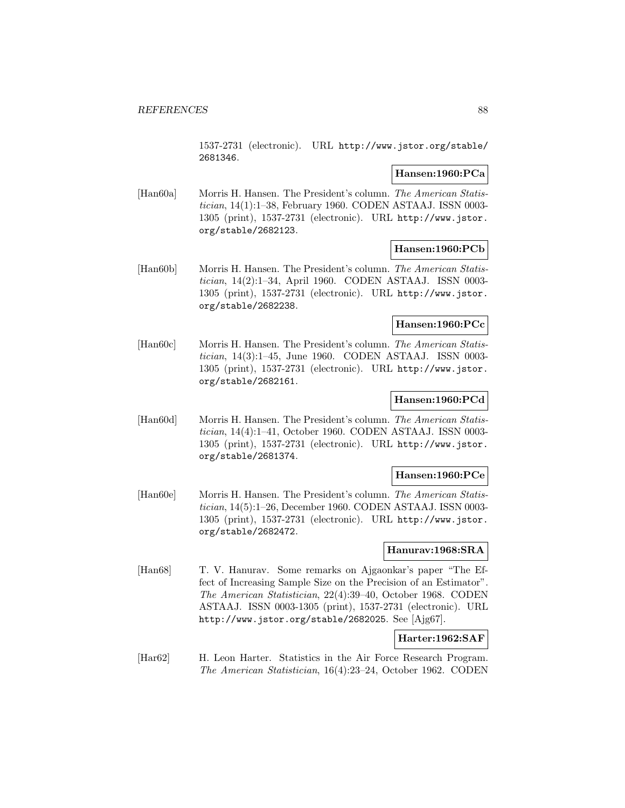1537-2731 (electronic). URL http://www.jstor.org/stable/ 2681346.

# **Hansen:1960:PCa**

[Han60a] Morris H. Hansen. The President's column. The American Statistician, 14(1):1–38, February 1960. CODEN ASTAAJ. ISSN 0003- 1305 (print), 1537-2731 (electronic). URL http://www.jstor. org/stable/2682123.

## **Hansen:1960:PCb**

[Han60b] Morris H. Hansen. The President's column. The American Statistician, 14(2):1–34, April 1960. CODEN ASTAAJ. ISSN 0003- 1305 (print), 1537-2731 (electronic). URL http://www.jstor. org/stable/2682238.

# **Hansen:1960:PCc**

[Han60c] Morris H. Hansen. The President's column. The American Statistician, 14(3):1–45, June 1960. CODEN ASTAAJ. ISSN 0003- 1305 (print), 1537-2731 (electronic). URL http://www.jstor. org/stable/2682161.

### **Hansen:1960:PCd**

[Han60d] Morris H. Hansen. The President's column. The American Statistician, 14(4):1–41, October 1960. CODEN ASTAAJ. ISSN 0003- 1305 (print), 1537-2731 (electronic). URL http://www.jstor. org/stable/2681374.

## **Hansen:1960:PCe**

[Han60e] Morris H. Hansen. The President's column. The American Statistician, 14(5):1–26, December 1960. CODEN ASTAAJ. ISSN 0003- 1305 (print), 1537-2731 (electronic). URL http://www.jstor. org/stable/2682472.

# **Hanurav:1968:SRA**

[Han68] T. V. Hanurav. Some remarks on Ajgaonkar's paper "The Effect of Increasing Sample Size on the Precision of an Estimator". The American Statistician, 22(4):39–40, October 1968. CODEN ASTAAJ. ISSN 0003-1305 (print), 1537-2731 (electronic). URL http://www.jstor.org/stable/2682025. See [Ajg67].

# **Harter:1962:SAF**

[Har62] H. Leon Harter. Statistics in the Air Force Research Program. The American Statistician, 16(4):23–24, October 1962. CODEN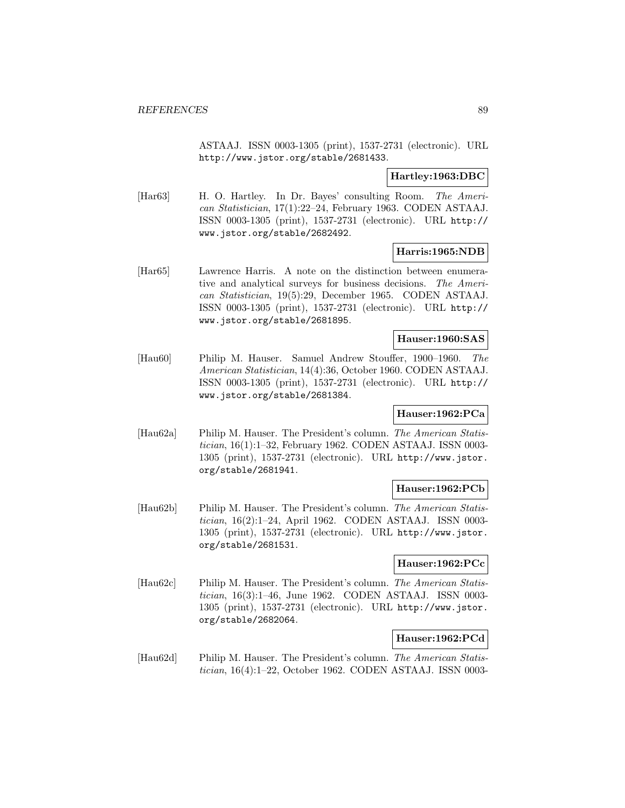ASTAAJ. ISSN 0003-1305 (print), 1537-2731 (electronic). URL http://www.jstor.org/stable/2681433.

### **Hartley:1963:DBC**

[Har63] H. O. Hartley. In Dr. Bayes' consulting Room. The American Statistician, 17(1):22–24, February 1963. CODEN ASTAAJ. ISSN 0003-1305 (print), 1537-2731 (electronic). URL http:// www.jstor.org/stable/2682492.

# **Harris:1965:NDB**

[Har65] Lawrence Harris. A note on the distinction between enumerative and analytical surveys for business decisions. The American Statistician, 19(5):29, December 1965. CODEN ASTAAJ. ISSN 0003-1305 (print), 1537-2731 (electronic). URL http:// www.jstor.org/stable/2681895.

#### **Hauser:1960:SAS**

[Hau60] Philip M. Hauser. Samuel Andrew Stouffer, 1900–1960. The American Statistician, 14(4):36, October 1960. CODEN ASTAAJ. ISSN 0003-1305 (print), 1537-2731 (electronic). URL http:// www.jstor.org/stable/2681384.

# **Hauser:1962:PCa**

[Hau62a] Philip M. Hauser. The President's column. The American Statistician, 16(1):1–32, February 1962. CODEN ASTAAJ. ISSN 0003- 1305 (print), 1537-2731 (electronic). URL http://www.jstor. org/stable/2681941.

## **Hauser:1962:PCb**

[Hau62b] Philip M. Hauser. The President's column. The American Statistician, 16(2):1–24, April 1962. CODEN ASTAAJ. ISSN 0003- 1305 (print), 1537-2731 (electronic). URL http://www.jstor. org/stable/2681531.

## **Hauser:1962:PCc**

[Hau62c] Philip M. Hauser. The President's column. The American Statistician, 16(3):1–46, June 1962. CODEN ASTAAJ. ISSN 0003- 1305 (print), 1537-2731 (electronic). URL http://www.jstor. org/stable/2682064.

# **Hauser:1962:PCd**

[Hau62d] Philip M. Hauser. The President's column. The American Statistician, 16(4):1–22, October 1962. CODEN ASTAAJ. ISSN 0003-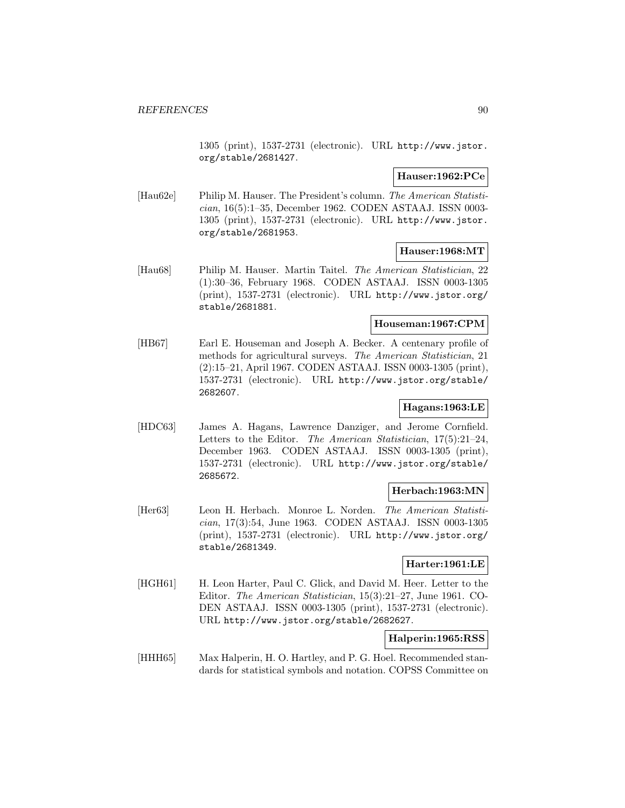1305 (print), 1537-2731 (electronic). URL http://www.jstor. org/stable/2681427.

## **Hauser:1962:PCe**

[Hau62e] Philip M. Hauser. The President's column. The American Statistician, 16(5):1–35, December 1962. CODEN ASTAAJ. ISSN 0003- 1305 (print), 1537-2731 (electronic). URL http://www.jstor. org/stable/2681953.

# **Hauser:1968:MT**

[Hau68] Philip M. Hauser. Martin Taitel. The American Statistician, 22 (1):30–36, February 1968. CODEN ASTAAJ. ISSN 0003-1305 (print), 1537-2731 (electronic). URL http://www.jstor.org/ stable/2681881.

# **Houseman:1967:CPM**

[HB67] Earl E. Houseman and Joseph A. Becker. A centenary profile of methods for agricultural surveys. The American Statistician, 21 (2):15–21, April 1967. CODEN ASTAAJ. ISSN 0003-1305 (print), 1537-2731 (electronic). URL http://www.jstor.org/stable/ 2682607.

# **Hagans:1963:LE**

[HDC63] James A. Hagans, Lawrence Danziger, and Jerome Cornfield. Letters to the Editor. The American Statistician, 17(5):21–24, December 1963. CODEN ASTAAJ. ISSN 0003-1305 (print), 1537-2731 (electronic). URL http://www.jstor.org/stable/ 2685672.

# **Herbach:1963:MN**

[Her63] Leon H. Herbach. Monroe L. Norden. The American Statistician, 17(3):54, June 1963. CODEN ASTAAJ. ISSN 0003-1305 (print), 1537-2731 (electronic). URL http://www.jstor.org/ stable/2681349.

## **Harter:1961:LE**

[HGH61] H. Leon Harter, Paul C. Glick, and David M. Heer. Letter to the Editor. The American Statistician, 15(3):21–27, June 1961. CO-DEN ASTAAJ. ISSN 0003-1305 (print), 1537-2731 (electronic). URL http://www.jstor.org/stable/2682627.

# **Halperin:1965:RSS**

[HHH65] Max Halperin, H. O. Hartley, and P. G. Hoel. Recommended standards for statistical symbols and notation. COPSS Committee on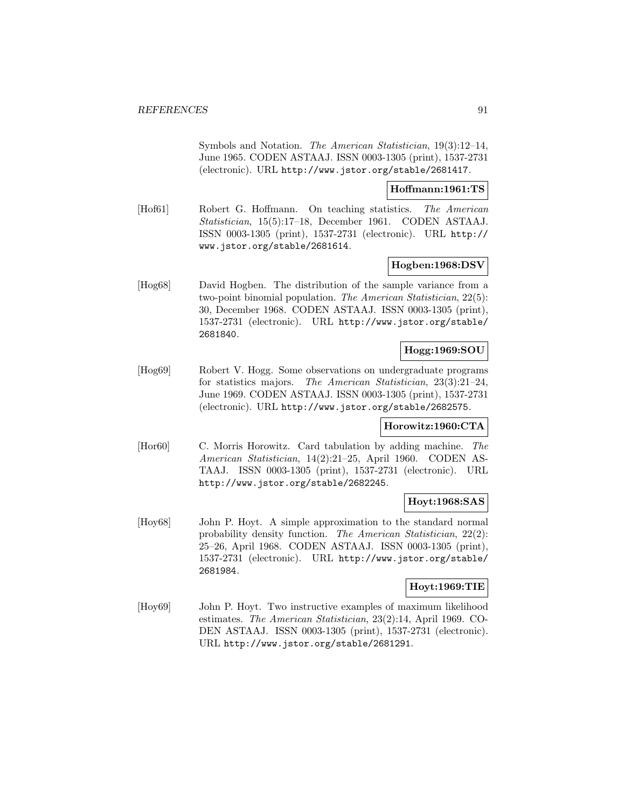Symbols and Notation. The American Statistician, 19(3):12–14, June 1965. CODEN ASTAAJ. ISSN 0003-1305 (print), 1537-2731 (electronic). URL http://www.jstor.org/stable/2681417.

#### **Hoffmann:1961:TS**

[Hof61] Robert G. Hoffmann. On teaching statistics. The American Statistician, 15(5):17–18, December 1961. CODEN ASTAAJ. ISSN 0003-1305 (print), 1537-2731 (electronic). URL http:// www.jstor.org/stable/2681614.

## **Hogben:1968:DSV**

[Hog68] David Hogben. The distribution of the sample variance from a two-point binomial population. The American Statistician, 22(5): 30, December 1968. CODEN ASTAAJ. ISSN 0003-1305 (print), 1537-2731 (electronic). URL http://www.jstor.org/stable/ 2681840.

# **Hogg:1969:SOU**

[Hog69] Robert V. Hogg. Some observations on undergraduate programs for statistics majors. The American Statistician, 23(3):21–24, June 1969. CODEN ASTAAJ. ISSN 0003-1305 (print), 1537-2731 (electronic). URL http://www.jstor.org/stable/2682575.

## **Horowitz:1960:CTA**

[Hor60] C. Morris Horowitz. Card tabulation by adding machine. The American Statistician, 14(2):21–25, April 1960. CODEN AS-TAAJ. ISSN 0003-1305 (print), 1537-2731 (electronic). URL http://www.jstor.org/stable/2682245.

## **Hoyt:1968:SAS**

[Hoy68] John P. Hoyt. A simple approximation to the standard normal probability density function. The American Statistician, 22(2): 25–26, April 1968. CODEN ASTAAJ. ISSN 0003-1305 (print), 1537-2731 (electronic). URL http://www.jstor.org/stable/ 2681984.

#### **Hoyt:1969:TIE**

[Hoy69] John P. Hoyt. Two instructive examples of maximum likelihood estimates. The American Statistician, 23(2):14, April 1969. CO-DEN ASTAAJ. ISSN 0003-1305 (print), 1537-2731 (electronic). URL http://www.jstor.org/stable/2681291.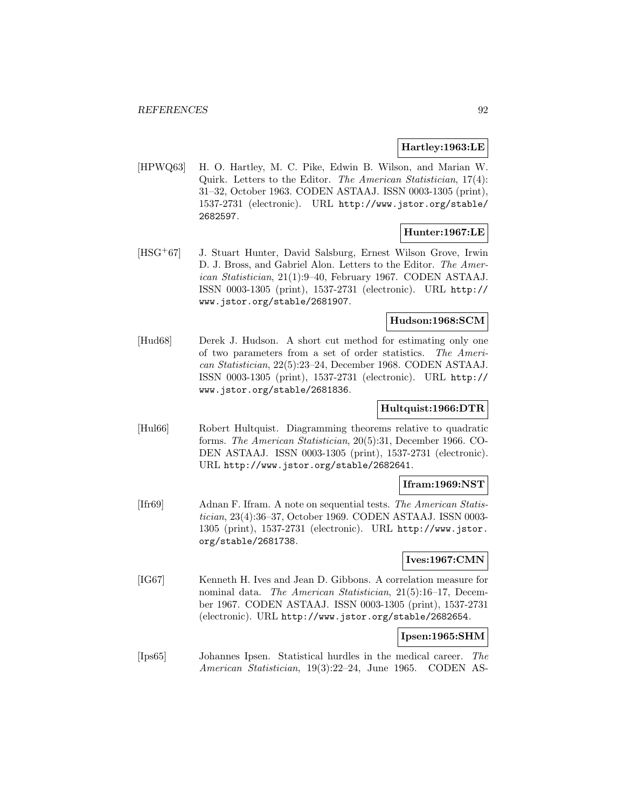# **Hartley:1963:LE**

[HPWQ63] H. O. Hartley, M. C. Pike, Edwin B. Wilson, and Marian W. Quirk. Letters to the Editor. The American Statistician, 17(4): 31–32, October 1963. CODEN ASTAAJ. ISSN 0003-1305 (print), 1537-2731 (electronic). URL http://www.jstor.org/stable/ 2682597.

# **Hunter:1967:LE**

[HSG<sup>+</sup>67] J. Stuart Hunter, David Salsburg, Ernest Wilson Grove, Irwin D. J. Bross, and Gabriel Alon. Letters to the Editor. The American Statistician, 21(1):9–40, February 1967. CODEN ASTAAJ. ISSN 0003-1305 (print), 1537-2731 (electronic). URL http:// www.jstor.org/stable/2681907.

# **Hudson:1968:SCM**

[Hud68] Derek J. Hudson. A short cut method for estimating only one of two parameters from a set of order statistics. The American Statistician, 22(5):23–24, December 1968. CODEN ASTAAJ. ISSN 0003-1305 (print), 1537-2731 (electronic). URL http:// www.jstor.org/stable/2681836.

# **Hultquist:1966:DTR**

[Hul66] Robert Hultquist. Diagramming theorems relative to quadratic forms. The American Statistician, 20(5):31, December 1966. CO-DEN ASTAAJ. ISSN 0003-1305 (print), 1537-2731 (electronic). URL http://www.jstor.org/stable/2682641.

## **Ifram:1969:NST**

[Ifr69] Adnan F. Ifram. A note on sequential tests. The American Statistician, 23(4):36–37, October 1969. CODEN ASTAAJ. ISSN 0003- 1305 (print), 1537-2731 (electronic). URL http://www.jstor. org/stable/2681738.

# **Ives:1967:CMN**

[IG67] Kenneth H. Ives and Jean D. Gibbons. A correlation measure for nominal data. The American Statistician, 21(5):16–17, December 1967. CODEN ASTAAJ. ISSN 0003-1305 (print), 1537-2731 (electronic). URL http://www.jstor.org/stable/2682654.

## **Ipsen:1965:SHM**

[Ips65] Johannes Ipsen. Statistical hurdles in the medical career. The American Statistician, 19(3):22–24, June 1965. CODEN AS-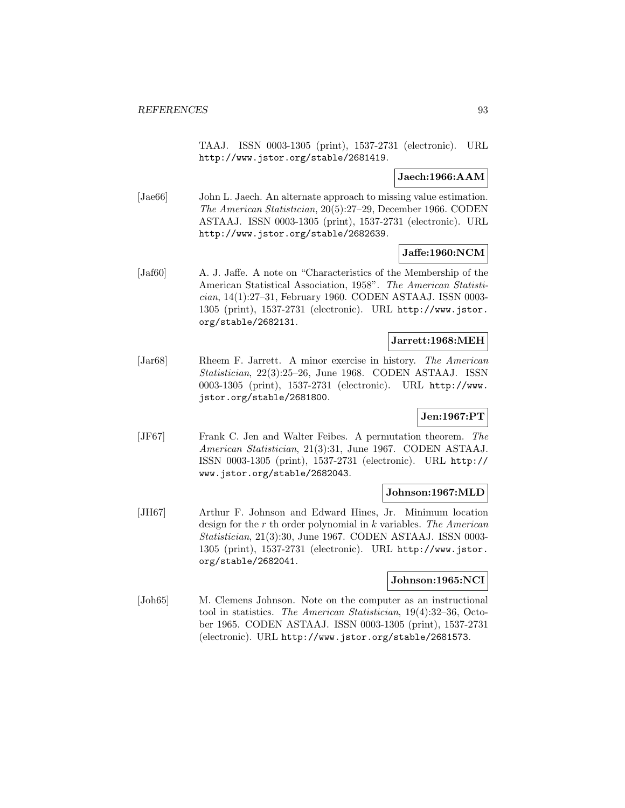TAAJ. ISSN 0003-1305 (print), 1537-2731 (electronic). URL http://www.jstor.org/stable/2681419.

# **Jaech:1966:AAM**

[Jae66] John L. Jaech. An alternate approach to missing value estimation. The American Statistician, 20(5):27–29, December 1966. CODEN ASTAAJ. ISSN 0003-1305 (print), 1537-2731 (electronic). URL http://www.jstor.org/stable/2682639.

# **Jaffe:1960:NCM**

[Jaf60] A. J. Jaffe. A note on "Characteristics of the Membership of the American Statistical Association, 1958". The American Statistician, 14(1):27–31, February 1960. CODEN ASTAAJ. ISSN 0003- 1305 (print), 1537-2731 (electronic). URL http://www.jstor. org/stable/2682131.

### **Jarrett:1968:MEH**

[Jar68] Rheem F. Jarrett. A minor exercise in history. The American Statistician, 22(3):25–26, June 1968. CODEN ASTAAJ. ISSN 0003-1305 (print), 1537-2731 (electronic). URL http://www. jstor.org/stable/2681800.

## **Jen:1967:PT**

[JF67] Frank C. Jen and Walter Feibes. A permutation theorem. The American Statistician, 21(3):31, June 1967. CODEN ASTAAJ. ISSN 0003-1305 (print), 1537-2731 (electronic). URL http:// www.jstor.org/stable/2682043.

## **Johnson:1967:MLD**

[JH67] Arthur F. Johnson and Edward Hines, Jr. Minimum location design for the r th order polynomial in  $k$  variables. The American Statistician, 21(3):30, June 1967. CODEN ASTAAJ. ISSN 0003- 1305 (print), 1537-2731 (electronic). URL http://www.jstor. org/stable/2682041.

## **Johnson:1965:NCI**

[Joh65] M. Clemens Johnson. Note on the computer as an instructional tool in statistics. The American Statistician, 19(4):32–36, October 1965. CODEN ASTAAJ. ISSN 0003-1305 (print), 1537-2731 (electronic). URL http://www.jstor.org/stable/2681573.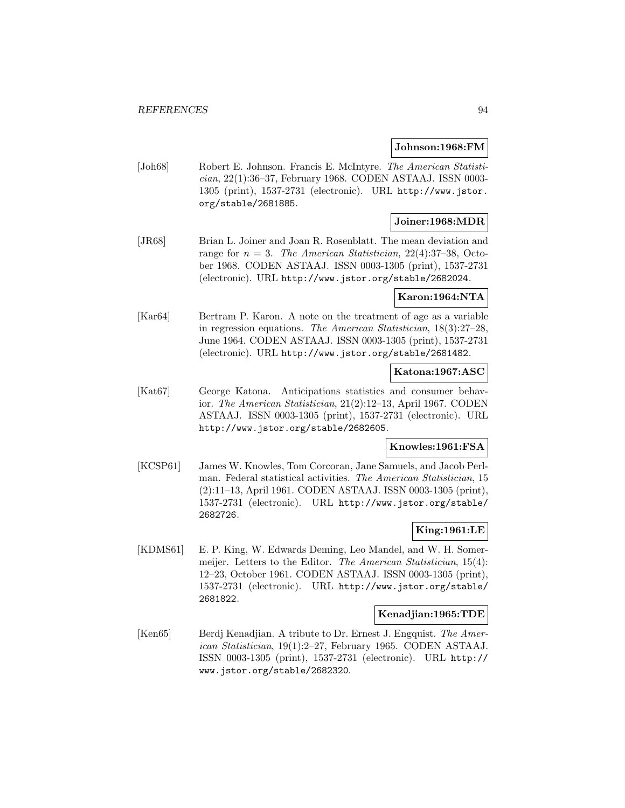#### **Johnson:1968:FM**

[Joh68] Robert E. Johnson. Francis E. McIntyre. The American Statistician, 22(1):36–37, February 1968. CODEN ASTAAJ. ISSN 0003- 1305 (print), 1537-2731 (electronic). URL http://www.jstor. org/stable/2681885.

# **Joiner:1968:MDR**

[JR68] Brian L. Joiner and Joan R. Rosenblatt. The mean deviation and range for  $n = 3$ . The American Statistician, 22(4):37-38, October 1968. CODEN ASTAAJ. ISSN 0003-1305 (print), 1537-2731 (electronic). URL http://www.jstor.org/stable/2682024.

#### **Karon:1964:NTA**

[Kar64] Bertram P. Karon. A note on the treatment of age as a variable in regression equations. The American Statistician, 18(3):27–28, June 1964. CODEN ASTAAJ. ISSN 0003-1305 (print), 1537-2731 (electronic). URL http://www.jstor.org/stable/2681482.

# **Katona:1967:ASC**

[Kat67] George Katona. Anticipations statistics and consumer behavior. The American Statistician, 21(2):12–13, April 1967. CODEN ASTAAJ. ISSN 0003-1305 (print), 1537-2731 (electronic). URL http://www.jstor.org/stable/2682605.

## **Knowles:1961:FSA**

[KCSP61] James W. Knowles, Tom Corcoran, Jane Samuels, and Jacob Perlman. Federal statistical activities. The American Statistician, 15 (2):11–13, April 1961. CODEN ASTAAJ. ISSN 0003-1305 (print), 1537-2731 (electronic). URL http://www.jstor.org/stable/ 2682726.

## **King:1961:LE**

[KDMS61] E. P. King, W. Edwards Deming, Leo Mandel, and W. H. Somermeijer. Letters to the Editor. The American Statistician, 15(4): 12–23, October 1961. CODEN ASTAAJ. ISSN 0003-1305 (print), 1537-2731 (electronic). URL http://www.jstor.org/stable/ 2681822.

#### **Kenadjian:1965:TDE**

[Ken65] Berdj Kenadjian. A tribute to Dr. Ernest J. Engquist. The American Statistician, 19(1):2–27, February 1965. CODEN ASTAAJ. ISSN 0003-1305 (print), 1537-2731 (electronic). URL http:// www.jstor.org/stable/2682320.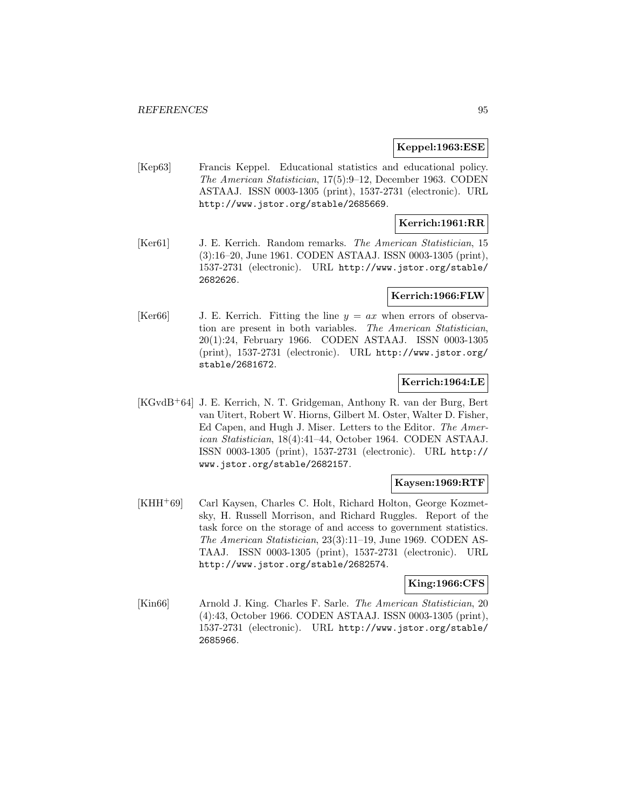### **Keppel:1963:ESE**

[Kep63] Francis Keppel. Educational statistics and educational policy. The American Statistician, 17(5):9–12, December 1963. CODEN ASTAAJ. ISSN 0003-1305 (print), 1537-2731 (electronic). URL http://www.jstor.org/stable/2685669.

# **Kerrich:1961:RR**

[Ker61] J. E. Kerrich. Random remarks. The American Statistician, 15 (3):16–20, June 1961. CODEN ASTAAJ. ISSN 0003-1305 (print), 1537-2731 (electronic). URL http://www.jstor.org/stable/ 2682626.

# **Kerrich:1966:FLW**

[Ker66] J. E. Kerrich. Fitting the line  $y = ax$  when errors of observation are present in both variables. The American Statistician, 20(1):24, February 1966. CODEN ASTAAJ. ISSN 0003-1305 (print), 1537-2731 (electronic). URL http://www.jstor.org/ stable/2681672.

# **Kerrich:1964:LE**

[KGvdB<sup>+</sup>64] J. E. Kerrich, N. T. Gridgeman, Anthony R. van der Burg, Bert van Uitert, Robert W. Hiorns, Gilbert M. Oster, Walter D. Fisher, Ed Capen, and Hugh J. Miser. Letters to the Editor. The American Statistician, 18(4):41–44, October 1964. CODEN ASTAAJ. ISSN 0003-1305 (print), 1537-2731 (electronic). URL http:// www.jstor.org/stable/2682157.

## **Kaysen:1969:RTF**

[KHH<sup>+</sup>69] Carl Kaysen, Charles C. Holt, Richard Holton, George Kozmetsky, H. Russell Morrison, and Richard Ruggles. Report of the task force on the storage of and access to government statistics. The American Statistician, 23(3):11–19, June 1969. CODEN AS-TAAJ. ISSN 0003-1305 (print), 1537-2731 (electronic). URL http://www.jstor.org/stable/2682574.

# **King:1966:CFS**

[Kin66] Arnold J. King. Charles F. Sarle. The American Statistician, 20 (4):43, October 1966. CODEN ASTAAJ. ISSN 0003-1305 (print), 1537-2731 (electronic). URL http://www.jstor.org/stable/ 2685966.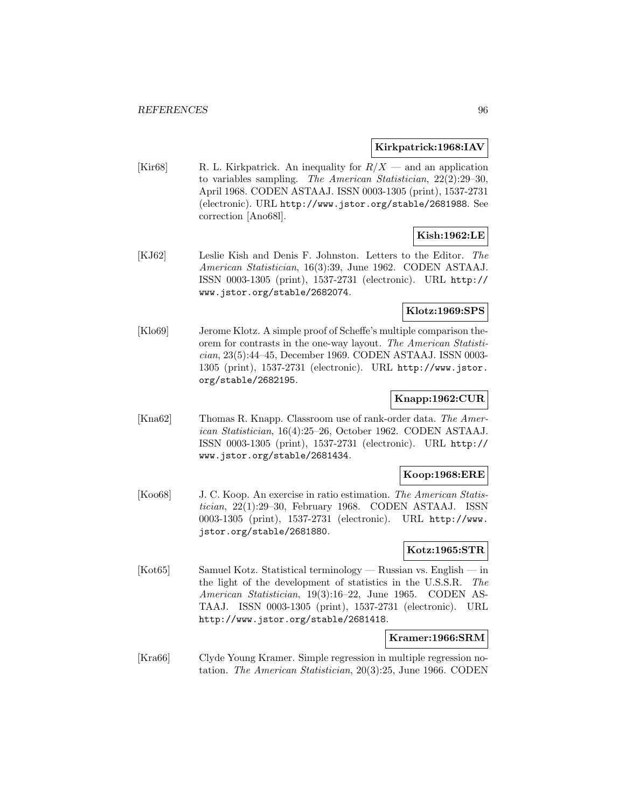# **Kirkpatrick:1968:IAV**

[Kir68] R. L. Kirkpatrick. An inequality for  $R/X$  — and an application to variables sampling. The American Statistician, 22(2):29–30, April 1968. CODEN ASTAAJ. ISSN 0003-1305 (print), 1537-2731 (electronic). URL http://www.jstor.org/stable/2681988. See correction [Ano68l].

# **Kish:1962:LE**

[KJ62] Leslie Kish and Denis F. Johnston. Letters to the Editor. The American Statistician, 16(3):39, June 1962. CODEN ASTAAJ. ISSN 0003-1305 (print), 1537-2731 (electronic). URL http:// www.jstor.org/stable/2682074.

### **Klotz:1969:SPS**

[Klo69] Jerome Klotz. A simple proof of Scheffe's multiple comparison theorem for contrasts in the one-way layout. The American Statistician, 23(5):44–45, December 1969. CODEN ASTAAJ. ISSN 0003- 1305 (print), 1537-2731 (electronic). URL http://www.jstor. org/stable/2682195.

## **Knapp:1962:CUR**

[Kna62] Thomas R. Knapp. Classroom use of rank-order data. The American Statistician, 16(4):25–26, October 1962. CODEN ASTAAJ. ISSN 0003-1305 (print), 1537-2731 (electronic). URL http:// www.jstor.org/stable/2681434.

## **Koop:1968:ERE**

[Koo68] J. C. Koop. An exercise in ratio estimation. The American Statistician, 22(1):29–30, February 1968. CODEN ASTAAJ. ISSN 0003-1305 (print), 1537-2731 (electronic). URL http://www. jstor.org/stable/2681880.

## **Kotz:1965:STR**

[Kot65] Samuel Kotz. Statistical terminology — Russian vs. English — in the light of the development of statistics in the U.S.S.R. The American Statistician, 19(3):16–22, June 1965. CODEN AS-TAAJ. ISSN 0003-1305 (print), 1537-2731 (electronic). URL http://www.jstor.org/stable/2681418.

#### **Kramer:1966:SRM**

[Kra66] Clyde Young Kramer. Simple regression in multiple regression notation. The American Statistician, 20(3):25, June 1966. CODEN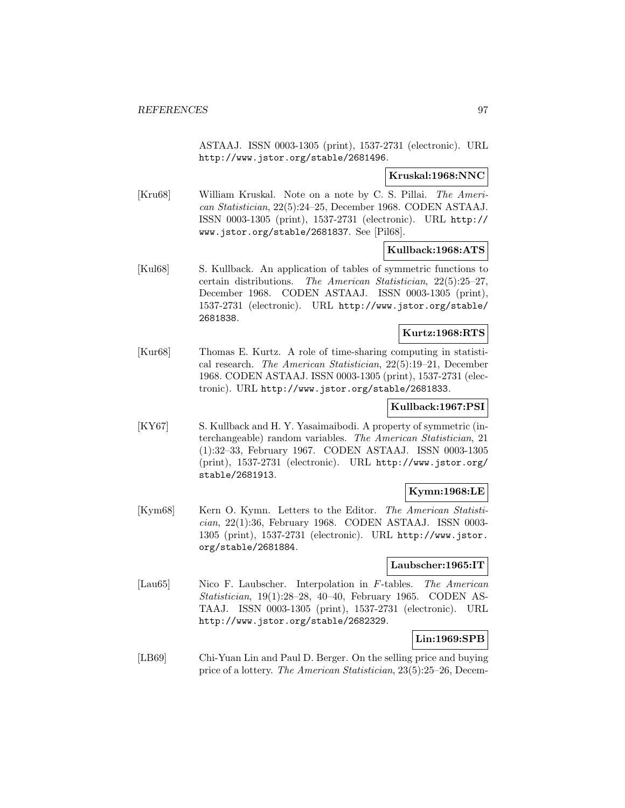ASTAAJ. ISSN 0003-1305 (print), 1537-2731 (electronic). URL http://www.jstor.org/stable/2681496.

# **Kruskal:1968:NNC**

[Kru68] William Kruskal. Note on a note by C. S. Pillai. The American Statistician, 22(5):24–25, December 1968. CODEN ASTAAJ. ISSN 0003-1305 (print), 1537-2731 (electronic). URL http:// www.jstor.org/stable/2681837. See [Pil68].

# **Kullback:1968:ATS**

[Kul68] S. Kullback. An application of tables of symmetric functions to certain distributions. The American Statistician, 22(5):25–27, December 1968. CODEN ASTAAJ. ISSN 0003-1305 (print), 1537-2731 (electronic). URL http://www.jstor.org/stable/ 2681838.

# **Kurtz:1968:RTS**

[Kur68] Thomas E. Kurtz. A role of time-sharing computing in statistical research. The American Statistician, 22(5):19–21, December 1968. CODEN ASTAAJ. ISSN 0003-1305 (print), 1537-2731 (electronic). URL http://www.jstor.org/stable/2681833.

# **Kullback:1967:PSI**

[KY67] S. Kullback and H. Y. Yasaimaibodi. A property of symmetric (interchangeable) random variables. The American Statistician, 21 (1):32–33, February 1967. CODEN ASTAAJ. ISSN 0003-1305 (print), 1537-2731 (electronic). URL http://www.jstor.org/ stable/2681913.

# **Kymn:1968:LE**

[Kym68] Kern O. Kymn. Letters to the Editor. The American Statistician, 22(1):36, February 1968. CODEN ASTAAJ. ISSN 0003- 1305 (print), 1537-2731 (electronic). URL http://www.jstor. org/stable/2681884.

## **Laubscher:1965:IT**

[Lau65] Nico F. Laubscher. Interpolation in F-tables. The American Statistician, 19(1):28–28, 40–40, February 1965. CODEN AS-TAAJ. ISSN 0003-1305 (print), 1537-2731 (electronic). URL http://www.jstor.org/stable/2682329.

# **Lin:1969:SPB**

[LB69] Chi-Yuan Lin and Paul D. Berger. On the selling price and buying price of a lottery. The American Statistician, 23(5):25–26, Decem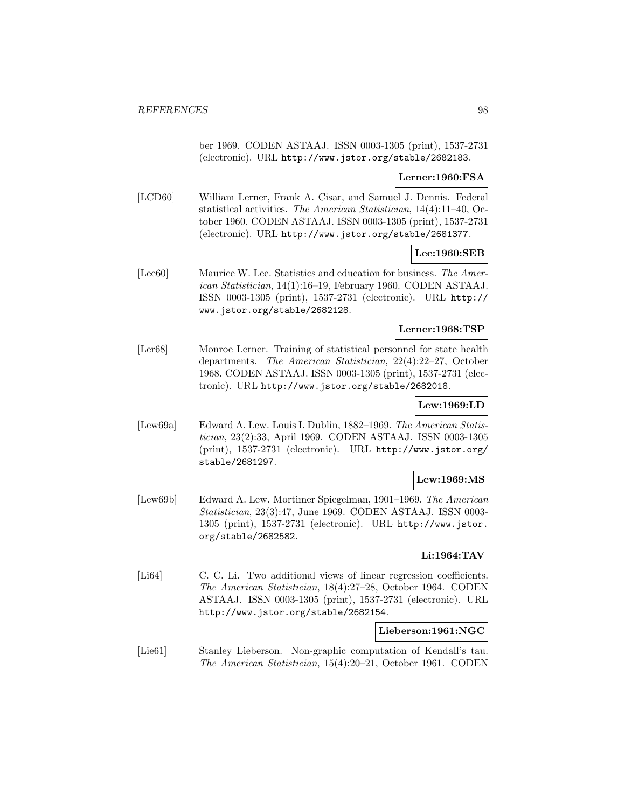ber 1969. CODEN ASTAAJ. ISSN 0003-1305 (print), 1537-2731 (electronic). URL http://www.jstor.org/stable/2682183.

# **Lerner:1960:FSA**

[LCD60] William Lerner, Frank A. Cisar, and Samuel J. Dennis. Federal statistical activities. The American Statistician, 14(4):11–40, October 1960. CODEN ASTAAJ. ISSN 0003-1305 (print), 1537-2731 (electronic). URL http://www.jstor.org/stable/2681377.

# **Lee:1960:SEB**

[Lee60] Maurice W. Lee. Statistics and education for business. The American Statistician, 14(1):16–19, February 1960. CODEN ASTAAJ. ISSN 0003-1305 (print), 1537-2731 (electronic). URL http:// www.jstor.org/stable/2682128.

# **Lerner:1968:TSP**

[Ler68] Monroe Lerner. Training of statistical personnel for state health departments. The American Statistician, 22(4):22–27, October 1968. CODEN ASTAAJ. ISSN 0003-1305 (print), 1537-2731 (electronic). URL http://www.jstor.org/stable/2682018.

# **Lew:1969:LD**

[Lew69a] Edward A. Lew. Louis I. Dublin, 1882–1969. The American Statistician, 23(2):33, April 1969. CODEN ASTAAJ. ISSN 0003-1305 (print), 1537-2731 (electronic). URL http://www.jstor.org/ stable/2681297.

## **Lew:1969:MS**

[Lew69b] Edward A. Lew. Mortimer Spiegelman, 1901–1969. The American Statistician, 23(3):47, June 1969. CODEN ASTAAJ. ISSN 0003- 1305 (print), 1537-2731 (electronic). URL http://www.jstor. org/stable/2682582.

# **Li:1964:TAV**

[Li64] C. C. Li. Two additional views of linear regression coefficients. The American Statistician, 18(4):27–28, October 1964. CODEN ASTAAJ. ISSN 0003-1305 (print), 1537-2731 (electronic). URL http://www.jstor.org/stable/2682154.

# **Lieberson:1961:NGC**

[Lie61] Stanley Lieberson. Non-graphic computation of Kendall's tau. The American Statistician, 15(4):20–21, October 1961. CODEN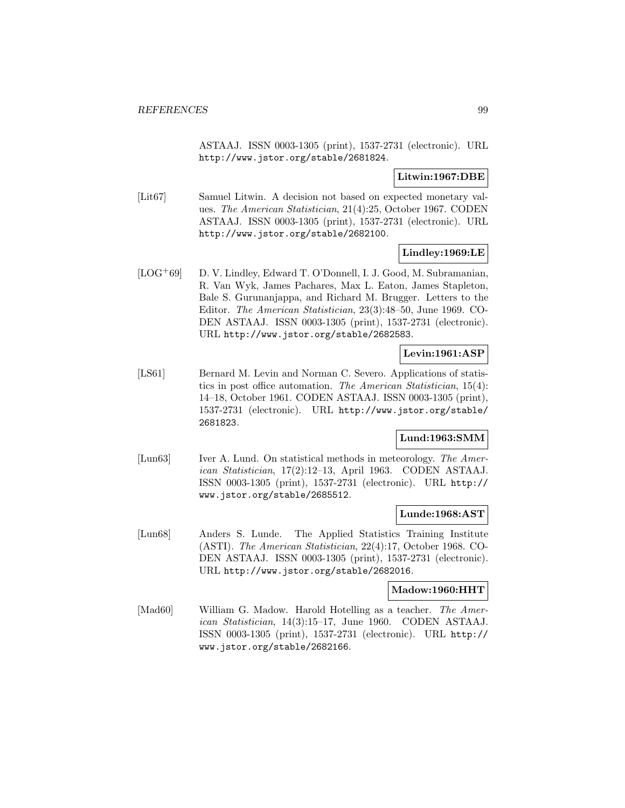ASTAAJ. ISSN 0003-1305 (print), 1537-2731 (electronic). URL http://www.jstor.org/stable/2681824.

# **Litwin:1967:DBE**

[Lit67] Samuel Litwin. A decision not based on expected monetary values. The American Statistician, 21(4):25, October 1967. CODEN ASTAAJ. ISSN 0003-1305 (print), 1537-2731 (electronic). URL http://www.jstor.org/stable/2682100.

# **Lindley:1969:LE**

[LOG<sup>+</sup>69] D. V. Lindley, Edward T. O'Donnell, I. J. Good, M. Subramanian, R. Van Wyk, James Pachares, Max L. Eaton, James Stapleton, Bale S. Gurunanjappa, and Richard M. Brugger. Letters to the Editor. The American Statistician, 23(3):48–50, June 1969. CO-DEN ASTAAJ. ISSN 0003-1305 (print), 1537-2731 (electronic). URL http://www.jstor.org/stable/2682583.

# **Levin:1961:ASP**

[LS61] Bernard M. Levin and Norman C. Severo. Applications of statistics in post office automation. The American Statistician, 15(4): 14–18, October 1961. CODEN ASTAAJ. ISSN 0003-1305 (print), 1537-2731 (electronic). URL http://www.jstor.org/stable/ 2681823.

# **Lund:1963:SMM**

[Lun63] Iver A. Lund. On statistical methods in meteorology. The American Statistician, 17(2):12–13, April 1963. CODEN ASTAAJ. ISSN 0003-1305 (print), 1537-2731 (electronic). URL http:// www.jstor.org/stable/2685512.

## **Lunde:1968:AST**

[Lun68] Anders S. Lunde. The Applied Statistics Training Institute (ASTI). The American Statistician, 22(4):17, October 1968. CO-DEN ASTAAJ. ISSN 0003-1305 (print), 1537-2731 (electronic). URL http://www.jstor.org/stable/2682016.

## **Madow:1960:HHT**

[Mad60] William G. Madow. Harold Hotelling as a teacher. The American Statistician, 14(3):15–17, June 1960. CODEN ASTAAJ. ISSN 0003-1305 (print), 1537-2731 (electronic). URL http:// www.jstor.org/stable/2682166.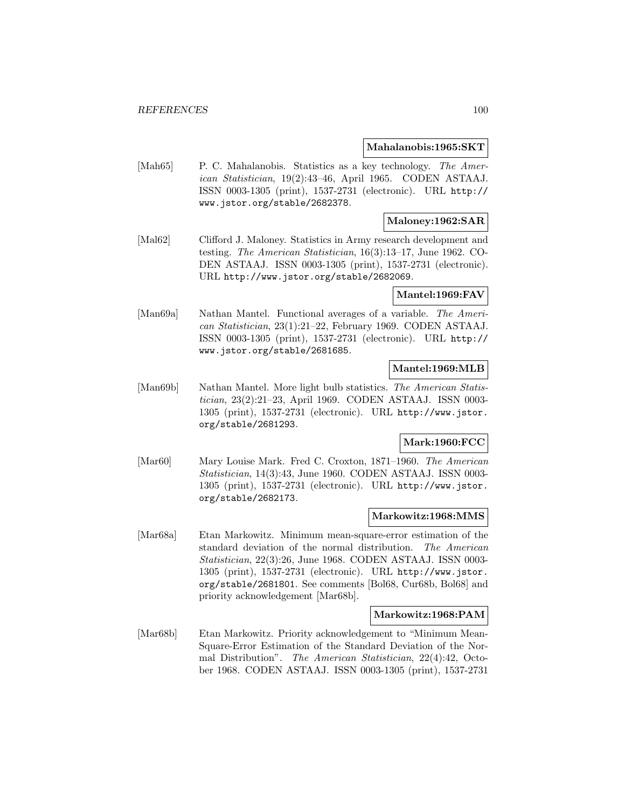#### **Mahalanobis:1965:SKT**

[Mah65] P. C. Mahalanobis. Statistics as a key technology. The American Statistician, 19(2):43–46, April 1965. CODEN ASTAAJ. ISSN 0003-1305 (print), 1537-2731 (electronic). URL http:// www.jstor.org/stable/2682378.

# **Maloney:1962:SAR**

[Mal62] Clifford J. Maloney. Statistics in Army research development and testing. The American Statistician, 16(3):13–17, June 1962. CO-DEN ASTAAJ. ISSN 0003-1305 (print), 1537-2731 (electronic). URL http://www.jstor.org/stable/2682069.

## **Mantel:1969:FAV**

[Man69a] Nathan Mantel. Functional averages of a variable. The American Statistician, 23(1):21–22, February 1969. CODEN ASTAAJ. ISSN 0003-1305 (print), 1537-2731 (electronic). URL http:// www.jstor.org/stable/2681685.

## **Mantel:1969:MLB**

[Man69b] Nathan Mantel. More light bulb statistics. The American Statistician, 23(2):21–23, April 1969. CODEN ASTAAJ. ISSN 0003- 1305 (print), 1537-2731 (electronic). URL http://www.jstor. org/stable/2681293.

# **Mark:1960:FCC**

[Mar60] Mary Louise Mark. Fred C. Croxton, 1871–1960. The American Statistician, 14(3):43, June 1960. CODEN ASTAAJ. ISSN 0003- 1305 (print), 1537-2731 (electronic). URL http://www.jstor. org/stable/2682173.

## **Markowitz:1968:MMS**

[Mar68a] Etan Markowitz. Minimum mean-square-error estimation of the standard deviation of the normal distribution. The American Statistician, 22(3):26, June 1968. CODEN ASTAAJ. ISSN 0003- 1305 (print), 1537-2731 (electronic). URL http://www.jstor. org/stable/2681801. See comments [Bol68, Cur68b, Bol68] and priority acknowledgement [Mar68b].

## **Markowitz:1968:PAM**

[Mar68b] Etan Markowitz. Priority acknowledgement to "Minimum Mean-Square-Error Estimation of the Standard Deviation of the Normal Distribution". The American Statistician, 22(4):42, October 1968. CODEN ASTAAJ. ISSN 0003-1305 (print), 1537-2731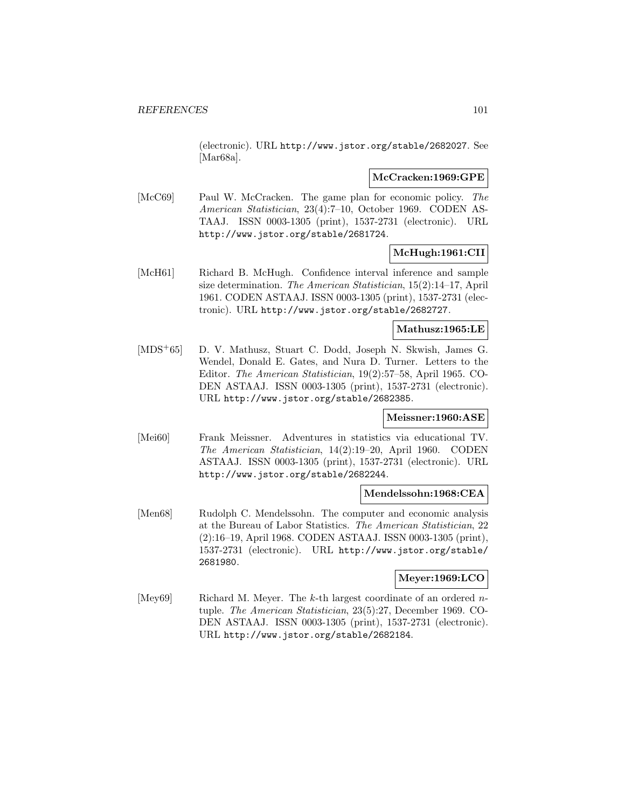(electronic). URL http://www.jstor.org/stable/2682027. See [Mar68a].

### **McCracken:1969:GPE**

[McC69] Paul W. McCracken. The game plan for economic policy. The American Statistician, 23(4):7–10, October 1969. CODEN AS-TAAJ. ISSN 0003-1305 (print), 1537-2731 (electronic). URL http://www.jstor.org/stable/2681724.

# **McHugh:1961:CII**

[McH61] Richard B. McHugh. Confidence interval inference and sample size determination. The American Statistician, 15(2):14–17, April 1961. CODEN ASTAAJ. ISSN 0003-1305 (print), 1537-2731 (electronic). URL http://www.jstor.org/stable/2682727.

#### **Mathusz:1965:LE**

[MDS<sup>+</sup>65] D. V. Mathusz, Stuart C. Dodd, Joseph N. Skwish, James G. Wendel, Donald E. Gates, and Nura D. Turner. Letters to the Editor. The American Statistician, 19(2):57–58, April 1965. CO-DEN ASTAAJ. ISSN 0003-1305 (print), 1537-2731 (electronic). URL http://www.jstor.org/stable/2682385.

# **Meissner:1960:ASE**

[Mei60] Frank Meissner. Adventures in statistics via educational TV. The American Statistician, 14(2):19–20, April 1960. CODEN ASTAAJ. ISSN 0003-1305 (print), 1537-2731 (electronic). URL http://www.jstor.org/stable/2682244.

## **Mendelssohn:1968:CEA**

[Men68] Rudolph C. Mendelssohn. The computer and economic analysis at the Bureau of Labor Statistics. The American Statistician, 22 (2):16–19, April 1968. CODEN ASTAAJ. ISSN 0003-1305 (print), 1537-2731 (electronic). URL http://www.jstor.org/stable/ 2681980.

# **Meyer:1969:LCO**

[Mey69] Richard M. Meyer. The k-th largest coordinate of an ordered  $n$ tuple. The American Statistician, 23(5):27, December 1969. CO-DEN ASTAAJ. ISSN 0003-1305 (print), 1537-2731 (electronic). URL http://www.jstor.org/stable/2682184.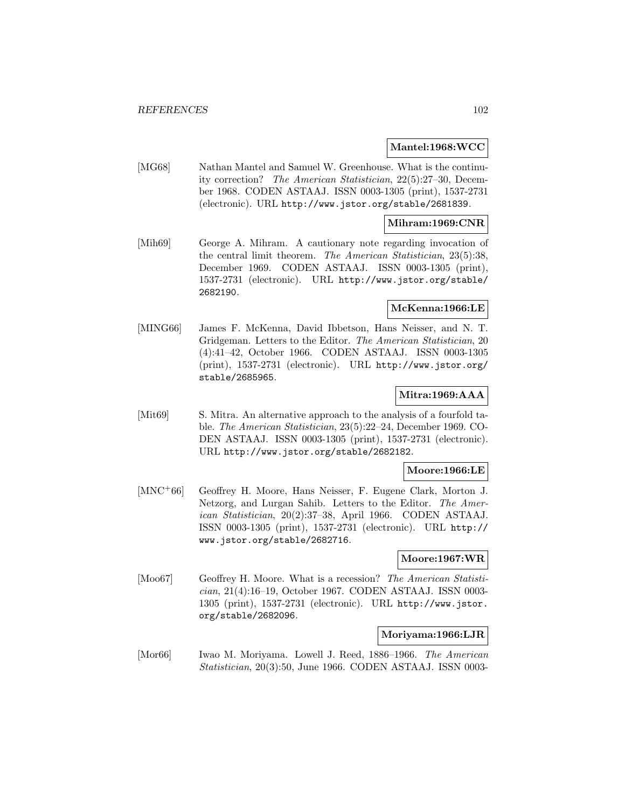## **Mantel:1968:WCC**

[MG68] Nathan Mantel and Samuel W. Greenhouse. What is the continuity correction? The American Statistician, 22(5):27–30, December 1968. CODEN ASTAAJ. ISSN 0003-1305 (print), 1537-2731 (electronic). URL http://www.jstor.org/stable/2681839.

## **Mihram:1969:CNR**

[Mih69] George A. Mihram. A cautionary note regarding invocation of the central limit theorem. The American Statistician, 23(5):38, December 1969. CODEN ASTAAJ. ISSN 0003-1305 (print), 1537-2731 (electronic). URL http://www.jstor.org/stable/ 2682190.

# **McKenna:1966:LE**

[MING66] James F. McKenna, David Ibbetson, Hans Neisser, and N. T. Gridgeman. Letters to the Editor. The American Statistician, 20 (4):41–42, October 1966. CODEN ASTAAJ. ISSN 0003-1305 (print), 1537-2731 (electronic). URL http://www.jstor.org/ stable/2685965.

# **Mitra:1969:AAA**

[Mit69] S. Mitra. An alternative approach to the analysis of a fourfold table. The American Statistician, 23(5):22–24, December 1969. CO-DEN ASTAAJ. ISSN 0003-1305 (print), 1537-2731 (electronic). URL http://www.jstor.org/stable/2682182.

# **Moore:1966:LE**

[MNC<sup>+</sup>66] Geoffrey H. Moore, Hans Neisser, F. Eugene Clark, Morton J. Netzorg, and Lurgan Sahib. Letters to the Editor. The American Statistician, 20(2):37–38, April 1966. CODEN ASTAAJ. ISSN 0003-1305 (print), 1537-2731 (electronic). URL http:// www.jstor.org/stable/2682716.

## **Moore:1967:WR**

[Moo67] Geoffrey H. Moore. What is a recession? The American Statistician, 21(4):16–19, October 1967. CODEN ASTAAJ. ISSN 0003- 1305 (print), 1537-2731 (electronic). URL http://www.jstor. org/stable/2682096.

#### **Moriyama:1966:LJR**

[Mor66] Iwao M. Moriyama. Lowell J. Reed, 1886–1966. The American Statistician, 20(3):50, June 1966. CODEN ASTAAJ. ISSN 0003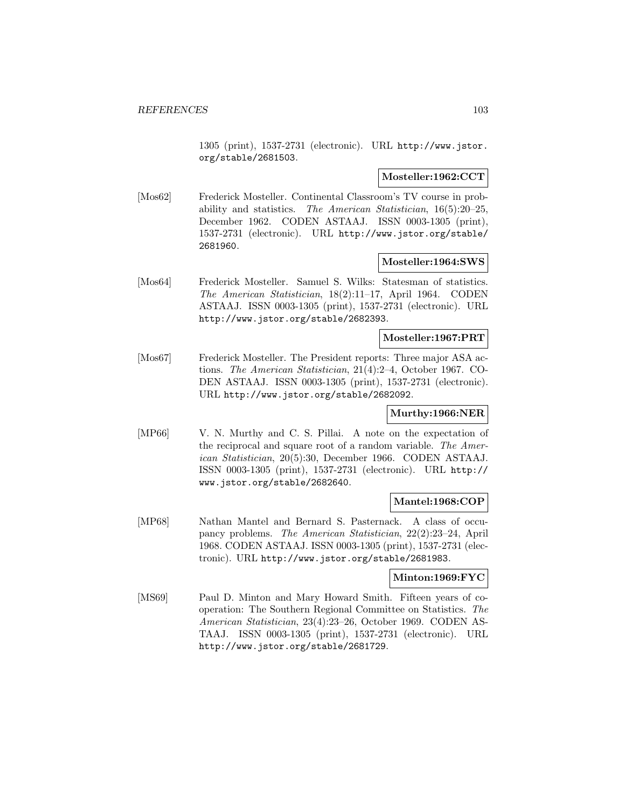1305 (print), 1537-2731 (electronic). URL http://www.jstor. org/stable/2681503.

# **Mosteller:1962:CCT**

[Mos62] Frederick Mosteller. Continental Classroom's TV course in probability and statistics. The American Statistician, 16(5):20–25, December 1962. CODEN ASTAAJ. ISSN 0003-1305 (print), 1537-2731 (electronic). URL http://www.jstor.org/stable/ 2681960.

#### **Mosteller:1964:SWS**

[Mos64] Frederick Mosteller. Samuel S. Wilks: Statesman of statistics. The American Statistician, 18(2):11–17, April 1964. CODEN ASTAAJ. ISSN 0003-1305 (print), 1537-2731 (electronic). URL http://www.jstor.org/stable/2682393.

#### **Mosteller:1967:PRT**

[Mos67] Frederick Mosteller. The President reports: Three major ASA actions. The American Statistician, 21(4):2–4, October 1967. CO-DEN ASTAAJ. ISSN 0003-1305 (print), 1537-2731 (electronic). URL http://www.jstor.org/stable/2682092.

## **Murthy:1966:NER**

[MP66] V. N. Murthy and C. S. Pillai. A note on the expectation of the reciprocal and square root of a random variable. The American Statistician, 20(5):30, December 1966. CODEN ASTAAJ. ISSN 0003-1305 (print), 1537-2731 (electronic). URL http:// www.jstor.org/stable/2682640.

#### **Mantel:1968:COP**

[MP68] Nathan Mantel and Bernard S. Pasternack. A class of occupancy problems. The American Statistician, 22(2):23–24, April 1968. CODEN ASTAAJ. ISSN 0003-1305 (print), 1537-2731 (electronic). URL http://www.jstor.org/stable/2681983.

#### **Minton:1969:FYC**

[MS69] Paul D. Minton and Mary Howard Smith. Fifteen years of cooperation: The Southern Regional Committee on Statistics. The American Statistician, 23(4):23–26, October 1969. CODEN AS-TAAJ. ISSN 0003-1305 (print), 1537-2731 (electronic). URL http://www.jstor.org/stable/2681729.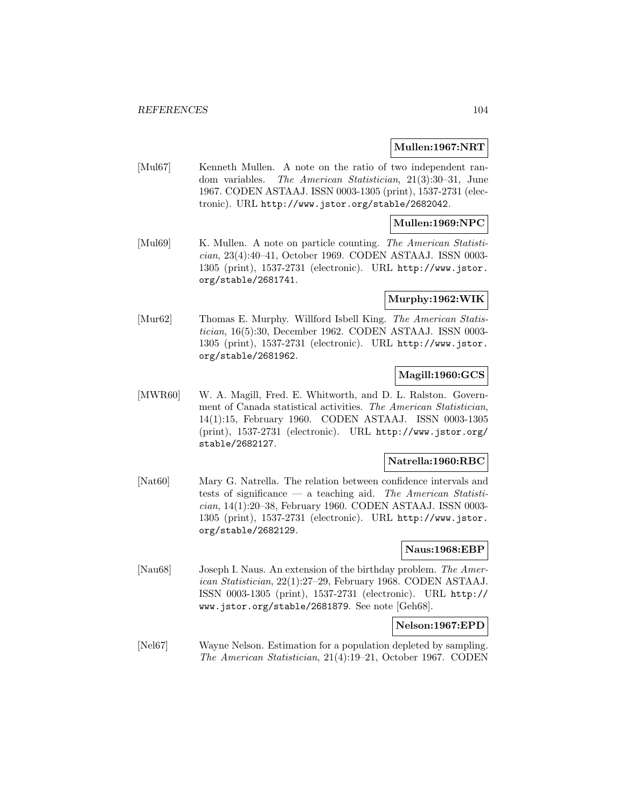#### **Mullen:1967:NRT**

[Mul67] Kenneth Mullen. A note on the ratio of two independent random variables. The American Statistician, 21(3):30–31, June 1967. CODEN ASTAAJ. ISSN 0003-1305 (print), 1537-2731 (electronic). URL http://www.jstor.org/stable/2682042.

### **Mullen:1969:NPC**

[Mul69] K. Mullen. A note on particle counting. The American Statistician, 23(4):40–41, October 1969. CODEN ASTAAJ. ISSN 0003- 1305 (print), 1537-2731 (electronic). URL http://www.jstor. org/stable/2681741.

#### **Murphy:1962:WIK**

[Mur62] Thomas E. Murphy. Willford Isbell King. The American Statistician, 16(5):30, December 1962. CODEN ASTAAJ. ISSN 0003- 1305 (print), 1537-2731 (electronic). URL http://www.jstor. org/stable/2681962.

# **Magill:1960:GCS**

[MWR60] W. A. Magill, Fred. E. Whitworth, and D. L. Ralston. Government of Canada statistical activities. The American Statistician, 14(1):15, February 1960. CODEN ASTAAJ. ISSN 0003-1305 (print), 1537-2731 (electronic). URL http://www.jstor.org/ stable/2682127.

# **Natrella:1960:RBC**

[Nat60] Mary G. Natrella. The relation between confidence intervals and tests of significance — a teaching aid. The American Statistician, 14(1):20–38, February 1960. CODEN ASTAAJ. ISSN 0003- 1305 (print), 1537-2731 (electronic). URL http://www.jstor. org/stable/2682129.

#### **Naus:1968:EBP**

[Nau68] Joseph I. Naus. An extension of the birthday problem. The American Statistician, 22(1):27–29, February 1968. CODEN ASTAAJ. ISSN 0003-1305 (print), 1537-2731 (electronic). URL http:// www.jstor.org/stable/2681879. See note [Geh68].

## **Nelson:1967:EPD**

[Nel67] Wayne Nelson. Estimation for a population depleted by sampling. The American Statistician, 21(4):19–21, October 1967. CODEN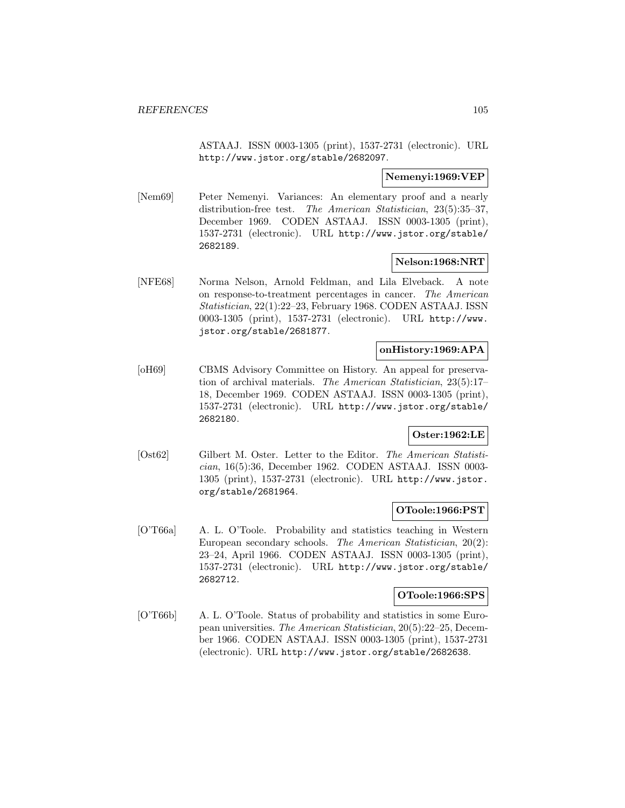ASTAAJ. ISSN 0003-1305 (print), 1537-2731 (electronic). URL http://www.jstor.org/stable/2682097.

# **Nemenyi:1969:VEP**

[Nem69] Peter Nemenyi. Variances: An elementary proof and a nearly distribution-free test. The American Statistician, 23(5):35–37, December 1969. CODEN ASTAAJ. ISSN 0003-1305 (print), 1537-2731 (electronic). URL http://www.jstor.org/stable/ 2682189.

# **Nelson:1968:NRT**

[NFE68] Norma Nelson, Arnold Feldman, and Lila Elveback. A note on response-to-treatment percentages in cancer. The American Statistician, 22(1):22–23, February 1968. CODEN ASTAAJ. ISSN 0003-1305 (print), 1537-2731 (electronic). URL http://www. jstor.org/stable/2681877.

## **onHistory:1969:APA**

[oH69] CBMS Advisory Committee on History. An appeal for preservation of archival materials. The American Statistician, 23(5):17– 18, December 1969. CODEN ASTAAJ. ISSN 0003-1305 (print), 1537-2731 (electronic). URL http://www.jstor.org/stable/ 2682180.

# **Oster:1962:LE**

[Ost62] Gilbert M. Oster. Letter to the Editor. The American Statistician, 16(5):36, December 1962. CODEN ASTAAJ. ISSN 0003- 1305 (print), 1537-2731 (electronic). URL http://www.jstor. org/stable/2681964.

## **OToole:1966:PST**

[O'T66a] A. L. O'Toole. Probability and statistics teaching in Western European secondary schools. The American Statistician, 20(2): 23–24, April 1966. CODEN ASTAAJ. ISSN 0003-1305 (print), 1537-2731 (electronic). URL http://www.jstor.org/stable/ 2682712.

#### **OToole:1966:SPS**

[O'T66b] A. L. O'Toole. Status of probability and statistics in some European universities. The American Statistician, 20(5):22–25, December 1966. CODEN ASTAAJ. ISSN 0003-1305 (print), 1537-2731 (electronic). URL http://www.jstor.org/stable/2682638.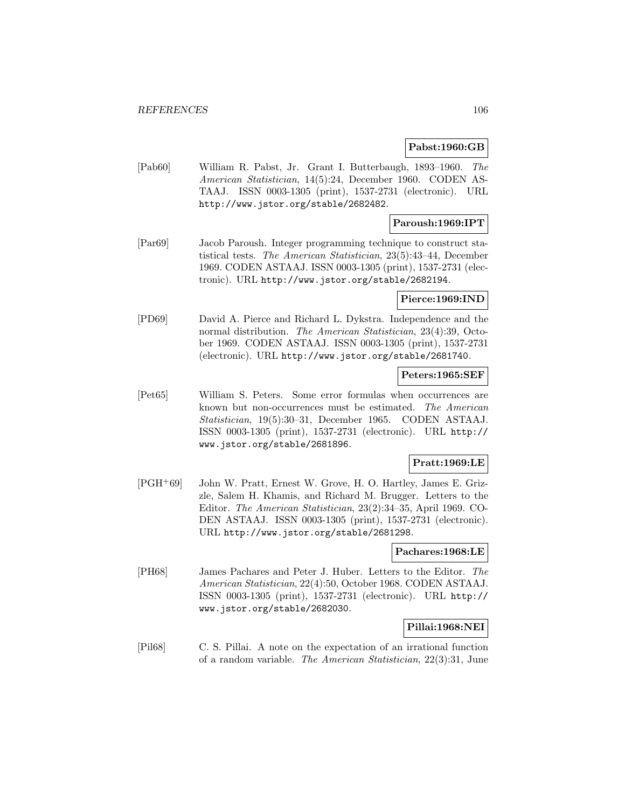# **Pabst:1960:GB**

[Pab60] William R. Pabst, Jr. Grant I. Butterbaugh, 1893–1960. The American Statistician, 14(5):24, December 1960. CODEN AS-TAAJ. ISSN 0003-1305 (print), 1537-2731 (electronic). URL http://www.jstor.org/stable/2682482.

## **Paroush:1969:IPT**

[Par69] Jacob Paroush. Integer programming technique to construct statistical tests. The American Statistician, 23(5):43–44, December 1969. CODEN ASTAAJ. ISSN 0003-1305 (print), 1537-2731 (electronic). URL http://www.jstor.org/stable/2682194.

**Pierce:1969:IND**

[PD69] David A. Pierce and Richard L. Dykstra. Independence and the normal distribution. The American Statistician, 23(4):39, October 1969. CODEN ASTAAJ. ISSN 0003-1305 (print), 1537-2731 (electronic). URL http://www.jstor.org/stable/2681740.

## **Peters:1965:SEF**

[Pet65] William S. Peters. Some error formulas when occurrences are known but non-occurrences must be estimated. The American Statistician, 19(5):30–31, December 1965. CODEN ASTAAJ. ISSN 0003-1305 (print), 1537-2731 (electronic). URL http:// www.jstor.org/stable/2681896.

## **Pratt:1969:LE**

[PGH<sup>+</sup>69] John W. Pratt, Ernest W. Grove, H. O. Hartley, James E. Grizzle, Salem H. Khamis, and Richard M. Brugger. Letters to the Editor. The American Statistician, 23(2):34–35, April 1969. CO-DEN ASTAAJ. ISSN 0003-1305 (print), 1537-2731 (electronic). URL http://www.jstor.org/stable/2681298.

#### **Pachares:1968:LE**

[PH68] James Pachares and Peter J. Huber. Letters to the Editor. The American Statistician, 22(4):50, October 1968. CODEN ASTAAJ. ISSN 0003-1305 (print), 1537-2731 (electronic). URL http:// www.jstor.org/stable/2682030.

## **Pillai:1968:NEI**

[Pil68] C. S. Pillai. A note on the expectation of an irrational function of a random variable. The American Statistician, 22(3):31, June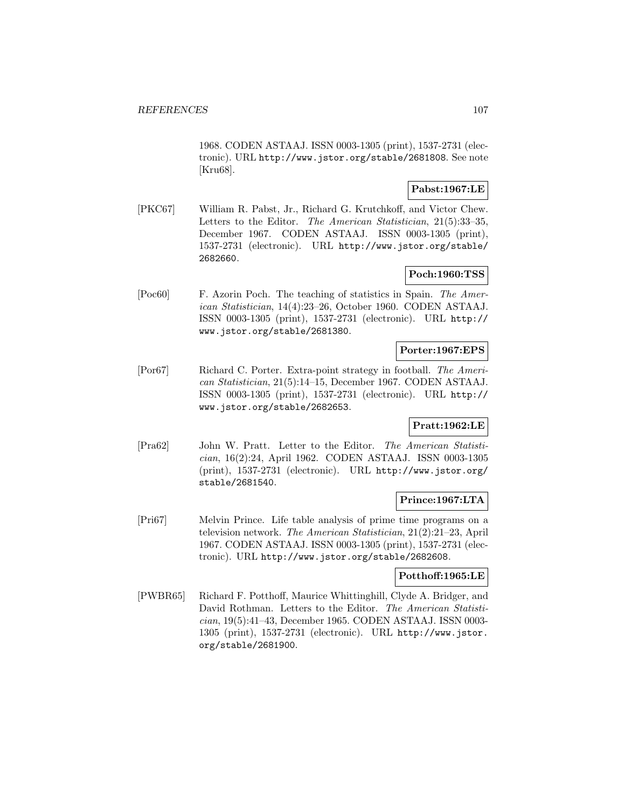1968. CODEN ASTAAJ. ISSN 0003-1305 (print), 1537-2731 (electronic). URL http://www.jstor.org/stable/2681808. See note [Kru68].

# **Pabst:1967:LE**

[PKC67] William R. Pabst, Jr., Richard G. Krutchkoff, and Victor Chew. Letters to the Editor. The American Statistician, 21(5):33–35, December 1967. CODEN ASTAAJ. ISSN 0003-1305 (print), 1537-2731 (electronic). URL http://www.jstor.org/stable/ 2682660.

# **Poch:1960:TSS**

[Poc60] F. Azorin Poch. The teaching of statistics in Spain. The American Statistician, 14(4):23–26, October 1960. CODEN ASTAAJ. ISSN 0003-1305 (print), 1537-2731 (electronic). URL http:// www.jstor.org/stable/2681380.

## **Porter:1967:EPS**

[Por67] Richard C. Porter. Extra-point strategy in football. The American Statistician, 21(5):14–15, December 1967. CODEN ASTAAJ. ISSN 0003-1305 (print), 1537-2731 (electronic). URL http:// www.jstor.org/stable/2682653.

# **Pratt:1962:LE**

[Pra62] John W. Pratt. Letter to the Editor. The American Statistician, 16(2):24, April 1962. CODEN ASTAAJ. ISSN 0003-1305 (print), 1537-2731 (electronic). URL http://www.jstor.org/ stable/2681540.

## **Prince:1967:LTA**

[Pri67] Melvin Prince. Life table analysis of prime time programs on a television network. The American Statistician, 21(2):21–23, April 1967. CODEN ASTAAJ. ISSN 0003-1305 (print), 1537-2731 (electronic). URL http://www.jstor.org/stable/2682608.

## **Potthoff:1965:LE**

[PWBR65] Richard F. Potthoff, Maurice Whittinghill, Clyde A. Bridger, and David Rothman. Letters to the Editor. The American Statistician, 19(5):41–43, December 1965. CODEN ASTAAJ. ISSN 0003- 1305 (print), 1537-2731 (electronic). URL http://www.jstor. org/stable/2681900.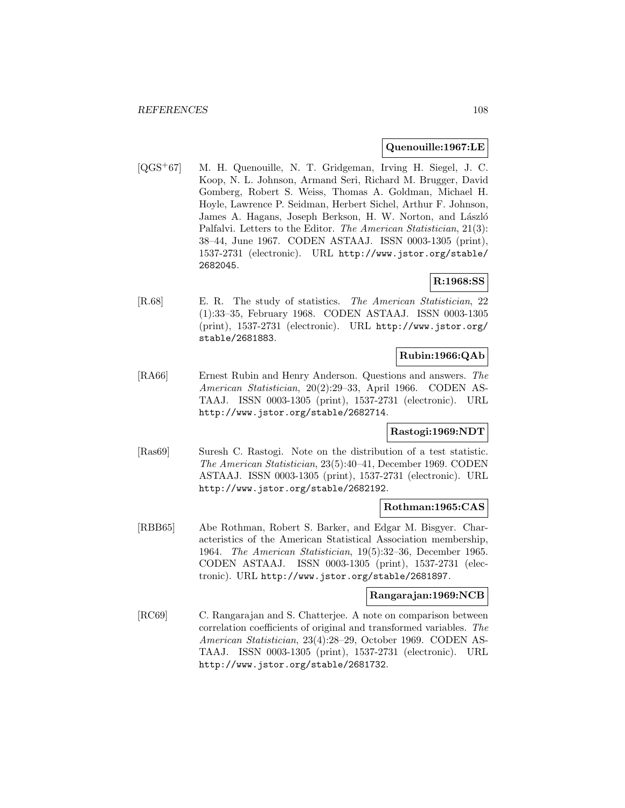### **Quenouille:1967:LE**

[QGS<sup>+</sup>67] M. H. Quenouille, N. T. Gridgeman, Irving H. Siegel, J. C. Koop, N. L. Johnson, Armand Seri, Richard M. Brugger, David Gomberg, Robert S. Weiss, Thomas A. Goldman, Michael H. Hoyle, Lawrence P. Seidman, Herbert Sichel, Arthur F. Johnson, James A. Hagans, Joseph Berkson, H. W. Norton, and László Palfalvi. Letters to the Editor. The American Statistician, 21(3): 38–44, June 1967. CODEN ASTAAJ. ISSN 0003-1305 (print), 1537-2731 (electronic). URL http://www.jstor.org/stable/ 2682045.

# **R:1968:SS**

[R.68] E. R. The study of statistics. The American Statistician, 22 (1):33–35, February 1968. CODEN ASTAAJ. ISSN 0003-1305 (print), 1537-2731 (electronic). URL http://www.jstor.org/ stable/2681883.

# **Rubin:1966:QAb**

[RA66] Ernest Rubin and Henry Anderson. Questions and answers. The American Statistician, 20(2):29–33, April 1966. CODEN AS-TAAJ. ISSN 0003-1305 (print), 1537-2731 (electronic). URL http://www.jstor.org/stable/2682714.

# **Rastogi:1969:NDT**

[Ras69] Suresh C. Rastogi. Note on the distribution of a test statistic. The American Statistician, 23(5):40–41, December 1969. CODEN ASTAAJ. ISSN 0003-1305 (print), 1537-2731 (electronic). URL http://www.jstor.org/stable/2682192.

#### **Rothman:1965:CAS**

[RBB65] Abe Rothman, Robert S. Barker, and Edgar M. Bisgyer. Characteristics of the American Statistical Association membership, 1964. The American Statistician, 19(5):32–36, December 1965. CODEN ASTAAJ. ISSN 0003-1305 (print), 1537-2731 (electronic). URL http://www.jstor.org/stable/2681897.

#### **Rangarajan:1969:NCB**

[RC69] C. Rangarajan and S. Chatterjee. A note on comparison between correlation coefficients of original and transformed variables. The American Statistician, 23(4):28–29, October 1969. CODEN AS-TAAJ. ISSN 0003-1305 (print), 1537-2731 (electronic). URL http://www.jstor.org/stable/2681732.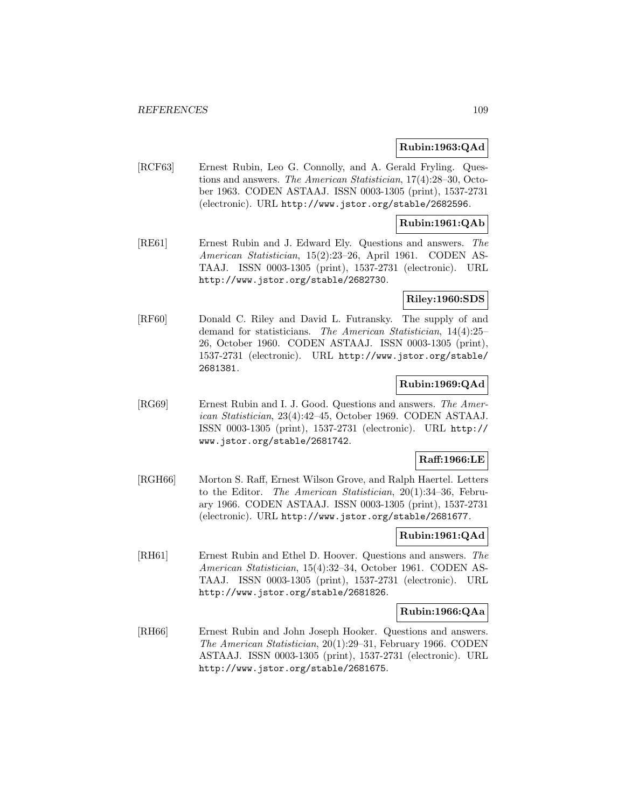### **Rubin:1963:QAd**

[RCF63] Ernest Rubin, Leo G. Connolly, and A. Gerald Fryling. Questions and answers. The American Statistician, 17(4):28–30, October 1963. CODEN ASTAAJ. ISSN 0003-1305 (print), 1537-2731 (electronic). URL http://www.jstor.org/stable/2682596.

### **Rubin:1961:QAb**

[RE61] Ernest Rubin and J. Edward Ely. Questions and answers. The American Statistician, 15(2):23–26, April 1961. CODEN AS-TAAJ. ISSN 0003-1305 (print), 1537-2731 (electronic). URL http://www.jstor.org/stable/2682730.

### **Riley:1960:SDS**

[RF60] Donald C. Riley and David L. Futransky. The supply of and demand for statisticians. The American Statistician, 14(4):25– 26, October 1960. CODEN ASTAAJ. ISSN 0003-1305 (print), 1537-2731 (electronic). URL http://www.jstor.org/stable/ 2681381.

## **Rubin:1969:QAd**

[RG69] Ernest Rubin and I. J. Good. Questions and answers. The American Statistician, 23(4):42–45, October 1969. CODEN ASTAAJ. ISSN 0003-1305 (print), 1537-2731 (electronic). URL http:// www.jstor.org/stable/2681742.

## **Raff:1966:LE**

[RGH66] Morton S. Raff, Ernest Wilson Grove, and Ralph Haertel. Letters to the Editor. The American Statistician, 20(1):34–36, February 1966. CODEN ASTAAJ. ISSN 0003-1305 (print), 1537-2731 (electronic). URL http://www.jstor.org/stable/2681677.

# **Rubin:1961:QAd**

[RH61] Ernest Rubin and Ethel D. Hoover. Questions and answers. The American Statistician, 15(4):32–34, October 1961. CODEN AS-TAAJ. ISSN 0003-1305 (print), 1537-2731 (electronic). URL http://www.jstor.org/stable/2681826.

## **Rubin:1966:QAa**

[RH66] Ernest Rubin and John Joseph Hooker. Questions and answers. The American Statistician, 20(1):29–31, February 1966. CODEN ASTAAJ. ISSN 0003-1305 (print), 1537-2731 (electronic). URL http://www.jstor.org/stable/2681675.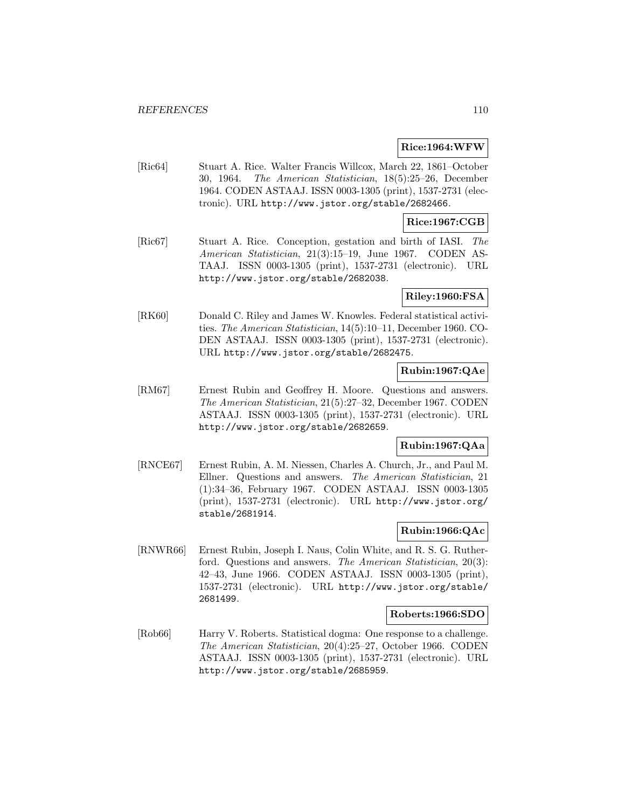### **Rice:1964:WFW**

[Ric64] Stuart A. Rice. Walter Francis Willcox, March 22, 1861–October 30, 1964. The American Statistician, 18(5):25–26, December 1964. CODEN ASTAAJ. ISSN 0003-1305 (print), 1537-2731 (electronic). URL http://www.jstor.org/stable/2682466.

### **Rice:1967:CGB**

[Ric67] Stuart A. Rice. Conception, gestation and birth of IASI. The American Statistician, 21(3):15–19, June 1967. CODEN AS-TAAJ. ISSN 0003-1305 (print), 1537-2731 (electronic). URL http://www.jstor.org/stable/2682038.

### **Riley:1960:FSA**

[RK60] Donald C. Riley and James W. Knowles. Federal statistical activities. The American Statistician, 14(5):10–11, December 1960. CO-DEN ASTAAJ. ISSN 0003-1305 (print), 1537-2731 (electronic). URL http://www.jstor.org/stable/2682475.

## **Rubin:1967:QAe**

[RM67] Ernest Rubin and Geoffrey H. Moore. Questions and answers. The American Statistician, 21(5):27–32, December 1967. CODEN ASTAAJ. ISSN 0003-1305 (print), 1537-2731 (electronic). URL http://www.jstor.org/stable/2682659.

## **Rubin:1967:QAa**

[RNCE67] Ernest Rubin, A. M. Niessen, Charles A. Church, Jr., and Paul M. Ellner. Questions and answers. The American Statistician, 21 (1):34–36, February 1967. CODEN ASTAAJ. ISSN 0003-1305 (print), 1537-2731 (electronic). URL http://www.jstor.org/ stable/2681914.

## **Rubin:1966:QAc**

[RNWR66] Ernest Rubin, Joseph I. Naus, Colin White, and R. S. G. Rutherford. Questions and answers. The American Statistician, 20(3): 42–43, June 1966. CODEN ASTAAJ. ISSN 0003-1305 (print), 1537-2731 (electronic). URL http://www.jstor.org/stable/ 2681499.

### **Roberts:1966:SDO**

[Rob66] Harry V. Roberts. Statistical dogma: One response to a challenge. The American Statistician, 20(4):25–27, October 1966. CODEN ASTAAJ. ISSN 0003-1305 (print), 1537-2731 (electronic). URL http://www.jstor.org/stable/2685959.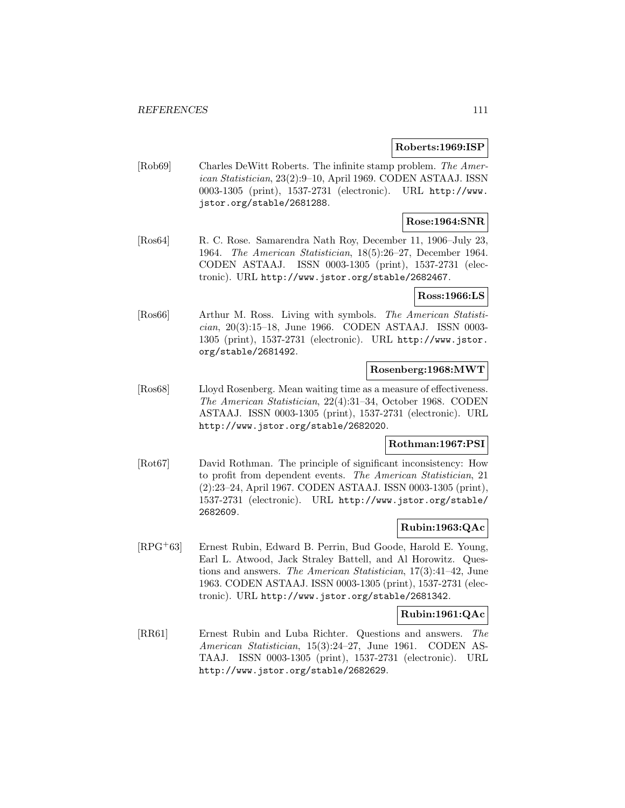#### **Roberts:1969:ISP**

[Rob69] Charles DeWitt Roberts. The infinite stamp problem. The American Statistician, 23(2):9–10, April 1969. CODEN ASTAAJ. ISSN 0003-1305 (print), 1537-2731 (electronic). URL http://www. jstor.org/stable/2681288.

### **Rose:1964:SNR**

[Ros64] R. C. Rose. Samarendra Nath Roy, December 11, 1906–July 23, 1964. The American Statistician, 18(5):26–27, December 1964. CODEN ASTAAJ. ISSN 0003-1305 (print), 1537-2731 (electronic). URL http://www.jstor.org/stable/2682467.

#### **Ross:1966:LS**

[Ros66] Arthur M. Ross. Living with symbols. The American Statistician, 20(3):15–18, June 1966. CODEN ASTAAJ. ISSN 0003- 1305 (print), 1537-2731 (electronic). URL http://www.jstor. org/stable/2681492.

### **Rosenberg:1968:MWT**

[Ros68] Lloyd Rosenberg. Mean waiting time as a measure of effectiveness. The American Statistician, 22(4):31–34, October 1968. CODEN ASTAAJ. ISSN 0003-1305 (print), 1537-2731 (electronic). URL http://www.jstor.org/stable/2682020.

### **Rothman:1967:PSI**

[Rot67] David Rothman. The principle of significant inconsistency: How to profit from dependent events. The American Statistician, 21 (2):23–24, April 1967. CODEN ASTAAJ. ISSN 0003-1305 (print), 1537-2731 (electronic). URL http://www.jstor.org/stable/ 2682609.

## **Rubin:1963:QAc**

[RPG<sup>+</sup>63] Ernest Rubin, Edward B. Perrin, Bud Goode, Harold E. Young, Earl L. Atwood, Jack Straley Battell, and Al Horowitz. Questions and answers. The American Statistician, 17(3):41–42, June 1963. CODEN ASTAAJ. ISSN 0003-1305 (print), 1537-2731 (electronic). URL http://www.jstor.org/stable/2681342.

## **Rubin:1961:QAc**

[RR61] Ernest Rubin and Luba Richter. Questions and answers. The American Statistician, 15(3):24–27, June 1961. CODEN AS-TAAJ. ISSN 0003-1305 (print), 1537-2731 (electronic). URL http://www.jstor.org/stable/2682629.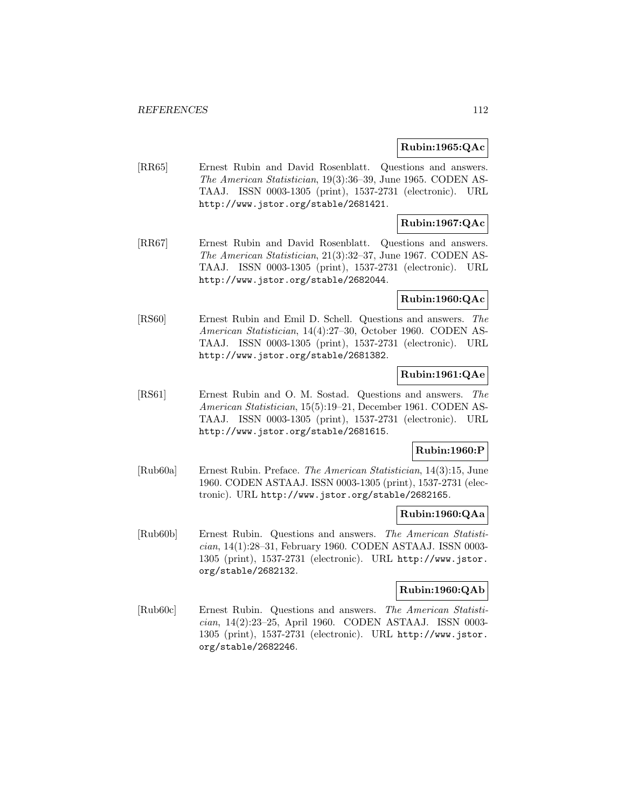### **Rubin:1965:QAc**

[RR65] Ernest Rubin and David Rosenblatt. Questions and answers. The American Statistician, 19(3):36–39, June 1965. CODEN AS-TAAJ. ISSN 0003-1305 (print), 1537-2731 (electronic). URL http://www.jstor.org/stable/2681421.

## **Rubin:1967:QAc**

[RR67] Ernest Rubin and David Rosenblatt. Questions and answers. The American Statistician, 21(3):32–37, June 1967. CODEN AS-TAAJ. ISSN 0003-1305 (print), 1537-2731 (electronic). URL http://www.jstor.org/stable/2682044.

## **Rubin:1960:QAc**

[RS60] Ernest Rubin and Emil D. Schell. Questions and answers. The American Statistician, 14(4):27–30, October 1960. CODEN AS-TAAJ. ISSN 0003-1305 (print), 1537-2731 (electronic). URL http://www.jstor.org/stable/2681382.

## **Rubin:1961:QAe**

[RS61] Ernest Rubin and O. M. Sostad. Questions and answers. The American Statistician, 15(5):19–21, December 1961. CODEN AS-TAAJ. ISSN 0003-1305 (print), 1537-2731 (electronic). URL http://www.jstor.org/stable/2681615.

## **Rubin:1960:P**

[Rub60a] Ernest Rubin. Preface. The American Statistician, 14(3):15, June 1960. CODEN ASTAAJ. ISSN 0003-1305 (print), 1537-2731 (electronic). URL http://www.jstor.org/stable/2682165.

### **Rubin:1960:QAa**

[Rub60b] Ernest Rubin. Questions and answers. The American Statistician, 14(1):28–31, February 1960. CODEN ASTAAJ. ISSN 0003- 1305 (print), 1537-2731 (electronic). URL http://www.jstor. org/stable/2682132.

## **Rubin:1960:QAb**

[Rub60c] Ernest Rubin. Questions and answers. The American Statistician, 14(2):23–25, April 1960. CODEN ASTAAJ. ISSN 0003- 1305 (print), 1537-2731 (electronic). URL http://www.jstor. org/stable/2682246.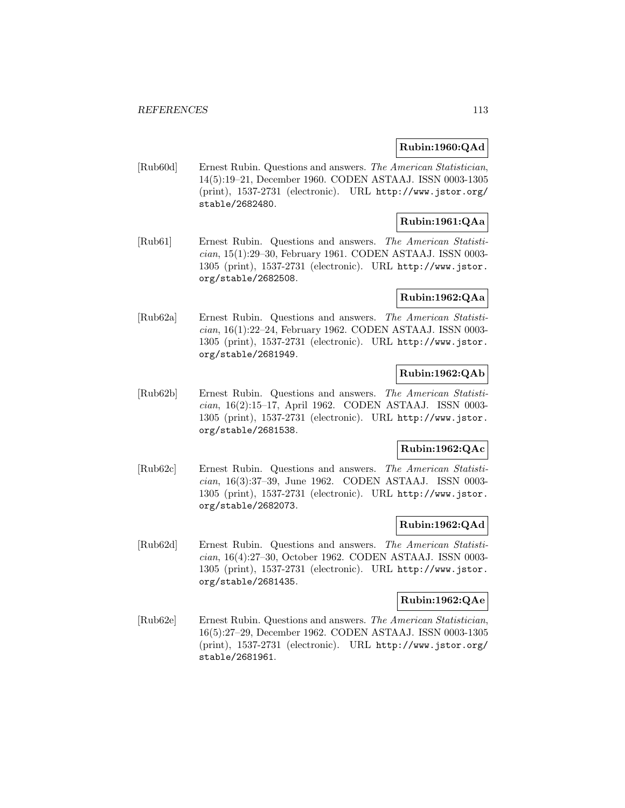### **Rubin:1960:QAd**

[Rub60d] Ernest Rubin. Questions and answers. The American Statistician, 14(5):19–21, December 1960. CODEN ASTAAJ. ISSN 0003-1305 (print), 1537-2731 (electronic). URL http://www.jstor.org/ stable/2682480.

# **Rubin:1961:QAa**

[Rub61] Ernest Rubin. Questions and answers. The American Statistician, 15(1):29–30, February 1961. CODEN ASTAAJ. ISSN 0003- 1305 (print), 1537-2731 (electronic). URL http://www.jstor. org/stable/2682508.

## **Rubin:1962:QAa**

[Rub62a] Ernest Rubin. Questions and answers. The American Statistician, 16(1):22–24, February 1962. CODEN ASTAAJ. ISSN 0003- 1305 (print), 1537-2731 (electronic). URL http://www.jstor. org/stable/2681949.

## **Rubin:1962:QAb**

[Rub62b] Ernest Rubin. Questions and answers. The American Statistician, 16(2):15–17, April 1962. CODEN ASTAAJ. ISSN 0003- 1305 (print), 1537-2731 (electronic). URL http://www.jstor. org/stable/2681538.

## **Rubin:1962:QAc**

[Rub62c] Ernest Rubin. Questions and answers. The American Statistician, 16(3):37–39, June 1962. CODEN ASTAAJ. ISSN 0003- 1305 (print), 1537-2731 (electronic). URL http://www.jstor. org/stable/2682073.

## **Rubin:1962:QAd**

[Rub62d] Ernest Rubin. Questions and answers. The American Statistician, 16(4):27–30, October 1962. CODEN ASTAAJ. ISSN 0003- 1305 (print), 1537-2731 (electronic). URL http://www.jstor. org/stable/2681435.

## **Rubin:1962:QAe**

[Rub62e] Ernest Rubin. Questions and answers. The American Statistician, 16(5):27–29, December 1962. CODEN ASTAAJ. ISSN 0003-1305 (print), 1537-2731 (electronic). URL http://www.jstor.org/ stable/2681961.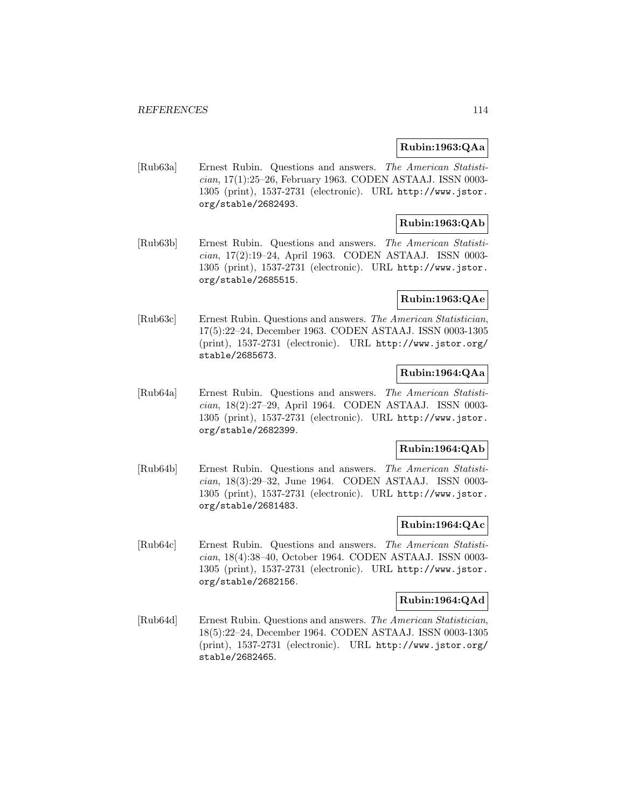### **Rubin:1963:QAa**

[Rub63a] Ernest Rubin. Questions and answers. The American Statistician, 17(1):25–26, February 1963. CODEN ASTAAJ. ISSN 0003- 1305 (print), 1537-2731 (electronic). URL http://www.jstor. org/stable/2682493.

## **Rubin:1963:QAb**

[Rub63b] Ernest Rubin. Questions and answers. The American Statistician, 17(2):19–24, April 1963. CODEN ASTAAJ. ISSN 0003- 1305 (print), 1537-2731 (electronic). URL http://www.jstor. org/stable/2685515.

## **Rubin:1963:QAe**

[Rub63c] Ernest Rubin. Questions and answers. The American Statistician, 17(5):22–24, December 1963. CODEN ASTAAJ. ISSN 0003-1305 (print), 1537-2731 (electronic). URL http://www.jstor.org/ stable/2685673.

## **Rubin:1964:QAa**

[Rub64a] Ernest Rubin. Questions and answers. The American Statistician, 18(2):27–29, April 1964. CODEN ASTAAJ. ISSN 0003- 1305 (print), 1537-2731 (electronic). URL http://www.jstor. org/stable/2682399.

## **Rubin:1964:QAb**

[Rub64b] Ernest Rubin. Questions and answers. The American Statistician, 18(3):29–32, June 1964. CODEN ASTAAJ. ISSN 0003- 1305 (print), 1537-2731 (electronic). URL http://www.jstor. org/stable/2681483.

## **Rubin:1964:QAc**

[Rub64c] Ernest Rubin. Questions and answers. The American Statistician, 18(4):38–40, October 1964. CODEN ASTAAJ. ISSN 0003- 1305 (print), 1537-2731 (electronic). URL http://www.jstor. org/stable/2682156.

### **Rubin:1964:QAd**

[Rub64d] Ernest Rubin. Questions and answers. The American Statistician, 18(5):22–24, December 1964. CODEN ASTAAJ. ISSN 0003-1305 (print), 1537-2731 (electronic). URL http://www.jstor.org/ stable/2682465.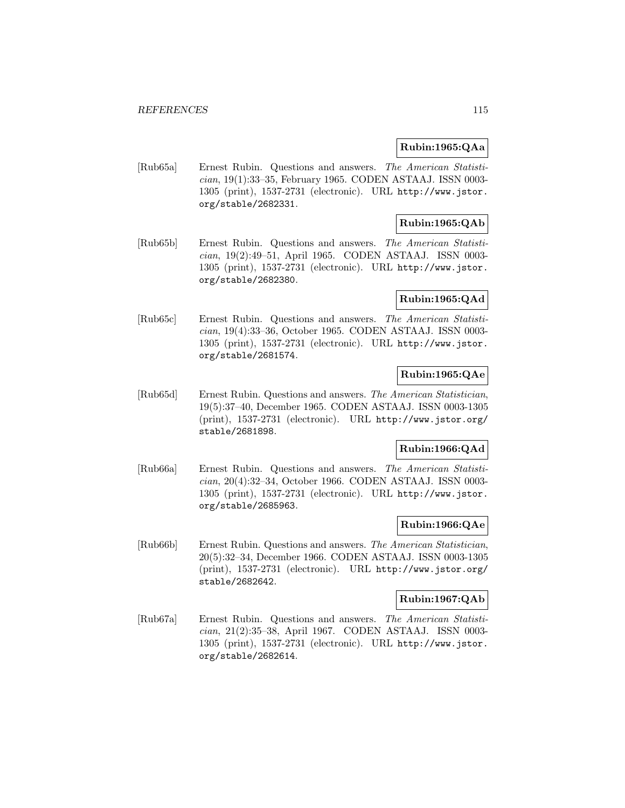### **Rubin:1965:QAa**

[Rub65a] Ernest Rubin. Questions and answers. The American Statistician, 19(1):33–35, February 1965. CODEN ASTAAJ. ISSN 0003- 1305 (print), 1537-2731 (electronic). URL http://www.jstor. org/stable/2682331.

## **Rubin:1965:QAb**

[Rub65b] Ernest Rubin. Questions and answers. The American Statistician, 19(2):49–51, April 1965. CODEN ASTAAJ. ISSN 0003- 1305 (print), 1537-2731 (electronic). URL http://www.jstor. org/stable/2682380.

### **Rubin:1965:QAd**

[Rub65c] Ernest Rubin. Questions and answers. The American Statistician, 19(4):33–36, October 1965. CODEN ASTAAJ. ISSN 0003- 1305 (print), 1537-2731 (electronic). URL http://www.jstor. org/stable/2681574.

## **Rubin:1965:QAe**

[Rub65d] Ernest Rubin. Questions and answers. The American Statistician, 19(5):37–40, December 1965. CODEN ASTAAJ. ISSN 0003-1305 (print), 1537-2731 (electronic). URL http://www.jstor.org/ stable/2681898.

## **Rubin:1966:QAd**

[Rub66a] Ernest Rubin. Questions and answers. The American Statistician, 20(4):32–34, October 1966. CODEN ASTAAJ. ISSN 0003- 1305 (print), 1537-2731 (electronic). URL http://www.jstor. org/stable/2685963.

### **Rubin:1966:QAe**

[Rub66b] Ernest Rubin. Questions and answers. The American Statistician, 20(5):32–34, December 1966. CODEN ASTAAJ. ISSN 0003-1305 (print), 1537-2731 (electronic). URL http://www.jstor.org/ stable/2682642.

### **Rubin:1967:QAb**

[Rub67a] Ernest Rubin. Questions and answers. The American Statistician, 21(2):35–38, April 1967. CODEN ASTAAJ. ISSN 0003- 1305 (print), 1537-2731 (electronic). URL http://www.jstor. org/stable/2682614.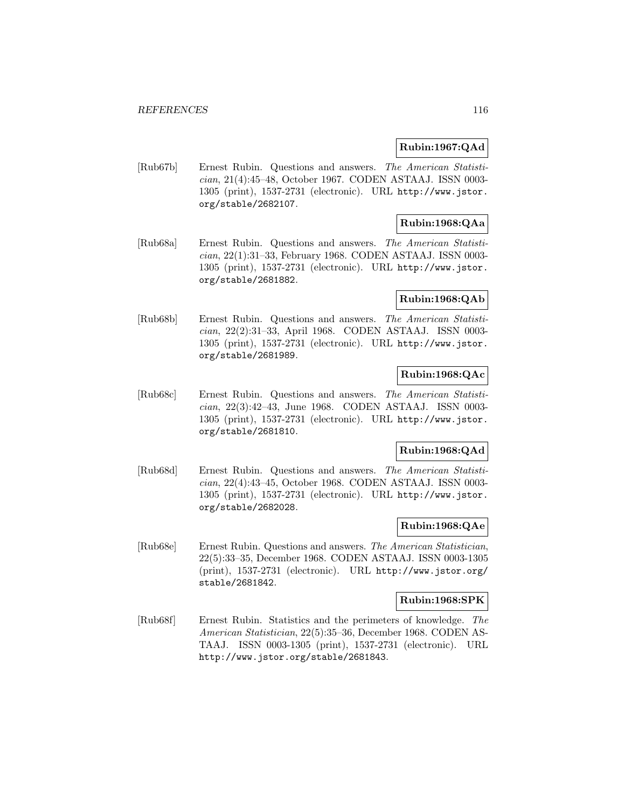### **Rubin:1967:QAd**

[Rub67b] Ernest Rubin. Questions and answers. The American Statistician, 21(4):45–48, October 1967. CODEN ASTAAJ. ISSN 0003- 1305 (print), 1537-2731 (electronic). URL http://www.jstor. org/stable/2682107.

# **Rubin:1968:QAa**

[Rub68a] Ernest Rubin. Questions and answers. The American Statistician, 22(1):31–33, February 1968. CODEN ASTAAJ. ISSN 0003- 1305 (print), 1537-2731 (electronic). URL http://www.jstor. org/stable/2681882.

### **Rubin:1968:QAb**

[Rub68b] Ernest Rubin. Questions and answers. The American Statistician, 22(2):31–33, April 1968. CODEN ASTAAJ. ISSN 0003- 1305 (print), 1537-2731 (electronic). URL http://www.jstor. org/stable/2681989.

## **Rubin:1968:QAc**

[Rub68c] Ernest Rubin. Questions and answers. The American Statistician, 22(3):42–43, June 1968. CODEN ASTAAJ. ISSN 0003- 1305 (print), 1537-2731 (electronic). URL http://www.jstor. org/stable/2681810.

### **Rubin:1968:QAd**

[Rub68d] Ernest Rubin. Questions and answers. The American Statistician, 22(4):43–45, October 1968. CODEN ASTAAJ. ISSN 0003- 1305 (print), 1537-2731 (electronic). URL http://www.jstor. org/stable/2682028.

### **Rubin:1968:QAe**

[Rub68e] Ernest Rubin. Questions and answers. The American Statistician, 22(5):33–35, December 1968. CODEN ASTAAJ. ISSN 0003-1305 (print), 1537-2731 (electronic). URL http://www.jstor.org/ stable/2681842.

### **Rubin:1968:SPK**

[Rub68f] Ernest Rubin. Statistics and the perimeters of knowledge. The American Statistician, 22(5):35–36, December 1968. CODEN AS-TAAJ. ISSN 0003-1305 (print), 1537-2731 (electronic). URL http://www.jstor.org/stable/2681843.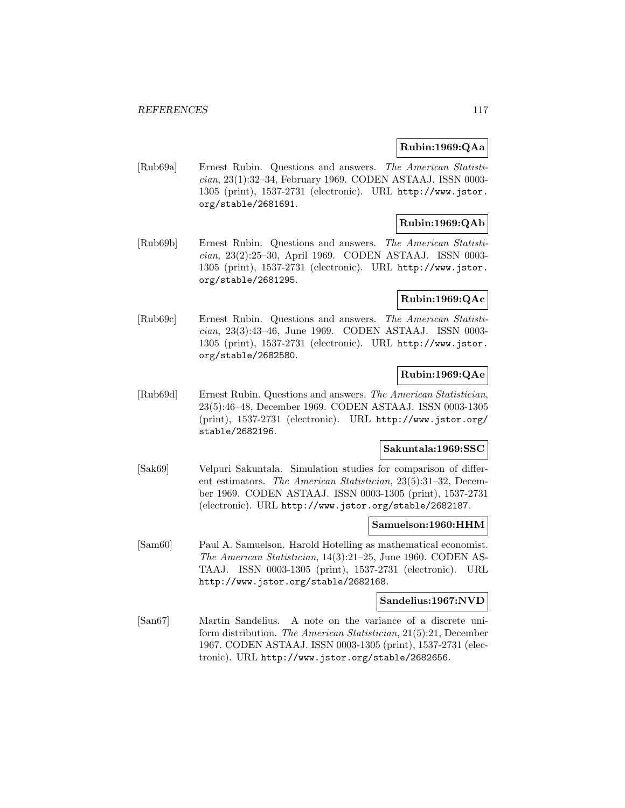### **Rubin:1969:QAa**

[Rub69a] Ernest Rubin. Questions and answers. The American Statistician, 23(1):32–34, February 1969. CODEN ASTAAJ. ISSN 0003- 1305 (print), 1537-2731 (electronic). URL http://www.jstor. org/stable/2681691.

## **Rubin:1969:QAb**

[Rub69b] Ernest Rubin. Questions and answers. The American Statistician, 23(2):25–30, April 1969. CODEN ASTAAJ. ISSN 0003- 1305 (print), 1537-2731 (electronic). URL http://www.jstor. org/stable/2681295.

### **Rubin:1969:QAc**

[Rub69c] Ernest Rubin. Questions and answers. The American Statistician, 23(3):43–46, June 1969. CODEN ASTAAJ. ISSN 0003- 1305 (print), 1537-2731 (electronic). URL http://www.jstor. org/stable/2682580.

## **Rubin:1969:QAe**

[Rub69d] Ernest Rubin. Questions and answers. The American Statistician, 23(5):46–48, December 1969. CODEN ASTAAJ. ISSN 0003-1305 (print), 1537-2731 (electronic). URL http://www.jstor.org/ stable/2682196.

### **Sakuntala:1969:SSC**

[Sak69] Velpuri Sakuntala. Simulation studies for comparison of different estimators. The American Statistician, 23(5):31–32, December 1969. CODEN ASTAAJ. ISSN 0003-1305 (print), 1537-2731 (electronic). URL http://www.jstor.org/stable/2682187.

#### **Samuelson:1960:HHM**

[Sam60] Paul A. Samuelson. Harold Hotelling as mathematical economist. The American Statistician, 14(3):21–25, June 1960. CODEN AS-TAAJ. ISSN 0003-1305 (print), 1537-2731 (electronic). URL http://www.jstor.org/stable/2682168.

#### **Sandelius:1967:NVD**

[San67] Martin Sandelius. A note on the variance of a discrete uniform distribution. The American Statistician, 21(5):21, December 1967. CODEN ASTAAJ. ISSN 0003-1305 (print), 1537-2731 (electronic). URL http://www.jstor.org/stable/2682656.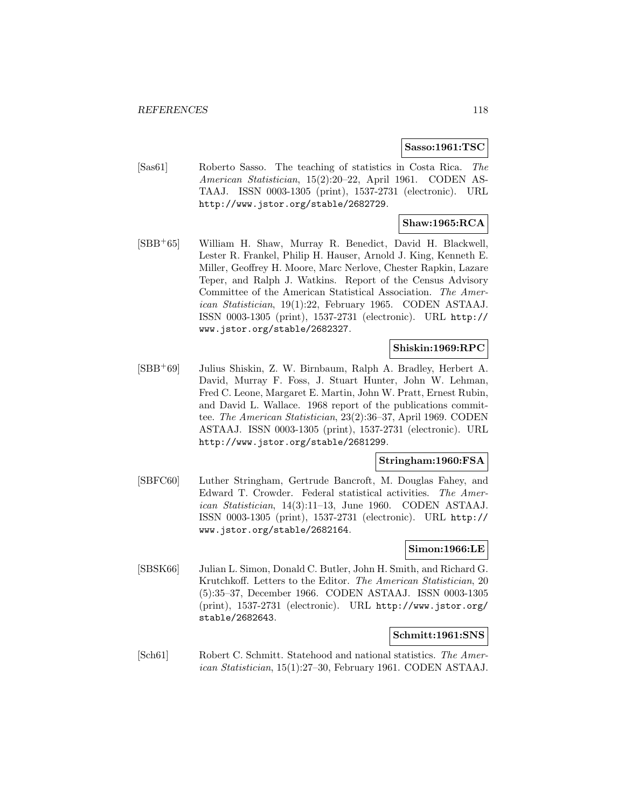#### **Sasso:1961:TSC**

[Sas61] Roberto Sasso. The teaching of statistics in Costa Rica. The American Statistician, 15(2):20–22, April 1961. CODEN AS-TAAJ. ISSN 0003-1305 (print), 1537-2731 (electronic). URL http://www.jstor.org/stable/2682729.

## **Shaw:1965:RCA**

[SBB<sup>+</sup>65] William H. Shaw, Murray R. Benedict, David H. Blackwell, Lester R. Frankel, Philip H. Hauser, Arnold J. King, Kenneth E. Miller, Geoffrey H. Moore, Marc Nerlove, Chester Rapkin, Lazare Teper, and Ralph J. Watkins. Report of the Census Advisory Committee of the American Statistical Association. The American Statistician, 19(1):22, February 1965. CODEN ASTAAJ. ISSN 0003-1305 (print), 1537-2731 (electronic). URL http:// www.jstor.org/stable/2682327.

### **Shiskin:1969:RPC**

[SBB<sup>+</sup>69] Julius Shiskin, Z. W. Birnbaum, Ralph A. Bradley, Herbert A. David, Murray F. Foss, J. Stuart Hunter, John W. Lehman, Fred C. Leone, Margaret E. Martin, John W. Pratt, Ernest Rubin, and David L. Wallace. 1968 report of the publications committee. The American Statistician, 23(2):36–37, April 1969. CODEN ASTAAJ. ISSN 0003-1305 (print), 1537-2731 (electronic). URL http://www.jstor.org/stable/2681299.

### **Stringham:1960:FSA**

[SBFC60] Luther Stringham, Gertrude Bancroft, M. Douglas Fahey, and Edward T. Crowder. Federal statistical activities. The American Statistician, 14(3):11–13, June 1960. CODEN ASTAAJ. ISSN 0003-1305 (print), 1537-2731 (electronic). URL http:// www.jstor.org/stable/2682164.

### **Simon:1966:LE**

[SBSK66] Julian L. Simon, Donald C. Butler, John H. Smith, and Richard G. Krutchkoff. Letters to the Editor. The American Statistician, 20 (5):35–37, December 1966. CODEN ASTAAJ. ISSN 0003-1305 (print), 1537-2731 (electronic). URL http://www.jstor.org/ stable/2682643.

#### **Schmitt:1961:SNS**

[Sch61] Robert C. Schmitt. Statehood and national statistics. The American Statistician, 15(1):27–30, February 1961. CODEN ASTAAJ.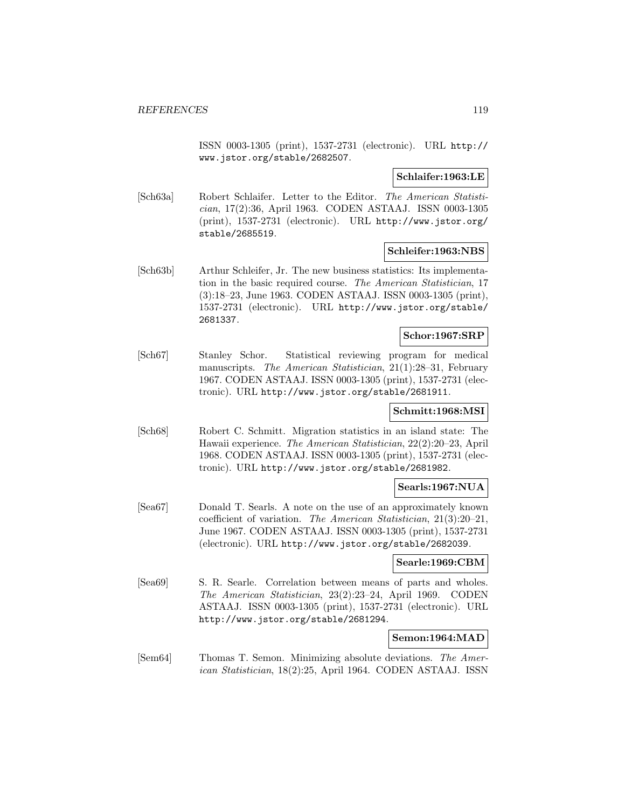ISSN 0003-1305 (print), 1537-2731 (electronic). URL http:// www.jstor.org/stable/2682507.

**Schlaifer:1963:LE**

[Sch63a] Robert Schlaifer. Letter to the Editor. The American Statistician, 17(2):36, April 1963. CODEN ASTAAJ. ISSN 0003-1305 (print), 1537-2731 (electronic). URL http://www.jstor.org/ stable/2685519.

### **Schleifer:1963:NBS**

[Sch63b] Arthur Schleifer, Jr. The new business statistics: Its implementation in the basic required course. The American Statistician, 17 (3):18–23, June 1963. CODEN ASTAAJ. ISSN 0003-1305 (print), 1537-2731 (electronic). URL http://www.jstor.org/stable/ 2681337.

## **Schor:1967:SRP**

[Sch67] Stanley Schor. Statistical reviewing program for medical manuscripts. *The American Statistician*, 21(1):28–31, February 1967. CODEN ASTAAJ. ISSN 0003-1305 (print), 1537-2731 (electronic). URL http://www.jstor.org/stable/2681911.

### **Schmitt:1968:MSI**

[Sch68] Robert C. Schmitt. Migration statistics in an island state: The Hawaii experience. The American Statistician, 22(2):20–23, April 1968. CODEN ASTAAJ. ISSN 0003-1305 (print), 1537-2731 (electronic). URL http://www.jstor.org/stable/2681982.

### **Searls:1967:NUA**

[Sea67] Donald T. Searls. A note on the use of an approximately known coefficient of variation. The American Statistician, 21(3):20–21, June 1967. CODEN ASTAAJ. ISSN 0003-1305 (print), 1537-2731 (electronic). URL http://www.jstor.org/stable/2682039.

### **Searle:1969:CBM**

[Sea69] S. R. Searle. Correlation between means of parts and wholes. The American Statistician, 23(2):23–24, April 1969. CODEN ASTAAJ. ISSN 0003-1305 (print), 1537-2731 (electronic). URL http://www.jstor.org/stable/2681294.

### **Semon:1964:MAD**

[Sem64] Thomas T. Semon. Minimizing absolute deviations. The American Statistician, 18(2):25, April 1964. CODEN ASTAAJ. ISSN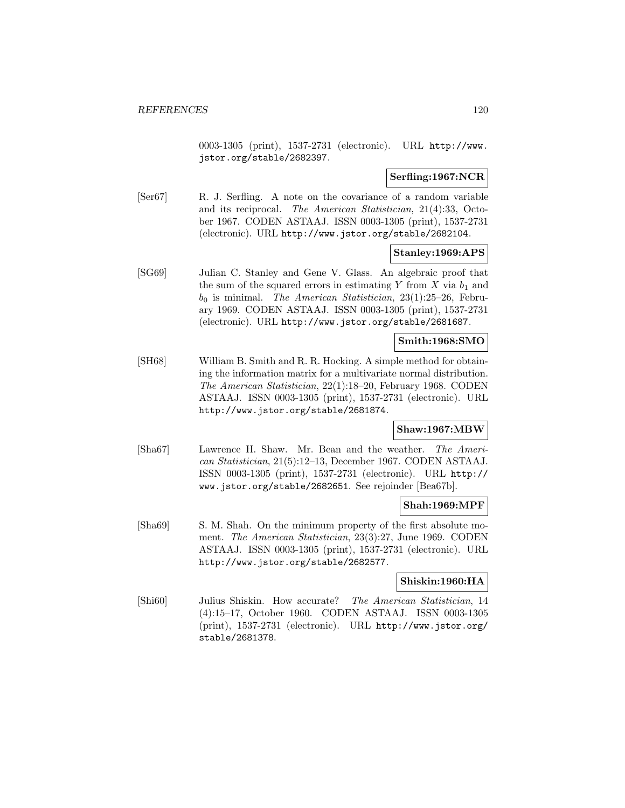0003-1305 (print), 1537-2731 (electronic). URL http://www. jstor.org/stable/2682397.

### **Serfling:1967:NCR**

[Ser67] R. J. Serfling. A note on the covariance of a random variable and its reciprocal. The American Statistician, 21(4):33, October 1967. CODEN ASTAAJ. ISSN 0003-1305 (print), 1537-2731 (electronic). URL http://www.jstor.org/stable/2682104.

#### **Stanley:1969:APS**

[SG69] Julian C. Stanley and Gene V. Glass. An algebraic proof that the sum of the squared errors in estimating Y from X via  $b_1$  and  $b_0$  is minimal. The American Statistician, 23(1):25–26, February 1969. CODEN ASTAAJ. ISSN 0003-1305 (print), 1537-2731 (electronic). URL http://www.jstor.org/stable/2681687.

### **Smith:1968:SMO**

[SH68] William B. Smith and R. R. Hocking. A simple method for obtaining the information matrix for a multivariate normal distribution. The American Statistician, 22(1):18–20, February 1968. CODEN ASTAAJ. ISSN 0003-1305 (print), 1537-2731 (electronic). URL http://www.jstor.org/stable/2681874.

### **Shaw:1967:MBW**

[Sha67] Lawrence H. Shaw. Mr. Bean and the weather. The American Statistician, 21(5):12–13, December 1967. CODEN ASTAAJ. ISSN 0003-1305 (print), 1537-2731 (electronic). URL http:// www.jstor.org/stable/2682651. See rejoinder [Bea67b].

#### **Shah:1969:MPF**

[Sha69] S. M. Shah. On the minimum property of the first absolute moment. The American Statistician, 23(3):27, June 1969. CODEN ASTAAJ. ISSN 0003-1305 (print), 1537-2731 (electronic). URL http://www.jstor.org/stable/2682577.

### **Shiskin:1960:HA**

[Shi60] Julius Shiskin. How accurate? The American Statistician, 14 (4):15–17, October 1960. CODEN ASTAAJ. ISSN 0003-1305 (print), 1537-2731 (electronic). URL http://www.jstor.org/ stable/2681378.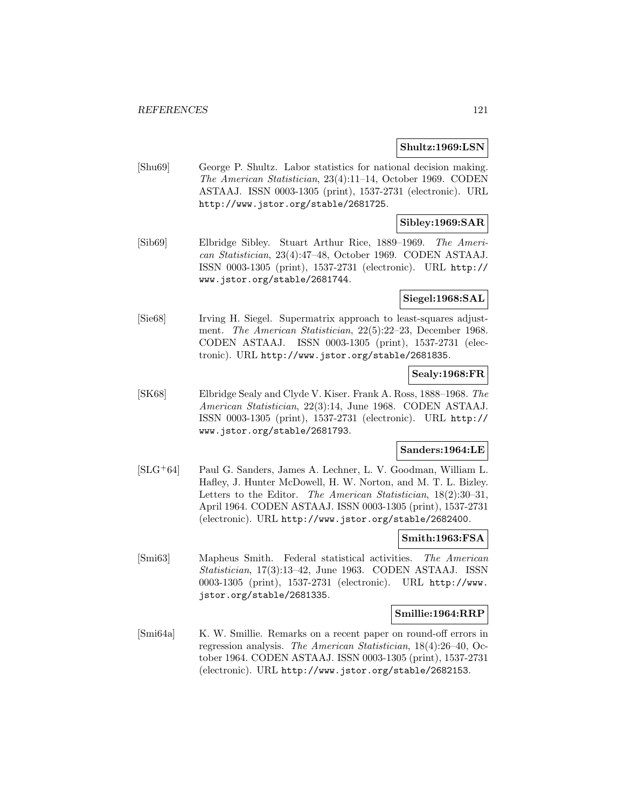#### **Shultz:1969:LSN**

[Shu69] George P. Shultz. Labor statistics for national decision making. The American Statistician, 23(4):11–14, October 1969. CODEN ASTAAJ. ISSN 0003-1305 (print), 1537-2731 (electronic). URL http://www.jstor.org/stable/2681725.

## **Sibley:1969:SAR**

[Sib69] Elbridge Sibley. Stuart Arthur Rice, 1889–1969. The American Statistician, 23(4):47–48, October 1969. CODEN ASTAAJ. ISSN 0003-1305 (print), 1537-2731 (electronic). URL http:// www.jstor.org/stable/2681744.

#### **Siegel:1968:SAL**

[Sie68] Irving H. Siegel. Supermatrix approach to least-squares adjustment. The American Statistician, 22(5):22–23, December 1968. CODEN ASTAAJ. ISSN 0003-1305 (print), 1537-2731 (electronic). URL http://www.jstor.org/stable/2681835.

### **Sealy:1968:FR**

[SK68] Elbridge Sealy and Clyde V. Kiser. Frank A. Ross, 1888–1968. The American Statistician, 22(3):14, June 1968. CODEN ASTAAJ. ISSN 0003-1305 (print), 1537-2731 (electronic). URL http:// www.jstor.org/stable/2681793.

### **Sanders:1964:LE**

[SLG<sup>+</sup>64] Paul G. Sanders, James A. Lechner, L. V. Goodman, William L. Hafley, J. Hunter McDowell, H. W. Norton, and M. T. L. Bizley. Letters to the Editor. The American Statistician, 18(2):30–31, April 1964. CODEN ASTAAJ. ISSN 0003-1305 (print), 1537-2731 (electronic). URL http://www.jstor.org/stable/2682400.

## **Smith:1963:FSA**

[Smi63] Mapheus Smith. Federal statistical activities. The American Statistician, 17(3):13–42, June 1963. CODEN ASTAAJ. ISSN 0003-1305 (print), 1537-2731 (electronic). URL http://www. jstor.org/stable/2681335.

#### **Smillie:1964:RRP**

[Smi64a] K. W. Smillie. Remarks on a recent paper on round-off errors in regression analysis. The American Statistician, 18(4):26–40, October 1964. CODEN ASTAAJ. ISSN 0003-1305 (print), 1537-2731 (electronic). URL http://www.jstor.org/stable/2682153.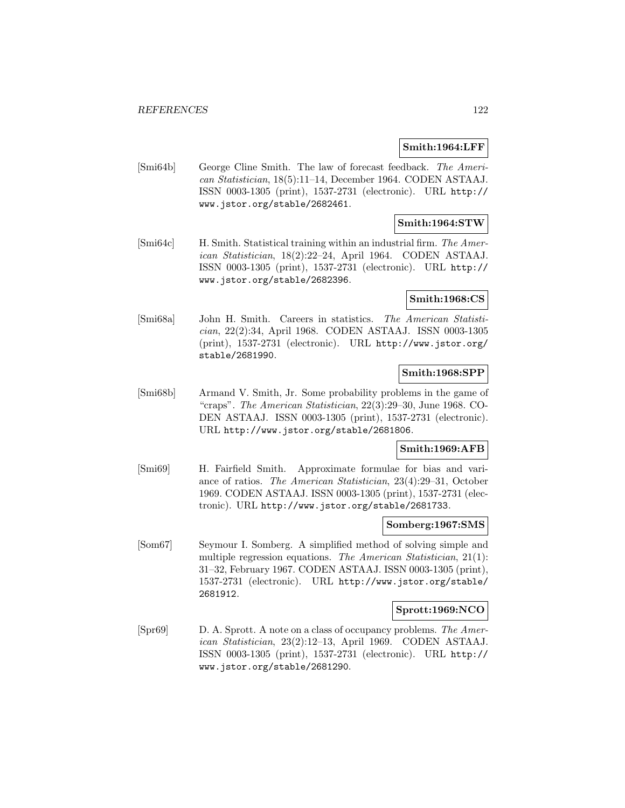### **Smith:1964:LFF**

[Smi64b] George Cline Smith. The law of forecast feedback. The American Statistician, 18(5):11–14, December 1964. CODEN ASTAAJ. ISSN 0003-1305 (print), 1537-2731 (electronic). URL http:// www.jstor.org/stable/2682461.

### **Smith:1964:STW**

[Smi64c] H. Smith. Statistical training within an industrial firm. The American Statistician, 18(2):22–24, April 1964. CODEN ASTAAJ. ISSN 0003-1305 (print), 1537-2731 (electronic). URL http:// www.jstor.org/stable/2682396.

### **Smith:1968:CS**

[Smi68a] John H. Smith. Careers in statistics. The American Statistician, 22(2):34, April 1968. CODEN ASTAAJ. ISSN 0003-1305 (print), 1537-2731 (electronic). URL http://www.jstor.org/ stable/2681990.

## **Smith:1968:SPP**

[Smi68b] Armand V. Smith, Jr. Some probability problems in the game of "craps". The American Statistician, 22(3):29–30, June 1968. CO-DEN ASTAAJ. ISSN 0003-1305 (print), 1537-2731 (electronic). URL http://www.jstor.org/stable/2681806.

### **Smith:1969:AFB**

[Smi69] H. Fairfield Smith. Approximate formulae for bias and variance of ratios. The American Statistician, 23(4):29–31, October 1969. CODEN ASTAAJ. ISSN 0003-1305 (print), 1537-2731 (electronic). URL http://www.jstor.org/stable/2681733.

## **Somberg:1967:SMS**

[Som67] Seymour I. Somberg. A simplified method of solving simple and multiple regression equations. The American Statistician, 21(1): 31–32, February 1967. CODEN ASTAAJ. ISSN 0003-1305 (print), 1537-2731 (electronic). URL http://www.jstor.org/stable/ 2681912.

### **Sprott:1969:NCO**

[Spr69] D. A. Sprott. A note on a class of occupancy problems. The American Statistician, 23(2):12–13, April 1969. CODEN ASTAAJ. ISSN 0003-1305 (print), 1537-2731 (electronic). URL http:// www.jstor.org/stable/2681290.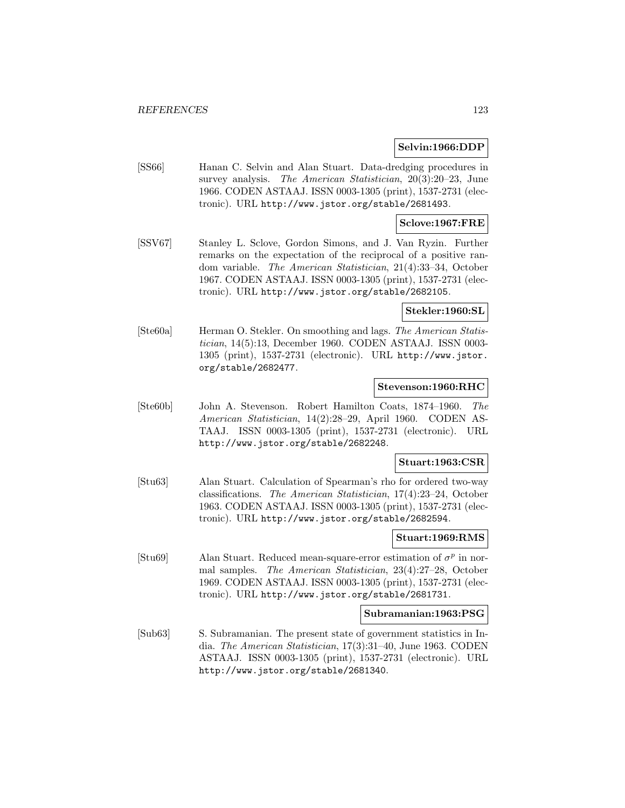#### **Selvin:1966:DDP**

[SS66] Hanan C. Selvin and Alan Stuart. Data-dredging procedures in survey analysis. The American Statistician, 20(3):20–23, June 1966. CODEN ASTAAJ. ISSN 0003-1305 (print), 1537-2731 (electronic). URL http://www.jstor.org/stable/2681493.

### **Sclove:1967:FRE**

[SSV67] Stanley L. Sclove, Gordon Simons, and J. Van Ryzin. Further remarks on the expectation of the reciprocal of a positive random variable. The American Statistician, 21(4):33–34, October 1967. CODEN ASTAAJ. ISSN 0003-1305 (print), 1537-2731 (electronic). URL http://www.jstor.org/stable/2682105.

### **Stekler:1960:SL**

[Ste60a] Herman O. Stekler. On smoothing and lags. The American Statistician, 14(5):13, December 1960. CODEN ASTAAJ. ISSN 0003- 1305 (print), 1537-2731 (electronic). URL http://www.jstor. org/stable/2682477.

#### **Stevenson:1960:RHC**

[Ste60b] John A. Stevenson. Robert Hamilton Coats, 1874–1960. The American Statistician, 14(2):28–29, April 1960. CODEN AS-TAAJ. ISSN 0003-1305 (print), 1537-2731 (electronic). URL http://www.jstor.org/stable/2682248.

#### **Stuart:1963:CSR**

[Stu63] Alan Stuart. Calculation of Spearman's rho for ordered two-way classifications. The American Statistician, 17(4):23–24, October 1963. CODEN ASTAAJ. ISSN 0003-1305 (print), 1537-2731 (electronic). URL http://www.jstor.org/stable/2682594.

### **Stuart:1969:RMS**

[Stu69] Alan Stuart. Reduced mean-square-error estimation of  $\sigma^p$  in normal samples. The American Statistician, 23(4):27–28, October 1969. CODEN ASTAAJ. ISSN 0003-1305 (print), 1537-2731 (electronic). URL http://www.jstor.org/stable/2681731.

#### **Subramanian:1963:PSG**

[Sub63] S. Subramanian. The present state of government statistics in India. The American Statistician, 17(3):31–40, June 1963. CODEN ASTAAJ. ISSN 0003-1305 (print), 1537-2731 (electronic). URL http://www.jstor.org/stable/2681340.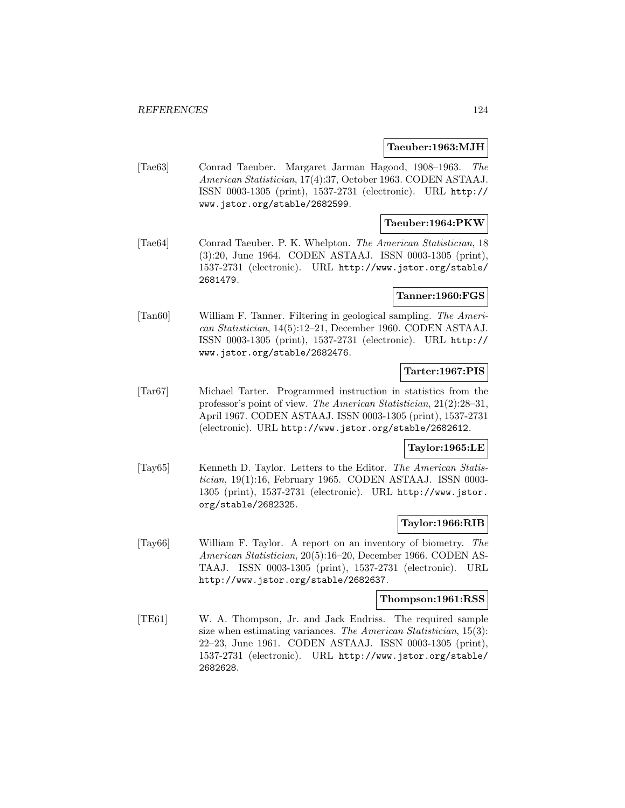#### **Taeuber:1963:MJH**

[Tae63] Conrad Taeuber. Margaret Jarman Hagood, 1908–1963. The American Statistician, 17(4):37, October 1963. CODEN ASTAAJ. ISSN 0003-1305 (print), 1537-2731 (electronic). URL http:// www.jstor.org/stable/2682599.

### **Taeuber:1964:PKW**

[Tae64] Conrad Taeuber. P. K. Whelpton. The American Statistician, 18 (3):20, June 1964. CODEN ASTAAJ. ISSN 0003-1305 (print), 1537-2731 (electronic). URL http://www.jstor.org/stable/ 2681479.

### **Tanner:1960:FGS**

[Tan60] William F. Tanner. Filtering in geological sampling. The American Statistician, 14(5):12–21, December 1960. CODEN ASTAAJ. ISSN 0003-1305 (print), 1537-2731 (electronic). URL http:// www.jstor.org/stable/2682476.

## **Tarter:1967:PIS**

[Tar67] Michael Tarter. Programmed instruction in statistics from the professor's point of view. The American Statistician, 21(2):28–31, April 1967. CODEN ASTAAJ. ISSN 0003-1305 (print), 1537-2731 (electronic). URL http://www.jstor.org/stable/2682612.

## **Taylor:1965:LE**

[Tay65] Kenneth D. Taylor. Letters to the Editor. The American Statistician, 19(1):16, February 1965. CODEN ASTAAJ. ISSN 0003- 1305 (print), 1537-2731 (electronic). URL http://www.jstor. org/stable/2682325.

### **Taylor:1966:RIB**

[Tay66] William F. Taylor. A report on an inventory of biometry. The American Statistician, 20(5):16–20, December 1966. CODEN AS-TAAJ. ISSN 0003-1305 (print), 1537-2731 (electronic). URL http://www.jstor.org/stable/2682637.

#### **Thompson:1961:RSS**

[TE61] W. A. Thompson, Jr. and Jack Endriss. The required sample size when estimating variances. The American Statistician, 15(3): 22–23, June 1961. CODEN ASTAAJ. ISSN 0003-1305 (print), 1537-2731 (electronic). URL http://www.jstor.org/stable/ 2682628.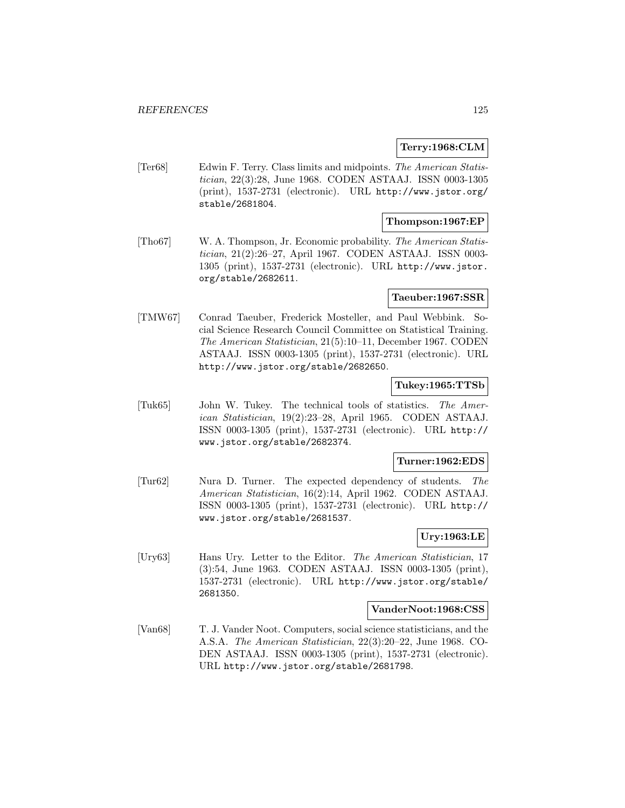### **Terry:1968:CLM**

[Ter68] Edwin F. Terry. Class limits and midpoints. The American Statistician, 22(3):28, June 1968. CODEN ASTAAJ. ISSN 0003-1305 (print), 1537-2731 (electronic). URL http://www.jstor.org/ stable/2681804.

## **Thompson:1967:EP**

[Tho67] W. A. Thompson, Jr. Economic probability. The American Statistician, 21(2):26–27, April 1967. CODEN ASTAAJ. ISSN 0003- 1305 (print), 1537-2731 (electronic). URL http://www.jstor. org/stable/2682611.

### **Taeuber:1967:SSR**

[TMW67] Conrad Taeuber, Frederick Mosteller, and Paul Webbink. Social Science Research Council Committee on Statistical Training. The American Statistician, 21(5):10–11, December 1967. CODEN ASTAAJ. ISSN 0003-1305 (print), 1537-2731 (electronic). URL http://www.jstor.org/stable/2682650.

### **Tukey:1965:TTSb**

[Tuk65] John W. Tukey. The technical tools of statistics. The American Statistician, 19(2):23–28, April 1965. CODEN ASTAAJ. ISSN 0003-1305 (print), 1537-2731 (electronic). URL http:// www.jstor.org/stable/2682374.

### **Turner:1962:EDS**

[Tur62] Nura D. Turner. The expected dependency of students. The American Statistician, 16(2):14, April 1962. CODEN ASTAAJ. ISSN 0003-1305 (print), 1537-2731 (electronic). URL http:// www.jstor.org/stable/2681537.

# **Ury:1963:LE**

[Ury63] Hans Ury. Letter to the Editor. The American Statistician, 17 (3):54, June 1963. CODEN ASTAAJ. ISSN 0003-1305 (print), 1537-2731 (electronic). URL http://www.jstor.org/stable/ 2681350.

#### **VanderNoot:1968:CSS**

[Van68] T. J. Vander Noot. Computers, social science statisticians, and the A.S.A. The American Statistician, 22(3):20–22, June 1968. CO-DEN ASTAAJ. ISSN 0003-1305 (print), 1537-2731 (electronic). URL http://www.jstor.org/stable/2681798.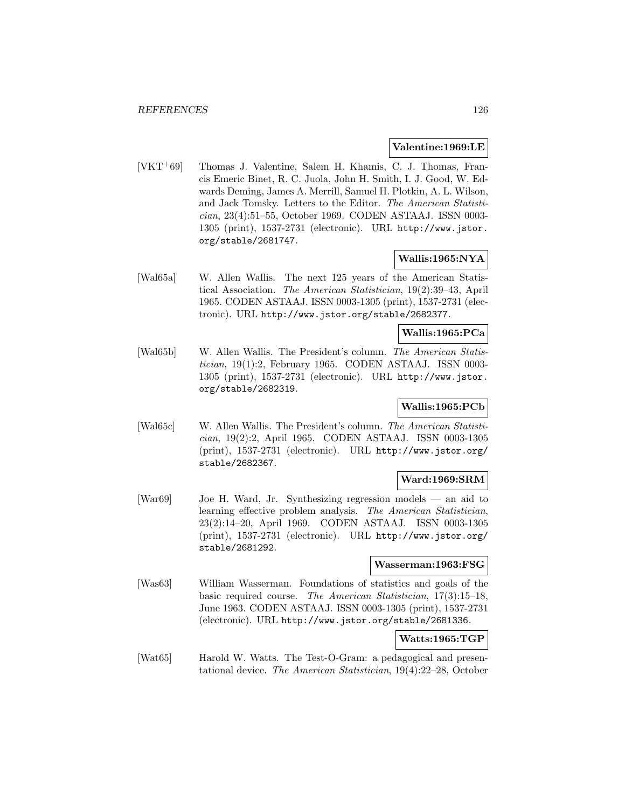#### **Valentine:1969:LE**

[VKT<sup>+</sup>69] Thomas J. Valentine, Salem H. Khamis, C. J. Thomas, Francis Emeric Binet, R. C. Juola, John H. Smith, I. J. Good, W. Edwards Deming, James A. Merrill, Samuel H. Plotkin, A. L. Wilson, and Jack Tomsky. Letters to the Editor. The American Statistician, 23(4):51–55, October 1969. CODEN ASTAAJ. ISSN 0003- 1305 (print), 1537-2731 (electronic). URL http://www.jstor. org/stable/2681747.

### **Wallis:1965:NYA**

[Wal65a] W. Allen Wallis. The next 125 years of the American Statistical Association. The American Statistician, 19(2):39–43, April 1965. CODEN ASTAAJ. ISSN 0003-1305 (print), 1537-2731 (electronic). URL http://www.jstor.org/stable/2682377.

## **Wallis:1965:PCa**

[Wal65b] W. Allen Wallis. The President's column. The American Statistician, 19(1):2, February 1965. CODEN ASTAAJ. ISSN 0003- 1305 (print), 1537-2731 (electronic). URL http://www.jstor. org/stable/2682319.

## **Wallis:1965:PCb**

[Wal65c] W. Allen Wallis. The President's column. The American Statistician, 19(2):2, April 1965. CODEN ASTAAJ. ISSN 0003-1305 (print), 1537-2731 (electronic). URL http://www.jstor.org/ stable/2682367.

## **Ward:1969:SRM**

[War69] Joe H. Ward, Jr. Synthesizing regression models — an aid to learning effective problem analysis. The American Statistician, 23(2):14–20, April 1969. CODEN ASTAAJ. ISSN 0003-1305 (print), 1537-2731 (electronic). URL http://www.jstor.org/ stable/2681292.

#### **Wasserman:1963:FSG**

[Was63] William Wasserman. Foundations of statistics and goals of the basic required course. The American Statistician, 17(3):15–18, June 1963. CODEN ASTAAJ. ISSN 0003-1305 (print), 1537-2731 (electronic). URL http://www.jstor.org/stable/2681336.

## **Watts:1965:TGP**

[Wat65] Harold W. Watts. The Test-O-Gram: a pedagogical and presentational device. The American Statistician, 19(4):22–28, October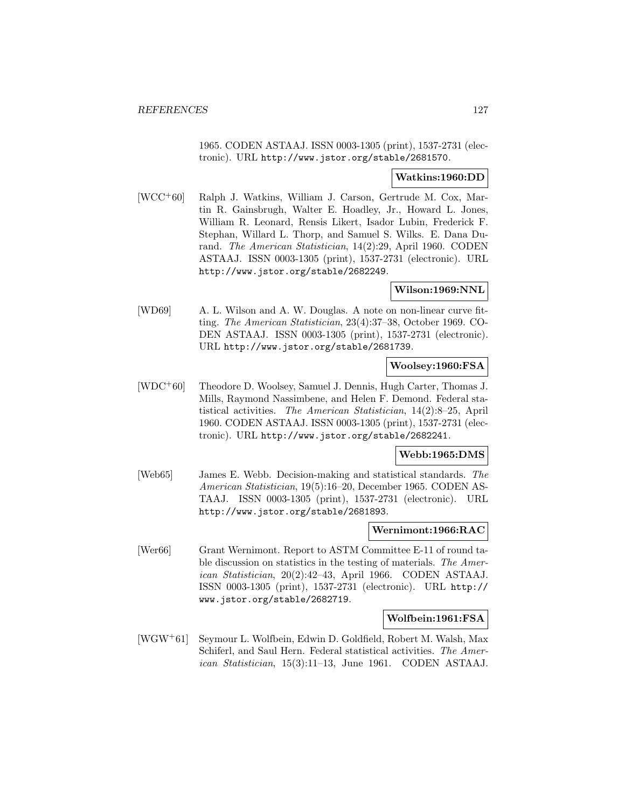1965. CODEN ASTAAJ. ISSN 0003-1305 (print), 1537-2731 (electronic). URL http://www.jstor.org/stable/2681570.

### **Watkins:1960:DD**

[WCC<sup>+</sup>60] Ralph J. Watkins, William J. Carson, Gertrude M. Cox, Martin R. Gainsbrugh, Walter E. Hoadley, Jr., Howard L. Jones, William R. Leonard, Rensis Likert, Isador Lubin, Frederick F. Stephan, Willard L. Thorp, and Samuel S. Wilks. E. Dana Durand. The American Statistician, 14(2):29, April 1960. CODEN ASTAAJ. ISSN 0003-1305 (print), 1537-2731 (electronic). URL http://www.jstor.org/stable/2682249.

### **Wilson:1969:NNL**

[WD69] A. L. Wilson and A. W. Douglas. A note on non-linear curve fitting. The American Statistician, 23(4):37–38, October 1969. CO-DEN ASTAAJ. ISSN 0003-1305 (print), 1537-2731 (electronic). URL http://www.jstor.org/stable/2681739.

#### **Woolsey:1960:FSA**

[WDC<sup>+</sup>60] Theodore D. Woolsey, Samuel J. Dennis, Hugh Carter, Thomas J. Mills, Raymond Nassimbene, and Helen F. Demond. Federal statistical activities. The American Statistician, 14(2):8–25, April 1960. CODEN ASTAAJ. ISSN 0003-1305 (print), 1537-2731 (electronic). URL http://www.jstor.org/stable/2682241.

### **Webb:1965:DMS**

[Web65] James E. Webb. Decision-making and statistical standards. The American Statistician, 19(5):16–20, December 1965. CODEN AS-TAAJ. ISSN 0003-1305 (print), 1537-2731 (electronic). URL http://www.jstor.org/stable/2681893.

#### **Wernimont:1966:RAC**

[Wer66] Grant Wernimont. Report to ASTM Committee E-11 of round table discussion on statistics in the testing of materials. The American Statistician, 20(2):42–43, April 1966. CODEN ASTAAJ. ISSN 0003-1305 (print), 1537-2731 (electronic). URL http:// www.jstor.org/stable/2682719.

### **Wolfbein:1961:FSA**

[WGW<sup>+</sup>61] Seymour L. Wolfbein, Edwin D. Goldfield, Robert M. Walsh, Max Schiferl, and Saul Hern. Federal statistical activities. The American Statistician, 15(3):11–13, June 1961. CODEN ASTAAJ.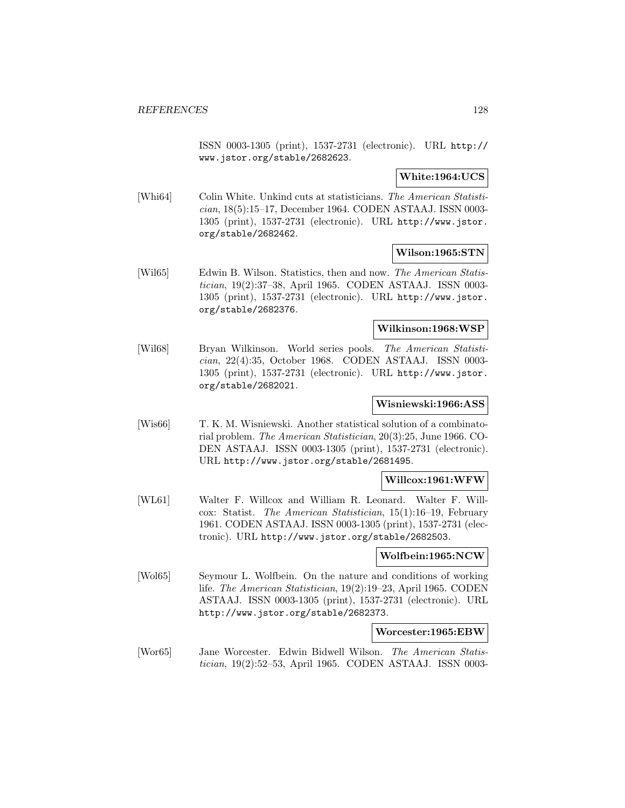ISSN 0003-1305 (print), 1537-2731 (electronic). URL http:// www.jstor.org/stable/2682623.

**White:1964:UCS**

[Whi64] Colin White. Unkind cuts at statisticians. The American Statistician, 18(5):15–17, December 1964. CODEN ASTAAJ. ISSN 0003- 1305 (print), 1537-2731 (electronic). URL http://www.jstor. org/stable/2682462.

**Wilson:1965:STN**

[Wil65] Edwin B. Wilson. Statistics, then and now. The American Statistician, 19(2):37–38, April 1965. CODEN ASTAAJ. ISSN 0003- 1305 (print), 1537-2731 (electronic). URL http://www.jstor. org/stable/2682376.

#### **Wilkinson:1968:WSP**

[Wil68] Bryan Wilkinson. World series pools. The American Statistician, 22(4):35, October 1968. CODEN ASTAAJ. ISSN 0003- 1305 (print), 1537-2731 (electronic). URL http://www.jstor. org/stable/2682021.

### **Wisniewski:1966:ASS**

[Wis66] T. K. M. Wisniewski. Another statistical solution of a combinatorial problem. The American Statistician, 20(3):25, June 1966. CO-DEN ASTAAJ. ISSN 0003-1305 (print), 1537-2731 (electronic). URL http://www.jstor.org/stable/2681495.

### **Willcox:1961:WFW**

[WL61] Walter F. Willcox and William R. Leonard. Walter F. Willcox: Statist. The American Statistician, 15(1):16–19, February 1961. CODEN ASTAAJ. ISSN 0003-1305 (print), 1537-2731 (electronic). URL http://www.jstor.org/stable/2682503.

### **Wolfbein:1965:NCW**

[Wol65] Seymour L. Wolfbein. On the nature and conditions of working life. The American Statistician, 19(2):19–23, April 1965. CODEN ASTAAJ. ISSN 0003-1305 (print), 1537-2731 (electronic). URL http://www.jstor.org/stable/2682373.

### **Worcester:1965:EBW**

[Wor65] Jane Worcester. Edwin Bidwell Wilson. The American Statistician, 19(2):52–53, April 1965. CODEN ASTAAJ. ISSN 0003-